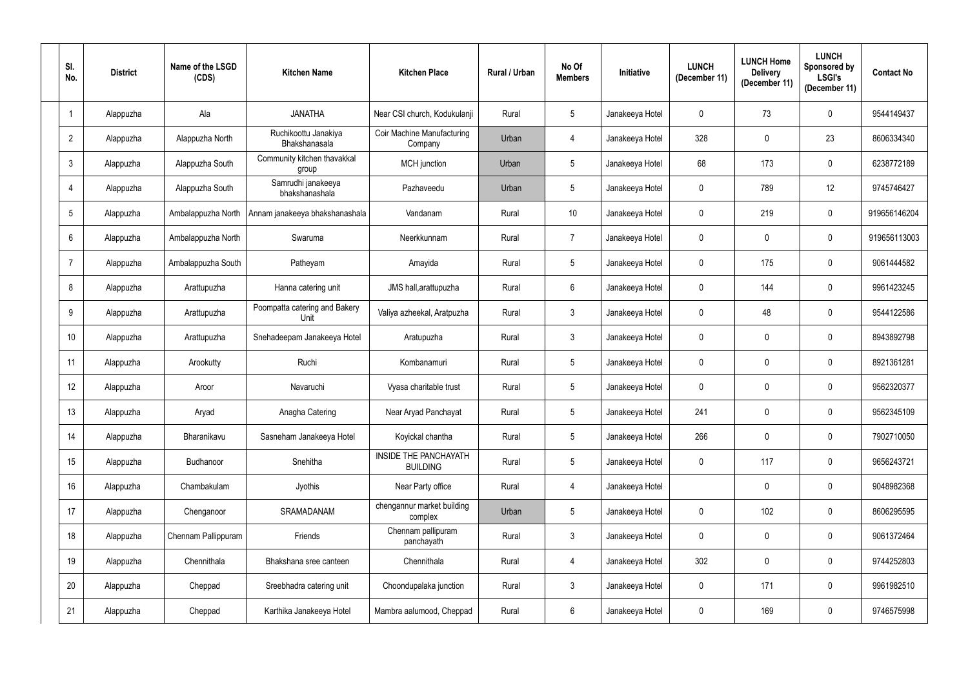| SI.<br>No.      | <b>District</b> | Name of the LSGD<br>(CDS) | <b>Kitchen Name</b>                   | <b>Kitchen Place</b>                     | Rural / Urban | No Of<br><b>Members</b> | Initiative      | <b>LUNCH</b><br>(December 11) | <b>LUNCH Home</b><br><b>Delivery</b><br>(December 11) | <b>LUNCH</b><br>Sponsored by<br><b>LSGI's</b><br>(December 11) | <b>Contact No</b> |
|-----------------|-----------------|---------------------------|---------------------------------------|------------------------------------------|---------------|-------------------------|-----------------|-------------------------------|-------------------------------------------------------|----------------------------------------------------------------|-------------------|
|                 | Alappuzha       | Ala                       | <b>JANATHA</b>                        | Near CSI church, Kodukulanji             | Rural         | $5\phantom{.0}$         | Janakeeya Hotel | $\overline{0}$                | 73                                                    | $\mathbf 0$                                                    | 9544149437        |
| $\overline{2}$  | Alappuzha       | Alappuzha North           | Ruchikoottu Janakiya<br>Bhakshanasala | Coir Machine Manufacturing<br>Company    | Urban         | $\overline{4}$          | Janakeeya Hotel | 328                           | $\mathbf 0$                                           | 23                                                             | 8606334340        |
| $\mathfrak{Z}$  | Alappuzha       | Alappuzha South           | Community kitchen thavakkal<br>group  | <b>MCH</b> junction                      | Urban         | $5\phantom{.0}$         | Janakeeya Hotel | 68                            | 173                                                   | $\mathbf 0$                                                    | 6238772189        |
| $\overline{4}$  | Alappuzha       | Alappuzha South           | Samrudhi janakeeya<br>bhakshanashala  | Pazhaveedu                               | Urban         | $5\phantom{.0}$         | Janakeeya Hotel | $\mathbf 0$                   | 789                                                   | 12                                                             | 9745746427        |
| $5\phantom{.0}$ | Alappuzha       | Ambalappuzha North        | Annam janakeeya bhakshanashala        | Vandanam                                 | Rural         | 10                      | Janakeeya Hotel | $\overline{0}$                | 219                                                   | $\mathbf 0$                                                    | 919656146204      |
| $6\phantom{.}$  | Alappuzha       | Ambalappuzha North        | Swaruma                               | Neerkkunnam                              | Rural         | $\overline{7}$          | Janakeeya Hotel | $\overline{0}$                | $\mathbf 0$                                           | $\mathbf 0$                                                    | 919656113003      |
| $\overline{7}$  | Alappuzha       | Ambalappuzha South        | Patheyam                              | Amayida                                  | Rural         | $5\phantom{.0}$         | Janakeeya Hotel | $\overline{0}$                | 175                                                   | $\mathbf 0$                                                    | 9061444582        |
| 8               | Alappuzha       | Arattupuzha               | Hanna catering unit                   | JMS hall, arattupuzha                    | Rural         | 6                       | Janakeeya Hotel | $\overline{0}$                | 144                                                   | $\mathbf 0$                                                    | 9961423245        |
| 9               | Alappuzha       | Arattupuzha               | Poompatta catering and Bakery<br>Unit | Valiya azheekal, Aratpuzha               | Rural         | $\mathbf{3}$            | Janakeeya Hotel | $\overline{0}$                | 48                                                    | $\mathbf 0$                                                    | 9544122586        |
| 10              | Alappuzha       | Arattupuzha               | Snehadeepam Janakeeya Hotel           | Aratupuzha                               | Rural         | $\mathbf{3}$            | Janakeeya Hotel | $\mathbf 0$                   | $\mathbf 0$                                           | $\mathbf 0$                                                    | 8943892798        |
| 11              | Alappuzha       | Arookutty                 | Ruchi                                 | Kombanamuri                              | Rural         | $5\phantom{.0}$         | Janakeeya Hotel | $\mathbf 0$                   | $\mathbf 0$                                           | $\mathbf 0$                                                    | 8921361281        |
| 12              | Alappuzha       | Aroor                     | Navaruchi                             | Vyasa charitable trust                   | Rural         | $5\phantom{.0}$         | Janakeeya Hotel | $\mathbf 0$                   | $\mathbf 0$                                           | $\mathbf 0$                                                    | 9562320377        |
| 13              | Alappuzha       | Aryad                     | Anagha Catering                       | Near Aryad Panchayat                     | Rural         | $5\overline{)}$         | Janakeeya Hotel | 241                           | 0                                                     | $\mathbf 0$                                                    | 9562345109        |
| 14              | Alappuzha       | Bharanikavu               | Sasneham Janakeeya Hotel              | Koyickal chantha                         | Rural         | $5\phantom{.0}$         | Janakeeya Hotel | 266                           | $\mathbf 0$                                           | $\pmb{0}$                                                      | 7902710050        |
| 15              | Alappuzha       | Budhanoor                 | Snehitha                              | INSIDE THE PANCHAYATH<br><b>BUILDING</b> | Rural         | $5\phantom{.0}$         | Janakeeya Hotel | $\mathbf 0$                   | 117                                                   | $\pmb{0}$                                                      | 9656243721        |
| 16              | Alappuzha       | Chambakulam               | Jyothis                               | Near Party office                        | Rural         | $\overline{4}$          | Janakeeya Hotel |                               | $\mathbf 0$                                           | $\pmb{0}$                                                      | 9048982368        |
| 17              | Alappuzha       | Chenganoor                | SRAMADANAM                            | chengannur market building<br>complex    | Urban         | 5 <sup>5</sup>          | Janakeeya Hotel | $\mathbf 0$                   | 102                                                   | $\mathbf 0$                                                    | 8606295595        |
| 18              | Alappuzha       | Chennam Pallippuram       | Friends                               | Chennam pallipuram<br>panchayath         | Rural         | 3 <sup>1</sup>          | Janakeeya Hotel | $\mathbf 0$                   | $\overline{0}$                                        | $\pmb{0}$                                                      | 9061372464        |
| 19              | Alappuzha       | Chennithala               | Bhakshana sree canteen                | Chennithala                              | Rural         | $\overline{4}$          | Janakeeya Hotel | 302                           | $\pmb{0}$                                             | $\pmb{0}$                                                      | 9744252803        |
| 20              | Alappuzha       | Cheppad                   | Sreebhadra catering unit              | Choondupalaka junction                   | Rural         | $\mathfrak{Z}$          | Janakeeya Hotel | $\mathbf 0$                   | 171                                                   | $\pmb{0}$                                                      | 9961982510        |
| 21              | Alappuzha       | Cheppad                   | Karthika Janakeeya Hotel              | Mambra aalumood, Cheppad                 | Rural         | 6                       | Janakeeya Hotel | $\mathbf 0$                   | 169                                                   | $\pmb{0}$                                                      | 9746575998        |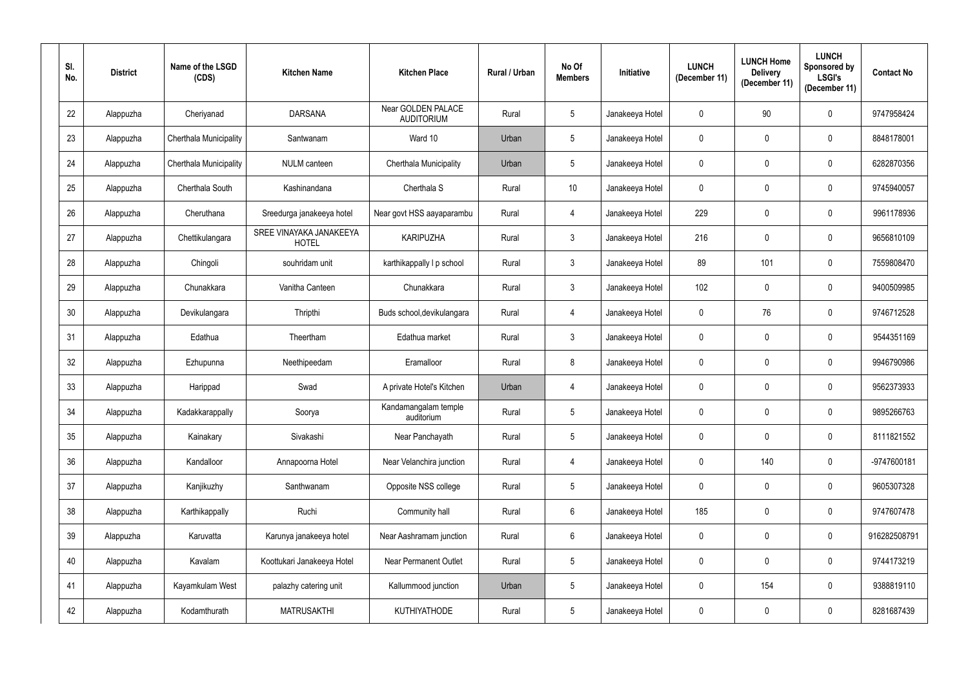| SI.<br>No.      | <b>District</b> | Name of the LSGD<br>(CDS)     | <b>Kitchen Name</b>                     | <b>Kitchen Place</b>                    | Rural / Urban | No Of<br><b>Members</b> | Initiative      | <b>LUNCH</b><br>(December 11) | <b>LUNCH Home</b><br><b>Delivery</b><br>(December 11) | <b>LUNCH</b><br>Sponsored by<br><b>LSGI's</b><br>(December 11) | <b>Contact No</b> |
|-----------------|-----------------|-------------------------------|-----------------------------------------|-----------------------------------------|---------------|-------------------------|-----------------|-------------------------------|-------------------------------------------------------|----------------------------------------------------------------|-------------------|
| 22              | Alappuzha       | Cheriyanad                    | <b>DARSANA</b>                          | Near GOLDEN PALACE<br><b>AUDITORIUM</b> | Rural         | $5\overline{)}$         | Janakeeya Hotel | $\mathbf 0$                   | 90                                                    | $\mathbf 0$                                                    | 9747958424        |
| 23              | Alappuzha       | Cherthala Municipality        | Santwanam                               | Ward 10                                 | Urban         | $5\overline{)}$         | Janakeeya Hotel | $\mathbf 0$                   | 0                                                     | $\pmb{0}$                                                      | 8848178001        |
| 24              | Alappuzha       | <b>Cherthala Municipality</b> | <b>NULM</b> canteen                     | Cherthala Municipality                  | Urban         | $5\phantom{.0}$         | Janakeeya Hotel | $\overline{0}$                | 0                                                     | $\mathbf 0$                                                    | 6282870356        |
| 25              | Alappuzha       | Cherthala South               | Kashinandana                            | Cherthala S                             | Rural         | 10                      | Janakeeya Hotel | $\mathbf 0$                   | 0                                                     | $\pmb{0}$                                                      | 9745940057        |
| 26              | Alappuzha       | Cheruthana                    | Sreedurga janakeeya hotel               | Near govt HSS aayaparambu               | Rural         | $\overline{4}$          | Janakeeya Hotel | 229                           | 0                                                     | $\mathbf 0$                                                    | 9961178936        |
| 27              | Alappuzha       | Chettikulangara               | SREE VINAYAKA JANAKEEYA<br><b>HOTEL</b> | <b>KARIPUZHA</b>                        | Rural         | $\mathbf{3}$            | Janakeeya Hotel | 216                           | 0                                                     | $\pmb{0}$                                                      | 9656810109        |
| 28              | Alappuzha       | Chingoli                      | souhridam unit                          | karthikappally I p school               | Rural         | 3 <sup>5</sup>          | Janakeeya Hotel | 89                            | 101                                                   | $\mathbf 0$                                                    | 7559808470        |
| 29              | Alappuzha       | Chunakkara                    | Vanitha Canteen                         | Chunakkara                              | Rural         | $\mathbf{3}$            | Janakeeya Hotel | 102                           | 0                                                     | $\pmb{0}$                                                      | 9400509985        |
| 30 <sup>°</sup> | Alappuzha       | Devikulangara                 | Thripthi                                | Buds school, devikulangara              | Rural         | $\overline{4}$          | Janakeeya Hotel | $\mathbf 0$                   | 76                                                    | $\pmb{0}$                                                      | 9746712528        |
| 31              | Alappuzha       | Edathua                       | Theertham                               | Edathua market                          | Rural         | 3 <sup>1</sup>          | Janakeeya Hotel | $\mathbf 0$                   | 0                                                     | $\mathbf 0$                                                    | 9544351169        |
| 32              | Alappuzha       | Ezhupunna                     | Neethipeedam                            | Eramalloor                              | Rural         | 8                       | Janakeeya Hotel | $\mathbf 0$                   | 0                                                     | $\pmb{0}$                                                      | 9946790986        |
| 33              | Alappuzha       | Harippad                      | Swad                                    | A private Hotel's Kitchen               | Urban         | 4                       | Janakeeya Hotel | $\overline{0}$                | 0                                                     | $\mathbf 0$                                                    | 9562373933        |
| 34              | Alappuzha       | Kadakkarappally               | Soorya                                  | Kandamangalam temple<br>auditorium      | Rural         | $5\overline{)}$         | Janakeeya Hotel | $\overline{0}$                | $\mathbf{0}$                                          | $\mathbf 0$                                                    | 9895266763        |
| 35              | Alappuzha       | Kainakary                     | Sivakashi                               | Near Panchayath                         | Rural         | $5\phantom{.0}$         | Janakeeya Hotel | $\boldsymbol{0}$              | 0                                                     | $\mathbf 0$                                                    | 8111821552        |
| 36              | Alappuzha       | Kandalloor                    | Annapoorna Hotel                        | Near Velanchira junction                | Rural         | $\overline{4}$          | Janakeeya Hotel | $\mathbf 0$                   | 140                                                   | $\mathbf 0$                                                    | -9747600181       |
| 37              | Alappuzha       | Kanjikuzhy                    | Santhwanam                              | Opposite NSS college                    | Rural         | $5\overline{)}$         | Janakeeya Hotel | $\pmb{0}$                     | $\pmb{0}$                                             | $\mathbf 0$                                                    | 9605307328        |
| 38              | Alappuzha       | Karthikappally                | Ruchi                                   | Community hall                          | Rural         | $6\overline{6}$         | Janakeeya Hotel | 185                           | 0                                                     | $\mathbf 0$                                                    | 9747607478        |
| 39              | Alappuzha       | Karuvatta                     | Karunya janakeeya hotel                 | Near Aashramam junction                 | Rural         | $6\phantom{.}6$         | Janakeeya Hotel | $\pmb{0}$                     | $\mathbf 0$                                           | $\mathbf 0$                                                    | 916282508791      |
| 40              | Alappuzha       | Kavalam                       | Koottukari Janakeeya Hotel              | <b>Near Permanent Outlet</b>            | Rural         | $5\phantom{.0}$         | Janakeeya Hotel | $\boldsymbol{0}$              | 0                                                     | $\mathbf 0$                                                    | 9744173219        |
| 41              | Alappuzha       | Kayamkulam West               | palazhy catering unit                   | Kallummood junction                     | Urban         | $5\phantom{.0}$         | Janakeeya Hotel | $\boldsymbol{0}$              | 154                                                   | $\mathbf 0$                                                    | 9388819110        |
| 42              | Alappuzha       | Kodamthurath                  | <b>MATRUSAKTHI</b>                      | <b>KUTHIYATHODE</b>                     | Rural         | $5\overline{)}$         | Janakeeya Hotel | $\boldsymbol{0}$              | $\pmb{0}$                                             | $\bf{0}$                                                       | 8281687439        |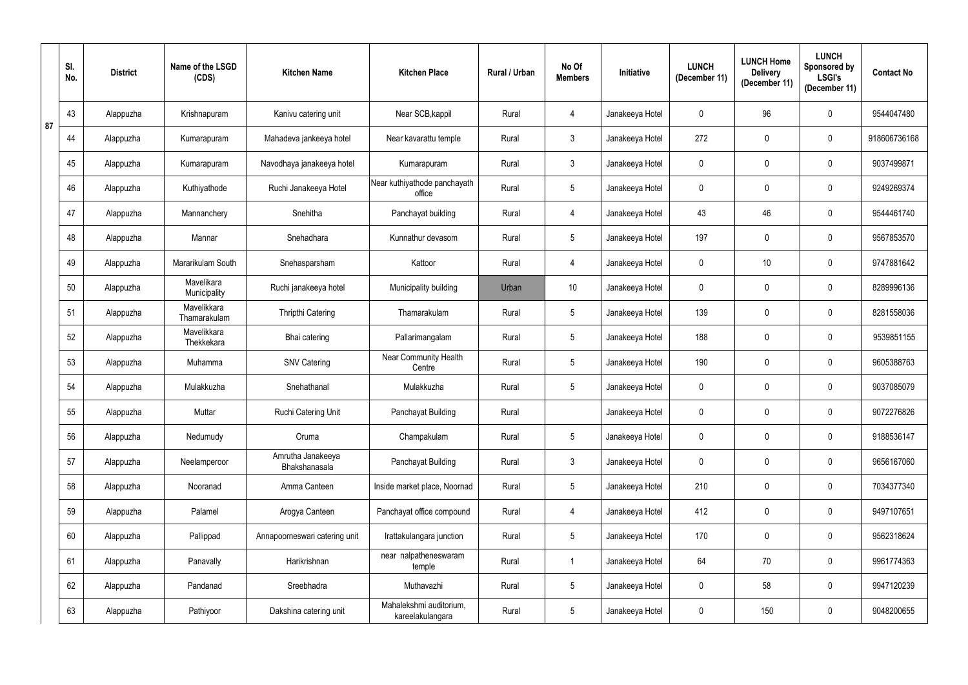|    | SI.<br>No. | <b>District</b> | Name of the LSGD<br>(CDS)   | <b>Kitchen Name</b>                | <b>Kitchen Place</b>                        | Rural / Urban | No Of<br><b>Members</b> | Initiative      | <b>LUNCH</b><br>(December 11) | <b>LUNCH Home</b><br><b>Delivery</b><br>(December 11) | <b>LUNCH</b><br>Sponsored by<br><b>LSGI's</b><br>(December 11) | <b>Contact No</b> |
|----|------------|-----------------|-----------------------------|------------------------------------|---------------------------------------------|---------------|-------------------------|-----------------|-------------------------------|-------------------------------------------------------|----------------------------------------------------------------|-------------------|
|    | 43         | Alappuzha       | Krishnapuram                | Kanivu catering unit               | Near SCB, kappil                            | Rural         | 4                       | Janakeeya Hotel | $\mathbf 0$                   | 96                                                    | $\mathbf 0$                                                    | 9544047480        |
| 87 | 44         | Alappuzha       | Kumarapuram                 | Mahadeva jankeeya hotel            | Near kavarattu temple                       | Rural         | $\mathbf{3}$            | Janakeeya Hotel | 272                           | $\mathbf 0$                                           | $\mathbf 0$                                                    | 918606736168      |
|    | 45         | Alappuzha       | Kumarapuram                 | Navodhaya janakeeya hotel          | Kumarapuram                                 | Rural         | $\mathbf{3}$            | Janakeeya Hotel | $\mathbf 0$                   | $\mathbf 0$                                           | $\mathbf 0$                                                    | 9037499871        |
|    | 46         | Alappuzha       | Kuthiyathode                | Ruchi Janakeeya Hotel              | Near kuthiyathode panchayath<br>office      | Rural         | $5\phantom{.0}$         | Janakeeya Hotel | $\mathbf 0$                   | $\mathbf 0$                                           | $\mathbf 0$                                                    | 9249269374        |
|    | 47         | Alappuzha       | Mannanchery                 | Snehitha                           | Panchayat building                          | Rural         | 4                       | Janakeeya Hotel | 43                            | 46                                                    | $\mathbf 0$                                                    | 9544461740        |
|    | 48         | Alappuzha       | Mannar                      | Snehadhara                         | Kunnathur devasom                           | Rural         | $5\phantom{.0}$         | Janakeeya Hotel | 197                           | $\mathbf 0$                                           | $\mathbf 0$                                                    | 9567853570        |
|    | 49         | Alappuzha       | Mararikulam South           | Snehasparsham                      | Kattoor                                     | Rural         | 4                       | Janakeeya Hotel | $\mathbf 0$                   | 10                                                    | $\overline{0}$                                                 | 9747881642        |
|    | 50         | Alappuzha       | Mavelikara<br>Municipality  | Ruchi janakeeya hotel              | Municipality building                       | Urban         | 10 <sup>°</sup>         | Janakeeya Hotel | $\mathbf 0$                   | $\mathbf 0$                                           | $\mathbf 0$                                                    | 8289996136        |
|    | 51         | Alappuzha       | Mavelikkara<br>Thamarakulam | <b>Thripthi Catering</b>           | Thamarakulam                                | Rural         | $5\phantom{.0}$         | Janakeeya Hotel | 139                           | $\mathbf 0$                                           | $\mathbf 0$                                                    | 8281558036        |
|    | 52         | Alappuzha       | Mavelikkara<br>Thekkekara   | Bhai catering                      | Pallarimangalam                             | Rural         | $5\overline{)}$         | Janakeeya Hotel | 188                           | $\overline{0}$                                        | $\mathbf 0$                                                    | 9539851155        |
|    | 53         | Alappuzha       | Muhamma                     | <b>SNV Catering</b>                | <b>Near Community Health</b><br>Centre      | Rural         | $5\phantom{.0}$         | Janakeeya Hotel | 190                           | $\mathbf 0$                                           | $\mathbf 0$                                                    | 9605388763        |
|    | 54         | Alappuzha       | Mulakkuzha                  | Snehathanal                        | Mulakkuzha                                  | Rural         | $5\phantom{.0}$         | Janakeeya Hotel | $\mathbf 0$                   | $\overline{0}$                                        | $\mathbf 0$                                                    | 9037085079        |
|    | 55         | Alappuzha       | Muttar                      | Ruchi Catering Unit                | Panchayat Building                          | Rural         |                         | Janakeeya Hotel | $\mathbf 0$                   | $\mathbf 0$                                           | $\mathbf 0$                                                    | 9072276826        |
|    | 56         | Alappuzha       | Nedumudy                    | Oruma                              | Champakulam                                 | Rural         | 5 <sup>5</sup>          | Janakeeya Hotel | $\mathbf 0$                   | $\mathbf 0$                                           | $\pmb{0}$                                                      | 9188536147        |
|    | 57         | Alappuzha       | Neelamperoor                | Amrutha Janakeeya<br>Bhakshanasala | Panchayat Building                          | Rural         | $3\phantom{.0}$         | Janakeeya Hotel | $\mathbf 0$                   | $\mathbf 0$                                           | $\mathbf 0$                                                    | 9656167060        |
|    | 58         | Alappuzha       | Nooranad                    | Amma Canteen                       | Inside market place, Noornad                | Rural         | $5\phantom{.0}$         | Janakeeya Hotel | 210                           | $\mathbf 0$                                           | $\pmb{0}$                                                      | 7034377340        |
|    | 59         | Alappuzha       | Palamel                     | Arogya Canteen                     | Panchayat office compound                   | Rural         | 4                       | Janakeeya Hotel | 412                           | $\mathbf 0$                                           | $\mathbf 0$                                                    | 9497107651        |
|    | 60         | Alappuzha       | Pallippad                   | Annapoorneswari catering unit      | Irattakulangara junction                    | Rural         | $5\phantom{.0}$         | Janakeeya Hotel | 170                           | $\pmb{0}$                                             | $\overline{0}$                                                 | 9562318624        |
|    | 61         | Alappuzha       | Panavally                   | Harikrishnan                       | near nalpatheneswaram<br>temple             | Rural         |                         | Janakeeya Hotel | 64                            | 70                                                    | $\pmb{0}$                                                      | 9961774363        |
|    | 62         | Alappuzha       | Pandanad                    | Sreebhadra                         | Muthavazhi                                  | Rural         | $5\phantom{.0}$         | Janakeeya Hotel | $\pmb{0}$                     | 58                                                    | $\boldsymbol{0}$                                               | 9947120239        |
|    | 63         | Alappuzha       | Pathiyoor                   | Dakshina catering unit             | Mahalekshmi auditorium,<br>kareelakulangara | Rural         | $5\phantom{.0}$         | Janakeeya Hotel | $\pmb{0}$                     | 150                                                   | $\bm{0}$                                                       | 9048200655        |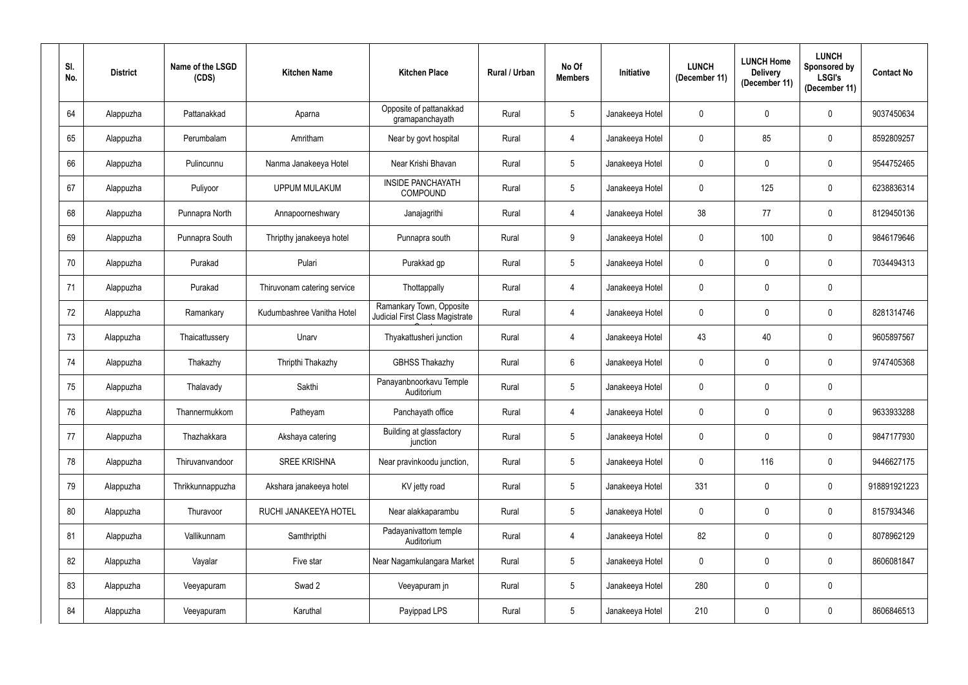| SI.<br>No. | <b>District</b> | Name of the LSGD<br>(CDS) | <b>Kitchen Name</b>         | <b>Kitchen Place</b>                                               | Rural / Urban | No Of<br><b>Members</b> | <b>Initiative</b> | <b>LUNCH</b><br>(December 11) | <b>LUNCH Home</b><br><b>Delivery</b><br>(December 11) | <b>LUNCH</b><br>Sponsored by<br><b>LSGI's</b><br>(December 11) | <b>Contact No</b> |
|------------|-----------------|---------------------------|-----------------------------|--------------------------------------------------------------------|---------------|-------------------------|-------------------|-------------------------------|-------------------------------------------------------|----------------------------------------------------------------|-------------------|
| 64         | Alappuzha       | Pattanakkad               | Aparna                      | Opposite of pattanakkad<br>gramapanchayath                         | Rural         | 5 <sup>5</sup>          | Janakeeya Hotel   | $\mathbf 0$                   | 0                                                     | $\mathbf 0$                                                    | 9037450634        |
| 65         | Alappuzha       | Perumbalam                | Amritham                    | Near by govt hospital                                              | Rural         | $\overline{4}$          | Janakeeya Hotel   | $\mathbf 0$                   | 85                                                    | $\mathbf 0$                                                    | 8592809257        |
| 66         | Alappuzha       | Pulincunnu                | Nanma Janakeeya Hotel       | Near Krishi Bhavan                                                 | Rural         | 5 <sup>5</sup>          | Janakeeya Hotel   | $\mathbf 0$                   | 0                                                     | $\mathbf 0$                                                    | 9544752465        |
| 67         | Alappuzha       | Puliyoor                  | <b>UPPUM MULAKUM</b>        | <b>INSIDE PANCHAYATH</b><br><b>COMPOUND</b>                        | Rural         | $5\overline{)}$         | Janakeeya Hotel   | $\mathbf 0$                   | 125                                                   | $\pmb{0}$                                                      | 6238836314        |
| 68         | Alappuzha       | Punnapra North            | Annapoorneshwary            | Janajagrithi                                                       | Rural         | 4                       | Janakeeya Hotel   | 38                            | 77                                                    | $\mathbf 0$                                                    | 8129450136        |
| 69         | Alappuzha       | Punnapra South            | Thripthy janakeeya hotel    | Punnapra south                                                     | Rural         | 9                       | Janakeeya Hotel   | $\mathbf 0$                   | 100                                                   | $\mathbf 0$                                                    | 9846179646        |
| 70         | Alappuzha       | Purakad                   | Pulari                      | Purakkad gp                                                        | Rural         | 5 <sup>5</sup>          | Janakeeya Hotel   | $\mathbf 0$                   | $\mathbf 0$                                           | $\mathbf 0$                                                    | 7034494313        |
| 71         | Alappuzha       | Purakad                   | Thiruvonam catering service | Thottappally                                                       | Rural         | 4                       | Janakeeya Hotel   | $\mathbf 0$                   | 0                                                     | $\mathbf 0$                                                    |                   |
| 72         | Alappuzha       | Ramankary                 | Kudumbashree Vanitha Hotel  | Ramankary Town, Opposite<br><b>Judicial First Class Magistrate</b> | Rural         | $\overline{4}$          | Janakeeya Hotel   | $\mathbf 0$                   | 0                                                     | $\mathbf 0$                                                    | 8281314746        |
| 73         | Alappuzha       | Thaicattussery            | Unarv                       | Thyakattusheri junction                                            | Rural         | 4                       | Janakeeya Hotel   | 43                            | 40                                                    | $\mathbf 0$                                                    | 9605897567        |
| 74         | Alappuzha       | Thakazhy                  | Thripthi Thakazhy           | <b>GBHSS Thakazhy</b>                                              | Rural         | $6^{\circ}$             | Janakeeya Hotel   | $\mathbf 0$                   | 0                                                     | $\mathbf 0$                                                    | 9747405368        |
| 75         | Alappuzha       | Thalavady                 | Sakthi                      | Panayanbnoorkavu Temple<br>Auditorium                              | Rural         | 5 <sup>5</sup>          | Janakeeya Hotel   | $\mathbf 0$                   | 0                                                     | $\mathbf 0$                                                    |                   |
| 76         | Alappuzha       | Thannermukkom             | Patheyam                    | Panchayath office                                                  | Rural         | 4                       | Janakeeya Hotel   | $\overline{0}$                | $\mathbf{0}$                                          | $\mathbf 0$                                                    | 9633933288        |
| 77         | Alappuzha       | Thazhakkara               | Akshaya catering            | Building at glassfactory<br>junction                               | Rural         | $5\phantom{.0}$         | Janakeeya Hotel   | $\pmb{0}$                     | 0                                                     | $\pmb{0}$                                                      | 9847177930        |
| 78         | Alappuzha       | Thiruvanvandoor           | <b>SREE KRISHNA</b>         | Near pravinkoodu junction,                                         | Rural         | $5\phantom{.0}$         | Janakeeya Hotel   | $\mathbf 0$                   | 116                                                   | $\pmb{0}$                                                      | 9446627175        |
| 79         | Alappuzha       | Thrikkunnappuzha          | Akshara janakeeya hotel     | KV jetty road                                                      | Rural         | 5 <sub>5</sub>          | Janakeeya Hotel   | 331                           | $\pmb{0}$                                             | $\mathbf 0$                                                    | 918891921223      |
| 80         | Alappuzha       | Thuravoor                 | RUCHI JANAKEEYA HOTEL       | Near alakkaparambu                                                 | Rural         | 5 <sub>5</sub>          | Janakeeya Hotel   | $\mathbf 0$                   | 0                                                     | $\mathbf 0$                                                    | 8157934346        |
| 81         | Alappuzha       | Vallikunnam               | Samthripthi                 | Padayanivattom temple<br>Auditorium                                | Rural         | $\overline{4}$          | Janakeeya Hotel   | 82                            | 0                                                     | $\mathbf 0$                                                    | 8078962129        |
| 82         | Alappuzha       | Vayalar                   | Five star                   | Near Nagamkulangara Market                                         | Rural         | $5\phantom{.0}$         | Janakeeya Hotel   | $\boldsymbol{0}$              | 0                                                     | $\pmb{0}$                                                      | 8606081847        |
| 83         | Alappuzha       | Veeyapuram                | Swad 2                      | Veeyapuram jn                                                      | Rural         | $5\phantom{.0}$         | Janakeeya Hotel   | 280                           | 0                                                     | $\mathbf 0$                                                    |                   |
| 84         | Alappuzha       | Veeyapuram                | Karuthal                    | Payippad LPS                                                       | Rural         | 5 <sub>5</sub>          | Janakeeya Hotel   | 210                           | 0                                                     | $\pmb{0}$                                                      | 8606846513        |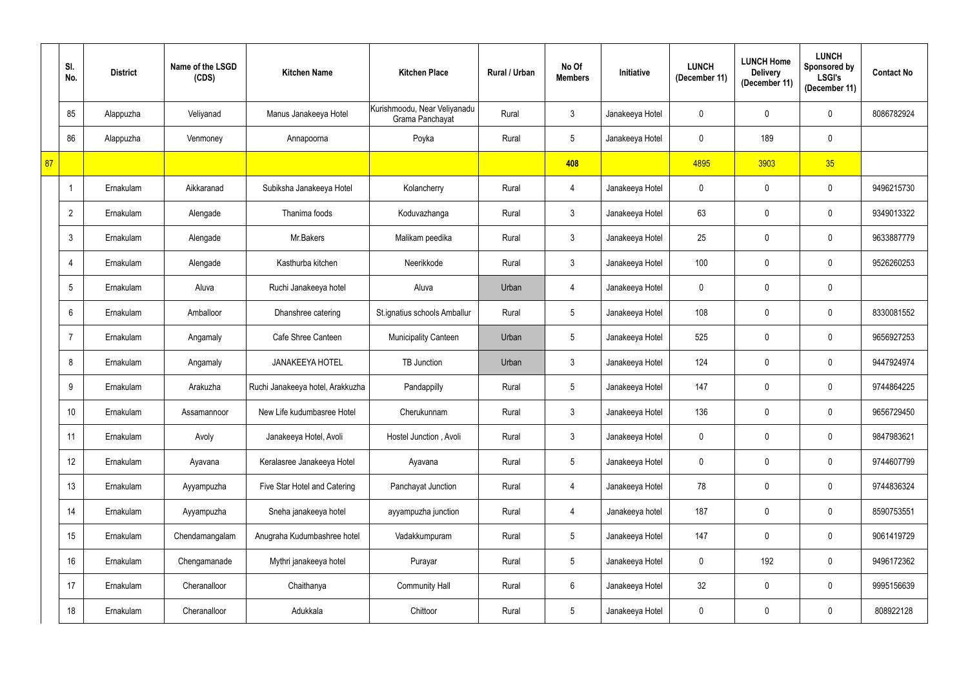|    | SI.<br>No.      | <b>District</b> | Name of the LSGD<br>(CDS) | <b>Kitchen Name</b>              | <b>Kitchen Place</b>                            | <b>Rural / Urban</b> | No Of<br><b>Members</b> | Initiative      | <b>LUNCH</b><br>(December 11) | <b>LUNCH Home</b><br><b>Delivery</b><br>(December 11) | <b>LUNCH</b><br>Sponsored by<br><b>LSGI's</b><br>(December 11) | <b>Contact No</b> |
|----|-----------------|-----------------|---------------------------|----------------------------------|-------------------------------------------------|----------------------|-------------------------|-----------------|-------------------------------|-------------------------------------------------------|----------------------------------------------------------------|-------------------|
|    | 85              | Alappuzha       | Veliyanad                 | Manus Janakeeya Hotel            | Kurishmoodu, Near Veliyanadu<br>Grama Panchayat | Rural                | 3                       | Janakeeya Hotel | $\mathbf 0$                   | $\mathbf 0$                                           | $\mathbf 0$                                                    | 8086782924        |
|    | 86              | Alappuzha       | Venmoney                  | Annapoorna                       | Poyka                                           | Rural                | $5\phantom{.0}$         | Janakeeya Hotel | $\mathbf 0$                   | 189                                                   | $\mathbf 0$                                                    |                   |
| 87 |                 |                 |                           |                                  |                                                 |                      | 408                     |                 | 4895                          | 3903                                                  | 35                                                             |                   |
|    |                 | Ernakulam       | Aikkaranad                | Subiksha Janakeeya Hotel         | Kolancherry                                     | Rural                | 4                       | Janakeeya Hotel | $\mathbf 0$                   | $\mathbf 0$                                           | $\mathbf 0$                                                    | 9496215730        |
|    | $\overline{2}$  | Ernakulam       | Alengade                  | Thanima foods                    | Koduvazhanga                                    | Rural                | 3                       | Janakeeya Hotel | 63                            | $\overline{0}$                                        | $\mathbf 0$                                                    | 9349013322        |
|    | 3               | Ernakulam       | Alengade                  | Mr.Bakers                        | Malikam peedika                                 | Rural                | 3                       | Janakeeya Hotel | 25                            | $\mathbf 0$                                           | $\mathbf 0$                                                    | 9633887779        |
|    | 4               | Ernakulam       | Alengade                  | Kasthurba kitchen                | Neerikkode                                      | Rural                | 3                       | Janakeeya Hotel | 100                           | $\mathbf 0$                                           | $\mathbf 0$                                                    | 9526260253        |
|    | 5               | Ernakulam       | Aluva                     | Ruchi Janakeeya hotel            | Aluva                                           | Urban                | 4                       | Janakeeya Hotel | $\mathbf 0$                   | $\mathbf 0$                                           | $\mathbf 0$                                                    |                   |
|    | 6               | Ernakulam       | Amballoor                 | Dhanshree catering               | St.ignatius schools Amballur                    | Rural                | 5                       | Janakeeya Hotel | 108                           | $\mathbf 0$                                           | $\mathbf 0$                                                    | 8330081552        |
|    |                 | Ernakulam       | Angamaly                  | Cafe Shree Canteen               | <b>Municipality Canteen</b>                     | Urban                | 5                       | Janakeeya Hotel | 525                           | $\overline{0}$                                        | $\mathbf 0$                                                    | 9656927253        |
|    | 8               | Ernakulam       | Angamaly                  | <b>JANAKEEYA HOTEL</b>           | <b>TB</b> Junction                              | Urban                | 3                       | Janakeeya Hotel | 124                           | $\mathbf 0$                                           | $\mathbf 0$                                                    | 9447924974        |
|    | 9               | Ernakulam       | Arakuzha                  | Ruchi Janakeeya hotel, Arakkuzha | Pandappilly                                     | Rural                | $5\phantom{.0}$         | Janakeeya Hotel | 147                           | $\overline{0}$                                        | $\mathbf 0$                                                    | 9744864225        |
|    | 10 <sup>°</sup> | Ernakulam       | Assamannoor               | New Life kudumbasree Hotel       | Cherukunnam                                     | Rural                | 3                       | Janakeeya Hotel | 136                           | $\mathbf 0$                                           | $\mathbf 0$                                                    | 9656729450        |
|    | 11              | Ernakulam       | Avoly                     | Janakeeya Hotel, Avoli           | Hostel Junction, Avoli                          | Rural                | 3 <sup>1</sup>          | Janakeeya Hotel | $\mathbf 0$                   | $\mathbf 0$                                           | $\pmb{0}$                                                      | 9847983621        |
|    | 12              | Ernakulam       | Ayavana                   | Keralasree Janakeeya Hotel       | Ayavana                                         | Rural                | $5\phantom{.0}$         | Janakeeya Hotel | $\mathbf 0$                   | $\pmb{0}$                                             | $\mathbf 0$                                                    | 9744607799        |
|    | 13              | Ernakulam       | Ayyampuzha                | Five Star Hotel and Catering     | Panchayat Junction                              | Rural                | 4                       | Janakeeya Hotel | 78                            | $\pmb{0}$                                             | $\pmb{0}$                                                      | 9744836324        |
|    | 14              | Ernakulam       | Ayyampuzha                | Sneha janakeeya hotel            | ayyampuzha junction                             | Rural                | 4                       | Janakeeya hotel | 187                           | $\pmb{0}$                                             | $\pmb{0}$                                                      | 8590753551        |
|    | 15              | Ernakulam       | Chendamangalam            | Anugraha Kudumbashree hotel      | Vadakkumpuram                                   | Rural                | $5\phantom{.0}$         | Janakeeya Hotel | 147                           | $\mathbf 0$                                           | $\pmb{0}$                                                      | 9061419729        |
|    | 16              | Ernakulam       | Chengamanade              | Mythri janakeeya hotel           | Purayar                                         | Rural                | $5\phantom{.0}$         | Janakeeya Hotel | $\bf{0}$                      | 192                                                   | $\pmb{0}$                                                      | 9496172362        |
|    | 17              | Ernakulam       | Cheranalloor              | Chaithanya                       | <b>Community Hall</b>                           | Rural                | $6\overline{6}$         | Janakeeya Hotel | 32                            | $\pmb{0}$                                             | $\pmb{0}$                                                      | 9995156639        |
|    | 18              | Ernakulam       | Cheranalloor              | Adukkala                         | Chittoor                                        | Rural                | $5\phantom{.0}$         | Janakeeya Hotel | $\pmb{0}$                     | $\pmb{0}$                                             | $\pmb{0}$                                                      | 808922128         |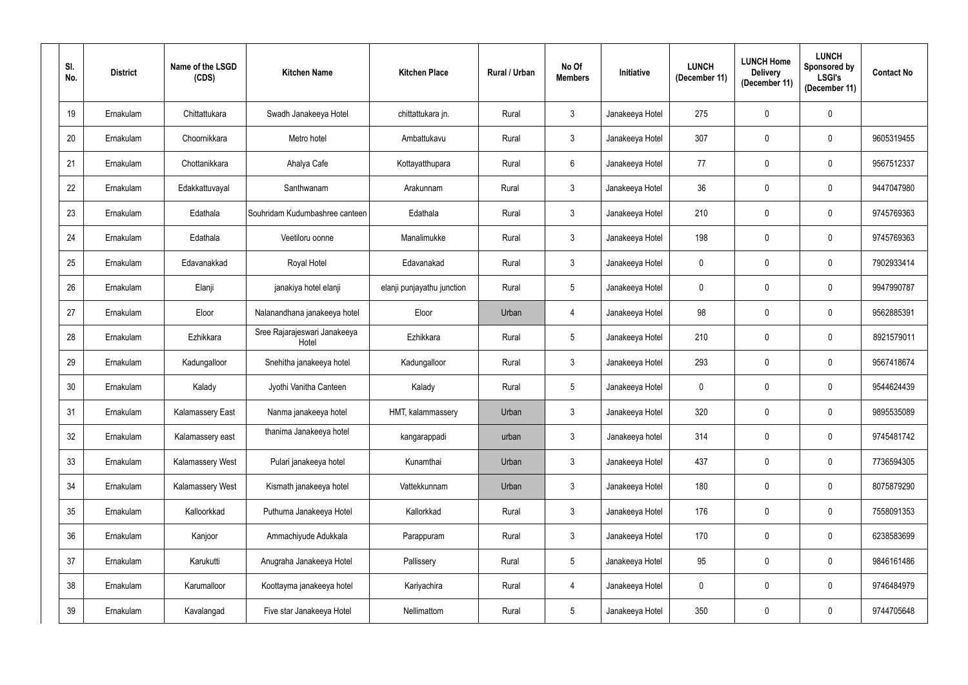| SI.<br>No.      | <b>District</b> | Name of the LSGD<br>(CDS) | <b>Kitchen Name</b>                   | <b>Kitchen Place</b>       | Rural / Urban | No Of<br><b>Members</b> | Initiative      | <b>LUNCH</b><br>(December 11) | <b>LUNCH Home</b><br><b>Delivery</b><br>(December 11) | <b>LUNCH</b><br>Sponsored by<br><b>LSGI's</b><br>(December 11) | <b>Contact No</b> |
|-----------------|-----------------|---------------------------|---------------------------------------|----------------------------|---------------|-------------------------|-----------------|-------------------------------|-------------------------------------------------------|----------------------------------------------------------------|-------------------|
| 19              | Ernakulam       | Chittattukara             | Swadh Janakeeya Hotel                 | chittattukara jn.          | Rural         | $\mathbf{3}$            | Janakeeya Hotel | 275                           | 0                                                     | $\mathbf 0$                                                    |                   |
| 20              | Ernakulam       | Choornikkara              | Metro hotel                           | Ambattukavu                | Rural         | $\mathbf{3}$            | Janakeeya Hotel | 307                           | 0                                                     | $\pmb{0}$                                                      | 9605319455        |
| 21              | Ernakulam       | Chottanikkara             | Ahalya Cafe                           | Kottayatthupara            | Rural         | 6                       | Janakeeya Hotel | 77                            | 0                                                     | $\mathbf 0$                                                    | 9567512337        |
| 22              | Ernakulam       | Edakkattuvayal            | Santhwanam                            | Arakunnam                  | Rural         | $\mathbf{3}$            | Janakeeya Hotel | 36                            | 0                                                     | $\pmb{0}$                                                      | 9447047980        |
| 23              | Ernakulam       | Edathala                  | Souhridam Kudumbashree canteen        | Edathala                   | Rural         | $\mathfrak{Z}$          | Janakeeya Hotel | 210                           | 0                                                     | $\mathbf 0$                                                    | 9745769363        |
| 24              | Ernakulam       | Edathala                  | Veetiloru oonne                       | Manalimukke                | Rural         | $\mathbf{3}$            | Janakeeya Hotel | 198                           | 0                                                     | $\mathbf 0$                                                    | 9745769363        |
| 25              | Ernakulam       | Edavanakkad               | Royal Hotel                           | Edavanakad                 | Rural         | $\mathbf{3}$            | Janakeeya Hotel | $\mathbf 0$                   | 0                                                     | $\mathbf 0$                                                    | 7902933414        |
| 26              | Ernakulam       | Elanji                    | janakiya hotel elanji                 | elanji punjayathu junction | Rural         | $5\phantom{.0}$         | Janakeeya Hotel | $\mathbf 0$                   | 0                                                     | $\mathbf 0$                                                    | 9947990787        |
| 27              | Ernakulam       | Eloor                     | Nalanandhana janakeeya hotel          | Eloor                      | Urban         | 4                       | Janakeeya Hotel | 98                            | 0                                                     | $\pmb{0}$                                                      | 9562885391        |
| 28              | Ernakulam       | Ezhikkara                 | Sree Rajarajeswari Janakeeya<br>Hotel | Ezhikkara                  | Rural         | 5 <sup>5</sup>          | Janakeeya Hotel | 210                           | 0                                                     | $\mathbf 0$                                                    | 8921579011        |
| 29              | Ernakulam       | Kadungalloor              | Snehitha janakeeya hotel              | Kadungalloor               | Rural         | $\mathbf{3}$            | Janakeeya Hotel | 293                           | 0                                                     | $\pmb{0}$                                                      | 9567418674        |
| 30 <sup>°</sup> | Ernakulam       | Kalady                    | Jyothi Vanitha Canteen                | Kalady                     | Rural         | 5 <sup>5</sup>          | Janakeeya Hotel | $\mathbf 0$                   | 0                                                     | $\mathbf 0$                                                    | 9544624439        |
| 31              | Ernakulam       | Kalamassery East          | Nanma janakeeya hotel                 | HMT, kalammassery          | Urban         | $\mathbf{3}$            | Janakeeya Hotel | 320                           | 0                                                     | $\mathbf 0$                                                    | 9895535089        |
| 32              | Ernakulam       | Kalamassery east          | thanima Janakeeya hotel               | kangarappadi               | urban         | 3 <sup>1</sup>          | Janakeeya hotel | 314                           | $\mathbf 0$                                           | $\mathbf 0$                                                    | 9745481742        |
| 33              | Ernakulam       | Kalamassery West          | Pulari janakeeya hotel                | Kunamthai                  | Urban         | $\mathbf{3}$            | Janakeeya Hotel | 437                           | $\pmb{0}$                                             | $\mathbf 0$                                                    | 7736594305        |
| 34              | Ernakulam       | Kalamassery West          | Kismath janakeeya hotel               | Vattekkunnam               | Urban         | $\mathbf{3}$            | Janakeeya Hotel | 180                           | $\pmb{0}$                                             | $\mathbf 0$                                                    | 8075879290        |
| 35              | Ernakulam       | Kalloorkkad               | Puthuma Janakeeya Hotel               | Kallorkkad                 | Rural         | 3                       | Janakeeya Hotel | 176                           | 0                                                     | $\mathbf 0$                                                    | 7558091353        |
| 36              | Ernakulam       | Kanjoor                   | Ammachiyude Adukkala                  | Parappuram                 | Rural         | 3 <sup>1</sup>          | Janakeeya Hotel | 170                           | $\pmb{0}$                                             | $\mathbf 0$                                                    | 6238583699        |
| 37              | Ernakulam       | Karukutti                 | Anugraha Janakeeya Hotel              | Pallissery                 | Rural         | $5\phantom{.0}$         | Janakeeya Hotel | 95                            | $\pmb{0}$                                             | $\mathbf 0$                                                    | 9846161486        |
| 38              | Ernakulam       | Karumalloor               | Koottayma janakeeya hotel             | Kariyachira                | Rural         | $\overline{4}$          | Janakeeya Hotel | $\mathbf 0$                   | $\mathbf 0$                                           | $\mathbf 0$                                                    | 9746484979        |
| 39              | Ernakulam       | Kavalangad                | Five star Janakeeya Hotel             | Nellimattom                | Rural         | $5\overline{)}$         | Janakeeya Hotel | 350                           | 0                                                     | $\pmb{0}$                                                      | 9744705648        |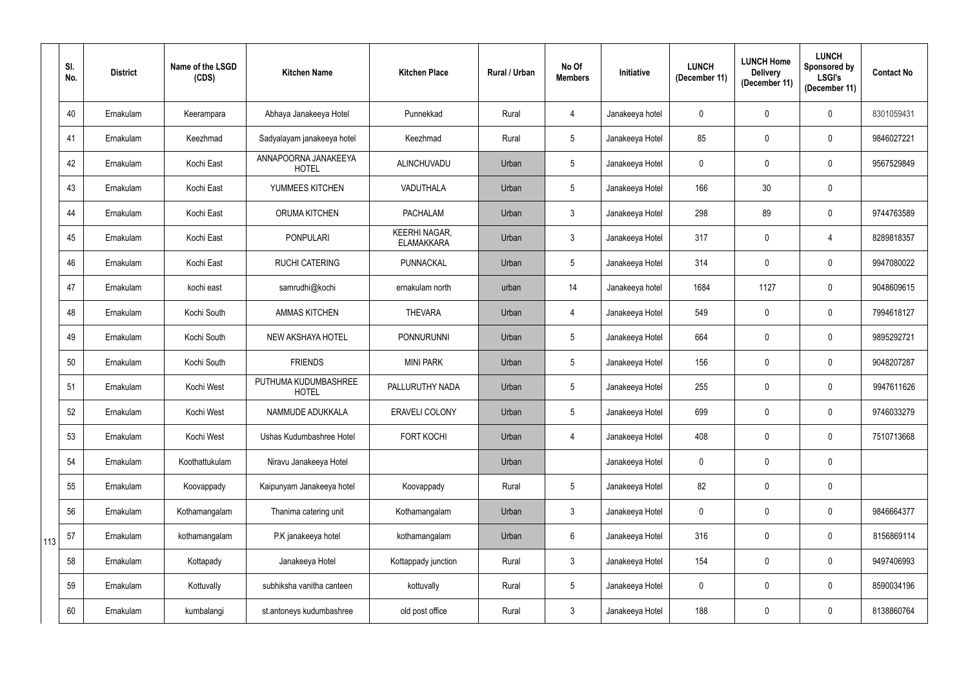|     | SI.<br>No. | <b>District</b> | Name of the LSGD<br>(CDS) | <b>Kitchen Name</b>                  | <b>Kitchen Place</b>                      | Rural / Urban | No Of<br><b>Members</b> | Initiative      | <b>LUNCH</b><br>(December 11) | <b>LUNCH Home</b><br><b>Delivery</b><br>(December 11) | <b>LUNCH</b><br>Sponsored by<br><b>LSGI's</b><br>(December 11) | <b>Contact No</b> |
|-----|------------|-----------------|---------------------------|--------------------------------------|-------------------------------------------|---------------|-------------------------|-----------------|-------------------------------|-------------------------------------------------------|----------------------------------------------------------------|-------------------|
|     | 40         | Ernakulam       | Keerampara                | Abhaya Janakeeya Hotel               | Punnekkad                                 | Rural         | 4                       | Janakeeya hotel | $\mathbf 0$                   | $\mathbf 0$                                           | $\mathbf 0$                                                    | 8301059431        |
|     | 41         | Ernakulam       | Keezhmad                  | Sadyalayam janakeeya hotel           | Keezhmad                                  | Rural         | 5 <sup>5</sup>          | Janakeeya Hotel | 85                            | $\mathbf 0$                                           | $\mathbf 0$                                                    | 9846027221        |
|     | 42         | Ernakulam       | Kochi East                | ANNAPOORNA JANAKEEYA<br><b>HOTEL</b> | ALINCHUVADU                               | Urban         | $5\phantom{.0}$         | Janakeeya Hotel | $\mathbf 0$                   | $\mathbf 0$                                           | $\mathbf 0$                                                    | 9567529849        |
|     | 43         | Ernakulam       | Kochi East                | YUMMEES KITCHEN                      | VADUTHALA                                 | Urban         | $5\phantom{.0}$         | Janakeeya Hotel | 166                           | 30                                                    | $\mathbf 0$                                                    |                   |
|     | 44         | Ernakulam       | Kochi East                | <b>ORUMA KITCHEN</b>                 | <b>PACHALAM</b>                           | Urban         | $\mathbf{3}$            | Janakeeya Hotel | 298                           | 89                                                    | $\mathbf 0$                                                    | 9744763589        |
|     | 45         | Ernakulam       | Kochi East                | <b>PONPULARI</b>                     | <b>KEERHI NAGAR,</b><br><b>ELAMAKKARA</b> | Urban         | $\mathbf{3}$            | Janakeeya Hotel | 317                           | $\mathbf 0$                                           | $\overline{4}$                                                 | 8289818357        |
|     | 46         | Ernakulam       | Kochi East                | <b>RUCHI CATERING</b>                | <b>PUNNACKAL</b>                          | Urban         | $5\phantom{.0}$         | Janakeeya Hotel | 314                           | $\mathbf 0$                                           | $\mathbf 0$                                                    | 9947080022        |
|     | 47         | Ernakulam       | kochi east                | samrudhi@kochi                       | ernakulam north                           | urban         | 14                      | Janakeeya hotel | 1684                          | 1127                                                  | $\mathbf 0$                                                    | 9048609615        |
|     | 48         | Ernakulam       | Kochi South               | <b>AMMAS KITCHEN</b>                 | <b>THEVARA</b>                            | Urban         | 4                       | Janakeeya Hotel | 549                           | $\mathbf 0$                                           | $\mathbf 0$                                                    | 7994618127        |
|     | 49         | Ernakulam       | Kochi South               | <b>NEW AKSHAYA HOTEL</b>             | <b>PONNURUNNI</b>                         | Urban         | $5\overline{)}$         | Janakeeya Hotel | 664                           | $\overline{0}$                                        | $\mathbf 0$                                                    | 9895292721        |
|     | 50         | Ernakulam       | Kochi South               | <b>FRIENDS</b>                       | <b>MINI PARK</b>                          | Urban         | $5\phantom{.0}$         | Janakeeya Hotel | 156                           | $\mathbf 0$                                           | $\mathbf 0$                                                    | 9048207287        |
|     | 51         | Ernakulam       | Kochi West                | PUTHUMA KUDUMBASHREE<br><b>HOTEL</b> | PALLURUTHY NADA                           | Urban         | $5\overline{)}$         | Janakeeya Hotel | 255                           | $\overline{0}$                                        | $\overline{0}$                                                 | 9947611626        |
|     | 52         | Ernakulam       | Kochi West                | NAMMUDE ADUKKALA                     | ERAVELI COLONY                            | Urban         | $5\overline{)}$         | Janakeeya Hotel | 699                           | $\mathbf 0$                                           | $\mathbf 0$                                                    | 9746033279        |
|     | 53         | Ernakulam       | Kochi West                | Ushas Kudumbashree Hotel             | <b>FORT KOCHI</b>                         | Urban         | 4                       | Janakeeya Hotel | 408                           | $\mathbf 0$                                           | $\pmb{0}$                                                      | 7510713668        |
|     | 54         | Ernakulam       | Koothattukulam            | Niravu Janakeeya Hotel               |                                           | Urban         |                         | Janakeeya Hotel | $\mathbf 0$                   | $\pmb{0}$                                             | $\mathbf 0$                                                    |                   |
|     | 55         | Ernakulam       | Koovappady                | Kaipunyam Janakeeya hotel            | Koovappady                                | Rural         | $5\phantom{.0}$         | Janakeeya Hotel | 82                            | $\pmb{0}$                                             | $\pmb{0}$                                                      |                   |
|     | 56         | Ernakulam       | Kothamangalam             | Thanima catering unit                | Kothamangalam                             | Urban         | $3\phantom{.0}$         | Janakeeya Hotel | $\pmb{0}$                     | $\pmb{0}$                                             | $\mathbf 0$                                                    | 9846664377        |
| 113 | 57         | Ernakulam       | kothamangalam             | P.K janakeeya hotel                  | kothamangalam                             | Urban         | $6\phantom{.}6$         | Janakeeya Hotel | 316                           | $\pmb{0}$                                             | $\overline{0}$                                                 | 8156869114        |
|     | 58         | Ernakulam       | Kottapady                 | Janakeeya Hotel                      | Kottappady junction                       | Rural         | 3 <sup>1</sup>          | Janakeeya Hotel | 154                           | $\mathbf 0$                                           | $\pmb{0}$                                                      | 9497406993        |
|     | 59         | Ernakulam       | Kottuvally                | subhiksha vanitha canteen            | kottuvally                                | Rural         | $5\phantom{.0}$         | Janakeeya Hotel | $\pmb{0}$                     | $\pmb{0}$                                             | $\pmb{0}$                                                      | 8590034196        |
|     | 60         | Ernakulam       | kumbalangi                | st.antoneys kudumbashree             | old post office                           | Rural         | $\mathfrak{Z}$          | Janakeeya Hotel | 188                           | $\pmb{0}$                                             | $\pmb{0}$                                                      | 8138860764        |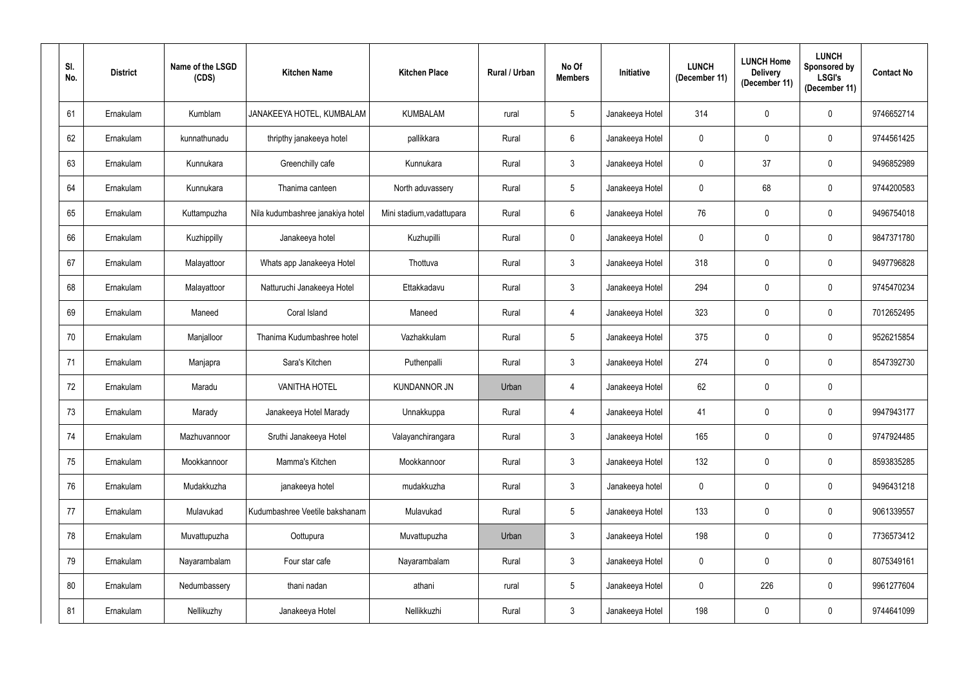| SI.<br>No. | <b>District</b> | Name of the LSGD<br>(CDS) | <b>Kitchen Name</b>              | <b>Kitchen Place</b>      | Rural / Urban | No Of<br><b>Members</b> | Initiative      | <b>LUNCH</b><br>(December 11) | <b>LUNCH Home</b><br><b>Delivery</b><br>(December 11) | <b>LUNCH</b><br>Sponsored by<br><b>LSGI's</b><br>(December 11) | <b>Contact No</b> |
|------------|-----------------|---------------------------|----------------------------------|---------------------------|---------------|-------------------------|-----------------|-------------------------------|-------------------------------------------------------|----------------------------------------------------------------|-------------------|
| 61         | Ernakulam       | Kumblam                   | JANAKEEYA HOTEL, KUMBALAM        | <b>KUMBALAM</b>           | rural         | $5\overline{)}$         | Janakeeya Hotel | 314                           | 0                                                     | $\mathbf 0$                                                    | 9746652714        |
| 62         | Ernakulam       | kunnathunadu              | thripthy janakeeya hotel         | pallikkara                | Rural         | $6\overline{6}$         | Janakeeya Hotel | $\mathbf 0$                   | 0                                                     | $\pmb{0}$                                                      | 9744561425        |
| 63         | Ernakulam       | Kunnukara                 | Greenchilly cafe                 | Kunnukara                 | Rural         | $\mathbf{3}$            | Janakeeya Hotel | $\mathbf 0$                   | 37                                                    | $\mathbf 0$                                                    | 9496852989        |
| 64         | Ernakulam       | Kunnukara                 | Thanima canteen                  | North aduvassery          | Rural         | $5\overline{)}$         | Janakeeya Hotel | $\mathbf 0$                   | 68                                                    | $\pmb{0}$                                                      | 9744200583        |
| 65         | Ernakulam       | Kuttampuzha               | Nila kudumbashree janakiya hotel | Mini stadium, vadattupara | Rural         | $6^{\circ}$             | Janakeeya Hotel | 76                            | 0                                                     | $\mathbf 0$                                                    | 9496754018        |
| 66         | Ernakulam       | Kuzhippilly               | Janakeeya hotel                  | Kuzhupilli                | Rural         | $\mathbf 0$             | Janakeeya Hotel | $\mathbf 0$                   | 0                                                     | $\mathbf 0$                                                    | 9847371780        |
| 67         | Ernakulam       | Malayattoor               | Whats app Janakeeya Hotel        | Thottuva                  | Rural         | 3 <sup>5</sup>          | Janakeeya Hotel | 318                           | $\mathbf 0$                                           | $\mathbf 0$                                                    | 9497796828        |
| 68         | Ernakulam       | Malayattoor               | Natturuchi Janakeeya Hotel       | Ettakkadavu               | Rural         | $\mathbf{3}$            | Janakeeya Hotel | 294                           | 0                                                     | $\mathbf 0$                                                    | 9745470234        |
| 69         | Ernakulam       | Maneed                    | Coral Island                     | Maneed                    | Rural         | $\overline{4}$          | Janakeeya Hotel | 323                           | 0                                                     | $\pmb{0}$                                                      | 7012652495        |
| 70         | Ernakulam       | Manjalloor                | Thanima Kudumbashree hotel       | Vazhakkulam               | Rural         | 5 <sup>5</sup>          | Janakeeya Hotel | 375                           | 0                                                     | $\mathbf 0$                                                    | 9526215854        |
| 71         | Ernakulam       | Manjapra                  | Sara's Kitchen                   | Puthenpalli               | Rural         | $\mathbf{3}$            | Janakeeya Hotel | 274                           | 0                                                     | $\mathbf 0$                                                    | 8547392730        |
| 72         | Ernakulam       | Maradu                    | <b>VANITHA HOTEL</b>             | <b>KUNDANNOR JN</b>       | Urban         | $\overline{4}$          | Janakeeya Hotel | 62                            | 0                                                     | $\mathbf 0$                                                    |                   |
| 73         | Ernakulam       | Marady                    | Janakeeya Hotel Marady           | Unnakkuppa                | Rural         | 4                       | Janakeeya Hotel | 41                            | $\mathbf 0$                                           | $\mathbf 0$                                                    | 9947943177        |
| 74         | Ernakulam       | Mazhuvannoor              | Sruthi Janakeeya Hotel           | Valayanchirangara         | Rural         | 3 <sup>5</sup>          | Janakeeya Hotel | 165                           | 0                                                     | $\mathbf 0$                                                    | 9747924485        |
| 75         | Ernakulam       | Mookkannoor               | Mamma's Kitchen                  | Mookkannoor               | Rural         | $\mathbf{3}$            | Janakeeya Hotel | 132                           | $\pmb{0}$                                             | $\mathbf 0$                                                    | 8593835285        |
| 76         | Ernakulam       | Mudakkuzha                | janakeeya hotel                  | mudakkuzha                | Rural         | $\mathbf{3}$            | Janakeeya hotel | $\pmb{0}$                     | $\pmb{0}$                                             | $\mathbf 0$                                                    | 9496431218        |
| 77         | Ernakulam       | Mulavukad                 | Kudumbashree Veetile bakshanam   | Mulavukad                 | Rural         | $5\overline{)}$         | Janakeeya Hotel | 133                           | 0                                                     | $\mathbf 0$                                                    | 9061339557        |
| 78         | Ernakulam       | Muvattupuzha              | Oottupura                        | Muvattupuzha              | Urban         | $\mathbf{3}$            | Janakeeya Hotel | 198                           | $\pmb{0}$                                             | $\mathbf 0$                                                    | 7736573412        |
| 79         | Ernakulam       | Nayarambalam              | Four star cafe                   | Nayarambalam              | Rural         | 3 <sup>1</sup>          | Janakeeya Hotel | $\boldsymbol{0}$              | 0                                                     | $\mathbf 0$                                                    | 8075349161        |
| 80         | Ernakulam       | Nedumbassery              | thani nadan                      | athani                    | rural         | $5\phantom{.0}$         | Janakeeya Hotel | $\boldsymbol{0}$              | 226                                                   | $\mathbf 0$                                                    | 9961277604        |
| 81         | Ernakulam       | Nellikuzhy                | Janakeeya Hotel                  | Nellikkuzhi               | Rural         | $\mathbf{3}$            | Janakeeya Hotel | 198                           | $\pmb{0}$                                             | $\boldsymbol{0}$                                               | 9744641099        |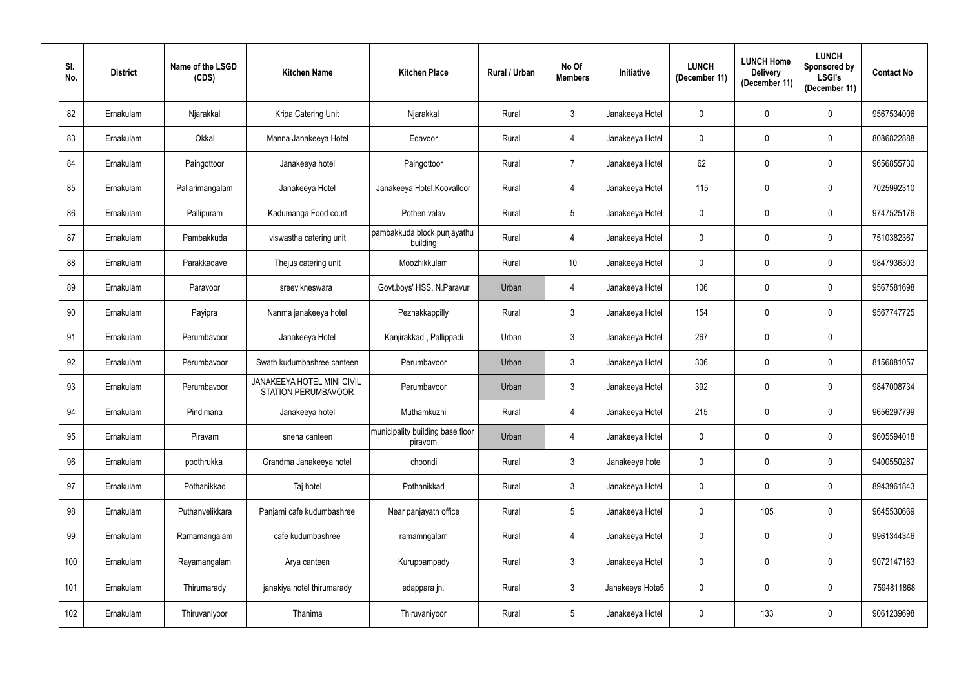| SI.<br>No. | <b>District</b> | Name of the LSGD<br>(CDS) | <b>Kitchen Name</b>                                             | <b>Kitchen Place</b>                        | Rural / Urban | No Of<br><b>Members</b> | Initiative      | <b>LUNCH</b><br>(December 11) | <b>LUNCH Home</b><br><b>Delivery</b><br>(December 11) | <b>LUNCH</b><br>Sponsored by<br><b>LSGI's</b><br>(December 11) | <b>Contact No</b> |
|------------|-----------------|---------------------------|-----------------------------------------------------------------|---------------------------------------------|---------------|-------------------------|-----------------|-------------------------------|-------------------------------------------------------|----------------------------------------------------------------|-------------------|
| 82         | Ernakulam       | Njarakkal                 | Kripa Catering Unit                                             | Njarakkal                                   | Rural         | $\mathbf{3}$            | Janakeeya Hotel | $\mathbf 0$                   | 0                                                     | $\mathbf 0$                                                    | 9567534006        |
| 83         | Ernakulam       | Okkal                     | Manna Janakeeya Hotel                                           | Edavoor                                     | Rural         | $\overline{4}$          | Janakeeya Hotel | $\mathbf 0$                   | 0                                                     | $\mathbf 0$                                                    | 8086822888        |
| 84         | Ernakulam       | Paingottoor               | Janakeeya hotel                                                 | Paingottoor                                 | Rural         | $\overline{7}$          | Janakeeya Hotel | 62                            | 0                                                     | $\mathbf 0$                                                    | 9656855730        |
| 85         | Ernakulam       | Pallarimangalam           | Janakeeya Hotel                                                 | Janakeeya Hotel, Koovalloor                 | Rural         | 4                       | Janakeeya Hotel | 115                           | 0                                                     | $\pmb{0}$                                                      | 7025992310        |
| 86         | Ernakulam       | Pallipuram                | Kadumanga Food court                                            | Pothen valav                                | Rural         | $5\phantom{.0}$         | Janakeeya Hotel | $\overline{0}$                | 0                                                     | $\mathbf 0$                                                    | 9747525176        |
| 87         | Ernakulam       | Pambakkuda                | viswastha catering unit                                         | pambakkuda block punjayathu<br>building     | Rural         | $\overline{4}$          | Janakeeya Hotel | $\mathbf 0$                   | 0                                                     | $\mathbf 0$                                                    | 7510382367        |
| 88         | Ernakulam       | Parakkadave               | Thejus catering unit                                            | Moozhikkulam                                | Rural         | 10                      | Janakeeya Hotel | $\mathbf 0$                   | 0                                                     | $\mathbf 0$                                                    | 9847936303        |
| 89         | Ernakulam       | Paravoor                  | sreevikneswara                                                  | Govt.boys' HSS, N.Paravur                   | Urban         | 4                       | Janakeeya Hotel | 106                           | 0                                                     | $\mathbf 0$                                                    | 9567581698        |
| 90         | Ernakulam       | Payipra                   | Nanma janakeeya hotel                                           | Pezhakkappilly                              | Rural         | $\mathbf{3}$            | Janakeeya Hotel | 154                           | 0                                                     | $\mathbf 0$                                                    | 9567747725        |
| 91         | Ernakulam       | Perumbavoor               | Janakeeya Hotel                                                 | Kanjirakkad, Pallippadi                     | Urban         | 3 <sup>1</sup>          | Janakeeya Hotel | 267                           | 0                                                     | $\mathbf 0$                                                    |                   |
| 92         | Ernakulam       | Perumbavoor               | Swath kudumbashree canteen                                      | Perumbavoor                                 | Urban         | $\mathbf{3}$            | Janakeeya Hotel | 306                           | 0                                                     | $\mathbf 0$                                                    | 8156881057        |
| 93         | Ernakulam       | Perumbavoor               | <b>JANAKEEYA HOTEL MINI CIVIL</b><br><b>STATION PERUMBAVOOR</b> | Perumbavoor                                 | Urban         | $\mathbf{3}$            | Janakeeya Hotel | 392                           | 0                                                     | $\mathbf 0$                                                    | 9847008734        |
| 94         | Ernakulam       | Pindimana                 | Janakeeya hotel                                                 | Muthamkuzhi                                 | Rural         | 4                       | Janakeeya Hotel | 215                           | $\mathbf 0$                                           | $\mathbf 0$                                                    | 9656297799        |
| 95         | Ernakulam       | Piravam                   | sneha canteen                                                   | municipality building base floor<br>piravom | Urban         | $\overline{4}$          | Janakeeya Hotel | $\pmb{0}$                     | 0                                                     | $\mathbf 0$                                                    | 9605594018        |
| 96         | Ernakulam       | poothrukka                | Grandma Janakeeya hotel                                         | choondi                                     | Rural         | $\mathbf{3}$            | Janakeeya hotel | $\mathbf 0$                   | 0                                                     | $\pmb{0}$                                                      | 9400550287        |
| 97         | Ernakulam       | Pothanikkad               | Taj hotel                                                       | Pothanikkad                                 | Rural         | $\mathbf{3}$            | Janakeeya Hotel | $\pmb{0}$                     | $\pmb{0}$                                             | $\mathbf 0$                                                    | 8943961843        |
| 98         | Ernakulam       | Puthanvelikkara           | Panjami cafe kudumbashree                                       | Near panjayath office                       | Rural         | $5\overline{)}$         | Janakeeya Hotel | $\mathbf 0$                   | 105                                                   | $\mathbf 0$                                                    | 9645530669        |
| 99         | Ernakulam       | Ramamangalam              | cafe kudumbashree                                               | ramamngalam                                 | Rural         | $\overline{4}$          | Janakeeya Hotel | $\pmb{0}$                     | $\mathbf 0$                                           | $\mathbf 0$                                                    | 9961344346        |
| 100        | Ernakulam       | Rayamangalam              | Arya canteen                                                    | Kuruppampady                                | Rural         | 3 <sup>1</sup>          | Janakeeya Hotel | $\boldsymbol{0}$              | $\pmb{0}$                                             | $\mathbf 0$                                                    | 9072147163        |
| 101        | Ernakulam       | Thirumarady               | janakiya hotel thirumarady                                      | edappara jn.                                | Rural         | 3 <sup>1</sup>          | Janakeeya Hote5 | $\boldsymbol{0}$              | $\pmb{0}$                                             | $\mathbf 0$                                                    | 7594811868        |
| 102        | Ernakulam       | Thiruvaniyoor             | Thanima                                                         | Thiruvaniyoor                               | Rural         | $5\overline{)}$         | Janakeeya Hotel | $\boldsymbol{0}$              | 133                                                   | $\pmb{0}$                                                      | 9061239698        |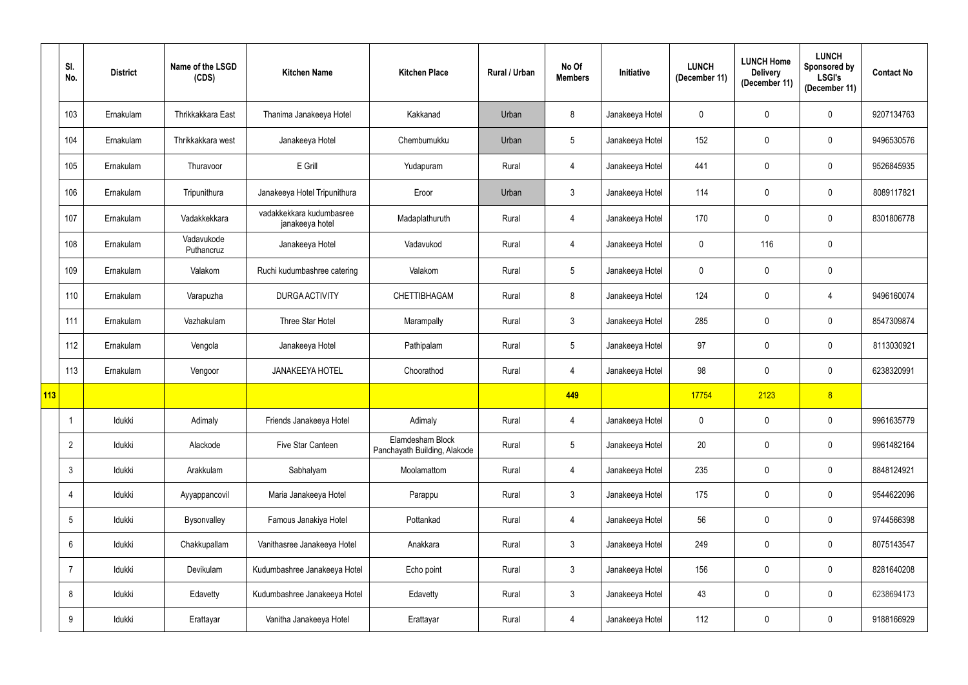|     | SI.<br>No.      | <b>District</b> | Name of the LSGD<br>(CDS) | <b>Kitchen Name</b>                         | <b>Kitchen Place</b>                             | Rural / Urban | No Of<br><b>Members</b> | Initiative      | <b>LUNCH</b><br>(December 11) | <b>LUNCH Home</b><br><b>Delivery</b><br>(December 11) | <b>LUNCH</b><br><b>Sponsored by</b><br><b>LSGI's</b><br>(December 11) | <b>Contact No</b> |
|-----|-----------------|-----------------|---------------------------|---------------------------------------------|--------------------------------------------------|---------------|-------------------------|-----------------|-------------------------------|-------------------------------------------------------|-----------------------------------------------------------------------|-------------------|
|     | 103             | Ernakulam       | Thrikkakkara East         | Thanima Janakeeya Hotel                     | Kakkanad                                         | Urban         | 8                       | Janakeeya Hotel | $\mathbf 0$                   | $\overline{0}$                                        | $\mathbf 0$                                                           | 9207134763        |
|     | 104             | Ernakulam       | Thrikkakkara west         | Janakeeya Hotel                             | Chembumukku                                      | Urban         | $5\phantom{.0}$         | Janakeeya Hotel | 152                           | $\mathbf 0$                                           | $\mathbf 0$                                                           | 9496530576        |
|     | 105             | Ernakulam       | Thuravoor                 | E Grill                                     | Yudapuram                                        | Rural         | 4                       | Janakeeya Hotel | 441                           | $\mathbf 0$                                           | $\mathbf 0$                                                           | 9526845935        |
|     | 106             | Ernakulam       | Tripunithura              | Janakeeya Hotel Tripunithura                | Eroor                                            | Urban         | $\mathbf{3}$            | Janakeeya Hotel | 114                           | $\overline{0}$                                        | $\mathbf 0$                                                           | 8089117821        |
|     | 107             | Ernakulam       | Vadakkekkara              | vadakkekkara kudumbasree<br>janakeeya hotel | Madaplathuruth                                   | Rural         | 4                       | Janakeeya Hotel | 170                           | $\overline{0}$                                        | $\mathbf 0$                                                           | 8301806778        |
|     | 108             | Ernakulam       | Vadavukode<br>Puthancruz  | Janakeeya Hotel                             | Vadavukod                                        | Rural         | 4                       | Janakeeya Hotel | $\mathbf 0$                   | 116                                                   | $\mathbf 0$                                                           |                   |
|     | 109             | Ernakulam       | Valakom                   | Ruchi kudumbashree catering                 | Valakom                                          | Rural         | $5\overline{)}$         | Janakeeya Hotel | $\mathbf 0$                   | $\overline{0}$                                        | $\boldsymbol{0}$                                                      |                   |
|     | 110             | Ernakulam       | Varapuzha                 | <b>DURGA ACTIVITY</b>                       | <b>CHETTIBHAGAM</b>                              | Rural         | 8                       | Janakeeya Hotel | 124                           | $\mathbf 0$                                           | $\overline{4}$                                                        | 9496160074        |
|     | 111             | Ernakulam       | Vazhakulam                | Three Star Hotel                            | Marampally                                       | Rural         | $\mathbf{3}$            | Janakeeya Hotel | 285                           | $\overline{0}$                                        | $\mathbf 0$                                                           | 8547309874        |
|     | 112             | Ernakulam       | Vengola                   | Janakeeya Hotel                             | Pathipalam                                       | Rural         | $5\phantom{.0}$         | Janakeeya Hotel | 97                            | $\mathbf 0$                                           | $\mathbf 0$                                                           | 8113030921        |
|     | 113             | Ernakulam       | Vengoor                   | <b>JANAKEEYA HOTEL</b>                      | Choorathod                                       | Rural         | $\overline{4}$          | Janakeeya Hotel | 98                            | $\boldsymbol{0}$                                      | $\boldsymbol{0}$                                                      | 6238320991        |
| 113 |                 |                 |                           |                                             |                                                  |               | 449                     |                 | 17754                         | 2123                                                  | $\delta$                                                              |                   |
|     |                 | Idukki          | Adimaly                   | Friends Janakeeya Hotel                     | Adimaly                                          | Rural         | $\overline{4}$          | Janakeeya Hotel | $\mathbf 0$                   | $\mathbf 0$                                           | $\mathbf 0$                                                           | 9961635779        |
|     | $\overline{2}$  | Idukki          | Alackode                  | Five Star Canteen                           | Elamdesham Block<br>Panchayath Building, Alakode | Rural         | 5 <sup>5</sup>          | Janakeeya Hotel | 20                            | $\mathbf 0$                                           | $\boldsymbol{0}$                                                      | 9961482164        |
|     | $\mathbf{3}$    | Idukki          | Arakkulam                 | Sabhalyam                                   | Moolamattom                                      | Rural         | 4                       | Janakeeya Hotel | 235                           | $\mathbf 0$                                           | $\boldsymbol{0}$                                                      | 8848124921        |
|     | $\overline{4}$  | Idukki          | Ayyappancovil             | Maria Janakeeya Hotel                       | Parappu                                          | Rural         | 3 <sup>1</sup>          | Janakeeya Hotel | 175                           | $\mathbf 0$                                           | $\boldsymbol{0}$                                                      | 9544622096        |
|     | $5\phantom{.0}$ | Idukki          | Bysonvalley               | Famous Janakiya Hotel                       | Pottankad                                        | Rural         | $\overline{4}$          | Janakeeya Hotel | 56                            | $\mathbf 0$                                           | $\pmb{0}$                                                             | 9744566398        |
|     | $6^{\circ}$     | Idukki          | Chakkupallam              | Vanithasree Janakeeya Hotel                 | Anakkara                                         | Rural         | 3 <sup>1</sup>          | Janakeeya Hotel | 249                           | $\mathbf 0$                                           | $\pmb{0}$                                                             | 8075143547        |
|     | $\overline{7}$  | Idukki          | Devikulam                 | Kudumbashree Janakeeya Hotel                | Echo point                                       | Rural         | 3 <sup>1</sup>          | Janakeeya Hotel | 156                           | $\mathbf 0$                                           | $\boldsymbol{0}$                                                      | 8281640208        |
|     | 8               | Idukki          | Edavetty                  | Kudumbashree Janakeeya Hotel                | Edavetty                                         | Rural         | 3 <sup>1</sup>          | Janakeeya Hotel | 43                            | $\pmb{0}$                                             | $\mathbf 0$                                                           | 6238694173        |
|     | 9               | Idukki          | Erattayar                 | Vanitha Janakeeya Hotel                     | Erattayar                                        | Rural         | 4                       | Janakeeya Hotel | 112                           | $\pmb{0}$                                             | $\pmb{0}$                                                             | 9188166929        |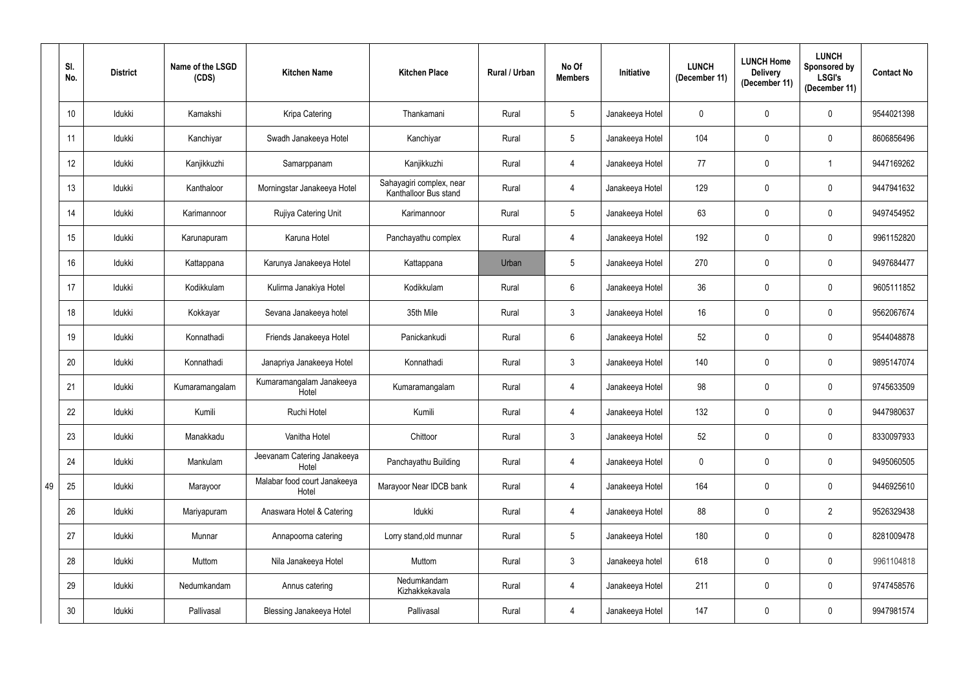|    | SI.<br>No.      | <b>District</b> | Name of the LSGD<br>(CDS) | <b>Kitchen Name</b>                   | <b>Kitchen Place</b>                              | <b>Rural / Urban</b> | No Of<br><b>Members</b> | Initiative      | <b>LUNCH</b><br>(December 11) | <b>LUNCH Home</b><br><b>Delivery</b><br>(December 11) | <b>LUNCH</b><br>Sponsored by<br><b>LSGI's</b><br>(December 11) | <b>Contact No</b> |
|----|-----------------|-----------------|---------------------------|---------------------------------------|---------------------------------------------------|----------------------|-------------------------|-----------------|-------------------------------|-------------------------------------------------------|----------------------------------------------------------------|-------------------|
|    | 10              | Idukki          | Kamakshi                  | Kripa Catering                        | Thankamani                                        | Rural                | $5\phantom{.0}$         | Janakeeya Hotel | $\overline{0}$                | $\mathbf 0$                                           | $\mathbf{0}$                                                   | 9544021398        |
|    | 11              | Idukki          | Kanchiyar                 | Swadh Janakeeya Hotel                 | Kanchiyar                                         | Rural                | $5\phantom{.0}$         | Janakeeya Hotel | 104                           | 0                                                     | $\mathbf 0$                                                    | 8606856496        |
|    | 12 <sup>°</sup> | Idukki          | Kanjikkuzhi               | Samarppanam                           | Kanjikkuzhi                                       | Rural                | 4                       | Janakeeya Hotel | 77                            | $\mathbf 0$                                           | -1                                                             | 9447169262        |
|    | 13              | Idukki          | Kanthaloor                | Morningstar Janakeeya Hotel           | Sahayagiri complex, near<br>Kanthalloor Bus stand | Rural                | 4                       | Janakeeya Hotel | 129                           | 0                                                     | $\mathbf 0$                                                    | 9447941632        |
|    | 14              | Idukki          | Karimannoor               | Rujiya Catering Unit                  | Karimannoor                                       | Rural                | 5                       | Janakeeya Hotel | 63                            | $\mathbf 0$                                           | $\mathbf 0$                                                    | 9497454952        |
|    | 15              | Idukki          | Karunapuram               | Karuna Hotel                          | Panchayathu complex                               | Rural                | 4                       | Janakeeya Hotel | 192                           | $\mathbf 0$                                           | $\mathbf 0$                                                    | 9961152820        |
|    | 16              | Idukki          | Kattappana                | Karunya Janakeeya Hotel               | Kattappana                                        | Urban                | $5\phantom{.0}$         | Janakeeya Hotel | 270                           | $\mathbf 0$                                           | $\mathbf 0$                                                    | 9497684477        |
|    | 17              | Idukki          | Kodikkulam                | Kulirma Janakiya Hotel                | Kodikkulam                                        | Rural                | $6\phantom{.}$          | Janakeeya Hotel | 36                            | $\mathbf 0$                                           | $\mathbf 0$                                                    | 9605111852        |
|    | 18              | Idukki          | Kokkayar                  | Sevana Janakeeya hotel                | 35th Mile                                         | Rural                | $\mathbf{3}$            | Janakeeya Hotel | 16                            | 0                                                     | $\mathbf 0$                                                    | 9562067674        |
|    | 19              | Idukki          | Konnathadi                | Friends Janakeeya Hotel               | Panickankudi                                      | Rural                | $6\phantom{.}$          | Janakeeya Hotel | 52                            | 0                                                     | $\mathbf 0$                                                    | 9544048878        |
|    | 20              | Idukki          | Konnathadi                | Janapriya Janakeeya Hotel             | Konnathadi                                        | Rural                | $\mathfrak{Z}$          | Janakeeya Hotel | 140                           | $\mathbf 0$                                           | $\mathbf 0$                                                    | 9895147074        |
|    | 21              | Idukki          | Kumaramangalam            | Kumaramangalam Janakeeya<br>Hotel     | Kumaramangalam                                    | Rural                | $\overline{4}$          | Janakeeya Hotel | 98                            | $\mathbf 0$                                           | $\mathbf 0$                                                    | 9745633509        |
|    | 22              | Idukki          | Kumili                    | Ruchi Hotel                           | Kumili                                            | Rural                | 4                       | Janakeeya Hotel | 132                           | $\mathbf 0$                                           | $\mathbf 0$                                                    | 9447980637        |
|    | 23              | Idukki          | Manakkadu                 | Vanitha Hotel                         | Chittoor                                          | Rural                | $\mathbf{3}$            | Janakeeya Hotel | 52                            | $\mathbf 0$                                           | $\pmb{0}$                                                      | 8330097933        |
|    | 24              | Idukki          | Mankulam                  | Jeevanam Catering Janakeeya<br>Hotel  | Panchayathu Building                              | Rural                | $\overline{4}$          | Janakeeya Hotel | $\overline{0}$                | $\mathbf 0$                                           | $\pmb{0}$                                                      | 9495060505        |
| 49 | 25              | Idukki          | Marayoor                  | Malabar food court Janakeeya<br>Hotel | Marayoor Near IDCB bank                           | Rural                | 4                       | Janakeeya Hotel | 164                           | $\mathbf 0$                                           | $\pmb{0}$                                                      | 9446925610        |
|    | 26              | Idukki          | Mariyapuram               | Anaswara Hotel & Catering             | Idukki                                            | Rural                | $\overline{4}$          | Janakeeya Hotel | 88                            | $\mathbf 0$                                           | $\overline{2}$                                                 | 9526329438        |
|    | 27              | Idukki          | Munnar                    | Annapoorna catering                   | Lorry stand, old munnar                           | Rural                | $5\phantom{.0}$         | Janakeeya Hotel | 180                           | $\overline{0}$                                        | $\pmb{0}$                                                      | 8281009478        |
|    | 28              | Idukki          | Muttom                    | Nila Janakeeya Hotel                  | Muttom                                            | Rural                | $\mathbf{3}$            | Janakeeya hotel | 618                           | $\mathbf 0$                                           | $\pmb{0}$                                                      | 9961104818        |
|    | 29              | Idukki          | Nedumkandam               | Annus catering                        | Nedumkandam<br>Kizhakkekavala                     | Rural                | $\overline{4}$          | Janakeeya Hotel | 211                           | $\pmb{0}$                                             | $\pmb{0}$                                                      | 9747458576        |
|    | 30 <sub>o</sub> | Idukki          | Pallivasal                | Blessing Janakeeya Hotel              | Pallivasal                                        | Rural                | 4                       | Janakeeya Hotel | 147                           | $\pmb{0}$                                             | $\pmb{0}$                                                      | 9947981574        |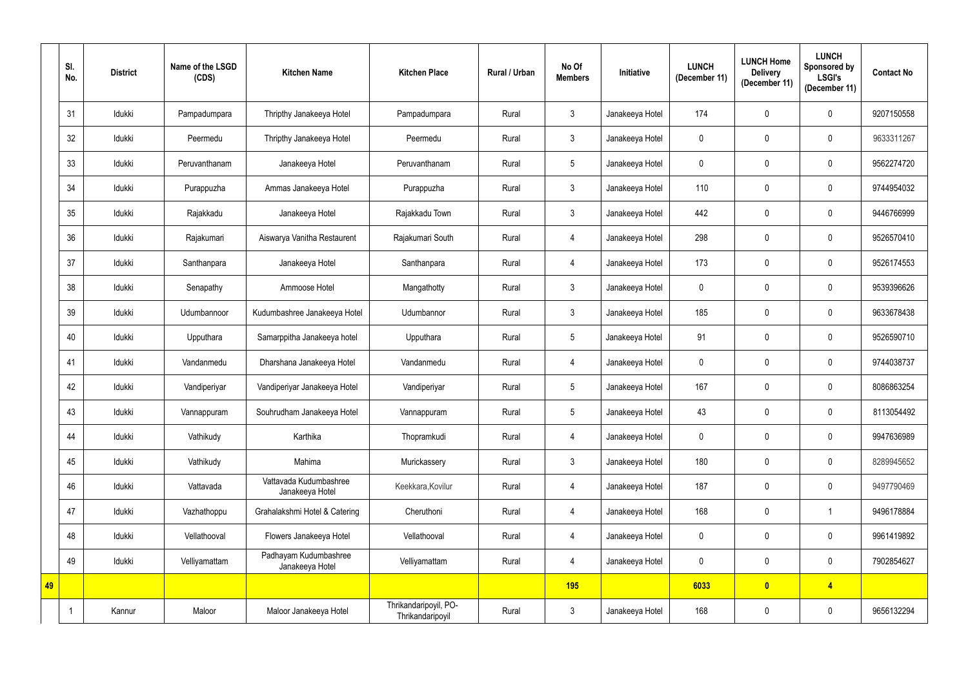|    | SI.<br>No. | <b>District</b> | Name of the LSGD<br>(CDS) | <b>Kitchen Name</b>                       | <b>Kitchen Place</b>                      | Rural / Urban | No Of<br><b>Members</b> | Initiative      | <b>LUNCH</b><br>(December 11) | <b>LUNCH Home</b><br><b>Delivery</b><br>(December 11) | <b>LUNCH</b><br>Sponsored by<br><b>LSGI's</b><br>(December 11) | <b>Contact No</b> |
|----|------------|-----------------|---------------------------|-------------------------------------------|-------------------------------------------|---------------|-------------------------|-----------------|-------------------------------|-------------------------------------------------------|----------------------------------------------------------------|-------------------|
|    | 31         | Idukki          | Pampadumpara              | Thripthy Janakeeya Hotel                  | Pampadumpara                              | Rural         | $\mathbf{3}$            | Janakeeya Hotel | 174                           | 0                                                     | $\mathbf 0$                                                    | 9207150558        |
|    | 32         | Idukki          | Peermedu                  | Thripthy Janakeeya Hotel                  | Peermedu                                  | Rural         | 3 <sup>1</sup>          | Janakeeya Hotel | $\mathbf 0$                   | $\mathbf 0$                                           | $\mathbf 0$                                                    | 9633311267        |
|    | 33         | Idukki          | Peruvanthanam             | Janakeeya Hotel                           | Peruvanthanam                             | Rural         | $5\phantom{.0}$         | Janakeeya Hotel | $\mathbf 0$                   | 0                                                     | 0                                                              | 9562274720        |
|    | 34         | Idukki          | Purappuzha                | Ammas Janakeeya Hotel                     | Purappuzha                                | Rural         | $\mathfrak{Z}$          | Janakeeya Hotel | 110                           | 0                                                     | $\mathbf 0$                                                    | 9744954032        |
|    | 35         | Idukki          | Rajakkadu                 | Janakeeya Hotel                           | Rajakkadu Town                            | Rural         | $\mathbf{3}$            | Janakeeya Hotel | 442                           | 0                                                     | $\mathbf 0$                                                    | 9446766999        |
|    | 36         | Idukki          | Rajakumari                | Aiswarya Vanitha Restaurent               | Rajakumari South                          | Rural         | 4                       | Janakeeya Hotel | 298                           | 0                                                     | $\mathbf 0$                                                    | 9526570410        |
|    | 37         | Idukki          | Santhanpara               | Janakeeya Hotel                           | Santhanpara                               | Rural         | 4                       | Janakeeya Hotel | 173                           | 0                                                     | $\mathbf 0$                                                    | 9526174553        |
|    | 38         | Idukki          | Senapathy                 | Ammoose Hotel                             | Mangathotty                               | Rural         | 3                       | Janakeeya Hotel | $\mathbf 0$                   | 0                                                     | $\mathbf 0$                                                    | 9539396626        |
|    | 39         | Idukki          | Udumbannoor               | Kudumbashree Janakeeya Hotel              | Udumbannor                                | Rural         | $\mathbf{3}$            | Janakeeya Hotel | 185                           | 0                                                     | $\mathbf 0$                                                    | 9633678438        |
|    | 40         | Idukki          | Upputhara                 | Samarppitha Janakeeya hotel               | Upputhara                                 | Rural         | $5\overline{)}$         | Janakeeya Hotel | 91                            | 0                                                     | $\mathbf 0$                                                    | 9526590710        |
|    | 41         | Idukki          | Vandanmedu                | Dharshana Janakeeya Hotel                 | Vandanmedu                                | Rural         | 4                       | Janakeeya Hotel | $\pmb{0}$                     | 0                                                     | $\mathbf 0$                                                    | 9744038737        |
|    | 42         | Idukki          | Vandiperiyar              | Vandiperiyar Janakeeya Hotel              | Vandiperiyar                              | Rural         | $5\phantom{.0}$         | Janakeeya Hotel | 167                           | $\mathbf 0$                                           | $\mathbf 0$                                                    | 8086863254        |
|    | 43         | Idukki          | Vannappuram               | Souhrudham Janakeeya Hotel                | Vannappuram                               | Rural         | 5                       | Janakeeya Hotel | 43                            | $\mathbf 0$                                           | $\mathbf 0$                                                    | 8113054492        |
|    | 44         | Idukki          | Vathikudy                 | Karthika                                  | Thopramkudi                               | Rural         | $\overline{4}$          | Janakeeya Hotel | $\mathbf 0$                   | $\mathbf 0$                                           | $\pmb{0}$                                                      | 9947636989        |
|    | 45         | Idukki          | Vathikudy                 | Mahima                                    | Murickassery                              | Rural         | $3\phantom{.0}$         | Janakeeya Hotel | 180                           | $\pmb{0}$                                             | $\pmb{0}$                                                      | 8289945652        |
|    | 46         | Idukki          | Vattavada                 | Vattavada Kudumbashree<br>Janakeeya Hotel | Keekkara, Kovilur                         | Rural         | 4                       | Janakeeya Hotel | 187                           | $\pmb{0}$                                             | $\pmb{0}$                                                      | 9497790469        |
|    | 47         | Idukki          | Vazhathoppu               | Grahalakshmi Hotel & Catering             | Cheruthoni                                | Rural         | 4                       | Janakeeya Hotel | 168                           | $\pmb{0}$                                             | -1                                                             | 9496178884        |
|    | 48         | Idukki          | Vellathooval              | Flowers Janakeeya Hotel                   | Vellathooval                              | Rural         | 4                       | Janakeeya Hotel | $\mathbf 0$                   | 0                                                     | $\pmb{0}$                                                      | 9961419892        |
|    | 49         | Idukki          | Velliyamattam             | Padhayam Kudumbashree<br>Janakeeya Hotel  | Velliyamattam                             | Rural         | $\overline{4}$          | Janakeeya Hotel | $\mathbf 0$                   | $\pmb{0}$                                             | $\pmb{0}$                                                      | 7902854627        |
| 49 |            |                 |                           |                                           |                                           |               | 195                     |                 | 6033                          | $\bullet$                                             | $\overline{4}$                                                 |                   |
|    |            | Kannur          | Maloor                    | Maloor Janakeeya Hotel                    | Thrikandaripoyil, PO-<br>Thrikandaripoyil | Rural         | $\mathfrak{Z}$          | Janakeeya Hotel | 168                           | 0                                                     | $\pmb{0}$                                                      | 9656132294        |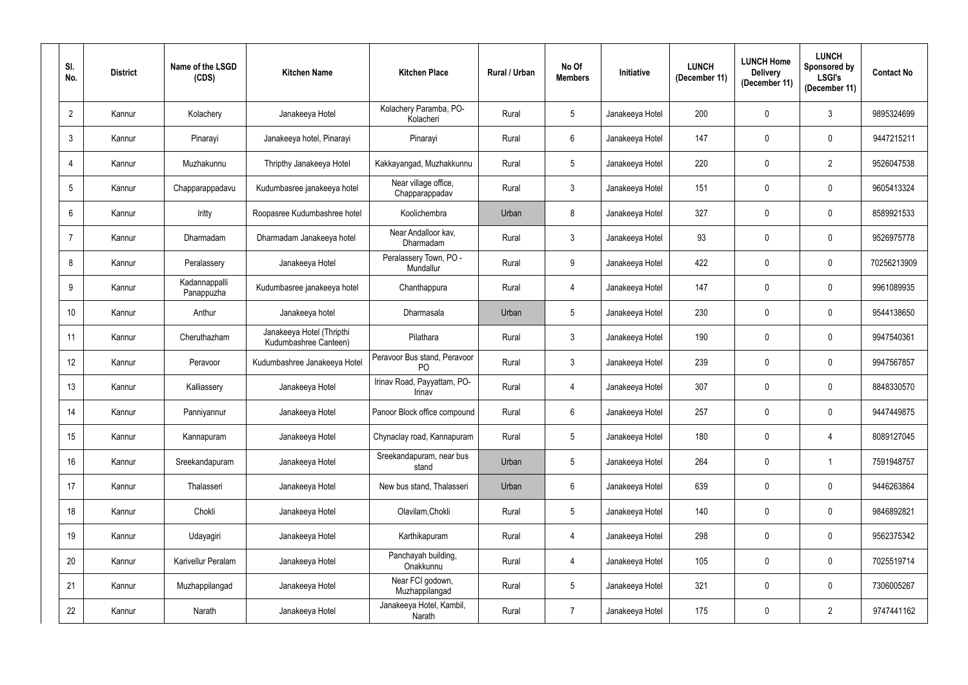| SI.<br>No.      | <b>District</b> | Name of the LSGD<br>(CDS)   | <b>Kitchen Name</b>                                | <b>Kitchen Place</b>                           | Rural / Urban | No Of<br><b>Members</b> | Initiative      | <b>LUNCH</b><br>(December 11) | <b>LUNCH Home</b><br><b>Delivery</b><br>(December 11) | <b>LUNCH</b><br>Sponsored by<br><b>LSGI's</b><br>(December 11) | <b>Contact No</b> |
|-----------------|-----------------|-----------------------------|----------------------------------------------------|------------------------------------------------|---------------|-------------------------|-----------------|-------------------------------|-------------------------------------------------------|----------------------------------------------------------------|-------------------|
| $\overline{2}$  | Kannur          | Kolachery                   | Janakeeya Hotel                                    | Kolachery Paramba, PO-<br>Kolacheri            | Rural         | $5\phantom{.0}$         | Janakeeya Hotel | 200                           | $\mathbf 0$                                           | $\mathfrak{Z}$                                                 | 9895324699        |
| $\mathfrak{Z}$  | Kannur          | Pinarayi                    | Janakeeya hotel, Pinarayi                          | Pinarayi                                       | Rural         | $6^{\circ}$             | Janakeeya Hotel | 147                           | $\mathbf 0$                                           | $\mathbf 0$                                                    | 9447215211        |
| 4               | Kannur          | Muzhakunnu                  | Thripthy Janakeeya Hotel                           | Kakkayangad, Muzhakkunnu                       | Rural         | $5\overline{)}$         | Janakeeya Hotel | 220                           | $\mathbf 0$                                           | $\overline{2}$                                                 | 9526047538        |
| 5               | Kannur          | Chapparappadavu             | Kudumbasree janakeeya hotel                        | Near village office,<br>Chapparappadav         | Rural         | $\mathbf{3}$            | Janakeeya Hotel | 151                           | $\mathbf 0$                                           | $\mathbf 0$                                                    | 9605413324        |
| 6               | Kannur          | Iritty                      | Roopasree Kudumbashree hotel                       | Koolichembra                                   | Urban         | 8                       | Janakeeya Hotel | 327                           | $\mathbf 0$                                           | $\mathbf 0$                                                    | 8589921533        |
| $\overline{7}$  | Kannur          | Dharmadam                   | Dharmadam Janakeeya hotel                          | Near Andalloor kav,<br>Dharmadam               | Rural         | $\mathbf{3}$            | Janakeeya Hotel | 93                            | $\mathbf 0$                                           | $\mathbf 0$                                                    | 9526975778        |
| 8               | Kannur          | Peralassery                 | Janakeeya Hotel                                    | Peralassery Town, PO -<br>Mundallur            | Rural         | 9                       | Janakeeya Hotel | 422                           | $\mathbf 0$                                           | $\mathbf 0$                                                    | 70256213909       |
| 9               | Kannur          | Kadannappalli<br>Panappuzha | Kudumbasree janakeeya hotel                        | Chanthappura                                   | Rural         | $\overline{4}$          | Janakeeya Hotel | 147                           | $\mathbf 0$                                           | $\mathbf 0$                                                    | 9961089935        |
| 10 <sup>°</sup> | Kannur          | Anthur                      | Janakeeya hotel                                    | Dharmasala                                     | Urban         | 5                       | Janakeeya Hotel | 230                           | $\mathbf 0$                                           | $\mathbf 0$                                                    | 9544138650        |
| 11              | Kannur          | Cheruthazham                | Janakeeya Hotel (Thripthi<br>Kudumbashree Canteen) | Pilathara                                      | Rural         | $\mathfrak{Z}$          | Janakeeya Hotel | 190                           | $\mathbf 0$                                           | $\mathbf 0$                                                    | 9947540361        |
| 12 <sup>°</sup> | Kannur          | Peravoor                    | Kudumbashree Janakeeya Hotel                       | Peravoor Bus stand, Peravoor<br>P <sub>O</sub> | Rural         | $\mathfrak{Z}$          | Janakeeya Hotel | 239                           | $\mathbf 0$                                           | $\mathbf 0$                                                    | 9947567857        |
| 13              | Kannur          | Kalliassery                 | Janakeeya Hotel                                    | Irinav Road, Payyattam, PO-<br>Irinav          | Rural         | 4                       | Janakeeya Hotel | 307                           | $\mathbf 0$                                           | $\mathbf 0$                                                    | 8848330570        |
| 14              | Kannur          | Panniyannur                 | Janakeeya Hotel                                    | Panoor Block office compound                   | Rural         | 6                       | Janakeeya Hotel | 257                           | $\mathbf 0$                                           | $\mathbf 0$                                                    | 9447449875        |
| 15              | Kannur          | Kannapuram                  | Janakeeya Hotel                                    | Chynaclay road, Kannapuram                     | Rural         | 5 <sub>5</sub>          | Janakeeya Hotel | 180                           | $\mathbf 0$                                           | $\overline{4}$                                                 | 8089127045        |
| 16 <sup>°</sup> | Kannur          | Sreekandapuram              | Janakeeya Hotel                                    | Sreekandapuram, near bus<br>stand              | Urban         | 5                       | Janakeeya Hotel | 264                           | $\mathbf 0$                                           |                                                                | 7591948757        |
| 17              | Kannur          | Thalasseri                  | Janakeeya Hotel                                    | New bus stand, Thalasseri                      | Urban         | $6\phantom{.0}$         | Janakeeya Hotel | 639                           | $\mathbf 0$                                           | $\pmb{0}$                                                      | 9446263864        |
| 18              | Kannur          | Chokli                      | Janakeeya Hotel                                    | Olavilam, Chokli                               | Rural         | 5                       | Janakeeya Hotel | 140                           | $\mathbf 0$                                           | $\mathbf 0$                                                    | 9846892821        |
| 19              | Kannur          | Udayagiri                   | Janakeeya Hotel                                    | Karthikapuram                                  | Rural         | $\overline{4}$          | Janakeeya Hotel | 298                           | $\mathbf 0$                                           | $\boldsymbol{0}$                                               | 9562375342        |
| $20\,$          | Kannur          | Karivellur Peralam          | Janakeeya Hotel                                    | Panchayah building,<br>Onakkunnu               | Rural         | $\overline{4}$          | Janakeeya Hotel | 105                           | $\pmb{0}$                                             | $\boldsymbol{0}$                                               | 7025519714        |
| 21              | Kannur          | Muzhappilangad              | Janakeeya Hotel                                    | Near FCI godown,<br>Muzhappilangad             | Rural         | 5 <sup>5</sup>          | Janakeeya Hotel | 321                           | $\pmb{0}$                                             | $\boldsymbol{0}$                                               | 7306005267        |
| 22              | Kannur          | Narath                      | Janakeeya Hotel                                    | Janakeeya Hotel, Kambil,<br>Narath             | Rural         | $\overline{7}$          | Janakeeya Hotel | 175                           | 0                                                     | $\overline{2}$                                                 | 9747441162        |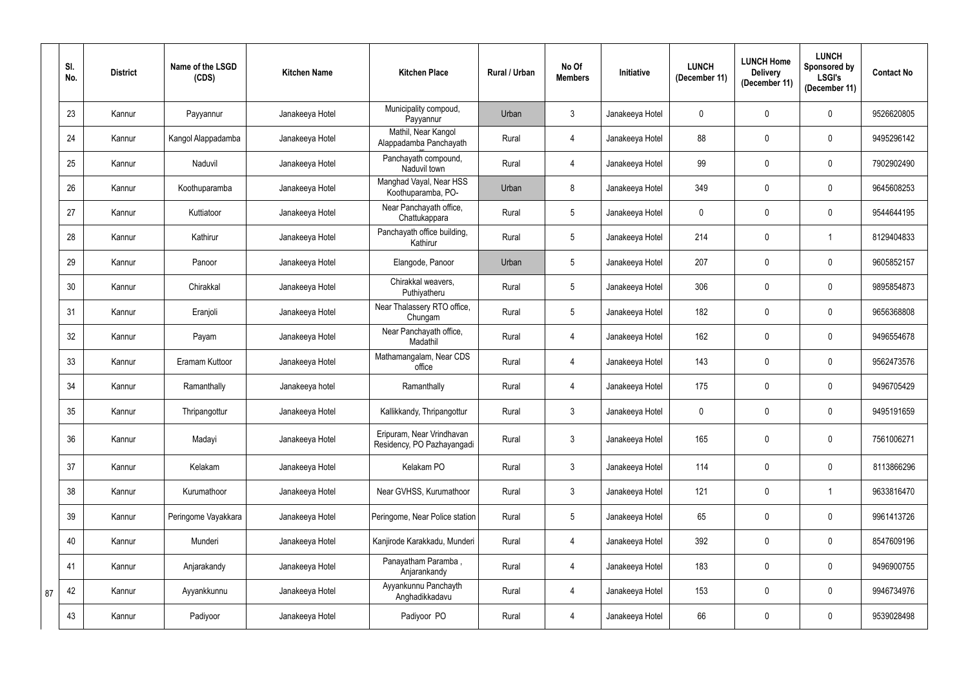|    | SI.<br>No. | <b>District</b> | Name of the LSGD<br>(CDS) | <b>Kitchen Name</b> | <b>Kitchen Place</b>                                    | Rural / Urban | No Of<br><b>Members</b> | Initiative      | <b>LUNCH</b><br>(December 11) | <b>LUNCH Home</b><br><b>Delivery</b><br>(December 11) | <b>LUNCH</b><br>Sponsored by<br><b>LSGI's</b><br>(December 11) | <b>Contact No</b> |
|----|------------|-----------------|---------------------------|---------------------|---------------------------------------------------------|---------------|-------------------------|-----------------|-------------------------------|-------------------------------------------------------|----------------------------------------------------------------|-------------------|
|    | 23         | Kannur          | Payyannur                 | Janakeeya Hotel     | Municipality compoud,<br>Payyannur                      | Urban         | $\mathfrak{Z}$          | Janakeeya Hotel | $\mathbf 0$                   | $\mathbf 0$                                           | $\mathbf 0$                                                    | 9526620805        |
|    | 24         | Kannur          | Kangol Alappadamba        | Janakeeya Hotel     | Mathil, Near Kangol<br>Alappadamba Panchayath           | Rural         | 4                       | Janakeeya Hotel | 88                            | 0                                                     | $\mathbf 0$                                                    | 9495296142        |
|    | 25         | Kannur          | Naduvil                   | Janakeeya Hotel     | Panchayath compound,<br>Naduvil town                    | Rural         | 4                       | Janakeeya Hotel | 99                            | 0                                                     | $\mathbf 0$                                                    | 7902902490        |
|    | 26         | Kannur          | Koothuparamba             | Janakeeya Hotel     | Manghad Vayal, Near HSS<br>Koothuparamba, PO-           | Urban         | 8                       | Janakeeya Hotel | 349                           | 0                                                     | $\mathbf 0$                                                    | 9645608253        |
|    | 27         | Kannur          | Kuttiatoor                | Janakeeya Hotel     | Near Panchayath office,<br>Chattukappara                | Rural         | $5\phantom{.0}$         | Janakeeya Hotel | $\mathbf 0$                   | 0                                                     | $\mathbf 0$                                                    | 9544644195        |
|    | 28         | Kannur          | Kathirur                  | Janakeeya Hotel     | Panchayath office building,<br>Kathirur                 | Rural         | $5\phantom{.0}$         | Janakeeya Hotel | 214                           | 0                                                     | -1                                                             | 8129404833        |
|    | 29         | Kannur          | Panoor                    | Janakeeya Hotel     | Elangode, Panoor                                        | Urban         | 5                       | Janakeeya Hotel | 207                           | 0                                                     | $\mathbf 0$                                                    | 9605852157        |
|    | 30         | Kannur          | Chirakkal                 | Janakeeya Hotel     | Chirakkal weavers,<br>Puthiyatheru                      | Rural         | $5\phantom{.0}$         | Janakeeya Hotel | 306                           | 0                                                     | $\mathbf 0$                                                    | 9895854873        |
|    | 31         | Kannur          | Eranjoli                  | Janakeeya Hotel     | Near Thalassery RTO office,<br>Chungam                  | Rural         | $5\phantom{.0}$         | Janakeeya Hotel | 182                           | $\mathbf 0$                                           | $\mathbf 0$                                                    | 9656368808        |
|    | 32         | Kannur          | Payam                     | Janakeeya Hotel     | Near Panchayath office,<br>Madathil                     | Rural         | 4                       | Janakeeya Hotel | 162                           | 0                                                     | $\mathbf 0$                                                    | 9496554678        |
|    | 33         | Kannur          | Eramam Kuttoor            | Janakeeya Hotel     | Mathamangalam, Near CDS<br>office                       | Rural         | 4                       | Janakeeya Hotel | 143                           | 0                                                     | $\mathbf 0$                                                    | 9562473576        |
|    | 34         | Kannur          | Ramanthally               | Janakeeya hotel     | Ramanthally                                             | Rural         | 4                       | Janakeeya Hotel | 175                           | 0                                                     | $\mathbf 0$                                                    | 9496705429        |
|    | 35         | Kannur          | Thripangottur             | Janakeeya Hotel     | Kallikkandy, Thripangottur                              | Rural         | $\mathbf{3}$            | Janakeeya Hotel | $\mathbf 0$                   | 0                                                     | 0                                                              | 9495191659        |
|    | 36         | Kannur          | Madayi                    | Janakeeya Hotel     | Eripuram, Near Vrindhavan<br>Residency, PO Pazhayangadi | Rural         | $\mathfrak{Z}$          | Janakeeya Hotel | 165                           | $\mathbf 0$                                           | $\pmb{0}$                                                      | 7561006271        |
|    | 37         | Kannur          | Kelakam                   | Janakeeya Hotel     | Kelakam PO                                              | Rural         | $\mathfrak{Z}$          | Janakeeya Hotel | 114                           | $\pmb{0}$                                             | $\pmb{0}$                                                      | 8113866296        |
|    | 38         | Kannur          | Kurumathoor               | Janakeeya Hotel     | Near GVHSS, Kurumathoor                                 | Rural         | 3 <sup>1</sup>          | Janakeeya Hotel | 121                           | $\pmb{0}$                                             | $\overline{1}$                                                 | 9633816470        |
|    | 39         | Kannur          | Peringome Vayakkara       | Janakeeya Hotel     | Peringome, Near Police station                          | Rural         | $5\overline{)}$         | Janakeeya Hotel | 65                            | 0                                                     | $\pmb{0}$                                                      | 9961413726        |
|    | 40         | Kannur          | Munderi                   | Janakeeya Hotel     | Kanjirode Karakkadu, Munderi                            | Rural         | 4                       | Janakeeya Hotel | 392                           | 0                                                     | $\pmb{0}$                                                      | 8547609196        |
|    | 41         | Kannur          | Anjarakandy               | Janakeeya Hotel     | Panayatham Paramba,<br>Anjarankandy                     | Rural         | 4                       | Janakeeya Hotel | 183                           | 0                                                     | $\pmb{0}$                                                      | 9496900755        |
| 87 | 42         | Kannur          | Ayyankkunnu               | Janakeeya Hotel     | Ayyankunnu Panchayth<br>Anghadikkadavu                  | Rural         | 4                       | Janakeeya Hotel | 153                           | 0                                                     | $\pmb{0}$                                                      | 9946734976        |
|    | 43         | Kannur          | Padiyoor                  | Janakeeya Hotel     | Padiyoor PO                                             | Rural         | 4                       | Janakeeya Hotel | 66                            | 0                                                     | $\boldsymbol{0}$                                               | 9539028498        |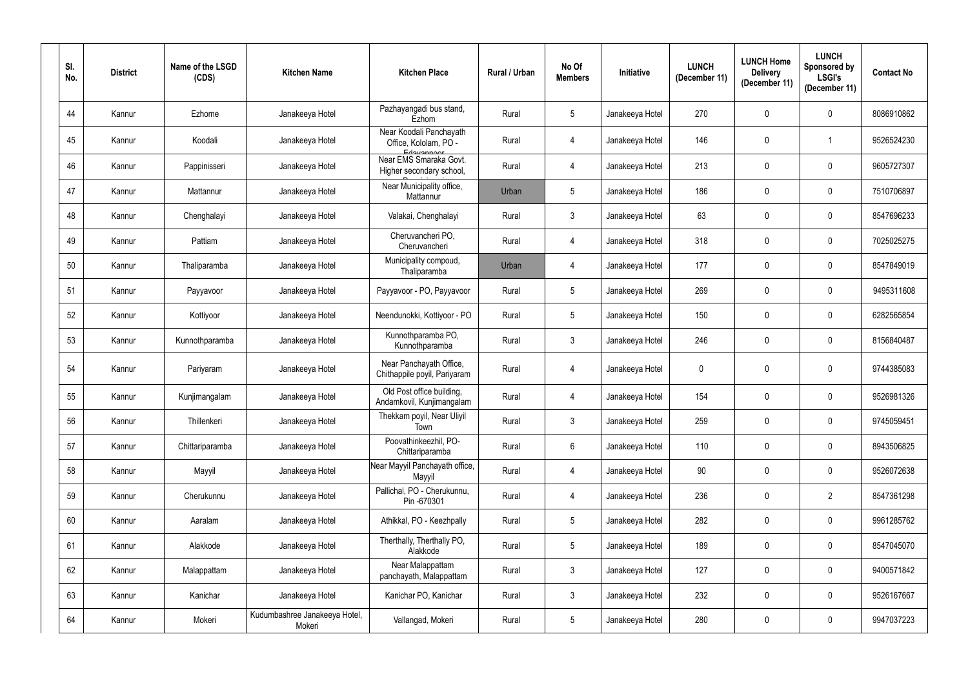| SI.<br>No. | <b>District</b> | Name of the LSGD<br>(CDS) | <b>Kitchen Name</b>                     | <b>Kitchen Place</b>                                           | Rural / Urban | No Of<br><b>Members</b> | Initiative      | <b>LUNCH</b><br>(December 11) | <b>LUNCH Home</b><br><b>Delivery</b><br>(December 11) | <b>LUNCH</b><br>Sponsored by<br><b>LSGI's</b><br>(December 11) | <b>Contact No</b> |
|------------|-----------------|---------------------------|-----------------------------------------|----------------------------------------------------------------|---------------|-------------------------|-----------------|-------------------------------|-------------------------------------------------------|----------------------------------------------------------------|-------------------|
| 44         | Kannur          | Ezhome                    | Janakeeya Hotel                         | Pazhayangadi bus stand,<br>Ezhom                               | Rural         | $5\phantom{.0}$         | Janakeeya Hotel | 270                           | 0                                                     | $\mathbf 0$                                                    | 8086910862        |
| 45         | Kannur          | Koodali                   | Janakeeya Hotel                         | Near Koodali Panchayath<br>Office, Kololam, PO -<br>Edavannoor | Rural         | $\overline{4}$          | Janakeeya Hotel | 146                           | $\pmb{0}$                                             |                                                                | 9526524230        |
| 46         | Kannur          | Pappinisseri              | Janakeeya Hotel                         | Near EMS Smaraka Govt.<br>Higher secondary school,             | Rural         | $\overline{4}$          | Janakeeya Hotel | 213                           | 0                                                     | $\pmb{0}$                                                      | 9605727307        |
| 47         | Kannur          | Mattannur                 | Janakeeya Hotel                         | Near Municipality office,<br>Mattannur                         | Urban         | $5\phantom{.0}$         | Janakeeya Hotel | 186                           | 0                                                     | $\pmb{0}$                                                      | 7510706897        |
| 48         | Kannur          | Chenghalayi               | Janakeeya Hotel                         | Valakai, Chenghalayi                                           | Rural         | $\mathbf{3}$            | Janakeeya Hotel | 63                            | 0                                                     | $\pmb{0}$                                                      | 8547696233        |
| 49         | Kannur          | Pattiam                   | Janakeeya Hotel                         | Cheruvancheri PO,<br>Cheruvancheri                             | Rural         | 4                       | Janakeeya Hotel | 318                           | 0                                                     | $\mathbf 0$                                                    | 7025025275        |
| 50         | Kannur          | Thaliparamba              | Janakeeya Hotel                         | Municipality compoud,<br>Thaliparamba                          | Urban         | $\overline{4}$          | Janakeeya Hotel | 177                           | 0                                                     | $\pmb{0}$                                                      | 8547849019        |
| 51         | Kannur          | Payyavoor                 | Janakeeya Hotel                         | Payyavoor - PO, Payyavoor                                      | Rural         | $5\phantom{.0}$         | Janakeeya Hotel | 269                           | 0                                                     | $\pmb{0}$                                                      | 9495311608        |
| 52         | Kannur          | Kottiyoor                 | Janakeeya Hotel                         | Neendunokki, Kottiyoor - PO                                    | Rural         | $5\overline{)}$         | Janakeeya Hotel | 150                           | 0                                                     | $\pmb{0}$                                                      | 6282565854        |
| 53         | Kannur          | Kunnothparamba            | Janakeeya Hotel                         | Kunnothparamba PO,<br>Kunnothparamba                           | Rural         | $\mathbf{3}$            | Janakeeya Hotel | 246                           | 0                                                     | $\mathbf 0$                                                    | 8156840487        |
| 54         | Kannur          | Pariyaram                 | Janakeeya Hotel                         | Near Panchayath Office,<br>Chithappile poyil, Pariyaram        | Rural         | 4                       | Janakeeya Hotel | $\mathbf 0$                   | 0                                                     | $\pmb{0}$                                                      | 9744385083        |
| 55         | Kannur          | Kunjimangalam             | Janakeeya Hotel                         | Old Post office building,<br>Andamkovil, Kunjimangalam         | Rural         | 4                       | Janakeeya Hotel | 154                           | 0                                                     | $\mathbf 0$                                                    | 9526981326        |
| 56         | Kannur          | Thillenkeri               | Janakeeya Hotel                         | Thekkam poyil, Near Uliyil<br>Town                             | Rural         | $\mathbf{3}$            | Janakeeya Hotel | 259                           | 0                                                     | $\mathbf 0$                                                    | 9745059451        |
| 57         | Kannur          | Chittariparamba           | Janakeeya Hotel                         | Poovathinkeezhil, PO-<br>Chittariparamba                       | Rural         | $6\phantom{.}6$         | Janakeeya Hotel | 110                           | 0                                                     | $\mathbf 0$                                                    | 8943506825        |
| 58         | Kannur          | Mayyil                    | Janakeeya Hotel                         | Near Mayyil Panchayath office,<br>Mayyil                       | Rural         | $\overline{4}$          | Janakeeya Hotel | 90                            | 0                                                     | $\pmb{0}$                                                      | 9526072638        |
| 59         | Kannur          | Cherukunnu                | Janakeeya Hotel                         | Pallichal, PO - Cherukunnu,<br>Pin -670301                     | Rural         | $\overline{4}$          | Janakeeya Hotel | 236                           | 0                                                     | $\overline{2}$                                                 | 8547361298        |
| 60         | Kannur          | Aaralam                   | Janakeeya Hotel                         | Athikkal, PO - Keezhpally                                      | Rural         | $5\phantom{.0}$         | Janakeeya Hotel | 282                           | 0                                                     | $\pmb{0}$                                                      | 9961285762        |
| 61         | Kannur          | Alakkode                  | Janakeeya Hotel                         | Therthally, Therthally PO,<br>Alakkode                         | Rural         | $5\phantom{.0}$         | Janakeeya Hotel | 189                           | 0                                                     | $\mathbf 0$                                                    | 8547045070        |
| 62         | Kannur          | Malappattam               | Janakeeya Hotel                         | Near Malappattam<br>panchayath, Malappattam                    | Rural         | 3 <sup>1</sup>          | Janakeeya Hotel | 127                           | 0                                                     | $\mathbf 0$                                                    | 9400571842        |
| 63         | Kannur          | Kanichar                  | Janakeeya Hotel                         | Kanichar PO, Kanichar                                          | Rural         | 3 <sup>1</sup>          | Janakeeya Hotel | 232                           | 0                                                     | $\mathbf 0$                                                    | 9526167667        |
| 64         | Kannur          | Mokeri                    | Kudumbashree Janakeeya Hotel,<br>Mokeri | Vallangad, Mokeri                                              | Rural         | $5\phantom{.0}$         | Janakeeya Hotel | 280                           | $\pmb{0}$                                             | $\pmb{0}$                                                      | 9947037223        |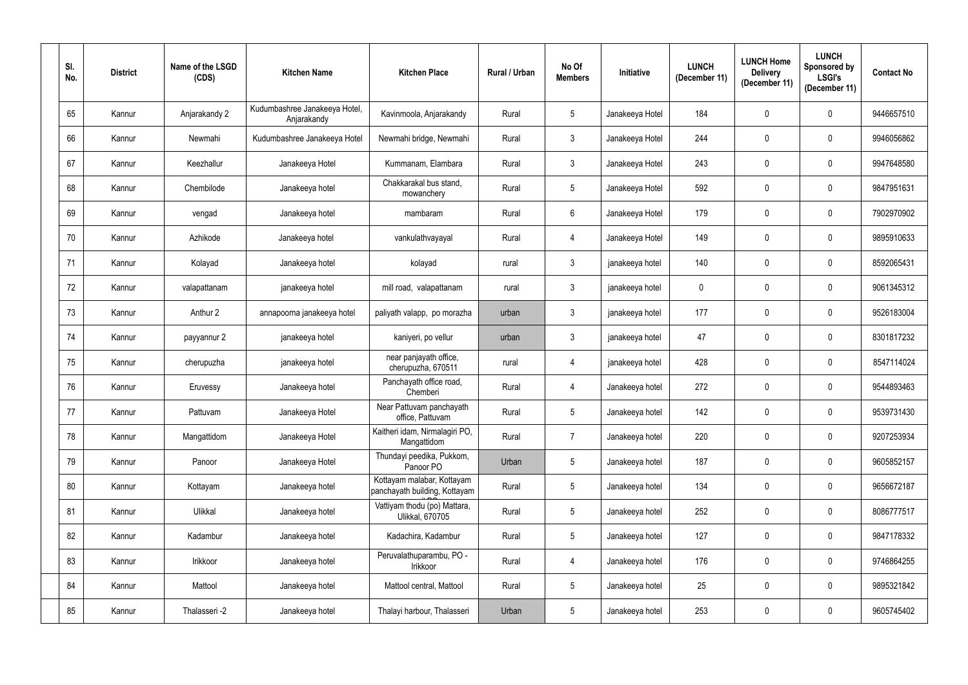| SI.<br>No. | <b>District</b> | Name of the LSGD<br>(CDS) | <b>Kitchen Name</b>                          | <b>Kitchen Place</b>                                        | Rural / Urban | No Of<br><b>Members</b> | Initiative      | <b>LUNCH</b><br>(December 11) | <b>LUNCH Home</b><br><b>Delivery</b><br>(December 11) | <b>LUNCH</b><br><b>Sponsored by</b><br><b>LSGI's</b><br>(December 11) | <b>Contact No</b> |
|------------|-----------------|---------------------------|----------------------------------------------|-------------------------------------------------------------|---------------|-------------------------|-----------------|-------------------------------|-------------------------------------------------------|-----------------------------------------------------------------------|-------------------|
| 65         | Kannur          | Anjarakandy 2             | Kudumbashree Janakeeya Hotel,<br>Anjarakandy | Kavinmoola, Anjarakandy                                     | Rural         | $5\phantom{.0}$         | Janakeeya Hotel | 184                           | $\mathbf 0$                                           | $\mathbf 0$                                                           | 9446657510        |
| 66         | Kannur          | Newmahi                   | Kudumbashree Janakeeya Hotel                 | Newmahi bridge, Newmahi                                     | Rural         | 3 <sup>1</sup>          | Janakeeya Hotel | 244                           | $\overline{0}$                                        | $\boldsymbol{0}$                                                      | 9946056862        |
| 67         | Kannur          | Keezhallur                | Janakeeya Hotel                              | Kummanam, Elambara                                          | Rural         | $\mathbf{3}$            | Janakeeya Hotel | 243                           | $\mathbf 0$                                           | $\mathbf 0$                                                           | 9947648580        |
| 68         | Kannur          | Chembilode                | Janakeeya hotel                              | Chakkarakal bus stand,<br>mowanchery                        | Rural         | 5                       | Janakeeya Hotel | 592                           | $\mathbf 0$                                           | $\mathbf 0$                                                           | 9847951631        |
| 69         | Kannur          | vengad                    | Janakeeya hotel                              | mambaram                                                    | Rural         | $6\phantom{.}6$         | Janakeeya Hotel | 179                           | 0                                                     | $\mathbf 0$                                                           | 7902970902        |
| 70         | Kannur          | Azhikode                  | Janakeeya hotel                              | vankulathvayayal                                            | Rural         | $\overline{4}$          | Janakeeya Hotel | 149                           | $\mathbf 0$                                           | $\mathbf 0$                                                           | 9895910633        |
| 71         | Kannur          | Kolayad                   | Janakeeya hotel                              | kolayad                                                     | rural         | $\mathbf{3}$            | janakeeya hotel | 140                           | $\overline{0}$                                        | $\mathbf 0$                                                           | 8592065431        |
| 72         | Kannur          | valapattanam              | janakeeya hotel                              | mill road, valapattanam                                     | rural         | $\mathbf{3}$            | janakeeya hotel | $\mathbf 0$                   | $\mathbf 0$                                           | $\mathbf 0$                                                           | 9061345312        |
| 73         | Kannur          | Anthur 2                  | annapoorna janakeeya hotel                   | paliyath valapp, po morazha                                 | urban         | $\mathbf{3}$            | janakeeya hotel | 177                           | $\mathbf 0$                                           | $\mathbf 0$                                                           | 9526183004        |
| 74         | Kannur          | payyannur 2               | janakeeya hotel                              | kaniyeri, po vellur                                         | urban         | $\mathbf{3}$            | janakeeya hotel | 47                            | $\mathbf 0$                                           | $\mathbf 0$                                                           | 8301817232        |
| 75         | Kannur          | cherupuzha                | janakeeya hotel                              | near panjayath office,<br>cherupuzha, 670511                | rural         | $\overline{4}$          | janakeeya hotel | 428                           | $\mathbf 0$                                           | $\mathbf 0$                                                           | 8547114024        |
| 76         | Kannur          | Eruvessy                  | Janakeeya hotel                              | Panchayath office road,<br>Chemberi                         | Rural         | 4                       | Janakeeya hotel | 272                           | $\overline{0}$                                        | $\mathbf 0$                                                           | 9544893463        |
| 77         | Kannur          | Pattuvam                  | Janakeeya Hotel                              | Near Pattuvam panchayath<br>office, Pattuvam                | Rural         | 5                       | Janakeeya hotel | 142                           | $\mathbf 0$                                           | $\mathbf 0$                                                           | 9539731430        |
| 78         | Kannur          | Mangattidom               | Janakeeya Hotel                              | Kaitheri idam, Nirmalagiri PO,<br>Mangattidom               | Rural         | $\overline{7}$          | Janakeeya hotel | 220                           | $\mathbf 0$                                           | $\boldsymbol{0}$                                                      | 9207253934        |
| 79         | Kannur          | Panoor                    | Janakeeya Hotel                              | Thundayi peedika, Pukkom,<br>Panoor PO                      | Urban         | $5\phantom{.0}$         | Janakeeya hotel | 187                           | $\pmb{0}$                                             | $\mathbf 0$                                                           | 9605852157        |
| 80         | Kannur          | Kottayam                  | Janakeeya hotel                              | Kottayam malabar, Kottayam<br>panchayath building, Kottayam | Rural         | $5\phantom{.0}$         | Janakeeya hotel | 134                           | $\pmb{0}$                                             | $\pmb{0}$                                                             | 9656672187        |
| 81         | Kannur          | Ulikkal                   | Janakeeya hotel                              | Vattiyam thodu (po) Mattara,<br><b>Ulikkal, 670705</b>      | Rural         | $5\phantom{.0}$         | Janakeeya hotel | 252                           | $\pmb{0}$                                             | $\boldsymbol{0}$                                                      | 8086777517        |
| 82         | Kannur          | Kadambur                  | Janakeeya hotel                              | Kadachira, Kadambur                                         | Rural         | $5\overline{)}$         | Janakeeya hotel | 127                           | $\mathbf 0$                                           | $\bf{0}$                                                              | 9847178332        |
| 83         | Kannur          | Irikkoor                  | Janakeeya hotel                              | Peruvalathuparambu, PO -<br>Irikkoor                        | Rural         | $\overline{4}$          | Janakeeya hotel | 176                           | $\pmb{0}$                                             | $\boldsymbol{0}$                                                      | 9746864255        |
| 84         | Kannur          | Mattool                   | Janakeeya hotel                              | Mattool central, Mattool                                    | Rural         | $5\overline{)}$         | Janakeeya hotel | 25                            | $\pmb{0}$                                             | $\boldsymbol{0}$                                                      | 9895321842        |
| 85         | Kannur          | Thalasseri -2             | Janakeeya hotel                              | Thalayi harbour, Thalasseri                                 | Urban         | $5\overline{)}$         | Janakeeya hotel | 253                           | $\pmb{0}$                                             | $\pmb{0}$                                                             | 9605745402        |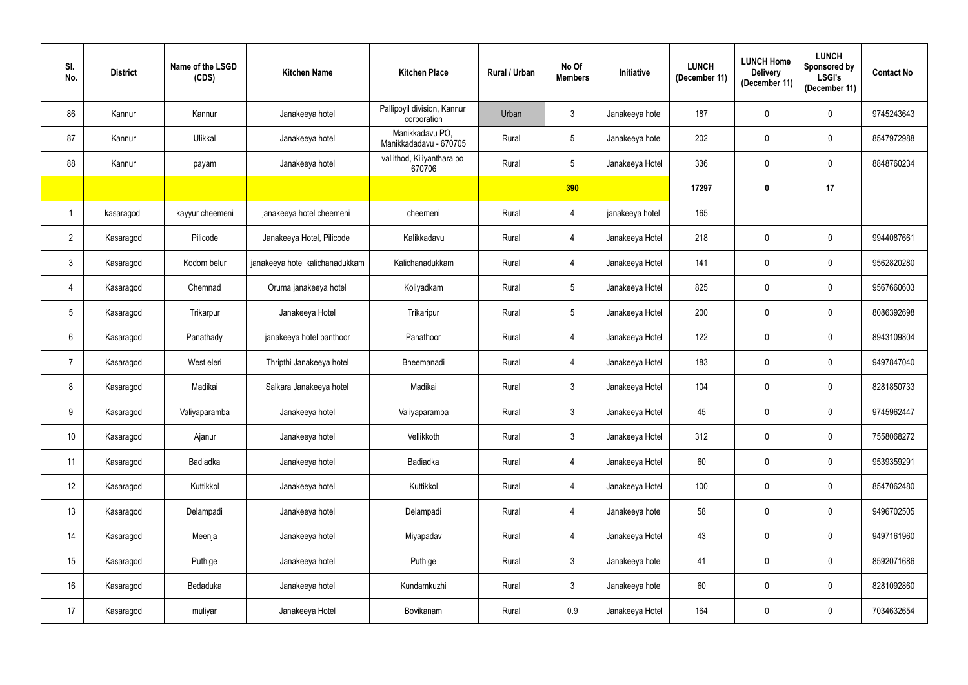| SI.<br>No.     | <b>District</b> | Name of the LSGD<br>(CDS) | <b>Kitchen Name</b>             | <b>Kitchen Place</b>                       | Rural / Urban | No Of<br><b>Members</b> | Initiative      | <b>LUNCH</b><br>(December 11) | <b>LUNCH Home</b><br><b>Delivery</b><br>(December 11) | <b>LUNCH</b><br>Sponsored by<br><b>LSGI's</b><br>(December 11) | <b>Contact No</b> |
|----------------|-----------------|---------------------------|---------------------------------|--------------------------------------------|---------------|-------------------------|-----------------|-------------------------------|-------------------------------------------------------|----------------------------------------------------------------|-------------------|
| 86             | Kannur          | Kannur                    | Janakeeya hotel                 | Pallipoyil division, Kannur<br>corporation | Urban         | 3 <sup>1</sup>          | Janakeeya hotel | 187                           | $\mathbf 0$                                           | $\mathbf 0$                                                    | 9745243643        |
| 87             | Kannur          | Ulikkal                   | Janakeeya hotel                 | Manikkadavu PO,<br>Manikkadadavu - 670705  | Rural         | $5\overline{)}$         | Janakeeya hotel | 202                           | $\mathbf 0$                                           | $\overline{0}$                                                 | 8547972988        |
| 88             | Kannur          | payam                     | Janakeeya hotel                 | vallithod, Kiliyanthara po<br>670706       | Rural         | 5 <sup>5</sup>          | Janakeeya Hotel | 336                           | $\mathbf 0$                                           | $\mathbf 0$                                                    | 8848760234        |
|                |                 |                           |                                 |                                            |               | 390                     |                 | 17297                         | $\mathbf 0$                                           | 17                                                             |                   |
| -1             | kasaragod       | kayyur cheemeni           | janakeeya hotel cheemeni        | cheemeni                                   | Rural         | 4                       | janakeeya hotel | 165                           |                                                       |                                                                |                   |
| $\overline{2}$ | Kasaragod       | Pilicode                  | Janakeeya Hotel, Pilicode       | Kalikkadavu                                | Rural         |                         | Janakeeya Hotel | 218                           | 0                                                     | $\mathbf 0$                                                    | 9944087661        |
| $\mathbf{3}$   | Kasaragod       | Kodom belur               | janakeeya hotel kalichanadukkam | Kalichanadukkam                            | Rural         | 4                       | Janakeeya Hotel | 141                           | $\mathbf 0$                                           | $\mathbf 0$                                                    | 9562820280        |
| -4             | Kasaragod       | Chemnad                   | Oruma janakeeya hotel           | Koliyadkam                                 | Rural         | 5 <sup>5</sup>          | Janakeeya Hotel | 825                           | $\mathbf 0$                                           | $\mathbf 0$                                                    | 9567660603        |
| 5              | Kasaragod       | Trikarpur                 | Janakeeya Hotel                 | Trikaripur                                 | Rural         | $5\overline{)}$         | Janakeeya Hotel | 200                           | $\mathbf 0$                                           | $\mathbf 0$                                                    | 8086392698        |
| 6              | Kasaragod       | Panathady                 | janakeeya hotel panthoor        | Panathoor                                  | Rural         | 4                       | Janakeeya Hotel | 122                           | 0                                                     | $\mathbf 0$                                                    | 8943109804        |
|                | Kasaragod       | West eleri                | Thripthi Janakeeya hotel        | Bheemanadi                                 | Rural         | 4                       | Janakeeya Hotel | 183                           | $\mathbf 0$                                           | $\mathbf 0$                                                    | 9497847040        |
| 8              | Kasaragod       | Madikai                   | Salkara Janakeeya hotel         | Madikai                                    | Rural         | $\mathbf{3}$            | Janakeeya Hotel | 104                           | $\mathbf 0$                                           | $\mathbf 0$                                                    | 8281850733        |
| 9              | Kasaragod       | Valiyaparamba             | Janakeeya hotel                 | Valiyaparamba                              | Rural         | $\mathfrak{Z}$          | Janakeeya Hotel | 45                            | $\mathbf 0$                                           | $\mathbf 0$                                                    | 9745962447        |
| 10             | Kasaragod       | Ajanur                    | Janakeeya hotel                 | Vellikkoth                                 | Rural         | 3 <sup>1</sup>          | Janakeeya Hotel | 312                           | $\pmb{0}$                                             | $\pmb{0}$                                                      | 7558068272        |
| 11             | Kasaragod       | Badiadka                  | Janakeeya hotel                 | Badiadka                                   | Rural         | 4                       | Janakeeya Hotel | 60                            | $\pmb{0}$                                             | $\pmb{0}$                                                      | 9539359291        |
| 12             | Kasaragod       | Kuttikkol                 | Janakeeya hotel                 | Kuttikkol                                  | Rural         | 4                       | Janakeeya Hotel | 100                           | $\pmb{0}$                                             | $\pmb{0}$                                                      | 8547062480        |
| 13             | Kasaragod       | Delampadi                 | Janakeeya hotel                 | Delampadi                                  | Rural         | $\overline{4}$          | Janakeeya hotel | 58                            | $\mathbf 0$                                           | $\mathbf 0$                                                    | 9496702505        |
| 14             | Kasaragod       | Meenja                    | Janakeeya hotel                 | Miyapadav                                  | Rural         | $\overline{4}$          | Janakeeya Hotel | 43                            | $\pmb{0}$                                             | $\overline{0}$                                                 | 9497161960        |
| 15             | Kasaragod       | Puthige                   | Janakeeya hotel                 | Puthige                                    | Rural         | 3 <sup>1</sup>          | Janakeeya hotel | 41                            | $\boldsymbol{0}$                                      | $\pmb{0}$                                                      | 8592071686        |
| 16             | Kasaragod       | Bedaduka                  | Janakeeya hotel                 | Kundamkuzhi                                | Rural         | $\mathbf{3}$            | Janakeeya hotel | 60                            | $\pmb{0}$                                             | $\pmb{0}$                                                      | 8281092860        |
| 17             | Kasaragod       | muliyar                   | Janakeeya Hotel                 | Bovikanam                                  | Rural         | 0.9                     | Janakeeya Hotel | 164                           | $\pmb{0}$                                             | $\boldsymbol{0}$                                               | 7034632654        |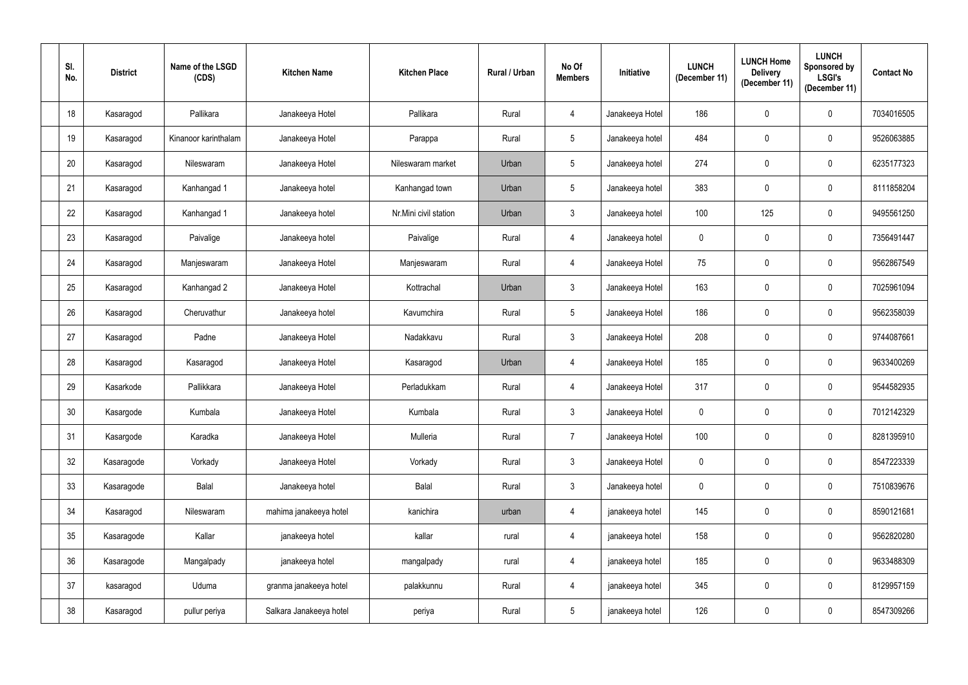| SI.<br>No.      | <b>District</b> | Name of the LSGD<br>(CDS) | <b>Kitchen Name</b>     | <b>Kitchen Place</b>  | Rural / Urban | No Of<br><b>Members</b> | Initiative      | <b>LUNCH</b><br>(December 11) | <b>LUNCH Home</b><br><b>Delivery</b><br>(December 11) | <b>LUNCH</b><br>Sponsored by<br><b>LSGI's</b><br>(December 11) | <b>Contact No</b> |
|-----------------|-----------------|---------------------------|-------------------------|-----------------------|---------------|-------------------------|-----------------|-------------------------------|-------------------------------------------------------|----------------------------------------------------------------|-------------------|
| 18              | Kasaragod       | Pallikara                 | Janakeeya Hotel         | Pallikara             | Rural         | 4                       | Janakeeya Hotel | 186                           | 0                                                     | $\mathbf 0$                                                    | 7034016505        |
| 19              | Kasaragod       | Kinanoor karinthalam      | Janakeeya Hotel         | Parappa               | Rural         | 5 <sup>5</sup>          | Janakeeya hotel | 484                           | $\mathbf 0$                                           | $\overline{0}$                                                 | 9526063885        |
| 20              | Kasaragod       | Nileswaram                | Janakeeya Hotel         | Nileswaram market     | Urban         | $5\overline{)}$         | Janakeeya hotel | 274                           | $\mathbf 0$                                           | $\mathbf 0$                                                    | 6235177323        |
| 21              | Kasaragod       | Kanhangad 1               | Janakeeya hotel         | Kanhangad town        | Urban         | $5\overline{)}$         | Janakeeya hotel | 383                           | 0                                                     | $\mathbf 0$                                                    | 8111858204        |
| 22              | Kasaragod       | Kanhangad 1               | Janakeeya hotel         | Nr.Mini civil station | Urban         | 3 <sup>1</sup>          | Janakeeya hotel | 100                           | 125                                                   | $\mathbf 0$                                                    | 9495561250        |
| 23              | Kasaragod       | Paivalige                 | Janakeeya hotel         | Paivalige             | Rural         |                         | Janakeeya hotel | $\mathbf 0$                   | 0                                                     | $\mathbf 0$                                                    | 7356491447        |
| 24              | Kasaragod       | Manjeswaram               | Janakeeya Hotel         | Manjeswaram           | Rural         | 4                       | Janakeeya Hotel | 75                            | $\mathbf 0$                                           | $\mathbf 0$                                                    | 9562867549        |
| 25              | Kasaragod       | Kanhangad 2               | Janakeeya Hotel         | Kottrachal            | Urban         | $\mathbf{3}$            | Janakeeya Hotel | 163                           | $\mathbf 0$                                           | $\mathbf 0$                                                    | 7025961094        |
| 26              | Kasaragod       | Cheruvathur               | Janakeeya hotel         | Kavumchira            | Rural         | $5\overline{)}$         | Janakeeya Hotel | 186                           | $\mathbf 0$                                           | $\mathbf 0$                                                    | 9562358039        |
| 27              | Kasaragod       | Padne                     | Janakeeya Hotel         | Nadakkavu             | Rural         | 3 <sup>1</sup>          | Janakeeya Hotel | 208                           | 0                                                     | $\mathbf 0$                                                    | 9744087661        |
| 28              | Kasaragod       | Kasaragod                 | Janakeeya Hotel         | Kasaragod             | Urban         | 4                       | Janakeeya Hotel | 185                           | $\mathbf 0$                                           | $\mathbf 0$                                                    | 9633400269        |
| 29              | Kasarkode       | Pallikkara                | Janakeeya Hotel         | Perladukkam           | Rural         | 4                       | Janakeeya Hotel | 317                           | $\mathbf 0$                                           | $\mathbf 0$                                                    | 9544582935        |
| 30 <sup>°</sup> | Kasargode       | Kumbala                   | Janakeeya Hotel         | Kumbala               | Rural         | $\mathbf{3}$            | Janakeeya Hotel | $\overline{0}$                | $\mathbf 0$                                           | $\mathbf 0$                                                    | 7012142329        |
| 31              | Kasargode       | Karadka                   | Janakeeya Hotel         | Mulleria              | Rural         | $7\overline{ }$         | Janakeeya Hotel | 100                           | $\pmb{0}$                                             | $\pmb{0}$                                                      | 8281395910        |
| 32              | Kasaragode      | Vorkady                   | Janakeeya Hotel         | Vorkady               | Rural         | 3 <sup>1</sup>          | Janakeeya Hotel | $\mathbf 0$                   | $\mathbf 0$                                           | $\pmb{0}$                                                      | 8547223339        |
| 33              | Kasaragode      | Balal                     | Janakeeya hotel         | Balal                 | Rural         | 3 <sup>1</sup>          | Janakeeya hotel | $\mathbf 0$                   | $\pmb{0}$                                             | $\mathbf 0$                                                    | 7510839676        |
| 34              | Kasaragod       | Nileswaram                | mahima janakeeya hotel  | kanichira             | urban         | 4                       | janakeeya hotel | 145                           | $\mathbf 0$                                           | $\mathbf 0$                                                    | 8590121681        |
| 35              | Kasaragode      | Kallar                    | janakeeya hotel         | kallar                | rural         | 4                       | janakeeya hotel | 158                           | $\pmb{0}$                                             | $\overline{0}$                                                 | 9562820280        |
| 36              | Kasaragode      | Mangalpady                | janakeeya hotel         | mangalpady            | rural         | $\overline{4}$          | janakeeya hotel | 185                           | $\boldsymbol{0}$                                      | $\boldsymbol{0}$                                               | 9633488309        |
| 37              | kasaragod       | Uduma                     | granma janakeeya hotel  | palakkunnu            | Rural         | 4                       | janakeeya hotel | 345                           | $\pmb{0}$                                             | $\mathbf 0$                                                    | 8129957159        |
| 38              | Kasaragod       | pullur periya             | Salkara Janakeeya hotel | periya                | Rural         | 5 <sub>5</sub>          | janakeeya hotel | 126                           | $\pmb{0}$                                             | $\boldsymbol{0}$                                               | 8547309266        |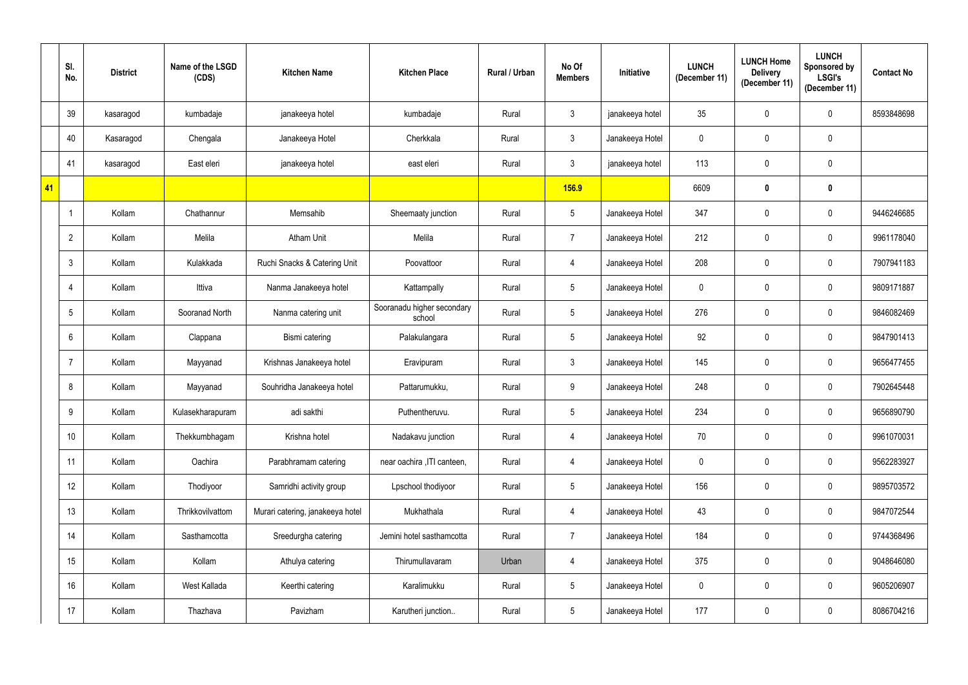|    | SI.<br>No.     | <b>District</b> | Name of the LSGD<br>(CDS) | <b>Kitchen Name</b>              | <b>Kitchen Place</b>                 | <b>Rural / Urban</b> | No Of<br><b>Members</b> | Initiative      | <b>LUNCH</b><br>(December 11) | <b>LUNCH Home</b><br><b>Delivery</b><br>(December 11) | <b>LUNCH</b><br><b>Sponsored by</b><br><b>LSGI's</b><br>(December 11) | <b>Contact No</b> |
|----|----------------|-----------------|---------------------------|----------------------------------|--------------------------------------|----------------------|-------------------------|-----------------|-------------------------------|-------------------------------------------------------|-----------------------------------------------------------------------|-------------------|
|    | 39             | kasaragod       | kumbadaje                 | janakeeya hotel                  | kumbadaje                            | Rural                | 3                       | janakeeya hotel | 35                            | $\mathbf 0$                                           | $\mathbf 0$                                                           | 8593848698        |
|    | 40             | Kasaragod       | Chengala                  | Janakeeya Hotel                  | Cherkkala                            | Rural                | $\mathbf{3}$            | Janakeeya Hotel | $\mathbf 0$                   | $\mathbf 0$                                           | $\mathbf 0$                                                           |                   |
|    | 41             | kasaragod       | East eleri                | janakeeya hotel                  | east eleri                           | Rural                | $\mathfrak{Z}$          | janakeeya hotel | 113                           | $\mathbf 0$                                           | $\mathbf 0$                                                           |                   |
| 41 |                |                 |                           |                                  |                                      |                      | 156.9                   |                 | 6609                          | $\mathbf 0$                                           | $\pmb{0}$                                                             |                   |
|    |                | Kollam          | Chathannur                | Memsahib                         | Sheemaaty junction                   | Rural                | 5                       | Janakeeya Hotel | 347                           | $\mathbf 0$                                           | $\mathbf 0$                                                           | 9446246685        |
|    | $\overline{2}$ | Kollam          | Melila                    | <b>Atham Unit</b>                | Melila                               | Rural                | $\overline{7}$          | Janakeeya Hotel | 212                           | $\mathbf 0$                                           | $\mathbf 0$                                                           | 9961178040        |
|    | 3              | Kollam          | Kulakkada                 | Ruchi Snacks & Catering Unit     | Poovattoor                           | Rural                | 4                       | Janakeeya Hotel | 208                           | $\mathbf 0$                                           | $\mathbf 0$                                                           | 7907941183        |
|    |                | Kollam          | Ittiva                    | Nanma Janakeeya hotel            | Kattampally                          | Rural                | $5\phantom{.0}$         | Janakeeya Hotel | $\mathbf 0$                   | $\mathbf 0$                                           | $\mathbf 0$                                                           | 9809171887        |
|    | 5              | Kollam          | Sooranad North            | Nanma catering unit              | Sooranadu higher secondary<br>school | Rural                | $5\phantom{.0}$         | Janakeeya Hotel | 276                           | $\mathbf 0$                                           | $\mathbf 0$                                                           | 9846082469        |
|    | 6              | Kollam          | Clappana                  | Bismi catering                   | Palakulangara                        | Rural                | $5\overline{)}$         | Janakeeya Hotel | 92                            | $\overline{0}$                                        | $\mathbf 0$                                                           | 9847901413        |
|    |                | Kollam          | Mayyanad                  | Krishnas Janakeeya hotel         | Eravipuram                           | Rural                | $\mathbf{3}$            | Janakeeya Hotel | 145                           | $\mathbf 0$                                           | $\mathbf 0$                                                           | 9656477455        |
|    | 8              | Kollam          | Mayyanad                  | Souhridha Janakeeya hotel        | Pattarumukku,                        | Rural                | 9                       | Janakeeya Hotel | 248                           | $\overline{0}$                                        | $\mathbf 0$                                                           | 7902645448        |
|    | 9              | Kollam          | Kulasekharapuram          | adi sakthi                       | Puthentheruvu.                       | Rural                | 5                       | Janakeeya Hotel | 234                           | $\mathbf 0$                                           | $\mathbf 0$                                                           | 9656890790        |
|    | 10             | Kollam          | Thekkumbhagam             | Krishna hotel                    | Nadakavu junction                    | Rural                | 4                       | Janakeeya Hotel | $70\,$                        | $\mathbf 0$                                           | $\pmb{0}$                                                             | 9961070031        |
|    | 11             | Kollam          | Oachira                   | Parabhramam catering             | near oachira , ITI canteen,          | Rural                | 4                       | Janakeeya Hotel | $\pmb{0}$                     | $\mathbf 0$                                           | $\mathbf 0$                                                           | 9562283927        |
|    | 12             | Kollam          | Thodiyoor                 | Samridhi activity group          | Lpschool thodiyoor                   | Rural                | $5\phantom{.0}$         | Janakeeya Hotel | 156                           | $\pmb{0}$                                             | $\pmb{0}$                                                             | 9895703572        |
|    | 13             | Kollam          | Thrikkovilvattom          | Murari catering, janakeeya hotel | Mukhathala                           | Rural                | 4                       | Janakeeya Hotel | 43                            | $\pmb{0}$                                             | $\mathbf 0$                                                           | 9847072544        |
|    | 14             | Kollam          | Sasthamcotta              | Sreedurgha catering              | Jemini hotel sasthamcotta            | Rural                | $\overline{7}$          | Janakeeya Hotel | 184                           | $\pmb{0}$                                             | $\pmb{0}$                                                             | 9744368496        |
|    | 15             | Kollam          | Kollam                    | Athulya catering                 | Thirumullavaram                      | Urban                | 4                       | Janakeeya Hotel | 375                           | $\pmb{0}$                                             | $\pmb{0}$                                                             | 9048646080        |
|    | 16             | Kollam          | West Kallada              | Keerthi catering                 | Karalimukku                          | Rural                | $5\phantom{.0}$         | Janakeeya Hotel | $\mathbf 0$                   | $\pmb{0}$                                             | $\pmb{0}$                                                             | 9605206907        |
|    | 17             | Kollam          | Thazhava                  | Pavizham                         | Karutheri junction                   | Rural                | $5\phantom{.0}$         | Janakeeya Hotel | 177                           | $\pmb{0}$                                             | $\pmb{0}$                                                             | 8086704216        |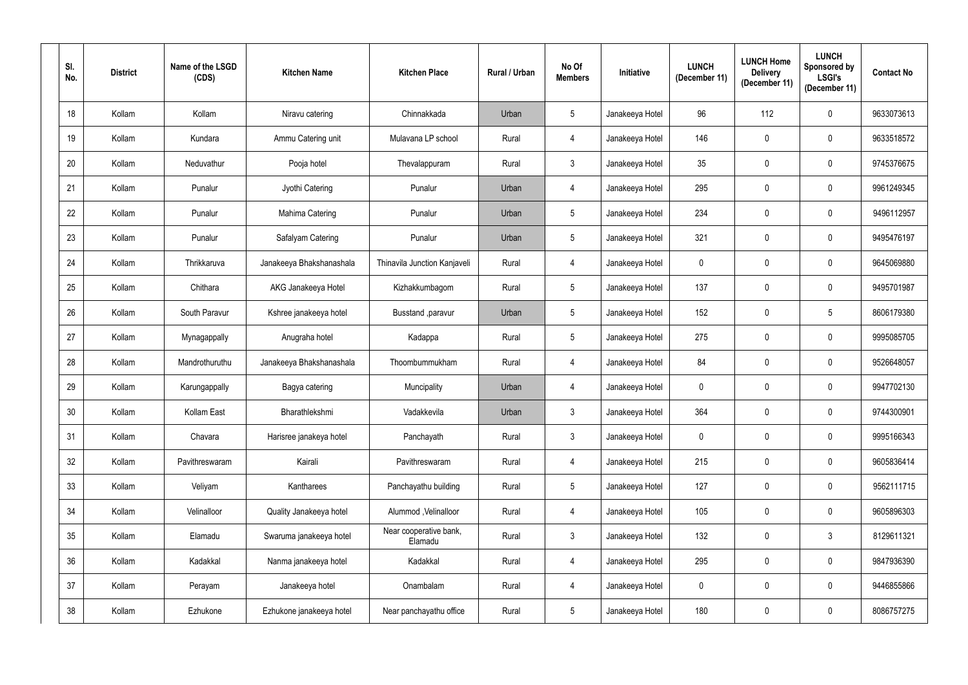| SI.<br>No.      | <b>District</b> | Name of the LSGD<br>(CDS) | <b>Kitchen Name</b>      | <b>Kitchen Place</b>              | Rural / Urban | No Of<br><b>Members</b> | <b>Initiative</b> | <b>LUNCH</b><br>(December 11) | <b>LUNCH Home</b><br><b>Delivery</b><br>(December 11) | <b>LUNCH</b><br>Sponsored by<br><b>LSGI's</b><br>(December 11) | <b>Contact No</b> |
|-----------------|-----------------|---------------------------|--------------------------|-----------------------------------|---------------|-------------------------|-------------------|-------------------------------|-------------------------------------------------------|----------------------------------------------------------------|-------------------|
| 18              | Kollam          | Kollam                    | Niravu catering          | Chinnakkada                       | Urban         | 5 <sup>5</sup>          | Janakeeya Hotel   | 96                            | 112                                                   | $\mathbf 0$                                                    | 9633073613        |
| 19              | Kollam          | Kundara                   | Ammu Catering unit       | Mulavana LP school                | Rural         | $\overline{4}$          | Janakeeya Hotel   | 146                           | 0                                                     | $\mathbf 0$                                                    | 9633518572        |
| 20              | Kollam          | Neduvathur                | Pooja hotel              | Thevalappuram                     | Rural         | 3 <sup>1</sup>          | Janakeeya Hotel   | 35                            | 0                                                     | $\mathbf 0$                                                    | 9745376675        |
| 21              | Kollam          | Punalur                   | Jyothi Catering          | Punalur                           | Urban         | 4                       | Janakeeya Hotel   | 295                           | 0                                                     | $\pmb{0}$                                                      | 9961249345        |
| 22              | Kollam          | Punalur                   | Mahima Catering          | Punalur                           | Urban         | 5 <sup>5</sup>          | Janakeeya Hotel   | 234                           | 0                                                     | $\mathbf 0$                                                    | 9496112957        |
| 23              | Kollam          | Punalur                   | Safalyam Catering        | Punalur                           | Urban         | 5 <sup>5</sup>          | Janakeeya Hotel   | 321                           | 0                                                     | $\mathbf 0$                                                    | 9495476197        |
| 24              | Kollam          | Thrikkaruva               | Janakeeya Bhakshanashala | Thinavila Junction Kanjaveli      | Rural         | 4                       | Janakeeya Hotel   | $\mathbf 0$                   | 0                                                     | $\mathbf 0$                                                    | 9645069880        |
| 25              | Kollam          | Chithara                  | AKG Janakeeya Hotel      | Kizhakkumbagom                    | Rural         | $5\phantom{.0}$         | Janakeeya Hotel   | 137                           | 0                                                     | $\mathbf 0$                                                    | 9495701987        |
| 26              | Kollam          | South Paravur             | Kshree janakeeya hotel   | Busstand , paravur                | Urban         | 5 <sup>5</sup>          | Janakeeya Hotel   | 152                           | 0                                                     | 5                                                              | 8606179380        |
| 27              | Kollam          | Mynagappally              | Anugraha hotel           | Kadappa                           | Rural         | 5 <sup>5</sup>          | Janakeeya Hotel   | 275                           | 0                                                     | $\mathbf 0$                                                    | 9995085705        |
| 28              | Kollam          | Mandrothuruthu            | Janakeeya Bhakshanashala | Thoombummukham                    | Rural         | 4                       | Janakeeya Hotel   | 84                            | 0                                                     | $\mathbf 0$                                                    | 9526648057        |
| 29              | Kollam          | Karungappally             | Bagya catering           | Muncipality                       | Urban         | 4                       | Janakeeya Hotel   | $\mathbf 0$                   | 0                                                     | $\mathbf 0$                                                    | 9947702130        |
| 30 <sub>o</sub> | Kollam          | Kollam East               | Bharathlekshmi           | Vadakkevila                       | Urban         | $\mathbf{3}$            | Janakeeya Hotel   | 364                           | $\mathbf{0}$                                          | $\mathbf 0$                                                    | 9744300901        |
| 31              | Kollam          | Chavara                   | Harisree janakeya hotel  | Panchayath                        | Rural         | 3 <sup>1</sup>          | Janakeeya Hotel   | $\pmb{0}$                     | $\mathbf 0$                                           | $\mathbf 0$                                                    | 9995166343        |
| 32              | Kollam          | Pavithreswaram            | Kairali                  | Pavithreswaram                    | Rural         | $\overline{4}$          | Janakeeya Hotel   | 215                           | 0                                                     | $\pmb{0}$                                                      | 9605836414        |
| 33              | Kollam          | Veliyam                   | Kantharees               | Panchayathu building              | Rural         | 5 <sub>5</sub>          | Janakeeya Hotel   | 127                           | 0                                                     | $\mathbf 0$                                                    | 9562111715        |
| 34              | Kollam          | Velinalloor               | Quality Janakeeya hotel  | Alummod, Velinalloor              | Rural         | $\overline{4}$          | Janakeeya Hotel   | 105                           | 0                                                     | $\mathbf 0$                                                    | 9605896303        |
| 35              | Kollam          | Elamadu                   | Swaruma janakeeya hotel  | Near cooperative bank,<br>Elamadu | Rural         | 3 <sup>1</sup>          | Janakeeya Hotel   | 132                           | 0                                                     | $\mathfrak{Z}$                                                 | 8129611321        |
| 36              | Kollam          | Kadakkal                  | Nanma janakeeya hotel    | Kadakkal                          | Rural         | $\overline{4}$          | Janakeeya Hotel   | 295                           | 0                                                     | $\mathbf 0$                                                    | 9847936390        |
| 37              | Kollam          | Perayam                   | Janakeeya hotel          | Onambalam                         | Rural         | $\overline{4}$          | Janakeeya Hotel   | $\mathbf 0$                   | 0                                                     | $\mathbf 0$                                                    | 9446855866        |
| 38              | Kollam          | Ezhukone                  | Ezhukone janakeeya hotel | Near panchayathu office           | Rural         | 5 <sub>5</sub>          | Janakeeya Hotel   | 180                           | 0                                                     | $\bf{0}$                                                       | 8086757275        |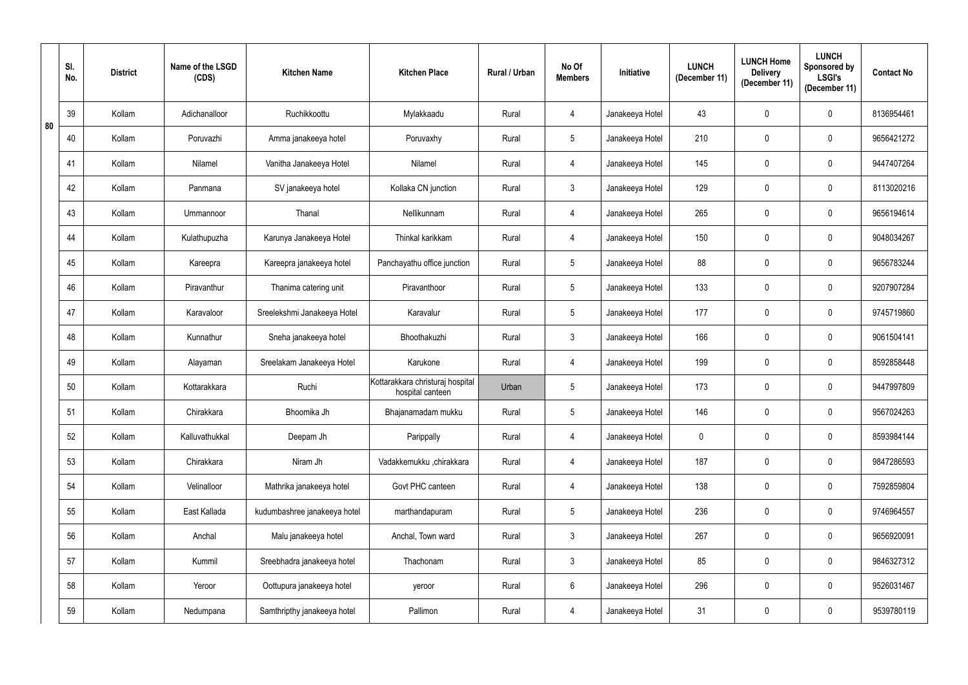|    | SI.<br>No. | <b>District</b> | Name of the LSGD<br>(CDS) | <b>Kitchen Name</b>          | <b>Kitchen Place</b>                                 | <b>Rural / Urban</b> | No Of<br><b>Members</b> | Initiative      | <b>LUNCH</b><br>(December 11) | <b>LUNCH Home</b><br><b>Delivery</b><br>(December 11) | <b>LUNCH</b><br>Sponsored by<br><b>LSGI's</b><br>(December 11) | <b>Contact No</b> |
|----|------------|-----------------|---------------------------|------------------------------|------------------------------------------------------|----------------------|-------------------------|-----------------|-------------------------------|-------------------------------------------------------|----------------------------------------------------------------|-------------------|
|    | 39         | Kollam          | Adichanalloor             | Ruchikkoottu                 | Mylakkaadu                                           | Rural                | 4                       | Janakeeya Hotel | 43                            | $\mathbf 0$                                           | $\mathbf{0}$                                                   | 8136954461        |
| 80 | 40         | Kollam          | Poruvazhi                 | Amma janakeeya hotel         | Poruvaxhy                                            | Rural                | $5\overline{)}$         | Janakeeya Hotel | 210                           | $\mathbf 0$                                           | $\mathbf 0$                                                    | 9656421272        |
|    | 41         | Kollam          | Nilamel                   | Vanitha Janakeeya Hotel      | Nilamel                                              | Rural                | 4                       | Janakeeya Hotel | 145                           | $\mathbf 0$                                           | $\mathbf 0$                                                    | 9447407264        |
|    | 42         | Kollam          | Panmana                   | SV janakeeya hotel           | Kollaka CN junction                                  | Rural                | $\mathfrak{Z}$          | Janakeeya Hotel | 129                           | 0                                                     | $\mathbf 0$                                                    | 8113020216        |
|    | 43         | Kollam          | Ummannoor                 | Thanal                       | Nellikunnam                                          | Rural                | 4                       | Janakeeya Hotel | 265                           | $\mathbf 0$                                           | $\mathbf 0$                                                    | 9656194614        |
|    | 44         | Kollam          | Kulathupuzha              | Karunya Janakeeya Hotel      | Thinkal karikkam                                     | Rural                | 4                       | Janakeeya Hotel | 150                           | $\mathbf 0$                                           | $\mathbf 0$                                                    | 9048034267        |
|    | 45         | Kollam          | Kareepra                  | Kareepra janakeeya hotel     | Panchayathu office junction                          | Rural                | $5\phantom{.0}$         | Janakeeya Hotel | 88                            | $\mathbf 0$                                           | $\mathbf 0$                                                    | 9656783244        |
|    | 46         | Kollam          | Piravanthur               | Thanima catering unit        | Piravanthoor                                         | Rural                | $5\phantom{.0}$         | Janakeeya Hotel | 133                           | $\mathbf 0$                                           | $\mathbf 0$                                                    | 9207907284        |
|    | 47         | Kollam          | Karavaloor                | Sreelekshmi Janakeeya Hotel  | Karavalur                                            | Rural                | $5\phantom{.0}$         | Janakeeya Hotel | 177                           | 0                                                     | $\mathbf 0$                                                    | 9745719860        |
|    | 48         | Kollam          | Kunnathur                 | Sneha janakeeya hotel        | Bhoothakuzhi                                         | Rural                | $\mathbf{3}$            | Janakeeya Hotel | 166                           | $\mathbf 0$                                           | $\mathbf 0$                                                    | 9061504141        |
|    | 49         | Kollam          | Alayaman                  | Sreelakam Janakeeya Hotel    | Karukone                                             | Rural                | 4                       | Janakeeya Hotel | 199                           | $\mathbf 0$                                           | $\mathbf 0$                                                    | 8592858448        |
|    | 50         | Kollam          | Kottarakkara              | Ruchi                        | Kottarakkara christuraj hospital<br>hospital canteen | Urban                | 5                       | Janakeeya Hotel | 173                           | $\mathbf 0$                                           | $\mathbf 0$                                                    | 9447997809        |
|    | 51         | Kollam          | Chirakkara                | Bhoomika Jh                  | Bhajanamadam mukku                                   | Rural                | $5\phantom{.0}$         | Janakeeya Hotel | 146                           | $\mathbf 0$                                           | $\mathbf 0$                                                    | 9567024263        |
|    | 52         | Kollam          | Kalluvathukkal            | Deepam Jh                    | Parippally                                           | Rural                | $\overline{4}$          | Janakeeya Hotel | $\mathbf 0$                   | $\mathbf 0$                                           | $\pmb{0}$                                                      | 8593984144        |
|    | 53         | Kollam          | Chirakkara                | Niram Jh                     | Vadakkemukku ,chirakkara                             | Rural                | $\overline{4}$          | Janakeeya Hotel | 187                           | $\mathbf 0$                                           | $\pmb{0}$                                                      | 9847286593        |
|    | 54         | Kollam          | Velinalloor               | Mathrika janakeeya hotel     | Govt PHC canteen                                     | Rural                | 4                       | Janakeeya Hotel | 138                           | $\mathbf 0$                                           | $\pmb{0}$                                                      | 7592859804        |
|    | 55         | Kollam          | East Kallada              | kudumbashree janakeeya hotel | marthandapuram                                       | Rural                | $5\phantom{.0}$         | Janakeeya Hotel | 236                           | $\mathbf 0$                                           | $\pmb{0}$                                                      | 9746964557        |
|    | 56         | Kollam          | Anchal                    | Malu janakeeya hotel         | Anchal, Town ward                                    | Rural                | $\mathbf{3}$            | Janakeeya Hotel | 267                           | $\overline{0}$                                        | $\pmb{0}$                                                      | 9656920091        |
|    | 57         | Kollam          | Kummil                    | Sreebhadra janakeeya hotel   | Thachonam                                            | Rural                | $\mathbf{3}$            | Janakeeya Hotel | 85                            | $\mathbf 0$                                           | $\pmb{0}$                                                      | 9846327312        |
|    | 58         | Kollam          | Yeroor                    | Oottupura janakeeya hotel    | yeroor                                               | Rural                | 6                       | Janakeeya Hotel | 296                           | $\pmb{0}$                                             | $\pmb{0}$                                                      | 9526031467        |
|    | 59         | Kollam          | Nedumpana                 | Samthripthy janakeeya hotel  | Pallimon                                             | Rural                | $\overline{4}$          | Janakeeya Hotel | 31                            | $\pmb{0}$                                             | $\pmb{0}$                                                      | 9539780119        |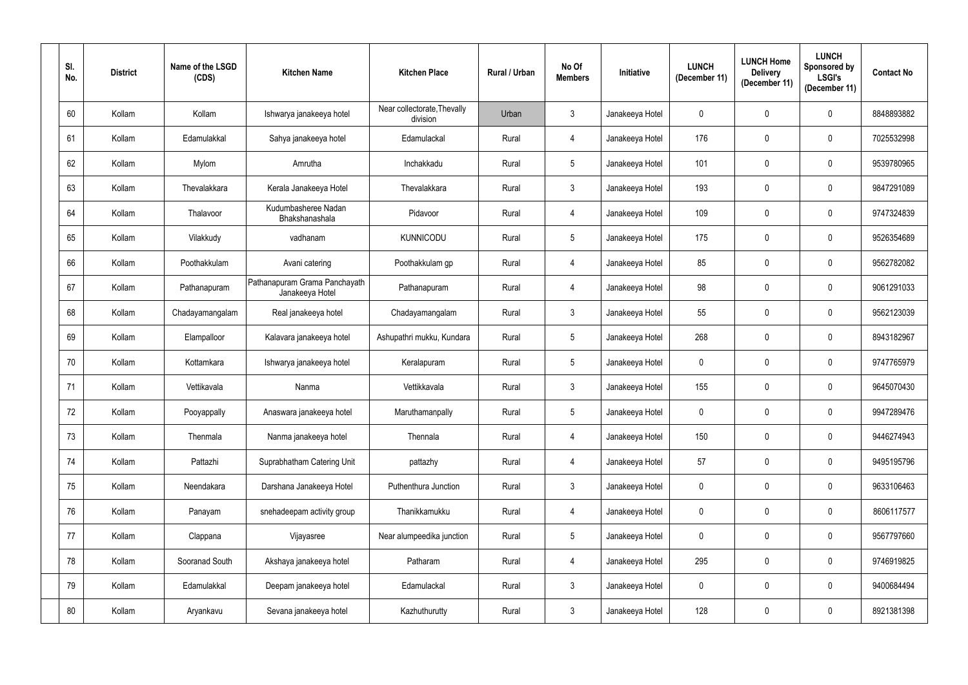| SI.<br>No. | <b>District</b> | Name of the LSGD<br>(CDS) | <b>Kitchen Name</b>                              | <b>Kitchen Place</b>                    | <b>Rural / Urban</b> | No Of<br><b>Members</b> | Initiative      | <b>LUNCH</b><br>(December 11) | <b>LUNCH Home</b><br><b>Delivery</b><br>(December 11) | <b>LUNCH</b><br>Sponsored by<br><b>LSGI's</b><br>(December 11) | <b>Contact No</b> |
|------------|-----------------|---------------------------|--------------------------------------------------|-----------------------------------------|----------------------|-------------------------|-----------------|-------------------------------|-------------------------------------------------------|----------------------------------------------------------------|-------------------|
| 60         | Kollam          | Kollam                    | Ishwarya janakeeya hotel                         | Near collectorate, Thevally<br>division | Urban                | 3                       | Janakeeya Hotel | $\mathbf 0$                   | $\mathbf 0$                                           | $\mathbf 0$                                                    | 8848893882        |
| 61         | Kollam          | Edamulakkal               | Sahya janakeeya hotel                            | Edamulackal                             | Rural                | 4                       | Janakeeya Hotel | 176                           | $\mathbf 0$                                           | $\mathbf 0$                                                    | 7025532998        |
| 62         | Kollam          | Mylom                     | Amrutha                                          | Inchakkadu                              | Rural                | $5\phantom{.0}$         | Janakeeya Hotel | 101                           | $\mathbf 0$                                           | $\mathbf 0$                                                    | 9539780965        |
| 63         | Kollam          | Thevalakkara              | Kerala Janakeeya Hotel                           | Thevalakkara                            | Rural                | $\mathbf{3}$            | Janakeeya Hotel | 193                           | $\mathbf 0$                                           | $\boldsymbol{0}$                                               | 9847291089        |
| 64         | Kollam          | Thalavoor                 | Kudumbasheree Nadan<br>Bhakshanashala            | Pidavoor                                | Rural                | 4                       | Janakeeya Hotel | 109                           | 0                                                     | $\mathbf 0$                                                    | 9747324839        |
| 65         | Kollam          | Vilakkudy                 | vadhanam                                         | <b>KUNNICODU</b>                        | Rural                | 5                       | Janakeeya Hotel | 175                           | $\mathbf 0$                                           | $\mathbf 0$                                                    | 9526354689        |
| 66         | Kollam          | Poothakkulam              | Avani catering                                   | Poothakkulam gp                         | Rural                | 4                       | Janakeeya Hotel | 85                            | $\mathbf 0$                                           | $\mathbf 0$                                                    | 9562782082        |
| 67         | Kollam          | Pathanapuram              | Pathanapuram Grama Panchayath<br>Janakeeya Hotel | Pathanapuram                            | Rural                | 4                       | Janakeeya Hotel | 98                            | $\mathbf 0$                                           | $\mathbf 0$                                                    | 9061291033        |
| 68         | Kollam          | Chadayamangalam           | Real janakeeya hotel                             | Chadayamangalam                         | Rural                | $\mathbf{3}$            | Janakeeya Hotel | 55                            | $\mathbf 0$                                           | $\mathbf 0$                                                    | 9562123039        |
| 69         | Kollam          | Elampalloor               | Kalavara janakeeya hotel                         | Ashupathri mukku, Kundara               | Rural                | $5\overline{)}$         | Janakeeya Hotel | 268                           | $\overline{0}$                                        | $\mathbf 0$                                                    | 8943182967        |
| 70         | Kollam          | Kottamkara                | Ishwarya janakeeya hotel                         | Keralapuram                             | Rural                | $5\overline{)}$         | Janakeeya Hotel | $\mathbf 0$                   | $\mathbf 0$                                           | $\mathbf 0$                                                    | 9747765979        |
| 71         | Kollam          | Vettikavala               | Nanma                                            | Vettikkavala                            | Rural                | $\mathbf{3}$            | Janakeeya Hotel | 155                           | $\overline{0}$                                        | $\mathbf 0$                                                    | 9645070430        |
| 72         | Kollam          | Pooyappally               | Anaswara janakeeya hotel                         | Maruthamanpally                         | Rural                | 5                       | Janakeeya Hotel | $\mathbf 0$                   | $\mathbf 0$                                           | $\mathbf 0$                                                    | 9947289476        |
| 73         | Kollam          | Thenmala                  | Nanma janakeeya hotel                            | Thennala                                | Rural                | $\overline{4}$          | Janakeeya Hotel | 150                           | $\mathbf 0$                                           | $\boldsymbol{0}$                                               | 9446274943        |
| 74         | Kollam          | Pattazhi                  | Suprabhatham Catering Unit                       | pattazhy                                | Rural                | $\overline{4}$          | Janakeeya Hotel | 57                            | $\mathbf 0$                                           | $\mathbf 0$                                                    | 9495195796        |
| 75         | Kollam          | Neendakara                | Darshana Janakeeya Hotel                         | Puthenthura Junction                    | Rural                | 3 <sup>1</sup>          | Janakeeya Hotel | $\mathbf 0$                   | $\mathbf 0$                                           | $\pmb{0}$                                                      | 9633106463        |
| 76         | Kollam          | Panayam                   | snehadeepam activity group                       | Thanikkamukku                           | Rural                | 4                       | Janakeeya Hotel | $\bf{0}$                      | $\pmb{0}$                                             | $\mathbf 0$                                                    | 8606117577        |
| 77         | Kollam          | Clappana                  | Vijayasree                                       | Near alumpeedika junction               | Rural                | $5\overline{)}$         | Janakeeya Hotel | $\mathbf 0$                   | $\mathbf 0$                                           | $\bf{0}$                                                       | 9567797660        |
| 78         | Kollam          | Sooranad South            | Akshaya janakeeya hotel                          | Patharam                                | Rural                | $\overline{4}$          | Janakeeya Hotel | 295                           | $\mathbf 0$                                           | $\boldsymbol{0}$                                               | 9746919825        |
| 79         | Kollam          | Edamulakkal               | Deepam janakeeya hotel                           | Edamulackal                             | Rural                | 3 <sup>1</sup>          | Janakeeya Hotel | $\overline{0}$                | $\pmb{0}$                                             | $\boldsymbol{0}$                                               | 9400684494        |
| 80         | Kollam          | Aryankavu                 | Sevana janakeeya hotel                           | Kazhuthurutty                           | Rural                | 3 <sup>1</sup>          | Janakeeya Hotel | 128                           | $\pmb{0}$                                             | $\pmb{0}$                                                      | 8921381398        |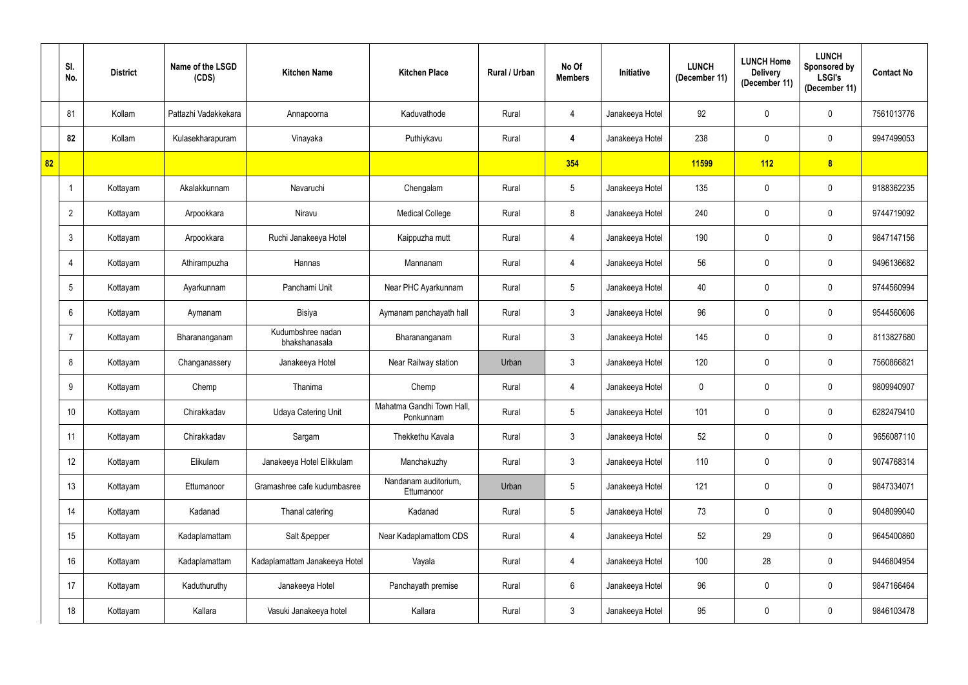|    | SI.<br>No.      | <b>District</b> | Name of the LSGD<br>(CDS) | <b>Kitchen Name</b>                | <b>Kitchen Place</b>                   | Rural / Urban | No Of<br><b>Members</b> | Initiative      | <b>LUNCH</b><br>(December 11) | <b>LUNCH Home</b><br><b>Delivery</b><br>(December 11) | <b>LUNCH</b><br><b>Sponsored by</b><br><b>LSGI's</b><br>(December 11) | <b>Contact No</b> |
|----|-----------------|-----------------|---------------------------|------------------------------------|----------------------------------------|---------------|-------------------------|-----------------|-------------------------------|-------------------------------------------------------|-----------------------------------------------------------------------|-------------------|
|    | 81              | Kollam          | Pattazhi Vadakkekara      | Annapoorna                         | Kaduvathode                            | Rural         | 4                       | Janakeeya Hotel | 92                            | $\mathbf 0$                                           | $\mathbf 0$                                                           | 7561013776        |
|    | 82              | Kollam          | Kulasekharapuram          | Vinayaka                           | Puthiykavu                             | Rural         | 4                       | Janakeeya Hotel | 238                           | $\mathbf 0$                                           | $\mathbf 0$                                                           | 9947499053        |
| 82 |                 |                 |                           |                                    |                                        |               | 354                     |                 | <b>11599</b>                  | 112                                                   | $\boldsymbol{8}$                                                      |                   |
|    |                 | Kottayam        | Akalakkunnam              | Navaruchi                          | Chengalam                              | Rural         | $5\phantom{.0}$         | Janakeeya Hotel | 135                           | 0                                                     | $\pmb{0}$                                                             | 9188362235        |
|    | $\overline{2}$  | Kottayam        | Arpookkara                | Niravu                             | <b>Medical College</b>                 | Rural         | 8                       | Janakeeya Hotel | 240                           | 0                                                     | $\mathbf 0$                                                           | 9744719092        |
|    | $\mathbf{3}$    | Kottayam        | Arpookkara                | Ruchi Janakeeya Hotel              | Kaippuzha mutt                         | Rural         | 4                       | Janakeeya Hotel | 190                           | 0                                                     | $\mathbf 0$                                                           | 9847147156        |
|    | 4               | Kottayam        | Athirampuzha              | Hannas                             | Mannanam                               | Rural         | $\overline{4}$          | Janakeeya Hotel | 56                            | $\mathbf 0$                                           | $\mathbf 0$                                                           | 9496136682        |
|    | $5\overline{)}$ | Kottayam        | Ayarkunnam                | Panchami Unit                      | Near PHC Ayarkunnam                    | Rural         | $5\phantom{.0}$         | Janakeeya Hotel | 40                            | 0                                                     | $\mathbf 0$                                                           | 9744560994        |
|    | 6               | Kottayam        | Aymanam                   | Bisiya                             | Aymanam panchayath hall                | Rural         | $3\phantom{.0}$         | Janakeeya Hotel | 96                            | 0                                                     | $\mathbf 0$                                                           | 9544560606        |
|    | -7              | Kottayam        | Bharananganam             | Kudumbshree nadan<br>bhakshanasala | Bharananganam                          | Rural         | $\mathbf{3}$            | Janakeeya Hotel | 145                           | 0                                                     | $\mathbf 0$                                                           | 8113827680        |
|    | 8               | Kottayam        | Changanassery             | Janakeeya Hotel                    | Near Railway station                   | Urban         | $\mathbf{3}$            | Janakeeya Hotel | 120                           | 0                                                     | $\mathbf 0$                                                           | 7560866821        |
|    | 9               | Kottayam        | Chemp                     | Thanima                            | Chemp                                  | Rural         | 4                       | Janakeeya Hotel | $\mathbf 0$                   | $\mathbf 0$                                           | $\mathbf 0$                                                           | 9809940907        |
|    | 10 <sup>°</sup> | Kottayam        | Chirakkadav               | <b>Udaya Catering Unit</b>         | Mahatma Gandhi Town Hall,<br>Ponkunnam | Rural         | $5\phantom{.0}$         | Janakeeya Hotel | 101                           | $\mathbf 0$                                           | $\mathbf 0$                                                           | 6282479410        |
|    | 11              | Kottayam        | Chirakkadav               | Sargam                             | Thekkethu Kavala                       | Rural         | $3\phantom{.0}$         | Janakeeya Hotel | 52                            | $\mathbf 0$                                           | $\pmb{0}$                                                             | 9656087110        |
|    | 12              | Kottayam        | Elikulam                  | Janakeeya Hotel Elikkulam          | Manchakuzhy                            | Rural         | $3\phantom{.0}$         | Janakeeya Hotel | 110                           | $\pmb{0}$                                             | $\pmb{0}$                                                             | 9074768314        |
|    | 13              | Kottayam        | Ettumanoor                | Gramashree cafe kudumbasree        | Nandanam auditorium,<br>Ettumanoor     | Urban         | $5\phantom{.0}$         | Janakeeya Hotel | 121                           | $\mathbf 0$                                           | $\pmb{0}$                                                             | 9847334071        |
|    | 14              | Kottayam        | Kadanad                   | Thanal catering                    | Kadanad                                | Rural         | $5\phantom{.0}$         | Janakeeya Hotel | 73                            | 0                                                     | $\pmb{0}$                                                             | 9048099040        |
|    | 15              | Kottayam        | Kadaplamattam             | Salt &pepper                       | Near Kadaplamattom CDS                 | Rural         | 4                       | Janakeeya Hotel | 52                            | 29                                                    | $\pmb{0}$                                                             | 9645400860        |
|    | 16              | Kottayam        | Kadaplamattam             | Kadaplamattam Janakeeya Hotel      | Vayala                                 | Rural         | 4                       | Janakeeya Hotel | 100                           | 28                                                    | $\pmb{0}$                                                             | 9446804954        |
|    | 17              | Kottayam        | Kaduthuruthy              | Janakeeya Hotel                    | Panchayath premise                     | Rural         | $6\phantom{.0}$         | Janakeeya Hotel | 96                            | 0                                                     | $\pmb{0}$                                                             | 9847166464        |
|    | 18              | Kottayam        | Kallara                   | Vasuki Janakeeya hotel             | Kallara                                | Rural         | $\mathbf{3}$            | Janakeeya Hotel | 95                            | 0                                                     | $\pmb{0}$                                                             | 9846103478        |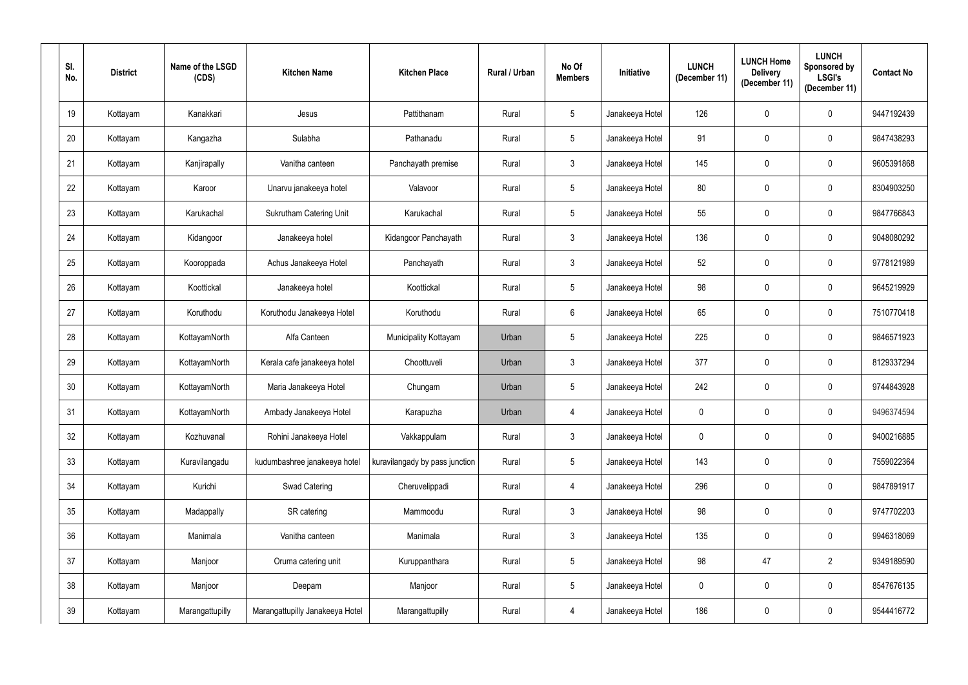| SI.<br>No.      | <b>District</b> | Name of the LSGD<br>(CDS) | <b>Kitchen Name</b>             | <b>Kitchen Place</b>           | Rural / Urban | No Of<br><b>Members</b> | Initiative      | <b>LUNCH</b><br>(December 11) | <b>LUNCH Home</b><br><b>Delivery</b><br>(December 11) | <b>LUNCH</b><br>Sponsored by<br><b>LSGI's</b><br>(December 11) | <b>Contact No</b> |
|-----------------|-----------------|---------------------------|---------------------------------|--------------------------------|---------------|-------------------------|-----------------|-------------------------------|-------------------------------------------------------|----------------------------------------------------------------|-------------------|
| 19              | Kottayam        | Kanakkari                 | Jesus                           | Pattithanam                    | Rural         | $5\overline{)}$         | Janakeeya Hotel | 126                           | 0                                                     | $\mathbf 0$                                                    | 9447192439        |
| 20              | Kottayam        | Kangazha                  | Sulabha                         | Pathanadu                      | Rural         | $5\phantom{.0}$         | Janakeeya Hotel | 91                            | 0                                                     | $\pmb{0}$                                                      | 9847438293        |
| 21              | Kottayam        | Kanjirapally              | Vanitha canteen                 | Panchayath premise             | Rural         | $\mathbf{3}$            | Janakeeya Hotel | 145                           | 0                                                     | $\mathbf 0$                                                    | 9605391868        |
| 22              | Kottayam        | Karoor                    | Unarvu janakeeya hotel          | Valavoor                       | Rural         | $5\phantom{.0}$         | Janakeeya Hotel | 80                            | 0                                                     | $\pmb{0}$                                                      | 8304903250        |
| 23              | Kottayam        | Karukachal                | <b>Sukrutham Catering Unit</b>  | Karukachal                     | Rural         | $5\phantom{.0}$         | Janakeeya Hotel | 55                            | 0                                                     | $\mathbf 0$                                                    | 9847766843        |
| 24              | Kottayam        | Kidangoor                 | Janakeeya hotel                 | Kidangoor Panchayath           | Rural         | $\mathbf{3}$            | Janakeeya Hotel | 136                           | 0                                                     | $\pmb{0}$                                                      | 9048080292        |
| 25              | Kottayam        | Kooroppada                | Achus Janakeeya Hotel           | Panchayath                     | Rural         | $\mathbf{3}$            | Janakeeya Hotel | 52                            | $\mathbf 0$                                           | $\mathbf 0$                                                    | 9778121989        |
| 26              | Kottayam        | Koottickal                | Janakeeya hotel                 | Koottickal                     | Rural         | $5\phantom{.0}$         | Janakeeya Hotel | 98                            | 0                                                     | $\mathbf 0$                                                    | 9645219929        |
| 27              | Kottayam        | Koruthodu                 | Koruthodu Janakeeya Hotel       | Koruthodu                      | Rural         | $6\overline{6}$         | Janakeeya Hotel | 65                            | 0                                                     | $\pmb{0}$                                                      | 7510770418        |
| 28              | Kottayam        | KottayamNorth             | Alfa Canteen                    | Municipality Kottayam          | Urban         | 5 <sup>5</sup>          | Janakeeya Hotel | 225                           | 0                                                     | $\mathbf 0$                                                    | 9846571923        |
| 29              | Kottayam        | KottayamNorth             | Kerala cafe janakeeya hotel     | Choottuveli                    | Urban         | $\mathbf{3}$            | Janakeeya Hotel | 377                           | 0                                                     | $\pmb{0}$                                                      | 8129337294        |
| 30 <sup>°</sup> | Kottayam        | KottayamNorth             | Maria Janakeeya Hotel           | Chungam                        | Urban         | 5 <sup>5</sup>          | Janakeeya Hotel | 242                           | 0                                                     | $\mathbf 0$                                                    | 9744843928        |
| 31              | Kottayam        | KottayamNorth             | Ambady Janakeeya Hotel          | Karapuzha                      | Urban         | 4                       | Janakeeya Hotel | $\mathbf 0$                   | $\mathbf 0$                                           | $\mathbf 0$                                                    | 9496374594        |
| 32              | Kottayam        | Kozhuvanal                | Rohini Janakeeya Hotel          | Vakkappulam                    | Rural         | $3\overline{3}$         | Janakeeya Hotel | $\pmb{0}$                     | 0                                                     | $\mathbf 0$                                                    | 9400216885        |
| 33              | Kottayam        | Kuravilangadu             | kudumbashree janakeeya hotel    | kuravilangady by pass junction | Rural         | $5\phantom{.0}$         | Janakeeya Hotel | 143                           | $\pmb{0}$                                             | $\mathbf 0$                                                    | 7559022364        |
| 34              | Kottayam        | Kurichi                   | Swad Catering                   | Cheruvelippadi                 | Rural         | $\overline{4}$          | Janakeeya Hotel | 296                           | $\pmb{0}$                                             | $\pmb{0}$                                                      | 9847891917        |
| 35              | Kottayam        | Madappally                | SR catering                     | Mammoodu                       | Rural         | 3 <sup>1</sup>          | Janakeeya Hotel | 98                            | 0                                                     | $\mathbf 0$                                                    | 9747702203        |
| 36              | Kottayam        | Manimala                  | Vanitha canteen                 | Manimala                       | Rural         | 3 <sup>1</sup>          | Janakeeya Hotel | 135                           | $\pmb{0}$                                             | $\mathbf 0$                                                    | 9946318069        |
| $37\,$          | Kottayam        | Manjoor                   | Oruma catering unit             | Kuruppanthara                  | Rural         | $5\phantom{.0}$         | Janakeeya Hotel | 98                            | 47                                                    | $\mathbf{2}$                                                   | 9349189590        |
| 38              | Kottayam        | Manjoor                   | Deepam                          | Manjoor                        | Rural         | $5\phantom{.0}$         | Janakeeya Hotel | $\mathbf 0$                   | 0                                                     | $\mathbf 0$                                                    | 8547676135        |
| 39              | Kottayam        | Marangattupilly           | Marangattupilly Janakeeya Hotel | Marangattupilly                | Rural         | $\overline{4}$          | Janakeeya Hotel | 186                           | $\pmb{0}$                                             | $\bf{0}$                                                       | 9544416772        |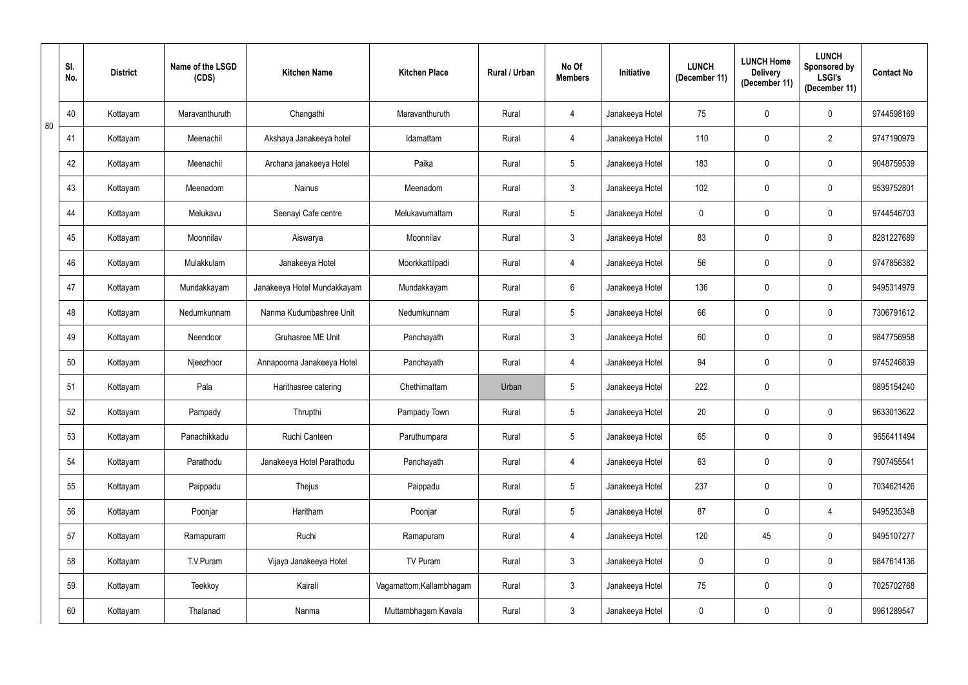|    | SI.<br>No. | <b>District</b> | Name of the LSGD<br>(CDS) | <b>Kitchen Name</b>         | <b>Kitchen Place</b>     | <b>Rural / Urban</b> | No Of<br><b>Members</b> | Initiative      | <b>LUNCH</b><br>(December 11) | <b>LUNCH Home</b><br><b>Delivery</b><br>(December 11) | <b>LUNCH</b><br>Sponsored by<br><b>LSGI's</b><br>(December 11) | <b>Contact No</b> |
|----|------------|-----------------|---------------------------|-----------------------------|--------------------------|----------------------|-------------------------|-----------------|-------------------------------|-------------------------------------------------------|----------------------------------------------------------------|-------------------|
|    | 40         | Kottayam        | Maravanthuruth            | Changathi                   | Maravanthuruth           | Rural                | 4                       | Janakeeya Hotel | 75                            | $\mathbf 0$                                           | $\mathbf 0$                                                    | 9744598169        |
| 80 | 41         | Kottayam        | Meenachil                 | Akshaya Janakeeya hotel     | Idamattam                | Rural                | $\overline{4}$          | Janakeeya Hotel | 110                           | $\mathbf 0$                                           | $\overline{2}$                                                 | 9747190979        |
|    | 42         | Kottayam        | Meenachil                 | Archana janakeeya Hotel     | Paika                    | Rural                | $5\phantom{.0}$         | Janakeeya Hotel | 183                           | $\mathbf 0$                                           | $\mathbf 0$                                                    | 9048759539        |
|    | 43         | Kottayam        | Meenadom                  | <b>Nainus</b>               | Meenadom                 | Rural                | $\mathfrak{Z}$          | Janakeeya Hotel | 102                           | 0                                                     | $\mathbf 0$                                                    | 9539752801        |
|    | 44         | Kottayam        | Melukavu                  | Seenayi Cafe centre         | Melukavumattam           | Rural                | $5\overline{)}$         | Janakeeya Hotel | $\overline{0}$                | $\mathbf 0$                                           | $\mathbf 0$                                                    | 9744546703        |
|    | 45         | Kottayam        | Moonnilav                 | Aiswarya                    | Moonnilav                | Rural                | $\mathbf{3}$            | Janakeeya Hotel | 83                            | $\mathbf 0$                                           | $\mathbf 0$                                                    | 8281227689        |
|    | 46         | Kottayam        | Mulakkulam                | Janakeeya Hotel             | Moorkkattilpadi          | Rural                | $\overline{4}$          | Janakeeya Hotel | 56                            | $\mathbf 0$                                           | $\mathbf 0$                                                    | 9747856382        |
|    | 47         | Kottayam        | Mundakkayam               | Janakeeya Hotel Mundakkayam | Mundakkayam              | Rural                | 6                       | Janakeeya Hotel | 136                           | $\mathbf 0$                                           | $\mathbf 0$                                                    | 9495314979        |
|    | 48         | Kottayam        | Nedumkunnam               | Nanma Kudumbashree Unit     | Nedumkunnam              | Rural                | $5\phantom{.0}$         | Janakeeya Hotel | 66                            | 0                                                     | $\mathbf 0$                                                    | 7306791612        |
|    | 49         | Kottayam        | Neendoor                  | <b>Gruhasree ME Unit</b>    | Panchayath               | Rural                | $\mathbf{3}$            | Janakeeya Hotel | 60                            | 0                                                     | $\mathbf 0$                                                    | 9847756958        |
|    | 50         | Kottayam        | Njeezhoor                 | Annapoorna Janakeeya Hotel  | Panchayath               | Rural                | 4                       | Janakeeya Hotel | 94                            | $\mathbf 0$                                           | $\mathbf 0$                                                    | 9745246839        |
|    | 51         | Kottayam        | Pala                      | Harithasree catering        | Chethimattam             | Urban                | $5\phantom{.0}$         | Janakeeya Hotel | 222                           | 0                                                     |                                                                | 9895154240        |
|    | 52         | Kottayam        | Pampady                   | Thrupthi                    | Pampady Town             | Rural                | $5\phantom{.0}$         | Janakeeya Hotel | 20                            | $\mathbf 0$                                           | $\mathbf 0$                                                    | 9633013622        |
|    | 53         | Kottayam        | Panachikkadu              | Ruchi Canteen               | Paruthumpara             | Rural                | $5\phantom{.0}$         | Janakeeya Hotel | 65                            | $\mathbf 0$                                           | $\pmb{0}$                                                      | 9656411494        |
|    | 54         | Kottayam        | Parathodu                 | Janakeeya Hotel Parathodu   | Panchayath               | Rural                | $\overline{4}$          | Janakeeya Hotel | 63                            | $\pmb{0}$                                             | $\pmb{0}$                                                      | 7907455541        |
|    | 55         | Kottayam        | Paippadu                  | Thejus                      | Paippadu                 | Rural                | $5\phantom{.0}$         | Janakeeya Hotel | 237                           | $\mathbf 0$                                           | $\pmb{0}$                                                      | 7034621426        |
|    | 56         | Kottayam        | Poonjar                   | Haritham                    | Poonjar                  | Rural                | $5\phantom{.0}$         | Janakeeya Hotel | 87                            | $\mathbf 0$                                           | $\overline{4}$                                                 | 9495235348        |
|    | 57         | Kottayam        | Ramapuram                 | Ruchi                       | Ramapuram                | Rural                | $\overline{4}$          | Janakeeya Hotel | 120                           | 45                                                    | $\pmb{0}$                                                      | 9495107277        |
|    | 58         | Kottayam        | T.V.Puram                 | Vijaya Janakeeya Hotel      | TV Puram                 | Rural                | $\mathbf{3}$            | Janakeeya Hotel | $\mathbf 0$                   | $\mathbf 0$                                           | $\pmb{0}$                                                      | 9847614136        |
|    | 59         | Kottayam        | Teekkoy                   | Kairali                     | Vagamattom, Kallambhagam | Rural                | $\mathfrak{Z}$          | Janakeeya Hotel | 75                            | $\pmb{0}$                                             | $\pmb{0}$                                                      | 7025702768        |
|    | 60         | Kottayam        | Thalanad                  | Nanma                       | Muttambhagam Kavala      | Rural                | $\mathbf{3}$            | Janakeeya Hotel | $\mathbf 0$                   | $\pmb{0}$                                             | $\pmb{0}$                                                      | 9961289547        |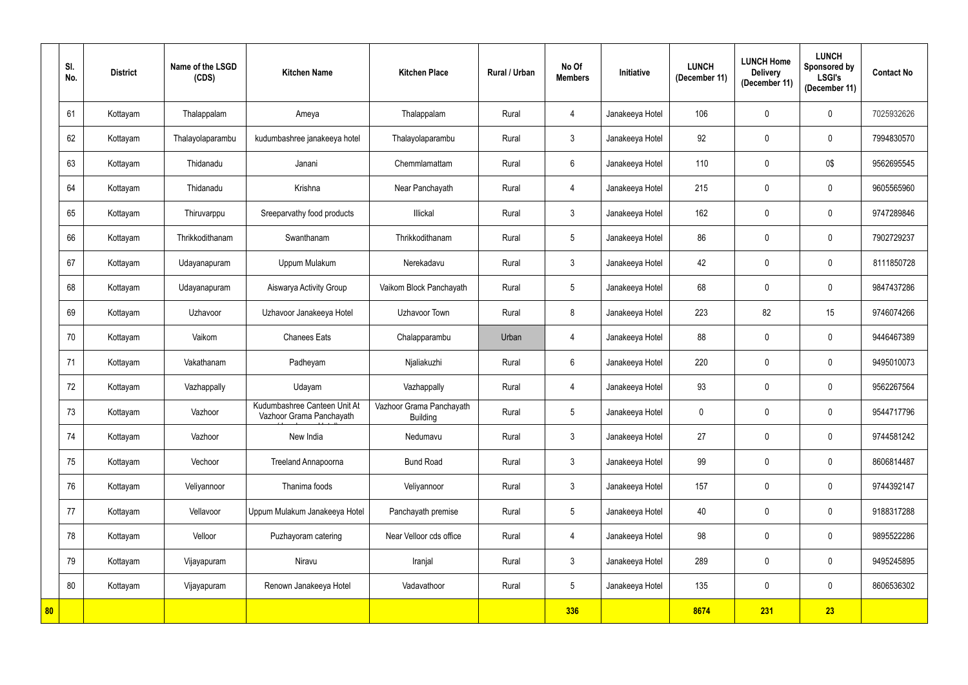|    | SI.<br>No. | <b>District</b> | Name of the LSGD<br>(CDS) | <b>Kitchen Name</b>                                      | <b>Kitchen Place</b>                        | Rural / Urban | No Of<br><b>Members</b> | Initiative      | <b>LUNCH</b><br>(December 11) | <b>LUNCH Home</b><br><b>Delivery</b><br>(December 11) | <b>LUNCH</b><br>Sponsored by<br><b>LSGI's</b><br>(December 11) | <b>Contact No</b> |
|----|------------|-----------------|---------------------------|----------------------------------------------------------|---------------------------------------------|---------------|-------------------------|-----------------|-------------------------------|-------------------------------------------------------|----------------------------------------------------------------|-------------------|
|    | 61         | Kottayam        | Thalappalam               | Ameya                                                    | Thalappalam                                 | Rural         | 4                       | Janakeeya Hotel | 106                           | $\mathbf 0$                                           | $\mathbf 0$                                                    | 7025932626        |
|    | 62         | Kottayam        | Thalayolaparambu          | kudumbashree janakeeya hotel                             | Thalayolaparambu                            | Rural         | 3 <sup>1</sup>          | Janakeeya Hotel | 92                            | $\mathbf 0$                                           | $\mathbf 0$                                                    | 7994830570        |
|    | 63         | Kottayam        | Thidanadu                 | Janani                                                   | Chemmlamattam                               | Rural         | $6\phantom{.}6$         | Janakeeya Hotel | 110                           | 0                                                     | $0\$                                                           | 9562695545        |
|    | 64         | Kottayam        | Thidanadu                 | Krishna                                                  | Near Panchayath                             | Rural         | 4                       | Janakeeya Hotel | 215                           | $\pmb{0}$                                             | $\pmb{0}$                                                      | 9605565960        |
|    | 65         | Kottayam        | Thiruvarppu               | Sreeparvathy food products                               | Illickal                                    | Rural         | $\mathbf{3}$            | Janakeeya Hotel | 162                           | $\mathbf 0$                                           | $\mathbf 0$                                                    | 9747289846        |
|    | 66         | Kottayam        | Thrikkodithanam           | Swanthanam                                               | Thrikkodithanam                             | Rural         | $5\phantom{.0}$         | Janakeeya Hotel | 86                            | $\mathbf 0$                                           | $\mathbf 0$                                                    | 7902729237        |
|    | 67         | Kottayam        | Udayanapuram              | Uppum Mulakum                                            | Nerekadavu                                  | Rural         | $\mathbf{3}$            | Janakeeya Hotel | 42                            | 0                                                     | $\mathbf 0$                                                    | 8111850728        |
|    | 68         | Kottayam        | Udayanapuram              | Aiswarya Activity Group                                  | Vaikom Block Panchayath                     | Rural         | 5                       | Janakeeya Hotel | 68                            | $\mathbf 0$                                           | $\mathbf 0$                                                    | 9847437286        |
|    | 69         | Kottayam        | Uzhavoor                  | Uzhavoor Janakeeya Hotel                                 | Uzhavoor Town                               | Rural         | 8                       | Janakeeya Hotel | 223                           | 82                                                    | 15                                                             | 9746074266        |
|    | 70         | Kottayam        | Vaikom                    | <b>Chanees Eats</b>                                      | Chalapparambu                               | Urban         | 4                       | Janakeeya Hotel | 88                            | 0                                                     | $\mathbf 0$                                                    | 9446467389        |
|    | 71         | Kottayam        | Vakathanam                | Padheyam                                                 | Njaliakuzhi                                 | Rural         | 6                       | Janakeeya Hotel | 220                           | $\pmb{0}$                                             | $\mathbf 0$                                                    | 9495010073        |
|    | 72         | Kottayam        | Vazhappally               | Udayam                                                   | Vazhappally                                 | Rural         | 4                       | Janakeeya Hotel | 93                            | 0                                                     | $\mathbf 0$                                                    | 9562267564        |
|    | 73         | Kottayam        | Vazhoor                   | Kudumbashree Canteen Unit At<br>Vazhoor Grama Panchayath | Vazhoor Grama Panchayath<br><b>Building</b> | Rural         | $5\overline{)}$         | Janakeeya Hotel | $\mathbf 0$                   | $\mathbf 0$                                           | $\mathbf 0$                                                    | 9544717796        |
|    | 74         | Kottayam        | Vazhoor                   | New India                                                | Nedumavu                                    | Rural         | 3 <sup>1</sup>          | Janakeeya Hotel | 27                            | $\mathbf 0$                                           | $\pmb{0}$                                                      | 9744581242        |
|    | 75         | Kottayam        | Vechoor                   | Treeland Annapoorna                                      | <b>Bund Road</b>                            | Rural         | 3 <sup>1</sup>          | Janakeeya Hotel | 99                            | $\pmb{0}$                                             | $\pmb{0}$                                                      | 8606814487        |
|    | 76         | Kottayam        | Veliyannoor               | Thanima foods                                            | Veliyannoor                                 | Rural         | 3 <sup>1</sup>          | Janakeeya Hotel | 157                           | $\mathbf 0$                                           | $\pmb{0}$                                                      | 9744392147        |
|    | 77         | Kottayam        | Vellavoor                 | Uppum Mulakum Janakeeya Hotel                            | Panchayath premise                          | Rural         | $5\overline{)}$         | Janakeeya Hotel | 40                            | $\mathbf 0$                                           | $\pmb{0}$                                                      | 9188317288        |
|    | 78         | Kottayam        | Velloor                   | Puzhayoram catering                                      | Near Velloor cds office                     | Rural         | $\overline{4}$          | Janakeeya Hotel | 98                            | $\overline{0}$                                        | $\pmb{0}$                                                      | 9895522286        |
|    | 79         | Kottayam        | Vijayapuram               | Niravu                                                   | Iranjal                                     | Rural         | $\mathbf{3}$            | Janakeeya Hotel | 289                           | $\overline{0}$                                        | $\pmb{0}$                                                      | 9495245895        |
|    | 80         | Kottayam        | Vijayapuram               | Renown Janakeeya Hotel                                   | Vadavathoor                                 | Rural         | $5\overline{)}$         | Janakeeya Hotel | 135                           | $\pmb{0}$                                             | $\pmb{0}$                                                      | 8606536302        |
| 80 |            |                 |                           |                                                          |                                             |               | 336                     |                 | 8674                          | 231                                                   | 23                                                             |                   |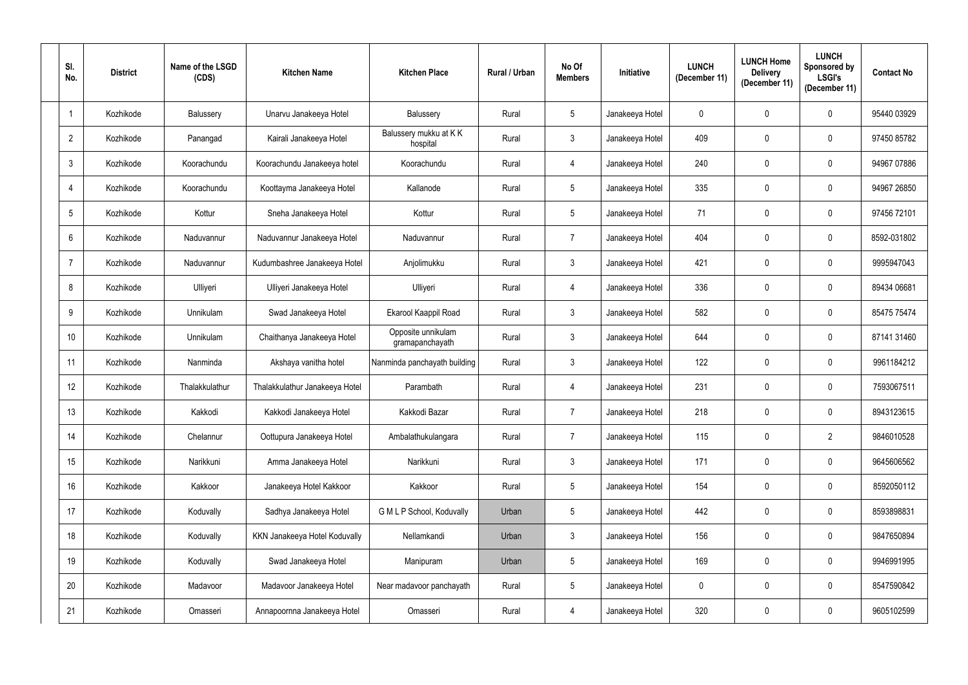| SI.<br>No.      | <b>District</b> | Name of the LSGD<br>(CDS) | <b>Kitchen Name</b>            | <b>Kitchen Place</b>                  | Rural / Urban | No Of<br><b>Members</b> | <b>Initiative</b> | <b>LUNCH</b><br>(December 11) | <b>LUNCH Home</b><br><b>Delivery</b><br>(December 11) | <b>LUNCH</b><br>Sponsored by<br><b>LSGI's</b><br>(December 11) | <b>Contact No</b> |
|-----------------|-----------------|---------------------------|--------------------------------|---------------------------------------|---------------|-------------------------|-------------------|-------------------------------|-------------------------------------------------------|----------------------------------------------------------------|-------------------|
| $\mathbf{1}$    | Kozhikode       | Balussery                 | Unarvu Janakeeya Hotel         | Balussery                             | Rural         | 5 <sup>5</sup>          | Janakeeya Hotel   | $\mathbf 0$                   | 0                                                     | $\mathbf 0$                                                    | 95440 03929       |
| $\overline{2}$  | Kozhikode       | Panangad                  | Kairali Janakeeya Hotel        | Balussery mukku at KK<br>hospital     | Rural         | 3 <sup>1</sup>          | Janakeeya Hotel   | 409                           | 0                                                     | $\pmb{0}$                                                      | 97450 85782       |
| $\mathfrak{Z}$  | Kozhikode       | Koorachundu               | Koorachundu Janakeeya hotel    | Koorachundu                           | Rural         | 4                       | Janakeeya Hotel   | 240                           | 0                                                     | $\mathbf 0$                                                    | 94967 07886       |
| $\overline{4}$  | Kozhikode       | Koorachundu               | Koottayma Janakeeya Hotel      | Kallanode                             | Rural         | 5 <sup>5</sup>          | Janakeeya Hotel   | 335                           | 0                                                     | $\pmb{0}$                                                      | 94967 26850       |
| 5               | Kozhikode       | Kottur                    | Sneha Janakeeya Hotel          | Kottur                                | Rural         | 5 <sup>5</sup>          | Janakeeya Hotel   | 71                            | 0                                                     | $\mathbf 0$                                                    | 97456 72101       |
| $6\phantom{.}$  | Kozhikode       | Naduvannur                | Naduvannur Janakeeya Hotel     | Naduvannur                            | Rural         | $\overline{7}$          | Janakeeya Hotel   | 404                           | 0                                                     | $\mathbf 0$                                                    | 8592-031802       |
| $\overline{7}$  | Kozhikode       | Naduvannur                | Kudumbashree Janakeeya Hotel   | Anjolimukku                           | Rural         | 3 <sup>1</sup>          | Janakeeya Hotel   | 421                           | $\mathbf 0$                                           | $\mathbf 0$                                                    | 9995947043        |
| 8               | Kozhikode       | Ulliyeri                  | Ulliyeri Janakeeya Hotel       | Ulliyeri                              | Rural         | 4                       | Janakeeya Hotel   | 336                           | 0                                                     | $\mathbf 0$                                                    | 89434 06681       |
| 9               | Kozhikode       | Unnikulam                 | Swad Janakeeya Hotel           | Ekarool Kaappil Road                  | Rural         | 3 <sup>1</sup>          | Janakeeya Hotel   | 582                           | 0                                                     | $\mathbf 0$                                                    | 85475 75474       |
| 10 <sup>°</sup> | Kozhikode       | Unnikulam                 | Chaithanya Janakeeya Hotel     | Opposite unnikulam<br>gramapanchayath | Rural         | 3 <sup>1</sup>          | Janakeeya Hotel   | 644                           | 0                                                     | $\mathbf 0$                                                    | 87141 31460       |
| 11              | Kozhikode       | Nanminda                  | Akshaya vanitha hotel          | Nanminda panchayath building          | Rural         | 3 <sup>1</sup>          | Janakeeya Hotel   | 122                           | 0                                                     | $\mathbf 0$                                                    | 9961184212        |
| 12              | Kozhikode       | Thalakkulathur            | Thalakkulathur Janakeeya Hotel | Parambath                             | Rural         | $\overline{4}$          | Janakeeya Hotel   | 231                           | 0                                                     | $\mathbf 0$                                                    | 7593067511        |
| 13              | Kozhikode       | Kakkodi                   | Kakkodi Janakeeya Hotel        | Kakkodi Bazar                         | Rural         | 7                       | Janakeeya Hotel   | 218                           | $\mathbf{0}$                                          | $\mathbf 0$                                                    | 8943123615        |
| 14              | Kozhikode       | Chelannur                 | Oottupura Janakeeya Hotel      | Ambalathukulangara                    | Rural         | $\overline{7}$          | Janakeeya Hotel   | 115                           | 0                                                     | $\overline{2}$                                                 | 9846010528        |
| 15              | Kozhikode       | Narikkuni                 | Amma Janakeeya Hotel           | Narikkuni                             | Rural         | $\mathfrak{Z}$          | Janakeeya Hotel   | 171                           | $\pmb{0}$                                             | $\pmb{0}$                                                      | 9645606562        |
| 16              | Kozhikode       | Kakkoor                   | Janakeeya Hotel Kakkoor        | Kakkoor                               | Rural         | 5 <sub>5</sub>          | Janakeeya Hotel   | 154                           | 0                                                     | $\pmb{0}$                                                      | 8592050112        |
| 17              | Kozhikode       | Koduvally                 | Sadhya Janakeeya Hotel         | G M L P School, Koduvally             | Urban         | 5 <sub>5</sub>          | Janakeeya Hotel   | 442                           | 0                                                     | $\mathbf 0$                                                    | 8593898831        |
| 18              | Kozhikode       | Koduvally                 | KKN Janakeeya Hotel Koduvally  | Nellamkandi                           | Urban         | 3 <sup>1</sup>          | Janakeeya Hotel   | 156                           | 0                                                     | $\pmb{0}$                                                      | 9847650894        |
| 19              | Kozhikode       | Koduvally                 | Swad Janakeeya Hotel           | Manipuram                             | Urban         | 5 <sub>5</sub>          | Janakeeya Hotel   | 169                           | $\pmb{0}$                                             | $\pmb{0}$                                                      | 9946991995        |
| 20              | Kozhikode       | Madavoor                  | Madavoor Janakeeya Hotel       | Near madavoor panchayath              | Rural         | $5\phantom{.0}$         | Janakeeya Hotel   | $\mathbf 0$                   | 0                                                     | $\mathbf 0$                                                    | 8547590842        |
| 21              | Kozhikode       | Omasseri                  | Annapoornna Janakeeya Hotel    | Omasseri                              | Rural         | $\overline{4}$          | Janakeeya Hotel   | 320                           | 0                                                     | $\pmb{0}$                                                      | 9605102599        |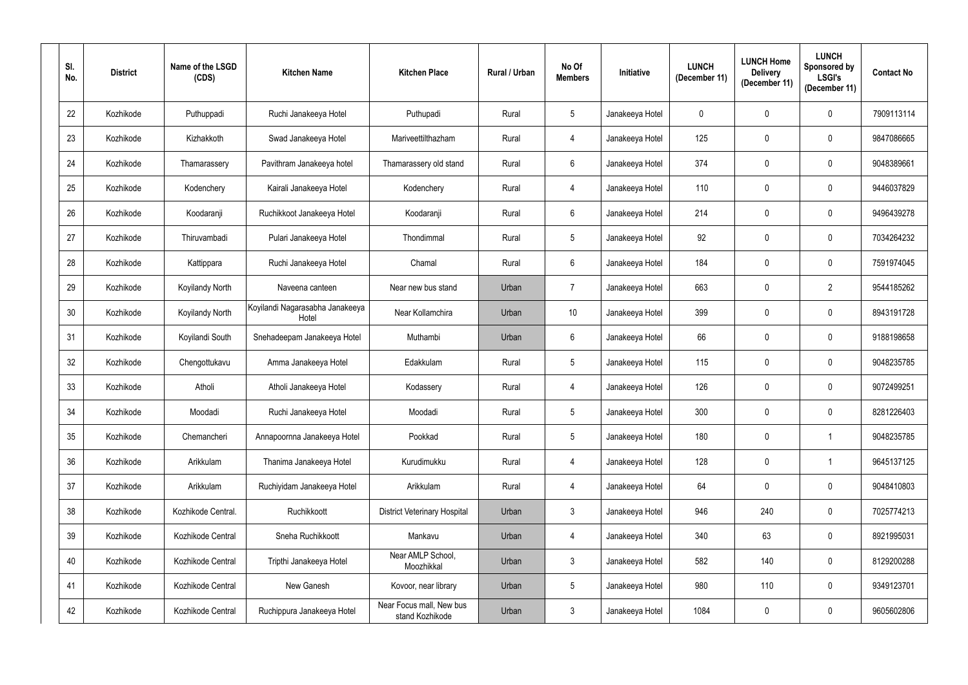| SI.<br>No.      | <b>District</b> | Name of the LSGD<br>(CDS) | <b>Kitchen Name</b>                      | <b>Kitchen Place</b>                        | Rural / Urban | No Of<br><b>Members</b> | Initiative      | <b>LUNCH</b><br>(December 11) | <b>LUNCH Home</b><br><b>Delivery</b><br>(December 11) | <b>LUNCH</b><br>Sponsored by<br><b>LSGI's</b><br>(December 11) | <b>Contact No</b> |
|-----------------|-----------------|---------------------------|------------------------------------------|---------------------------------------------|---------------|-------------------------|-----------------|-------------------------------|-------------------------------------------------------|----------------------------------------------------------------|-------------------|
| 22              | Kozhikode       | Puthuppadi                | Ruchi Janakeeya Hotel                    | Puthupadi                                   | Rural         | $5\overline{)}$         | Janakeeya Hotel | $\mathbf 0$                   | 0                                                     | $\mathbf 0$                                                    | 7909113114        |
| 23              | Kozhikode       | Kizhakkoth                | Swad Janakeeya Hotel                     | Mariveettilthazham                          | Rural         | 4                       | Janakeeya Hotel | 125                           | $\mathbf 0$                                           | $\mathbf 0$                                                    | 9847086665        |
| 24              | Kozhikode       | Thamarassery              | Pavithram Janakeeya hotel                | Thamarassery old stand                      | Rural         | 6                       | Janakeeya Hotel | 374                           | 0                                                     | $\mathbf 0$                                                    | 9048389661        |
| 25              | Kozhikode       | Kodenchery                | Kairali Janakeeya Hotel                  | Kodenchery                                  | Rural         | 4                       | Janakeeya Hotel | 110                           | 0                                                     | $\pmb{0}$                                                      | 9446037829        |
| 26              | Kozhikode       | Koodaranji                | Ruchikkoot Janakeeya Hotel               | Koodaranji                                  | Rural         | $6^{\circ}$             | Janakeeya Hotel | 214                           | 0                                                     | $\mathbf 0$                                                    | 9496439278        |
| 27              | Kozhikode       | Thiruvambadi              | Pulari Janakeeya Hotel                   | Thondimmal                                  | Rural         | $5\overline{)}$         | Janakeeya Hotel | 92                            | 0                                                     | $\mathbf 0$                                                    | 7034264232        |
| 28              | Kozhikode       | Kattippara                | Ruchi Janakeeya Hotel                    | Chamal                                      | Rural         | $6^{\circ}$             | Janakeeya Hotel | 184                           | $\mathbf 0$                                           | $\mathbf 0$                                                    | 7591974045        |
| 29              | Kozhikode       | <b>Koyilandy North</b>    | Naveena canteen                          | Near new bus stand                          | Urban         | $\overline{7}$          | Janakeeya Hotel | 663                           | 0                                                     | $\overline{2}$                                                 | 9544185262        |
| 30 <sup>°</sup> | Kozhikode       | Koyilandy North           | Koyilandi Nagarasabha Janakeeya<br>Hotel | Near Kollamchira                            | Urban         | 10                      | Janakeeya Hotel | 399                           | 0                                                     | $\mathbf 0$                                                    | 8943191728        |
| 31              | Kozhikode       | Koyilandi South           | Snehadeepam Janakeeya Hotel              | Muthambi                                    | Urban         | $6^{\circ}$             | Janakeeya Hotel | 66                            | 0                                                     | $\mathbf 0$                                                    | 9188198658        |
| 32              | Kozhikode       | Chengottukavu             | Amma Janakeeya Hotel                     | Edakkulam                                   | Rural         | 5 <sub>5</sub>          | Janakeeya Hotel | 115                           | 0                                                     | $\mathbf 0$                                                    | 9048235785        |
| 33              | Kozhikode       | Atholi                    | Atholi Janakeeya Hotel                   | Kodassery                                   | Rural         | $\overline{4}$          | Janakeeya Hotel | 126                           | 0                                                     | $\mathbf 0$                                                    | 9072499251        |
| 34              | Kozhikode       | Moodadi                   | Ruchi Janakeeya Hotel                    | Moodadi                                     | Rural         | $5\overline{)}$         | Janakeeya Hotel | 300                           | $\mathbf{0}$                                          | $\mathbf 0$                                                    | 8281226403        |
| 35              | Kozhikode       | Chemancheri               | Annapoornna Janakeeya Hotel              | Pookkad                                     | Rural         | $5\phantom{.0}$         | Janakeeya Hotel | 180                           | $\mathbf 0$                                           | $\overline{1}$                                                 | 9048235785        |
| 36              | Kozhikode       | Arikkulam                 | Thanima Janakeeya Hotel                  | Kurudimukku                                 | Rural         | $\overline{4}$          | Janakeeya Hotel | 128                           | $\pmb{0}$                                             | $\overline{1}$                                                 | 9645137125        |
| 37              | Kozhikode       | Arikkulam                 | Ruchiyidam Janakeeya Hotel               | Arikkulam                                   | Rural         | $\overline{4}$          | Janakeeya Hotel | 64                            | 0                                                     | $\boldsymbol{0}$                                               | 9048410803        |
| 38              | Kozhikode       | Kozhikode Central.        | Ruchikkoott                              | <b>District Veterinary Hospital</b>         | Urban         | 3 <sup>1</sup>          | Janakeeya Hotel | 946                           | 240                                                   | $\mathbf 0$                                                    | 7025774213        |
| 39              | Kozhikode       | Kozhikode Central         | Sneha Ruchikkoott                        | Mankavu                                     | Urban         | 4                       | Janakeeya Hotel | 340                           | 63                                                    | $\mathbf 0$                                                    | 8921995031        |
| 40              | Kozhikode       | Kozhikode Central         | Tripthi Janakeeya Hotel                  | Near AMLP School,<br>Moozhikkal             | Urban         | 3 <sup>1</sup>          | Janakeeya Hotel | 582                           | 140                                                   | $\mathbf 0$                                                    | 8129200288        |
| 41              | Kozhikode       | Kozhikode Central         | New Ganesh                               | Kovoor, near library                        | Urban         | $5\phantom{.0}$         | Janakeeya Hotel | 980                           | 110                                                   | $\mathbf 0$                                                    | 9349123701        |
| 42              | Kozhikode       | Kozhikode Central         | Ruchippura Janakeeya Hotel               | Near Focus mall, New bus<br>stand Kozhikode | Urban         | $\mathbf{3}$            | Janakeeya Hotel | 1084                          | 0                                                     | $\pmb{0}$                                                      | 9605602806        |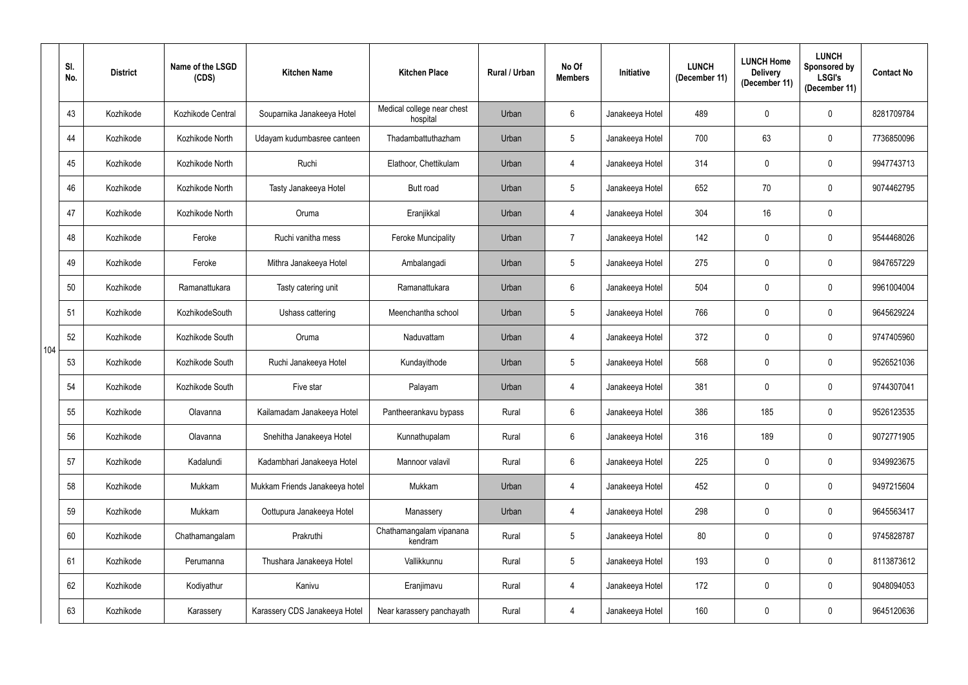|     | SI.<br>No. | <b>District</b> | Name of the LSGD<br>(CDS) | <b>Kitchen Name</b>            | <b>Kitchen Place</b>                   | Rural / Urban | No Of<br><b>Members</b> | Initiative      | <b>LUNCH</b><br>(December 11) | <b>LUNCH Home</b><br><b>Delivery</b><br>(December 11) | <b>LUNCH</b><br>Sponsored by<br><b>LSGI's</b><br>(December 11) | <b>Contact No</b> |
|-----|------------|-----------------|---------------------------|--------------------------------|----------------------------------------|---------------|-------------------------|-----------------|-------------------------------|-------------------------------------------------------|----------------------------------------------------------------|-------------------|
|     | 43         | Kozhikode       | Kozhikode Central         | Souparnika Janakeeya Hotel     | Medical college near chest<br>hospital | Urban         | 6                       | Janakeeya Hotel | 489                           | $\mathbf 0$                                           | $\mathbf{0}$                                                   | 8281709784        |
|     | 44         | Kozhikode       | Kozhikode North           | Udayam kudumbasree canteen     | Thadambattuthazham                     | Urban         | $5\phantom{.0}$         | Janakeeya Hotel | 700                           | 63                                                    | $\mathbf 0$                                                    | 7736850096        |
|     | 45         | Kozhikode       | Kozhikode North           | Ruchi                          | Elathoor, Chettikulam                  | Urban         | 4                       | Janakeeya Hotel | 314                           | $\mathbf 0$                                           | $\mathbf 0$                                                    | 9947743713        |
|     | 46         | Kozhikode       | Kozhikode North           | Tasty Janakeeya Hotel          | <b>Butt road</b>                       | Urban         | 5                       | Janakeeya Hotel | 652                           | 70                                                    | $\mathbf 0$                                                    | 9074462795        |
|     | 47         | Kozhikode       | Kozhikode North           | Oruma                          | Eranjikkal                             | Urban         | 4                       | Janakeeya Hotel | 304                           | 16                                                    | $\mathbf 0$                                                    |                   |
|     | 48         | Kozhikode       | Feroke                    | Ruchi vanitha mess             | <b>Feroke Muncipality</b>              | Urban         | 7                       | Janakeeya Hotel | 142                           | $\mathbf 0$                                           | $\mathbf 0$                                                    | 9544468026        |
|     | 49         | Kozhikode       | Feroke                    | Mithra Janakeeya Hotel         | Ambalangadi                            | Urban         | 5                       | Janakeeya Hotel | 275                           | $\mathbf 0$                                           | $\mathbf 0$                                                    | 9847657229        |
|     | 50         | Kozhikode       | Ramanattukara             | Tasty catering unit            | Ramanattukara                          | Urban         | 6                       | Janakeeya Hotel | 504                           | $\mathbf 0$                                           | $\mathbf 0$                                                    | 9961004004        |
|     | 51         | Kozhikode       | KozhikodeSouth            | Ushass cattering               | Meenchantha school                     | Urban         | 5                       | Janakeeya Hotel | 766                           | 0                                                     | $\mathbf 0$                                                    | 9645629224        |
| 104 | 52         | Kozhikode       | Kozhikode South           | Oruma                          | Naduvattam                             | Urban         | 4                       | Janakeeya Hotel | 372                           | $\mathbf 0$                                           | $\mathbf 0$                                                    | 9747405960        |
|     | 53         | Kozhikode       | Kozhikode South           | Ruchi Janakeeya Hotel          | Kundayithode                           | Urban         | 5                       | Janakeeya Hotel | 568                           | $\mathbf 0$                                           | $\mathbf 0$                                                    | 9526521036        |
|     | 54         | Kozhikode       | Kozhikode South           | Five star                      | Palayam                                | Urban         | 4                       | Janakeeya Hotel | 381                           | $\mathbf 0$                                           | $\mathbf 0$                                                    | 9744307041        |
|     | 55         | Kozhikode       | Olavanna                  | Kailamadam Janakeeya Hotel     | Pantheerankavu bypass                  | Rural         | 6                       | Janakeeya Hotel | 386                           | 185                                                   | $\mathbf 0$                                                    | 9526123535        |
|     | 56         | Kozhikode       | Olavanna                  | Snehitha Janakeeya Hotel       | Kunnathupalam                          | Rural         | $6\phantom{.0}$         | Janakeeya Hotel | 316                           | 189                                                   | $\pmb{0}$                                                      | 9072771905        |
|     | 57         | Kozhikode       | Kadalundi                 | Kadambhari Janakeeya Hotel     | Mannoor valavil                        | Rural         | $6\phantom{.}6$         | Janakeeya Hotel | 225                           | $\mathbf 0$                                           | $\pmb{0}$                                                      | 9349923675        |
|     | 58         | Kozhikode       | Mukkam                    | Mukkam Friends Janakeeya hotel | Mukkam                                 | Urban         | 4                       | Janakeeya Hotel | 452                           | $\mathbf 0$                                           | $\pmb{0}$                                                      | 9497215604        |
|     | 59         | Kozhikode       | Mukkam                    | Oottupura Janakeeya Hotel      | Manassery                              | Urban         | 4                       | Janakeeya Hotel | 298                           | $\mathbf 0$                                           | $\pmb{0}$                                                      | 9645563417        |
|     | 60         | Kozhikode       | Chathamangalam            | Prakruthi                      | Chathamangalam vipanana<br>kendram     | Rural         | 5                       | Janakeeya Hotel | 80                            | $\overline{0}$                                        | $\pmb{0}$                                                      | 9745828787        |
|     | 61         | Kozhikode       | Perumanna                 | Thushara Janakeeya Hotel       | Vallikkunnu                            | Rural         | $5\overline{)}$         | Janakeeya Hotel | 193                           | $\overline{0}$                                        | $\pmb{0}$                                                      | 8113873612        |
|     | 62         | Kozhikode       | Kodiyathur                | Kanivu                         | Eranjimavu                             | Rural         | $\overline{4}$          | Janakeeya Hotel | 172                           | $\pmb{0}$                                             | $\pmb{0}$                                                      | 9048094053        |
|     | 63         | Kozhikode       | Karassery                 | Karassery CDS Janakeeya Hotel  | Near karassery panchayath              | Rural         | 4                       | Janakeeya Hotel | 160                           | $\pmb{0}$                                             | $\pmb{0}$                                                      | 9645120636        |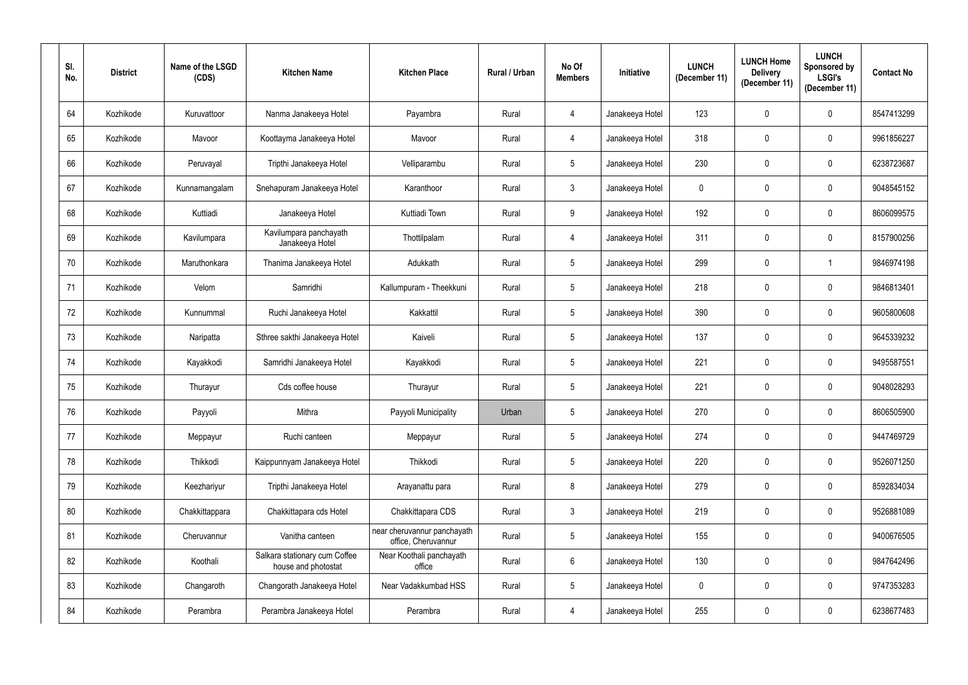| SI.<br>No. | <b>District</b> | Name of the LSGD<br>(CDS) | <b>Kitchen Name</b>                                  | <b>Kitchen Place</b>                               | Rural / Urban | No Of<br><b>Members</b> | Initiative      | <b>LUNCH</b><br>(December 11) | <b>LUNCH Home</b><br><b>Delivery</b><br>(December 11) | <b>LUNCH</b><br>Sponsored by<br><b>LSGI's</b><br>(December 11) | <b>Contact No</b> |
|------------|-----------------|---------------------------|------------------------------------------------------|----------------------------------------------------|---------------|-------------------------|-----------------|-------------------------------|-------------------------------------------------------|----------------------------------------------------------------|-------------------|
| 64         | Kozhikode       | Kuruvattoor               | Nanma Janakeeya Hotel                                | Payambra                                           | Rural         | $\overline{4}$          | Janakeeya Hotel | 123                           | 0                                                     | $\mathbf 0$                                                    | 8547413299        |
| 65         | Kozhikode       | Mavoor                    | Koottayma Janakeeya Hotel                            | Mavoor                                             | Rural         | 4                       | Janakeeya Hotel | 318                           | 0                                                     | $\mathbf 0$                                                    | 9961856227        |
| 66         | Kozhikode       | Peruvayal                 | Tripthi Janakeeya Hotel                              | Velliparambu                                       | Rural         | $5\phantom{.0}$         | Janakeeya Hotel | 230                           | 0                                                     | $\mathbf 0$                                                    | 6238723687        |
| 67         | Kozhikode       | Kunnamangalam             | Snehapuram Janakeeya Hotel                           | Karanthoor                                         | Rural         | $\mathbf{3}$            | Janakeeya Hotel | $\mathbf 0$                   | 0                                                     | $\pmb{0}$                                                      | 9048545152        |
| 68         | Kozhikode       | Kuttiadi                  | Janakeeya Hotel                                      | Kuttiadi Town                                      | Rural         | 9                       | Janakeeya Hotel | 192                           | 0                                                     | $\mathbf 0$                                                    | 8606099575        |
| 69         | Kozhikode       | Kavilumpara               | Kavilumpara panchayath<br>Janakeeya Hotel            | Thottilpalam                                       | Rural         | $\overline{4}$          | Janakeeya Hotel | 311                           | 0                                                     | $\mathbf 0$                                                    | 8157900256        |
| 70         | Kozhikode       | Maruthonkara              | Thanima Janakeeya Hotel                              | Adukkath                                           | Rural         | 5 <sup>5</sup>          | Janakeeya Hotel | 299                           | $\mathbf 0$                                           | -1                                                             | 9846974198        |
| 71         | Kozhikode       | Velom                     | Samridhi                                             | Kallumpuram - Theekkuni                            | Rural         | $5\phantom{.0}$         | Janakeeya Hotel | 218                           | 0                                                     | $\mathbf 0$                                                    | 9846813401        |
| 72         | Kozhikode       | Kunnummal                 | Ruchi Janakeeya Hotel                                | Kakkattil                                          | Rural         | $5\phantom{.0}$         | Janakeeya Hotel | 390                           | 0                                                     | $\mathbf 0$                                                    | 9605800608        |
| 73         | Kozhikode       | Naripatta                 | Sthree sakthi Janakeeya Hotel                        | Kaiveli                                            | Rural         | 5 <sup>5</sup>          | Janakeeya Hotel | 137                           | 0                                                     | $\mathbf 0$                                                    | 9645339232        |
| 74         | Kozhikode       | Kayakkodi                 | Samridhi Janakeeya Hotel                             | Kayakkodi                                          | Rural         | 5 <sub>5</sub>          | Janakeeya Hotel | 221                           | 0                                                     | $\mathbf 0$                                                    | 9495587551        |
| 75         | Kozhikode       | Thurayur                  | Cds coffee house                                     | Thurayur                                           | Rural         | 5 <sup>5</sup>          | Janakeeya Hotel | 221                           | 0                                                     | $\mathbf 0$                                                    | 9048028293        |
| 76         | Kozhikode       | Payyoli                   | Mithra                                               | Payyoli Municipality                               | Urban         | $5\overline{)}$         | Janakeeya Hotel | 270                           | $\mathbf{0}$                                          | $\mathbf 0$                                                    | 8606505900        |
| 77         | Kozhikode       | Meppayur                  | Ruchi canteen                                        | Meppayur                                           | Rural         | $5\phantom{.0}$         | Janakeeya Hotel | 274                           | 0                                                     | $\pmb{0}$                                                      | 9447469729        |
| 78         | Kozhikode       | Thikkodi                  | Kaippunnyam Janakeeya Hotel                          | Thikkodi                                           | Rural         | $5\phantom{.0}$         | Janakeeya Hotel | 220                           | 0                                                     | $\pmb{0}$                                                      | 9526071250        |
| 79         | Kozhikode       | Keezhariyur               | Tripthi Janakeeya Hotel                              | Arayanattu para                                    | Rural         | 8                       | Janakeeya Hotel | 279                           | $\pmb{0}$                                             | $\mathbf 0$                                                    | 8592834034        |
| 80         | Kozhikode       | Chakkittappara            | Chakkittapara cds Hotel                              | Chakkittapara CDS                                  | Rural         | 3                       | Janakeeya Hotel | 219                           | 0                                                     | $\mathbf 0$                                                    | 9526881089        |
| 81         | Kozhikode       | Cheruvannur               | Vanitha canteen                                      | near cheruvannur panchayath<br>office, Cheruvannur | Rural         | $5\phantom{.0}$         | Janakeeya Hotel | 155                           | 0                                                     | $\mathbf 0$                                                    | 9400676505        |
| 82         | Kozhikode       | Koothali                  | Salkara stationary cum Coffee<br>house and photostat | Near Koothali panchayath<br>office                 | Rural         | $6\phantom{.}6$         | Janakeeya Hotel | 130                           | 0                                                     | $\mathbf 0$                                                    | 9847642496        |
| 83         | Kozhikode       | Changaroth                | Changorath Janakeeya Hotel                           | Near Vadakkumbad HSS                               | Rural         | $5\phantom{.0}$         | Janakeeya Hotel | $\mathbf 0$                   | 0                                                     | $\mathbf 0$                                                    | 9747353283        |
| 84         | Kozhikode       | Perambra                  | Perambra Janakeeya Hotel                             | Perambra                                           | Rural         | 4                       | Janakeeya Hotel | 255                           | 0                                                     | $\bf{0}$                                                       | 6238677483        |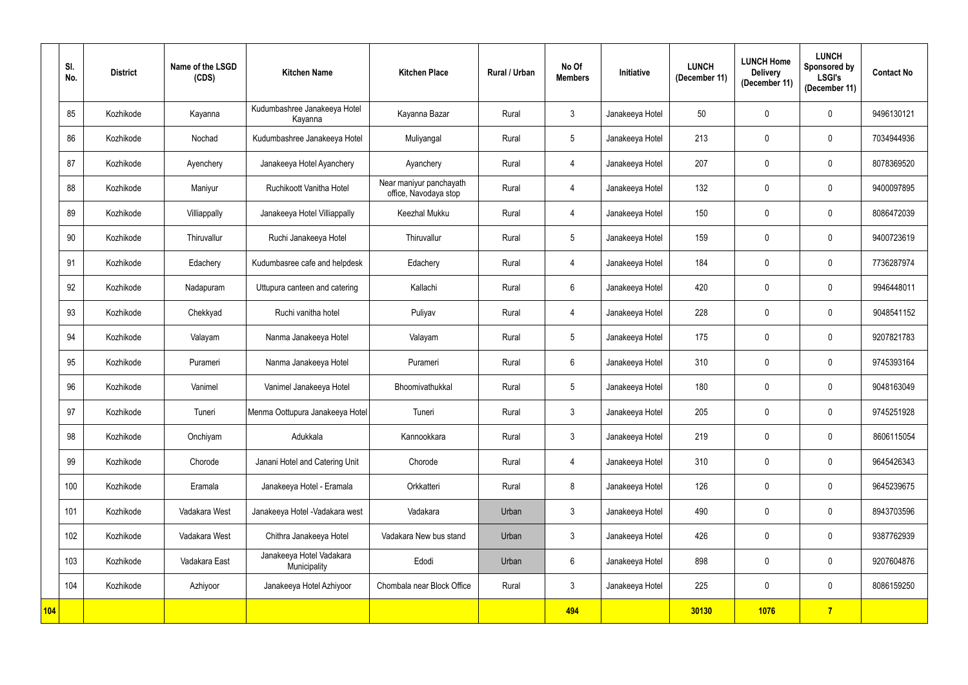|            | SI.<br>No. | <b>District</b> | Name of the LSGD<br>(CDS) | <b>Kitchen Name</b>                      | <b>Kitchen Place</b>                             | <b>Rural / Urban</b> | No Of<br><b>Members</b> | Initiative      | <b>LUNCH</b><br>(December 11) | <b>LUNCH Home</b><br><b>Delivery</b><br>(December 11) | <b>LUNCH</b><br>Sponsored by<br><b>LSGI's</b><br>(December 11) | <b>Contact No</b> |
|------------|------------|-----------------|---------------------------|------------------------------------------|--------------------------------------------------|----------------------|-------------------------|-----------------|-------------------------------|-------------------------------------------------------|----------------------------------------------------------------|-------------------|
|            | 85         | Kozhikode       | Kayanna                   | Kudumbashree Janakeeya Hotel<br>Kayanna  | Kayanna Bazar                                    | Rural                | $\mathbf{3}$            | Janakeeya Hotel | 50                            | $\mathbf 0$                                           | $\mathbf 0$                                                    | 9496130121        |
|            | 86         | Kozhikode       | Nochad                    | Kudumbashree Janakeeya Hotel             | Muliyangal                                       | Rural                | $5\overline{)}$         | Janakeeya Hotel | 213                           | 0                                                     | $\mathbf 0$                                                    | 7034944936        |
|            | 87         | Kozhikode       | Ayenchery                 | Janakeeya Hotel Ayanchery                | Ayanchery                                        | Rural                | 4                       | Janakeeya Hotel | 207                           | 0                                                     | $\mathbf 0$                                                    | 8078369520        |
|            | 88         | Kozhikode       | Maniyur                   | Ruchikoott Vanitha Hotel                 | Near maniyur panchayath<br>office, Navodaya stop | Rural                | 4                       | Janakeeya Hotel | 132                           | 0                                                     | $\mathbf 0$                                                    | 9400097895        |
|            | 89         | Kozhikode       | Villiappally              | Janakeeya Hotel Villiappally             | <b>Keezhal Mukku</b>                             | Rural                | 4                       | Janakeeya Hotel | 150                           | $\mathbf 0$                                           | $\mathbf 0$                                                    | 8086472039        |
|            | 90         | Kozhikode       | Thiruvallur               | Ruchi Janakeeya Hotel                    | Thiruvallur                                      | Rural                | $5\phantom{.0}$         | Janakeeya Hotel | 159                           | $\mathbf 0$                                           | $\mathbf 0$                                                    | 9400723619        |
|            | 91         | Kozhikode       | Edachery                  | Kudumbasree cafe and helpdesk            | Edachery                                         | Rural                | $\overline{4}$          | Janakeeya Hotel | 184                           | $\mathbf 0$                                           | $\mathbf 0$                                                    | 7736287974        |
|            | 92         | Kozhikode       | Nadapuram                 | Uttupura canteen and catering            | Kallachi                                         | Rural                | $6\phantom{.}$          | Janakeeya Hotel | 420                           | $\mathbf 0$                                           | $\mathbf 0$                                                    | 9946448011        |
|            | 93         | Kozhikode       | Chekkyad                  | Ruchi vanitha hotel                      | Puliyav                                          | Rural                | $\overline{4}$          | Janakeeya Hotel | 228                           | 0                                                     | $\mathbf 0$                                                    | 9048541152        |
|            | 94         | Kozhikode       | Valayam                   | Nanma Janakeeya Hotel                    | Valayam                                          | Rural                | 5                       | Janakeeya Hotel | 175                           | $\mathbf 0$                                           | $\mathbf 0$                                                    | 9207821783        |
|            | 95         | Kozhikode       | Purameri                  | Nanma Janakeeya Hotel                    | Purameri                                         | Rural                | $6\phantom{.}$          | Janakeeya Hotel | 310                           | 0                                                     | $\mathbf 0$                                                    | 9745393164        |
|            | 96         | Kozhikode       | Vanimel                   | Vanimel Janakeeya Hotel                  | Bhoomivathukkal                                  | Rural                | 5                       | Janakeeya Hotel | 180                           | $\mathbf 0$                                           | $\mathbf 0$                                                    | 9048163049        |
|            | 97         | Kozhikode       | Tuneri                    | Menma Oottupura Janakeeya Hotel          | Tuneri                                           | Rural                | $\mathbf{3}$            | Janakeeya Hotel | 205                           | $\mathbf 0$                                           | $\mathbf 0$                                                    | 9745251928        |
|            | 98         | Kozhikode       | Onchiyam                  | Adukkala                                 | Kannookkara                                      | Rural                | $\mathbf{3}$            | Janakeeya Hotel | 219                           | $\mathbf 0$                                           | $\bf{0}$                                                       | 8606115054        |
|            | 99         | Kozhikode       | Chorode                   | Janani Hotel and Catering Unit           | Chorode                                          | Rural                | $\overline{4}$          | Janakeeya Hotel | 310                           | $\pmb{0}$                                             | $\boldsymbol{0}$                                               | 9645426343        |
|            | 100        | Kozhikode       | Eramala                   | Janakeeya Hotel - Eramala                | Orkkatteri                                       | Rural                | 8                       | Janakeeya Hotel | 126                           | $\mathbf 0$                                           | $\mathbf 0$                                                    | 9645239675        |
|            | 101        | Kozhikode       | Vadakara West             | Janakeeya Hotel - Vadakara west          | Vadakara                                         | Urban                | $\mathbf{3}$            | Janakeeya Hotel | 490                           | $\mathbf 0$                                           | $\bf{0}$                                                       | 8943703596        |
|            | 102        | Kozhikode       | Vadakara West             | Chithra Janakeeya Hotel                  | Vadakara New bus stand                           | Urban                | $\mathbf{3}$            | Janakeeya Hotel | 426                           | $\mathbf 0$                                           | $\bf{0}$                                                       | 9387762939        |
|            | 103        | Kozhikode       | Vadakara East             | Janakeeya Hotel Vadakara<br>Municipality | Edodi                                            | Urban                | 6                       | Janakeeya Hotel | 898                           | $\mathbf 0$                                           | $\bf{0}$                                                       | 9207604876        |
|            | 104        | Kozhikode       | Azhiyoor                  | Janakeeya Hotel Azhiyoor                 | Chombala near Block Office                       | Rural                | $\mathfrak{Z}$          | Janakeeya Hotel | 225                           | $\pmb{0}$                                             | $\boldsymbol{0}$                                               | 8086159250        |
| <b>104</b> |            |                 |                           |                                          |                                                  |                      | 494                     |                 | 30130                         | 1076                                                  | $\overline{7}$                                                 |                   |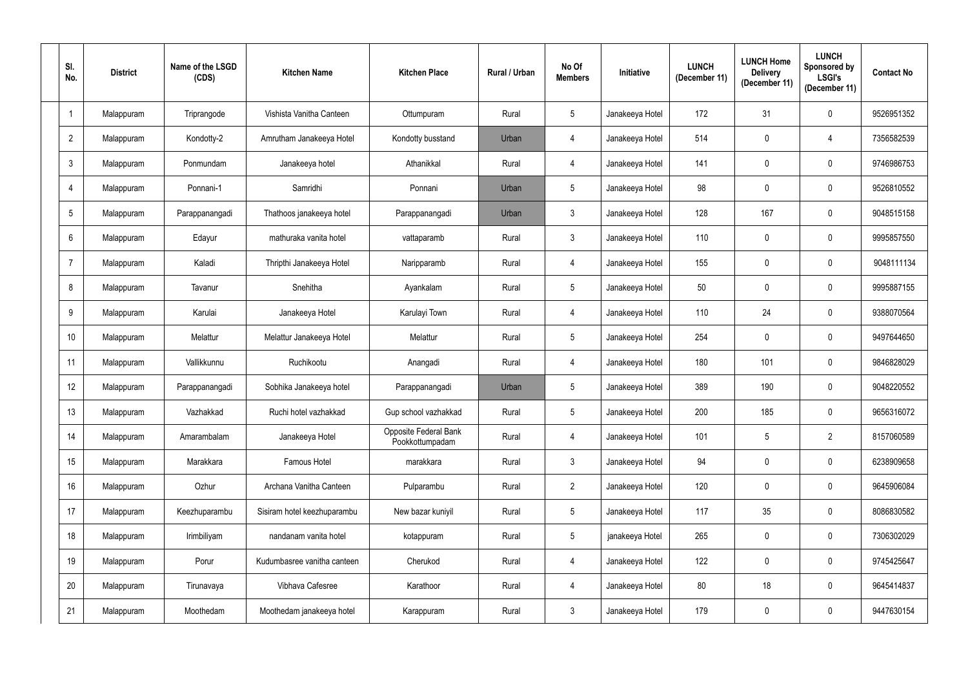| SI.<br>No.     | <b>District</b> | Name of the LSGD<br>(CDS) | <b>Kitchen Name</b>         | <b>Kitchen Place</b>                     | Rural / Urban | No Of<br><b>Members</b> | Initiative      | <b>LUNCH</b><br>(December 11) | <b>LUNCH Home</b><br><b>Delivery</b><br>(December 11) | <b>LUNCH</b><br>Sponsored by<br><b>LSGI's</b><br>(December 11) | <b>Contact No</b> |
|----------------|-----------------|---------------------------|-----------------------------|------------------------------------------|---------------|-------------------------|-----------------|-------------------------------|-------------------------------------------------------|----------------------------------------------------------------|-------------------|
|                | Malappuram      | Triprangode               | Vishista Vanitha Canteen    | Ottumpuram                               | Rural         | $5\phantom{.0}$         | Janakeeya Hotel | 172                           | 31                                                    | $\mathbf 0$                                                    | 9526951352        |
| $\overline{2}$ | Malappuram      | Kondotty-2                | Amrutham Janakeeya Hotel    | Kondotty busstand                        | Urban         | $\overline{4}$          | Janakeeya Hotel | 514                           | $\mathbf 0$                                           | $\overline{4}$                                                 | 7356582539        |
| $\mathfrak{Z}$ | Malappuram      | Ponmundam                 | Janakeeya hotel             | Athanikkal                               | Rural         | 4                       | Janakeeya Hotel | 141                           | $\mathbf 0$                                           | $\mathbf 0$                                                    | 9746986753        |
| $\overline{4}$ | Malappuram      | Ponnani-1                 | Samridhi                    | Ponnani                                  | Urban         | $5\phantom{.0}$         | Janakeeya Hotel | 98                            | $\mathbf 0$                                           | $\mathbf 0$                                                    | 9526810552        |
| 5              | Malappuram      | Parappanangadi            | Thathoos janakeeya hotel    | Parappanangadi                           | Urban         | $\mathbf{3}$            | Janakeeya Hotel | 128                           | 167                                                   | $\mathbf 0$                                                    | 9048515158        |
| $6\phantom{.}$ | Malappuram      | Edayur                    | mathuraka vanita hotel      | vattaparamb                              | Rural         | $\mathbf{3}$            | Janakeeya Hotel | 110                           | $\mathbf 0$                                           | $\mathbf 0$                                                    | 9995857550        |
| $\overline{7}$ | Malappuram      | Kaladi                    | Thripthi Janakeeya Hotel    | Naripparamb                              | Rural         | 4                       | Janakeeya Hotel | 155                           | $\mathbf 0$                                           | $\mathbf 0$                                                    | 9048111134        |
| 8              | Malappuram      | Tavanur                   | Snehitha                    | Ayankalam                                | Rural         | $5\phantom{.0}$         | Janakeeya Hotel | 50                            | $\mathbf 0$                                           | 0                                                              | 9995887155        |
| 9              | Malappuram      | Karulai                   | Janakeeya Hotel             | Karulayi Town                            | Rural         | 4                       | Janakeeya Hotel | 110                           | 24                                                    | $\mathbf 0$                                                    | 9388070564        |
| 10             | Malappuram      | Melattur                  | Melattur Janakeeya Hotel    | Melattur                                 | Rural         | $5\overline{)}$         | Janakeeya Hotel | 254                           | $\mathbf 0$                                           | 0                                                              | 9497644650        |
| 11             | Malappuram      | Vallikkunnu               | Ruchikootu                  | Anangadi                                 | Rural         | 4                       | Janakeeya Hotel | 180                           | 101                                                   | $\mathbf 0$                                                    | 9846828029        |
| 12             | Malappuram      | Parappanangadi            | Sobhika Janakeeya hotel     | Parappanangadi                           | Urban         | $5\phantom{.0}$         | Janakeeya Hotel | 389                           | 190                                                   | $\mathbf 0$                                                    | 9048220552        |
| 13             | Malappuram      | Vazhakkad                 | Ruchi hotel vazhakkad       | Gup school vazhakkad                     | Rural         | $5\overline{)}$         | Janakeeya Hotel | 200                           | 185                                                   | $\mathbf 0$                                                    | 9656316072        |
| 14             | Malappuram      | Amarambalam               | Janakeeya Hotel             | Opposite Federal Bank<br>Pookkottumpadam | Rural         | $\overline{4}$          | Janakeeya Hotel | 101                           | $5\phantom{.0}$                                       | $\overline{2}$                                                 | 8157060589        |
| 15             | Malappuram      | Marakkara                 | Famous Hotel                | marakkara                                | Rural         | $\mathfrak{Z}$          | Janakeeya Hotel | 94                            | $\pmb{0}$                                             | $\pmb{0}$                                                      | 6238909658        |
| 16             | Malappuram      | Ozhur                     | Archana Vanitha Canteen     | Pulparambu                               | Rural         | $2^{\circ}$             | Janakeeya Hotel | 120                           | $\mathbf 0$                                           | $\pmb{0}$                                                      | 9645906084        |
| 17             | Malappuram      | Keezhuparambu             | Sisiram hotel keezhuparambu | New bazar kuniyil                        | Rural         | 5 <sup>5</sup>          | Janakeeya Hotel | 117                           | 35 <sub>5</sub>                                       | $\mathbf 0$                                                    | 8086830582        |
| 18             | Malappuram      | Irimbiliyam               | nandanam vanita hotel       | kotappuram                               | Rural         | $5\phantom{.0}$         | janakeeya Hotel | 265                           | $\overline{0}$                                        | $\pmb{0}$                                                      | 7306302029        |
| 19             | Malappuram      | Porur                     | Kudumbasree vanitha canteen | Cherukod                                 | Rural         | $\overline{4}$          | Janakeeya Hotel | 122                           | $\pmb{0}$                                             | $\pmb{0}$                                                      | 9745425647        |
| 20             | Malappuram      | Tirunavaya                | Vibhava Cafesree            | Karathoor                                | Rural         | $\overline{4}$          | Janakeeya Hotel | 80                            | 18                                                    | $\pmb{0}$                                                      | 9645414837        |
| 21             | Malappuram      | Moothedam                 | Moothedam janakeeya hotel   | Karappuram                               | Rural         | $\mathfrak{Z}$          | Janakeeya Hotel | 179                           | 0                                                     | $\pmb{0}$                                                      | 9447630154        |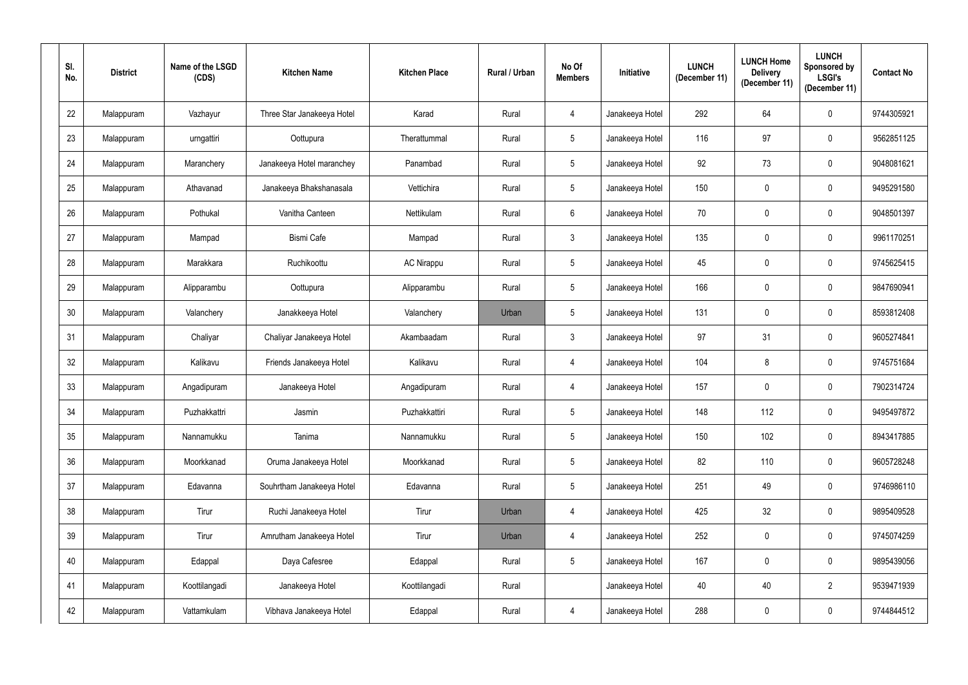| SI.<br>No. | <b>District</b> | Name of the LSGD<br>(CDS) | <b>Kitchen Name</b>        | <b>Kitchen Place</b> | Rural / Urban | No Of<br><b>Members</b> | Initiative      | <b>LUNCH</b><br>(December 11) | <b>LUNCH Home</b><br><b>Delivery</b><br>(December 11) | <b>LUNCH</b><br>Sponsored by<br><b>LSGI's</b><br>(December 11) | <b>Contact No</b> |
|------------|-----------------|---------------------------|----------------------------|----------------------|---------------|-------------------------|-----------------|-------------------------------|-------------------------------------------------------|----------------------------------------------------------------|-------------------|
| 22         | Malappuram      | Vazhayur                  | Three Star Janakeeya Hotel | Karad                | Rural         | $\overline{4}$          | Janakeeya Hotel | 292                           | 64                                                    | $\mathbf 0$                                                    | 9744305921        |
| 23         | Malappuram      | urngattiri                | Oottupura                  | Therattummal         | Rural         | 5 <sub>5</sub>          | Janakeeya Hotel | 116                           | 97                                                    | $\mathbf 0$                                                    | 9562851125        |
| 24         | Malappuram      | Maranchery                | Janakeeya Hotel maranchey  | Panambad             | Rural         | $5\overline{)}$         | Janakeeya Hotel | 92                            | 73                                                    | $\mathbf 0$                                                    | 9048081621        |
| 25         | Malappuram      | Athavanad                 | Janakeeya Bhakshanasala    | Vettichira           | Rural         | $5\overline{)}$         | Janakeeya Hotel | 150                           | 0                                                     | $\pmb{0}$                                                      | 9495291580        |
| 26         | Malappuram      | Pothukal                  | Vanitha Canteen            | Nettikulam           | Rural         | $6^{\circ}$             | Janakeeya Hotel | 70                            | 0                                                     | $\mathbf 0$                                                    | 9048501397        |
| 27         | Malappuram      | Mampad                    | <b>Bismi Cafe</b>          | Mampad               | Rural         | $\mathbf{3}$            | Janakeeya Hotel | 135                           | 0                                                     | $\pmb{0}$                                                      | 9961170251        |
| 28         | Malappuram      | Marakkara                 | Ruchikoottu                | <b>AC Nirappu</b>    | Rural         | $5\overline{)}$         | Janakeeya Hotel | 45                            | $\mathbf 0$                                           | $\mathbf 0$                                                    | 9745625415        |
| 29         | Malappuram      | Alipparambu               | Oottupura                  | Alipparambu          | Rural         | $5\phantom{.0}$         | Janakeeya Hotel | 166                           | 0                                                     | $\mathbf 0$                                                    | 9847690941        |
| 30         | Malappuram      | Valanchery                | Janakkeeya Hotel           | Valanchery           | Urban         | $5\phantom{.0}$         | Janakeeya Hotel | 131                           | 0                                                     | $\pmb{0}$                                                      | 8593812408        |
| 31         | Malappuram      | Chaliyar                  | Chaliyar Janakeeya Hotel   | Akambaadam           | Rural         | 3 <sup>1</sup>          | Janakeeya Hotel | 97                            | 31                                                    | $\mathbf 0$                                                    | 9605274841        |
| 32         | Malappuram      | Kalikavu                  | Friends Janakeeya Hotel    | Kalikavu             | Rural         | 4                       | Janakeeya Hotel | 104                           | 8                                                     | $\mathbf 0$                                                    | 9745751684        |
| 33         | Malappuram      | Angadipuram               | Janakeeya Hotel            | Angadipuram          | Rural         | 4                       | Janakeeya Hotel | 157                           | 0                                                     | $\mathbf 0$                                                    | 7902314724        |
| 34         | Malappuram      | Puzhakkattri              | Jasmin                     | Puzhakkattiri        | Rural         | $5\overline{)}$         | Janakeeya Hotel | 148                           | 112                                                   | $\mathbf 0$                                                    | 9495497872        |
| 35         | Malappuram      | Nannamukku                | Tanima                     | Nannamukku           | Rural         | $5\phantom{.0}$         | Janakeeya Hotel | 150                           | 102                                                   | $\mathbf 0$                                                    | 8943417885        |
| 36         | Malappuram      | Moorkkanad                | Oruma Janakeeya Hotel      | Moorkkanad           | Rural         | $5\phantom{.0}$         | Janakeeya Hotel | 82                            | 110                                                   | $\mathbf 0$                                                    | 9605728248        |
| 37         | Malappuram      | Edavanna                  | Souhrtham Janakeeya Hotel  | Edavanna             | Rural         | $5\overline{)}$         | Janakeeya Hotel | 251                           | 49                                                    | $\mathbf 0$                                                    | 9746986110        |
| 38         | Malappuram      | Tirur                     | Ruchi Janakeeya Hotel      | Tirur                | Urban         | $\overline{4}$          | Janakeeya Hotel | 425                           | 32 <sub>2</sub>                                       | $\mathbf 0$                                                    | 9895409528        |
| 39         | Malappuram      | Tirur                     | Amrutham Janakeeya Hotel   | Tirur                | Urban         | $\overline{4}$          | Janakeeya Hotel | 252                           | $\pmb{0}$                                             | $\mathbf 0$                                                    | 9745074259        |
| 40         | Malappuram      | Edappal                   | Daya Cafesree              | Edappal              | Rural         | 5 <sub>5</sub>          | Janakeeya Hotel | 167                           | $\pmb{0}$                                             | $\mathbf 0$                                                    | 9895439056        |
| 41         | Malappuram      | Koottilangadi             | Janakeeya Hotel            | Koottilangadi        | Rural         |                         | Janakeeya Hotel | 40                            | 40                                                    | $\overline{2}$                                                 | 9539471939        |
| 42         | Malappuram      | Vattamkulam               | Vibhava Janakeeya Hotel    | Edappal              | Rural         | 4                       | Janakeeya Hotel | 288                           | 0                                                     | $\bf{0}$                                                       | 9744844512        |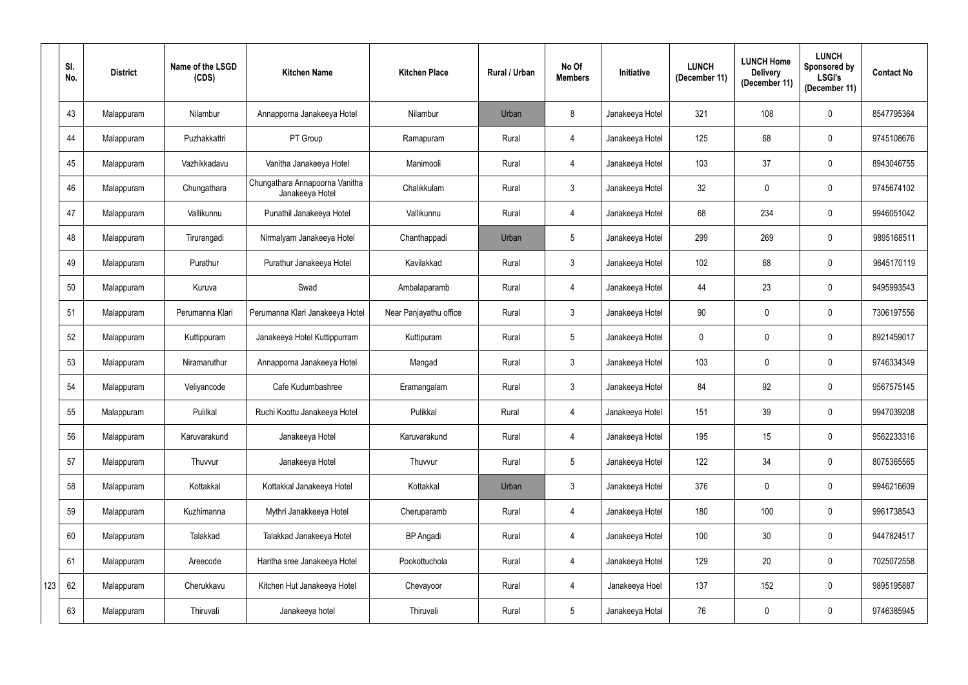|     | SI.<br>No. | <b>District</b> | Name of the LSGD<br>(CDS) | <b>Kitchen Name</b>                               | <b>Kitchen Place</b>   | Rural / Urban | No Of<br><b>Members</b> | Initiative      | <b>LUNCH</b><br>(December 11) | <b>LUNCH Home</b><br><b>Delivery</b><br>(December 11) | <b>LUNCH</b><br>Sponsored by<br><b>LSGI's</b><br>(December 11) | <b>Contact No</b> |
|-----|------------|-----------------|---------------------------|---------------------------------------------------|------------------------|---------------|-------------------------|-----------------|-------------------------------|-------------------------------------------------------|----------------------------------------------------------------|-------------------|
|     | 43         | Malappuram      | Nilambur                  | Annapporna Janakeeya Hotel                        | Nilambur               | Urban         | 8                       | Janakeeya Hotel | 321                           | 108                                                   | $\mathbf 0$                                                    | 8547795364        |
|     | 44         | Malappuram      | Puzhakkattri              | PT Group                                          | Ramapuram              | Rural         | 4                       | Janakeeya Hotel | 125                           | 68                                                    | $\mathbf 0$                                                    | 9745108676        |
|     | 45         | Malappuram      | Vazhikkadavu              | Vanitha Janakeeya Hotel                           | Manimooli              | Rural         | 4                       | Janakeeya Hotel | 103                           | 37                                                    | $\mathbf 0$                                                    | 8943046755        |
|     | 46         | Malappuram      | Chungathara               | Chungathara Annapoorna Vanitha<br>Janakeeya Hotel | Chalikkulam            | Rural         | $\mathfrak{Z}$          | Janakeeya Hotel | 32                            | 0                                                     | $\mathbf 0$                                                    | 9745674102        |
|     | 47         | Malappuram      | Vallikunnu                | Punathil Janakeeya Hotel                          | Vallikunnu             | Rural         | 4                       | Janakeeya Hotel | 68                            | 234                                                   | $\mathbf 0$                                                    | 9946051042        |
|     | 48         | Malappuram      | Tirurangadi               | Nirmalyam Janakeeya Hotel                         | Chanthappadi           | Urban         | $5\phantom{.0}$         | Janakeeya Hotel | 299                           | 269                                                   | $\mathbf 0$                                                    | 9895168511        |
|     | 49         | Malappuram      | Purathur                  | Purathur Janakeeya Hotel                          | Kavilakkad             | Rural         | $\mathfrak{Z}$          | Janakeeya Hotel | 102                           | 68                                                    | $\mathbf 0$                                                    | 9645170119        |
|     | 50         | Malappuram      | Kuruva                    | Swad                                              | Ambalaparamb           | Rural         | 4                       | Janakeeya Hotel | 44                            | 23                                                    | $\mathbf 0$                                                    | 9495993543        |
|     | 51         | Malappuram      | Perumanna Klari           | Perumanna Klari Janakeeya Hotel                   | Near Panjayathu office | Rural         | $\mathfrak{Z}$          | Janakeeya Hotel | 90                            | 0                                                     | $\mathbf 0$                                                    | 7306197556        |
|     | 52         | Malappuram      | Kuttippuram               | Janakeeya Hotel Kuttippurram                      | Kuttipuram             | Rural         | 5                       | Janakeeya Hotel | $\mathbf{0}$                  | $\mathbf 0$                                           | $\mathbf 0$                                                    | 8921459017        |
|     | 53         | Malappuram      | Niramaruthur              | Annapporna Janakeeya Hotel                        | Mangad                 | Rural         | $\mathfrak{Z}$          | Janakeeya Hotel | 103                           | 0                                                     | $\mathbf 0$                                                    | 9746334349        |
|     | 54         | Malappuram      | Veliyancode               | Cafe Kudumbashree                                 | Eramangalam            | Rural         | 3 <sup>1</sup>          | Janakeeya Hotel | 84                            | 92                                                    | $\mathbf 0$                                                    | 9567575145        |
|     | 55         | Malappuram      | Pulilkal                  | Ruchi Koottu Janakeeya Hotel                      | Pulikkal               | Rural         | 4                       | Janakeeya Hotel | 151                           | 39                                                    | $\mathbf 0$                                                    | 9947039208        |
|     | 56         | Malappuram      | Karuvarakund              | Janakeeya Hotel                                   | Karuvarakund           | Rural         | 4                       | Janakeeya Hotel | 195                           | 15                                                    | $\pmb{0}$                                                      | 9562233316        |
|     | 57         | Malappuram      | Thuvvur                   | Janakeeya Hotel                                   | Thuvvur                | Rural         | 5 <sup>5</sup>          | Janakeeya Hotel | 122                           | 34                                                    | $\pmb{0}$                                                      | 8075365565        |
|     | 58         | Malappuram      | Kottakkal                 | Kottakkal Janakeeya Hotel                         | Kottakkal              | Urban         | 3 <sup>1</sup>          | Janakeeya Hotel | 376                           | $\mathbf 0$                                           | $\pmb{0}$                                                      | 9946216609        |
|     | 59         | Malappuram      | Kuzhimanna                | Mythri Janakkeeya Hotel                           | Cheruparamb            | Rural         | 4                       | Janakeeya Hotel | 180                           | 100                                                   | $\pmb{0}$                                                      | 9961738543        |
|     | 60         | Malappuram      | Talakkad                  | Talakkad Janakeeya Hotel                          | <b>BP</b> Angadi       | Rural         | 4                       | Janakeeya Hotel | 100                           | $30\,$                                                | $\pmb{0}$                                                      | 9447824517        |
|     | 61         | Malappuram      | Areecode                  | Haritha sree Janakeeya Hotel                      | Pookottuchola          | Rural         | $\overline{4}$          | Janakeeya Hotel | 129                           | 20                                                    | $\pmb{0}$                                                      | 7025072558        |
| 123 | 62         | Malappuram      | Cherukkavu                | Kitchen Hut Janakeeya Hotel                       | Chevayoor              | Rural         | 4                       | Janakeeya Hoel  | 137                           | 152                                                   | $\pmb{0}$                                                      | 9895195887        |
|     | 63         | Malappuram      | Thiruvali                 | Janakeeya hotel                                   | Thiruvali              | Rural         | $5\phantom{.0}$         | Janakeeya Hotal | 76                            | $\pmb{0}$                                             | $\pmb{0}$                                                      | 9746385945        |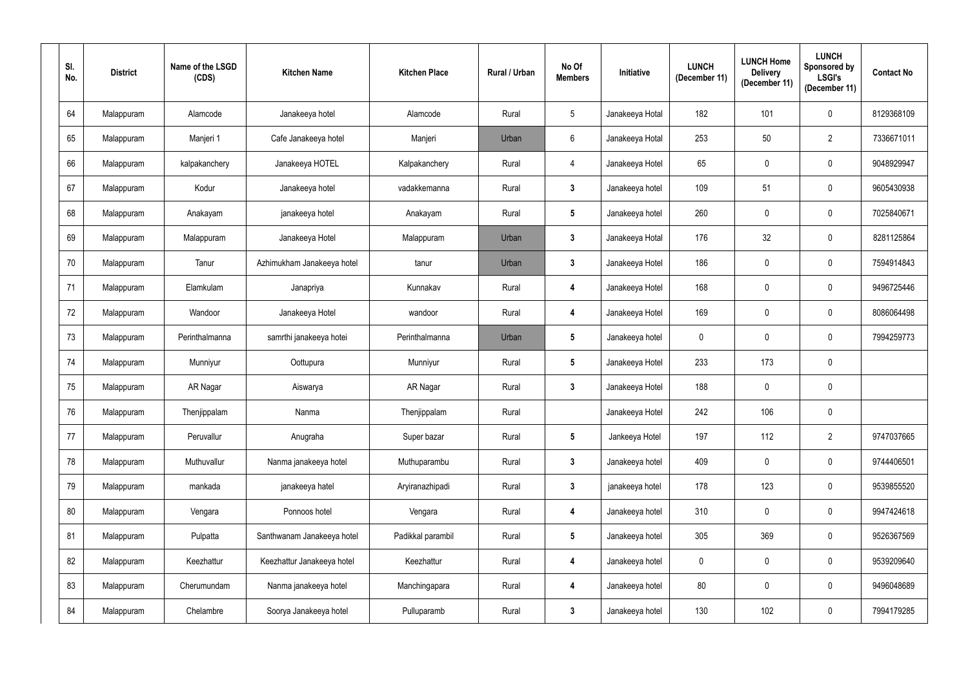| SI.<br>No. | <b>District</b> | Name of the LSGD<br>(CDS) | <b>Kitchen Name</b>        | <b>Kitchen Place</b> | Rural / Urban | No Of<br><b>Members</b> | Initiative      | <b>LUNCH</b><br>(December 11) | <b>LUNCH Home</b><br><b>Delivery</b><br>(December 11) | <b>LUNCH</b><br>Sponsored by<br><b>LSGI's</b><br>(December 11) | <b>Contact No</b> |
|------------|-----------------|---------------------------|----------------------------|----------------------|---------------|-------------------------|-----------------|-------------------------------|-------------------------------------------------------|----------------------------------------------------------------|-------------------|
| 64         | Malappuram      | Alamcode                  | Janakeeya hotel            | Alamcode             | Rural         | $5\overline{)}$         | Janakeeya Hotal | 182                           | 101                                                   | $\mathbf 0$                                                    | 8129368109        |
| 65         | Malappuram      | Manjeri 1                 | Cafe Janakeeya hotel       | Manjeri              | Urban         | $6\overline{6}$         | Janakeeya Hotal | 253                           | 50                                                    | $\overline{2}$                                                 | 7336671011        |
| 66         | Malappuram      | kalpakanchery             | Janakeeya HOTEL            | Kalpakanchery        | Rural         | $\overline{4}$          | Janakeeya Hotel | 65                            | 0                                                     | $\mathbf 0$                                                    | 9048929947        |
| 67         | Malappuram      | Kodur                     | Janakeeya hotel            | vadakkemanna         | Rural         | $\mathbf{3}$            | Janakeeya hotel | 109                           | 51                                                    | $\pmb{0}$                                                      | 9605430938        |
| 68         | Malappuram      | Anakayam                  | janakeeya hotel            | Anakayam             | Rural         | $5\phantom{.0}$         | Janakeeya hotel | 260                           | 0                                                     | $\mathbf 0$                                                    | 7025840671        |
| 69         | Malappuram      | Malappuram                | Janakeeya Hotel            | Malappuram           | Urban         | $\mathbf{3}$            | Janakeeya Hotal | 176                           | 32                                                    | $\pmb{0}$                                                      | 8281125864        |
| 70         | Malappuram      | Tanur                     | Azhimukham Janakeeya hotel | tanur                | Urban         | $3\phantom{.0}$         | Janakeeya Hotel | 186                           | $\mathbf 0$                                           | $\mathbf 0$                                                    | 7594914843        |
| 71         | Malappuram      | Elamkulam                 | Janapriya                  | Kunnakav             | Rural         | 4                       | Janakeeya Hotel | 168                           | 0                                                     | $\pmb{0}$                                                      | 9496725446        |
| 72         | Malappuram      | Wandoor                   | Janakeeya Hotel            | wandoor              | Rural         | 4                       | Janakeeya Hotel | 169                           | 0                                                     | $\pmb{0}$                                                      | 8086064498        |
| 73         | Malappuram      | Perinthalmanna            | samrthi janakeeya hotei    | Perinthalmanna       | Urban         | $5\overline{)}$         | Janakeeya hotel | $\overline{0}$                | 0                                                     | $\mathbf 0$                                                    | 7994259773        |
| 74         | Malappuram      | Munniyur                  | Oottupura                  | Munniyur             | Rural         | $5\phantom{.0}$         | Janakeeya Hotel | 233                           | 173                                                   | $\mathbf 0$                                                    |                   |
| 75         | Malappuram      | AR Nagar                  | Aiswarya                   | AR Nagar             | Rural         | 3 <sup>1</sup>          | Janakeeya Hotel | 188                           | 0                                                     | $\pmb{0}$                                                      |                   |
| 76         | Malappuram      | Thenjippalam              | Nanma                      | Thenjippalam         | Rural         |                         | Janakeeya Hotel | 242                           | 106                                                   | $\mathbf 0$                                                    |                   |
| 77         | Malappuram      | Peruvallur                | Anugraha                   | Super bazar          | Rural         | $5\phantom{.0}$         | Jankeeya Hotel  | 197                           | 112                                                   | $\overline{2}$                                                 | 9747037665        |
| 78         | Malappuram      | Muthuvallur               | Nanma janakeeya hotel      | Muthuparambu         | Rural         | $3\phantom{a}$          | Janakeeya hotel | 409                           | $\pmb{0}$                                             | $\mathbf 0$                                                    | 9744406501        |
| 79         | Malappuram      | mankada                   | janakeeya hatel            | Aryiranazhipadi      | Rural         | $\mathbf{3}$            | janakeeya hotel | 178                           | 123                                                   | $\mathbf 0$                                                    | 9539855520        |
| $80\,$     | Malappuram      | Vengara                   | Ponnoos hotel              | Vengara              | Rural         | 4                       | Janakeeya hotel | 310                           | $\mathbf 0$                                           | $\mathbf 0$                                                    | 9947424618        |
| 81         | Malappuram      | Pulpatta                  | Santhwanam Janakeeya hotel | Padikkal parambil    | Rural         | $5\phantom{.0}$         | Janakeeya hotel | 305                           | 369                                                   | $\mathbf 0$                                                    | 9526367569        |
| 82         | Malappuram      | Keezhattur                | Keezhattur Janakeeya hotel | Keezhattur           | Rural         | 4                       | Janakeeya hotel | $\boldsymbol{0}$              | $\pmb{0}$                                             | $\mathbf 0$                                                    | 9539209640        |
| 83         | Malappuram      | Cherumundam               | Nanma janakeeya hotel      | Manchingapara        | Rural         | 4                       | Janakeeya hotel | 80                            | $\mathbf 0$                                           | $\mathbf 0$                                                    | 9496048689        |
| 84         | Malappuram      | Chelambre                 | Soorya Janakeeya hotel     | Pulluparamb          | Rural         | $\mathbf{3}$            | Janakeeya hotel | 130                           | 102                                                   | $\bf{0}$                                                       | 7994179285        |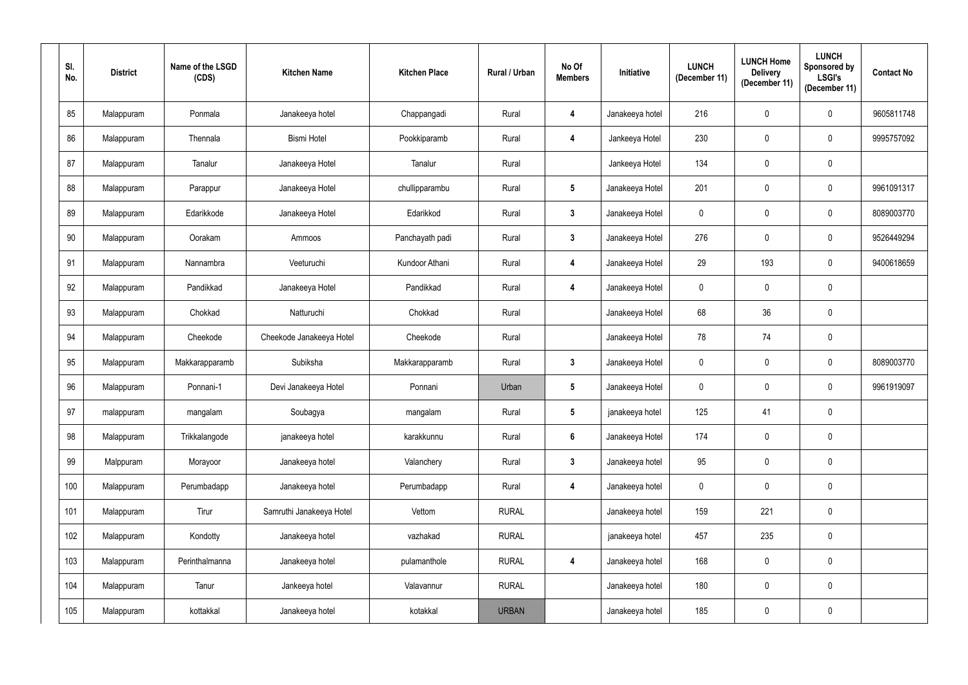| SI.<br>No. | <b>District</b> | Name of the LSGD<br>(CDS) | <b>Kitchen Name</b>      | <b>Kitchen Place</b> | Rural / Urban | No Of<br><b>Members</b> | Initiative      | <b>LUNCH</b><br>(December 11) | <b>LUNCH Home</b><br><b>Delivery</b><br>(December 11) | <b>LUNCH</b><br>Sponsored by<br><b>LSGI's</b><br>(December 11) | <b>Contact No</b> |
|------------|-----------------|---------------------------|--------------------------|----------------------|---------------|-------------------------|-----------------|-------------------------------|-------------------------------------------------------|----------------------------------------------------------------|-------------------|
| 85         | Malappuram      | Ponmala                   | Janakeeya hotel          | Chappangadi          | Rural         | 4                       | Janakeeya hotel | 216                           | 0                                                     | $\mathbf 0$                                                    | 9605811748        |
| 86         | Malappuram      | Thennala                  | <b>Bismi Hotel</b>       | Pookkiparamb         | Rural         | 4                       | Jankeeya Hotel  | 230                           | 0                                                     | $\mathbf 0$                                                    | 9995757092        |
| 87         | Malappuram      | Tanalur                   | Janakeeya Hotel          | Tanalur              | Rural         |                         | Jankeeya Hotel  | 134                           | 0                                                     | $\pmb{0}$                                                      |                   |
| 88         | Malappuram      | Parappur                  | Janakeeya Hotel          | chullipparambu       | Rural         | $5\phantom{.0}$         | Janakeeya Hotel | 201                           | 0                                                     | $\pmb{0}$                                                      | 9961091317        |
| 89         | Malappuram      | Edarikkode                | Janakeeya Hotel          | Edarikkod            | Rural         | $\mathbf{3}$            | Janakeeya Hotel | $\overline{0}$                | 0                                                     | $\mathbf 0$                                                    | 8089003770        |
| 90         | Malappuram      | Oorakam                   | Ammoos                   | Panchayath padi      | Rural         | $\mathbf{3}$            | Janakeeya Hotel | 276                           | 0                                                     | $\mathbf 0$                                                    | 9526449294        |
| 91         | Malappuram      | Nannambra                 | Veeturuchi               | Kundoor Athani       | Rural         | 4                       | Janakeeya Hotel | 29                            | 193                                                   | $\mathbf 0$                                                    | 9400618659        |
| 92         | Malappuram      | Pandikkad                 | Janakeeya Hotel          | Pandikkad            | Rural         | 4                       | Janakeeya Hotel | $\mathbf 0$                   | 0                                                     | $\mathbf 0$                                                    |                   |
| 93         | Malappuram      | Chokkad                   | Natturuchi               | Chokkad              | Rural         |                         | Janakeeya Hotel | 68                            | 36                                                    | $\mathbf 0$                                                    |                   |
| 94         | Malappuram      | Cheekode                  | Cheekode Janakeeya Hotel | Cheekode             | Rural         |                         | Janakeeya Hotel | 78                            | 74                                                    | $\mathbf 0$                                                    |                   |
| 95         | Malappuram      | Makkarapparamb            | Subiksha                 | Makkarapparamb       | Rural         | $\mathbf{3}$            | Janakeeya Hotel | $\mathbf 0$                   | 0                                                     | $\pmb{0}$                                                      | 8089003770        |
| 96         | Malappuram      | Ponnani-1                 | Devi Janakeeya Hotel     | Ponnani              | Urban         | $5\overline{)}$         | Janakeeya Hotel | $\overline{0}$                | $\mathbf 0$                                           | $\mathbf 0$                                                    | 9961919097        |
| 97         | malappuram      | mangalam                  | Soubagya                 | mangalam             | Rural         | $5\phantom{.0}$         | janakeeya hotel | 125                           | 41                                                    | $\mathbf 0$                                                    |                   |
| 98         | Malappuram      | Trikkalangode             | janakeeya hotel          | karakkunnu           | Rural         | $6\phantom{.}6$         | Janakeeya Hotel | 174                           | $\mathbf 0$                                           | $\pmb{0}$                                                      |                   |
| 99         | Malppuram       | Morayoor                  | Janakeeya hotel          | Valanchery           | Rural         | $3\phantom{a}$          | Janakeeya hotel | 95                            | $\pmb{0}$                                             | $\pmb{0}$                                                      |                   |
| 100        | Malappuram      | Perumbadapp               | Janakeeya hotel          | Perumbadapp          | Rural         | 4                       | Janakeeya hotel | $\pmb{0}$                     | $\mathbf 0$                                           | $\pmb{0}$                                                      |                   |
| 101        | Malappuram      | Tirur                     | Samruthi Janakeeya Hotel | Vettom               | <b>RURAL</b>  |                         | Janakeeya hotel | 159                           | 221                                                   | $\pmb{0}$                                                      |                   |
| 102        | Malappuram      | Kondotty                  | Janakeeya hotel          | vazhakad             | <b>RURAL</b>  |                         | janakeeya hotel | 457                           | 235                                                   | $\pmb{0}$                                                      |                   |
| 103        | Malappuram      | Perinthalmanna            | Janakeeya hotel          | pulamanthole         | <b>RURAL</b>  | $\overline{\mathbf{4}}$ | Janakeeya hotel | 168                           | $\mathbf 0$                                           | $\pmb{0}$                                                      |                   |
| 104        | Malappuram      | Tanur                     | Jankeeya hotel           | Valavannur           | <b>RURAL</b>  |                         | Janakeeya hotel | 180                           | $\pmb{0}$                                             | $\pmb{0}$                                                      |                   |
| 105        | Malappuram      | kottakkal                 | Janakeeya hotel          | kotakkal             | <b>URBAN</b>  |                         | Janakeeya hotel | 185                           | $\pmb{0}$                                             | $\pmb{0}$                                                      |                   |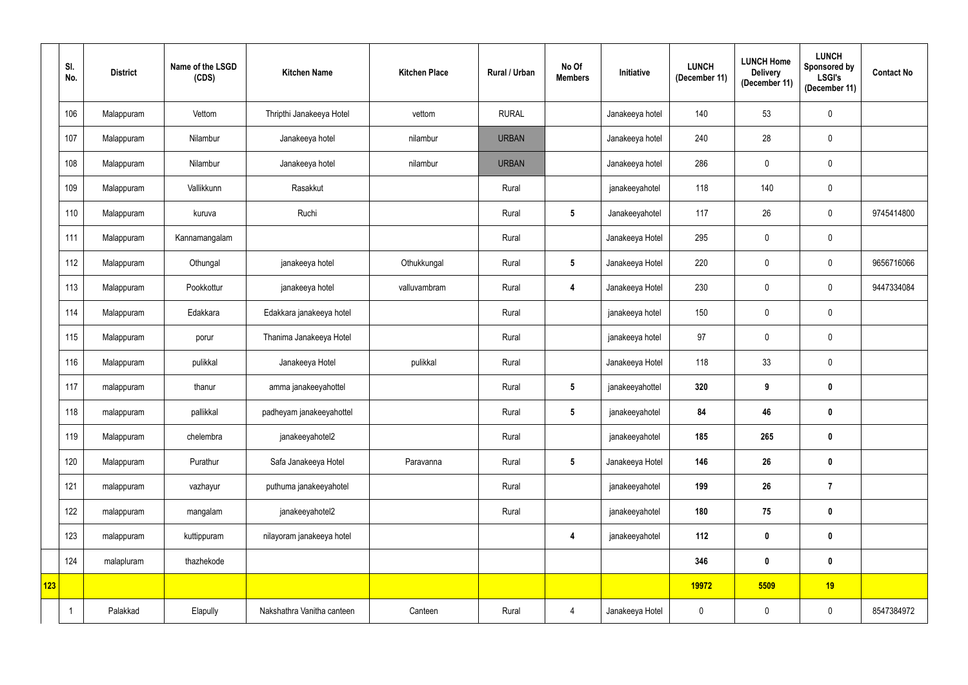|     | SI.<br>No. | <b>District</b> | Name of the LSGD<br>(CDS) | <b>Kitchen Name</b>        | <b>Kitchen Place</b> | Rural / Urban | No Of<br><b>Members</b> | Initiative      | <b>LUNCH</b><br>(December 11) | <b>LUNCH Home</b><br><b>Delivery</b><br>(December 11) | <b>LUNCH</b><br>Sponsored by<br><b>LSGI's</b><br>(December 11) | <b>Contact No</b> |
|-----|------------|-----------------|---------------------------|----------------------------|----------------------|---------------|-------------------------|-----------------|-------------------------------|-------------------------------------------------------|----------------------------------------------------------------|-------------------|
|     | 106        | Malappuram      | Vettom                    | Thripthi Janakeeya Hotel   | vettom               | <b>RURAL</b>  |                         | Janakeeya hotel | 140                           | 53                                                    | $\mathbf 0$                                                    |                   |
|     | 107        | Malappuram      | Nilambur                  | Janakeeya hotel            | nilambur             | <b>URBAN</b>  |                         | Janakeeya hotel | 240                           | 28                                                    | $\pmb{0}$                                                      |                   |
|     | 108        | Malappuram      | Nilambur                  | Janakeeya hotel            | nilambur             | <b>URBAN</b>  |                         | Janakeeya hotel | 286                           | 0                                                     | $\mathbf 0$                                                    |                   |
|     | 109        | Malappuram      | Vallikkunn                | Rasakkut                   |                      | Rural         |                         | janakeeyahotel  | 118                           | 140                                                   | $\pmb{0}$                                                      |                   |
|     | 110        | Malappuram      | kuruva                    | Ruchi                      |                      | Rural         | $5\phantom{.0}$         | Janakeeyahotel  | 117                           | 26                                                    | $\mathbf 0$                                                    | 9745414800        |
|     | 111        | Malappuram      | Kannamangalam             |                            |                      | Rural         |                         | Janakeeya Hotel | 295                           | 0                                                     | $\mathbf 0$                                                    |                   |
|     | 112        | Malappuram      | Othungal                  | janakeeya hotel            | Othukkungal          | Rural         | $5\phantom{.0}$         | Janakeeya Hotel | 220                           | 0                                                     | $\mathbf 0$                                                    | 9656716066        |
|     | 113        | Malappuram      | Pookkottur                | janakeeya hotel            | valluvambram         | Rural         | 4                       | Janakeeya Hotel | 230                           | 0                                                     | $\mathbf 0$                                                    | 9447334084        |
|     | 114        | Malappuram      | Edakkara                  | Edakkara janakeeya hotel   |                      | Rural         |                         | janakeeya hotel | 150                           | 0                                                     | $\pmb{0}$                                                      |                   |
|     | 115        | Malappuram      | porur                     | Thanima Janakeeya Hotel    |                      | Rural         |                         | janakeeya hotel | 97                            | 0                                                     | $\mathbf 0$                                                    |                   |
|     | 116        | Malappuram      | pulikkal                  | Janakeeya Hotel            | pulikkal             | Rural         |                         | Janakeeya Hotel | 118                           | 33                                                    | $\pmb{0}$                                                      |                   |
|     | 117        | malappuram      | thanur                    | amma janakeeyahottel       |                      | Rural         | $5\overline{)}$         | janakeeyahottel | 320                           | 9                                                     | $\mathbf 0$                                                    |                   |
|     | 118        | malappuram      | pallikkal                 | padheyam janakeeyahottel   |                      | Rural         | $5\phantom{.0}$         | janakeeyahotel  | 84                            | 46                                                    | $\mathbf 0$                                                    |                   |
|     | 119        | Malappuram      | chelembra                 | janakeeyahotel2            |                      | Rural         |                         | janakeeyahotel  | 185                           | 265                                                   | $\pmb{0}$                                                      |                   |
|     | 120        | Malappuram      | Purathur                  | Safa Janakeeya Hotel       | Paravanna            | Rural         | 5 <sub>5</sub>          | Janakeeya Hotel | 146                           | 26                                                    | $\pmb{0}$                                                      |                   |
|     | 121        | malappuram      | vazhayur                  | puthuma janakeeyahotel     |                      | Rural         |                         | janakeeyahotel  | 199                           | 26                                                    | $\overline{7}$                                                 |                   |
|     | 122        | malappuram      | mangalam                  | janakeeyahotel2            |                      | Rural         |                         | janakeeyahotel  | 180                           | 75                                                    | $\pmb{0}$                                                      |                   |
|     | 123        | malappuram      | kuttippuram               | nilayoram janakeeya hotel  |                      |               | $\boldsymbol{4}$        | janakeeyahotel  | 112                           | $\mathbf 0$                                           | $\pmb{0}$                                                      |                   |
|     | 124        | malapluram      | thazhekode                |                            |                      |               |                         |                 | 346                           | $\mathbf 0$                                           | $\pmb{0}$                                                      |                   |
| 123 |            |                 |                           |                            |                      |               |                         |                 | 19972                         | 5509                                                  | 19                                                             |                   |
|     |            | Palakkad        | Elapully                  | Nakshathra Vanitha canteen | Canteen              | Rural         | $\overline{4}$          | Janakeeya Hotel | $\mathbf 0$                   | $\pmb{0}$                                             | $\pmb{0}$                                                      | 8547384972        |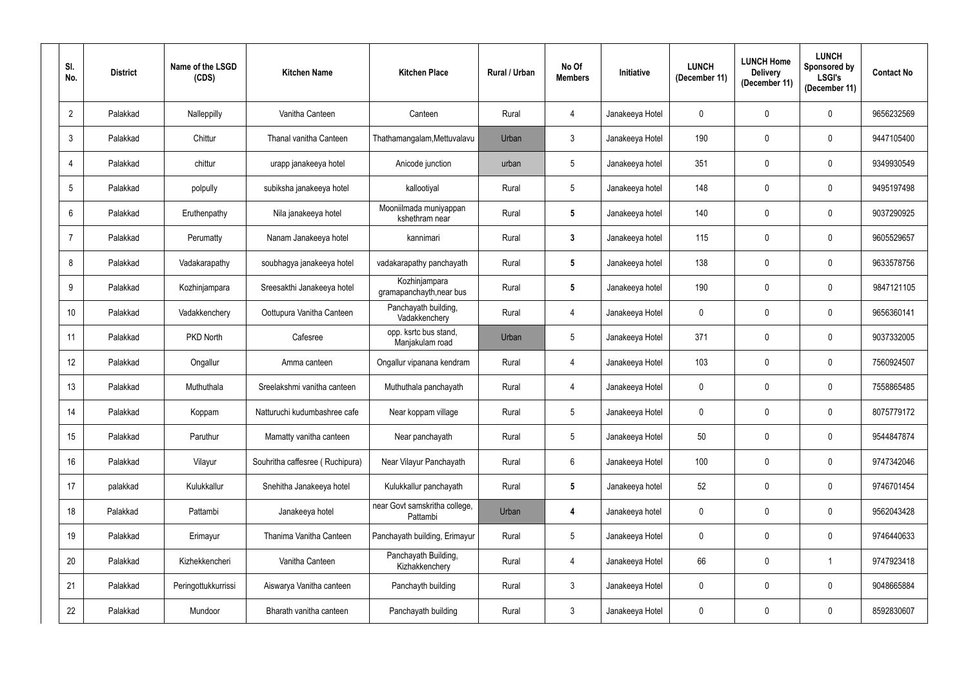| SI.<br>No.     | <b>District</b> | Name of the LSGD<br>(CDS) | <b>Kitchen Name</b>             | <b>Kitchen Place</b>                      | Rural / Urban | No Of<br><b>Members</b> | <b>Initiative</b> | <b>LUNCH</b><br>(December 11) | <b>LUNCH Home</b><br><b>Delivery</b><br>(December 11) | <b>LUNCH</b><br>Sponsored by<br><b>LSGI's</b><br>(December 11) | <b>Contact No</b> |
|----------------|-----------------|---------------------------|---------------------------------|-------------------------------------------|---------------|-------------------------|-------------------|-------------------------------|-------------------------------------------------------|----------------------------------------------------------------|-------------------|
| $\overline{2}$ | Palakkad        | Nalleppilly               | Vanitha Canteen                 | Canteen                                   | Rural         | 4                       | Janakeeya Hotel   | $\overline{0}$                | 0                                                     | $\mathbf 0$                                                    | 9656232569        |
| $\mathfrak{Z}$ | Palakkad        | Chittur                   | Thanal vanitha Canteen          | Thathamangalam, Mettuvalavu               | Urban         | 3 <sup>1</sup>          | Janakeeya Hotel   | 190                           | 0                                                     | $\mathbf 0$                                                    | 9447105400        |
| $\overline{4}$ | Palakkad        | chittur                   | urapp janakeeya hotel           | Anicode junction                          | urban         | $5\phantom{.0}$         | Janakeeya hotel   | 351                           | 0                                                     | $\mathbf 0$                                                    | 9349930549        |
| 5              | Palakkad        | polpully                  | subiksha janakeeya hotel        | kallootiyal                               | Rural         | 5 <sup>5</sup>          | Janakeeya hotel   | 148                           | 0                                                     | $\pmb{0}$                                                      | 9495197498        |
| $6\phantom{.}$ | Palakkad        | Eruthenpathy              | Nila janakeeya hotel            | Mooniilmada muniyappan<br>kshethram near  | Rural         | 5                       | Janakeeya hotel   | 140                           | 0                                                     | $\mathbf{0}$                                                   | 9037290925        |
| $\overline{7}$ | Palakkad        | Perumatty                 | Nanam Janakeeya hotel           | kannimari                                 | Rural         | $\mathbf{3}$            | Janakeeya hotel   | 115                           | 0                                                     | $\mathbf 0$                                                    | 9605529657        |
| 8              | Palakkad        | Vadakarapathy             | soubhagya janakeeya hotel       | vadakarapathy panchayath                  | Rural         | $5\phantom{.0}$         | Janakeeya hotel   | 138                           | 0                                                     | $\mathbf 0$                                                    | 9633578756        |
| 9              | Palakkad        | Kozhinjampara             | Sreesakthi Janakeeya hotel      | Kozhinjampara<br>gramapanchayth, near bus | Rural         | 5                       | Janakeeya hotel   | 190                           | 0                                                     | $\mathbf 0$                                                    | 9847121105        |
| 10             | Palakkad        | Vadakkenchery             | Oottupura Vanitha Canteen       | Panchayath building,<br>Vadakkenchery     | Rural         | 4                       | Janakeeya Hotel   | $\overline{0}$                | 0                                                     | $\mathbf 0$                                                    | 9656360141        |
| 11             | Palakkad        | PKD North                 | Cafesree                        | opp. ksrtc bus stand,<br>Manjakulam road  | Urban         | 5 <sup>5</sup>          | Janakeeya Hotel   | 371                           | 0                                                     | $\mathbf 0$                                                    | 9037332005        |
| 12             | Palakkad        | Ongallur                  | Amma canteen                    | Ongallur vipanana kendram                 | Rural         | 4                       | Janakeeya Hotel   | 103                           | 0                                                     | $\mathbf 0$                                                    | 7560924507        |
| 13             | Palakkad        | Muthuthala                | Sreelakshmi vanitha canteen     | Muthuthala panchayath                     | Rural         | 4                       | Janakeeya Hotel   | $\overline{0}$                | 0                                                     | $\mathbf 0$                                                    | 7558865485        |
| 14             | Palakkad        | Koppam                    | Natturuchi kudumbashree cafe    | Near koppam village                       | Rural         | 5                       | Janakeeya Hotel   | $\overline{0}$                | $\mathbf{0}$                                          | $\mathbf 0$                                                    | 8075779172        |
| 15             | Palakkad        | Paruthur                  | Mamatty vanitha canteen         | Near panchayath                           | Rural         | $5\phantom{.0}$         | Janakeeya Hotel   | 50                            | 0                                                     | $\pmb{0}$                                                      | 9544847874        |
| 16             | Palakkad        | Vilayur                   | Souhritha caffesree (Ruchipura) | Near Vilayur Panchayath                   | Rural         | $6\overline{6}$         | Janakeeya Hotel   | 100                           | 0                                                     | $\pmb{0}$                                                      | 9747342046        |
| 17             | palakkad        | Kulukkallur               | Snehitha Janakeeya hotel        | Kulukkallur panchayath                    | Rural         | $5\phantom{.0}$         | Janakeeya hotel   | 52                            | 0                                                     | $\pmb{0}$                                                      | 9746701454        |
| 18             | Palakkad        | Pattambi                  | Janakeeya hotel                 | near Govt samskritha college,<br>Pattambi | Urban         | 4                       | Janakeeya hotel   | $\mathbf 0$                   | 0                                                     | $\pmb{0}$                                                      | 9562043428        |
| 19             | Palakkad        | Erimayur                  | Thanima Vanitha Canteen         | Panchayath building, Erimayur             | Rural         | $5\phantom{.0}$         | Janakeeya Hotel   | $\pmb{0}$                     | 0                                                     | $\pmb{0}$                                                      | 9746440633        |
| $20\,$         | Palakkad        | Kizhekkencheri            | Vanitha Canteen                 | Panchayath Building,<br>Kizhakkenchery    | Rural         | $\overline{4}$          | Janakeeya Hotel   | 66                            | 0                                                     | $\overline{1}$                                                 | 9747923418        |
| 21             | Palakkad        | Peringottukkurrissi       | Aiswarya Vanitha canteen        | Panchayth building                        | Rural         | $\mathfrak{Z}$          | Janakeeya Hotel   | $\mathbf 0$                   | 0                                                     | $\mathbf 0$                                                    | 9048665884        |
| 22             | Palakkad        | Mundoor                   | Bharath vanitha canteen         | Panchayath building                       | Rural         | $\mathbf{3}$            | Janakeeya Hotel   | $\boldsymbol{0}$              | 0                                                     | $\pmb{0}$                                                      | 8592830607        |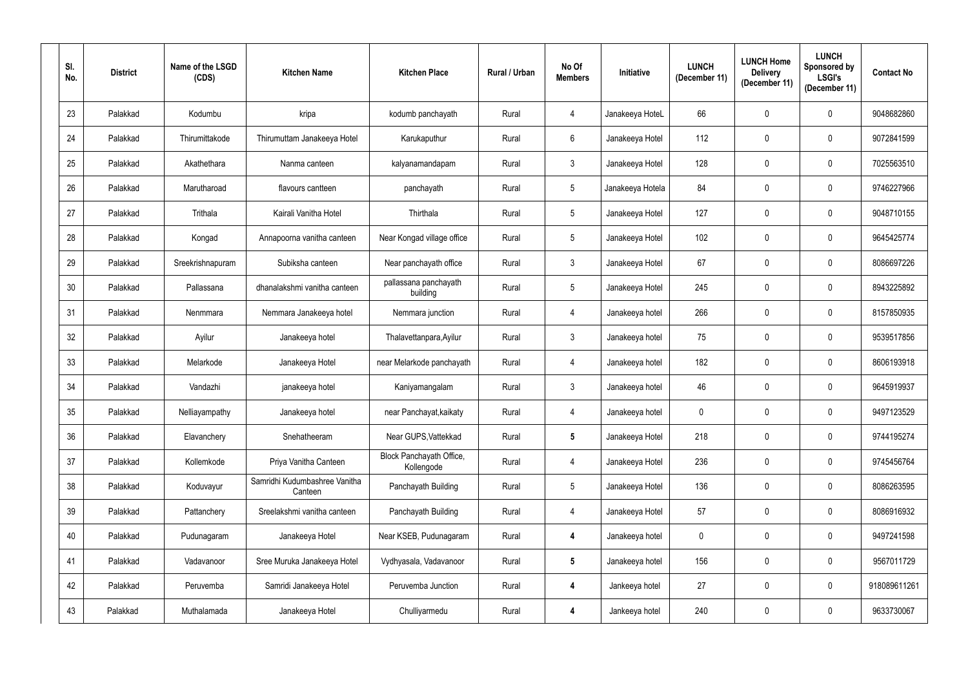| SI.<br>No.      | <b>District</b> | Name of the LSGD<br>(CDS) | <b>Kitchen Name</b>                      | <b>Kitchen Place</b>                   | Rural / Urban | No Of<br><b>Members</b> | <b>Initiative</b> | <b>LUNCH</b><br>(December 11) | <b>LUNCH Home</b><br><b>Delivery</b><br>(December 11) | <b>LUNCH</b><br>Sponsored by<br><b>LSGI's</b><br>(December 11) | <b>Contact No</b> |
|-----------------|-----------------|---------------------------|------------------------------------------|----------------------------------------|---------------|-------------------------|-------------------|-------------------------------|-------------------------------------------------------|----------------------------------------------------------------|-------------------|
| 23              | Palakkad        | Kodumbu                   | kripa                                    | kodumb panchayath                      | Rural         | 4                       | Janakeeya HoteL   | 66                            | 0                                                     | $\mathbf 0$                                                    | 9048682860        |
| 24              | Palakkad        | Thirumittakode            | Thirumuttam Janakeeya Hotel              | Karukaputhur                           | Rural         | $6\overline{6}$         | Janakeeya Hotel   | 112                           | 0                                                     | $\mathbf 0$                                                    | 9072841599        |
| 25              | Palakkad        | Akathethara               | Nanma canteen                            | kalyanamandapam                        | Rural         | 3 <sup>1</sup>          | Janakeeya Hotel   | 128                           | 0                                                     | $\mathbf 0$                                                    | 7025563510        |
| 26              | Palakkad        | Marutharoad               | flavours cantteen                        | panchayath                             | Rural         | $5\overline{)}$         | Janakeeya Hotela  | 84                            | 0                                                     | $\pmb{0}$                                                      | 9746227966        |
| 27              | Palakkad        | Trithala                  | Kairali Vanitha Hotel                    | Thirthala                              | Rural         | 5 <sup>5</sup>          | Janakeeya Hotel   | 127                           | 0                                                     | $\mathbf 0$                                                    | 9048710155        |
| 28              | Palakkad        | Kongad                    | Annapoorna vanitha canteen               | Near Kongad village office             | Rural         | 5 <sup>5</sup>          | Janakeeya Hotel   | 102                           | 0                                                     | $\mathbf 0$                                                    | 9645425774        |
| 29              | Palakkad        | Sreekrishnapuram          | Subiksha canteen                         | Near panchayath office                 | Rural         | 3 <sup>1</sup>          | Janakeeya Hotel   | 67                            | 0                                                     | $\mathbf 0$                                                    | 8086697226        |
| 30 <sup>°</sup> | Palakkad        | Pallassana                | dhanalakshmi vanitha canteen             | pallassana panchayath<br>building      | Rural         | $5\phantom{.0}$         | Janakeeya Hotel   | 245                           | 0                                                     | $\mathbf 0$                                                    | 8943225892        |
| 31              | Palakkad        | Nenmmara                  | Nemmara Janakeeya hotel                  | Nemmara junction                       | Rural         | 4                       | Janakeeya hotel   | 266                           | 0                                                     | $\mathbf 0$                                                    | 8157850935        |
| 32              | Palakkad        | Ayilur                    | Janakeeya hotel                          | Thalavettanpara, Ayilur                | Rural         | 3 <sup>1</sup>          | Janakeeya hotel   | 75                            | 0                                                     | $\mathbf 0$                                                    | 9539517856        |
| 33              | Palakkad        | Melarkode                 | Janakeeya Hotel                          | near Melarkode panchayath              | Rural         | 4                       | Janakeeya hotel   | 182                           | 0                                                     | $\mathbf 0$                                                    | 8606193918        |
| 34              | Palakkad        | Vandazhi                  | janakeeya hotel                          | Kaniyamangalam                         | Rural         | 3 <sup>1</sup>          | Janakeeya hotel   | 46                            | 0                                                     | $\mathbf 0$                                                    | 9645919937        |
| $35\,$          | Palakkad        | Nelliayampathy            | Janakeeya hotel                          | near Panchayat, kaikaty                | Rural         | 4                       | Janakeeya hotel   | $\overline{0}$                | $\mathbf{0}$                                          | $\mathbf 0$                                                    | 9497123529        |
| 36              | Palakkad        | Elavanchery               | Snehatheeram                             | Near GUPS, Vattekkad                   | Rural         | $5\phantom{.0}$         | Janakeeya Hotel   | 218                           | 0                                                     | $\pmb{0}$                                                      | 9744195274        |
| 37              | Palakkad        | Kollemkode                | Priya Vanitha Canteen                    | Block Panchayath Office,<br>Kollengode | Rural         | $\overline{4}$          | Janakeeya Hotel   | 236                           | 0                                                     | $\pmb{0}$                                                      | 9745456764        |
| 38              | Palakkad        | Koduvayur                 | Samridhi Kudumbashree Vanitha<br>Canteen | Panchayath Building                    | Rural         | 5 <sub>5</sub>          | Janakeeya Hotel   | 136                           | 0                                                     | $\pmb{0}$                                                      | 8086263595        |
| 39              | Palakkad        | Pattanchery               | Sreelakshmi vanitha canteen              | Panchayath Building                    | Rural         | $\overline{4}$          | Janakeeya Hotel   | 57                            | 0                                                     | $\mathbf 0$                                                    | 8086916932        |
| 40              | Palakkad        | Pudunagaram               | Janakeeya Hotel                          | Near KSEB, Pudunagaram                 | Rural         | 4                       | Janakeeya hotel   | $\pmb{0}$                     | 0                                                     | $\pmb{0}$                                                      | 9497241598        |
| 41              | Palakkad        | Vadavanoor                | Sree Muruka Janakeeya Hotel              | Vydhyasala, Vadavanoor                 | Rural         | $5\phantom{.0}$         | Janakeeya hotel   | 156                           | 0                                                     | $\pmb{0}$                                                      | 9567011729        |
| 42              | Palakkad        | Peruvemba                 | Samridi Janakeeya Hotel                  | Peruvemba Junction                     | Rural         | 4                       | Jankeeya hotel    | 27                            | 0                                                     | $\mathbf 0$                                                    | 918089611261      |
| 43              | Palakkad        | Muthalamada               | Janakeeya Hotel                          | Chulliyarmedu                          | Rural         | 4                       | Jankeeya hotel    | 240                           | 0                                                     | $\pmb{0}$                                                      | 9633730067        |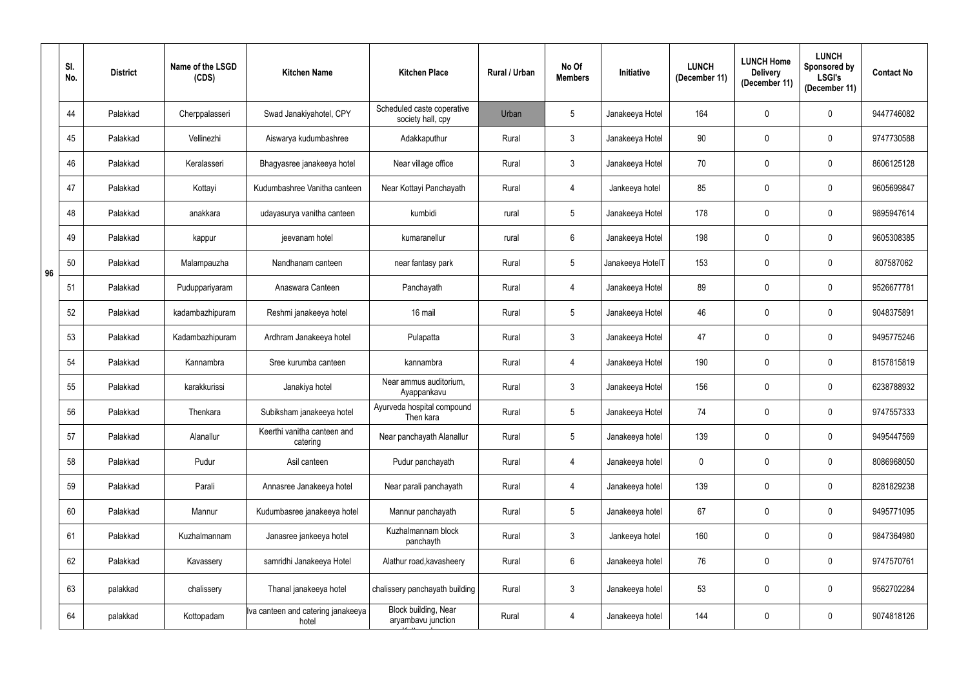|    | SI.<br>No. | <b>District</b> | Name of the LSGD<br>(CDS) | <b>Kitchen Name</b>                         | <b>Kitchen Place</b>                            | Rural / Urban | No Of<br><b>Members</b> | Initiative       | <b>LUNCH</b><br>(December 11) | <b>LUNCH Home</b><br><b>Delivery</b><br>(December 11) | <b>LUNCH</b><br>Sponsored by<br><b>LSGI's</b><br>(December 11) | <b>Contact No</b> |
|----|------------|-----------------|---------------------------|---------------------------------------------|-------------------------------------------------|---------------|-------------------------|------------------|-------------------------------|-------------------------------------------------------|----------------------------------------------------------------|-------------------|
|    | 44         | Palakkad        | Cherppalasseri            | Swad Janakiyahotel, CPY                     | Scheduled caste coperative<br>society hall, cpy | Urban         | $5\phantom{.0}$         | Janakeeya Hotel  | 164                           | $\mathbf 0$                                           | $\mathbf 0$                                                    | 9447746082        |
|    | 45         | Palakkad        | Vellinezhi                | Aiswarya kudumbashree                       | Adakkaputhur                                    | Rural         | 3 <sup>1</sup>          | Janakeeya Hotel  | 90                            | $\mathbf 0$                                           | $\mathbf 0$                                                    | 9747730588        |
|    | 46         | Palakkad        | Keralasseri               | Bhagyasree janakeeya hotel                  | Near village office                             | Rural         | $\mathbf{3}$            | Janakeeya Hotel  | 70                            | $\mathbf 0$                                           | $\mathbf 0$                                                    | 8606125128        |
|    | 47         | Palakkad        | Kottayi                   | Kudumbashree Vanitha canteen                | Near Kottayi Panchayath                         | Rural         | 4                       | Jankeeya hotel   | 85                            | 0                                                     | $\mathbf 0$                                                    | 9605699847        |
|    | 48         | Palakkad        | anakkara                  | udayasurya vanitha canteen                  | kumbidi                                         | rural         | 5                       | Janakeeya Hotel  | 178                           | $\mathbf 0$                                           | $\mathbf 0$                                                    | 9895947614        |
|    | 49         | Palakkad        | kappur                    | jeevanam hotel                              | kumaranellur                                    | rural         | $6\overline{6}$         | Janakeeya Hotel  | 198                           | $\mathbf 0$                                           | $\mathbf 0$                                                    | 9605308385        |
| 96 | 50         | Palakkad        | Malampauzha               | Nandhanam canteen                           | near fantasy park                               | Rural         | 5 <sup>5</sup>          | Janakeeya HotelT | 153                           | $\mathbf 0$                                           | $\mathbf 0$                                                    | 807587062         |
|    | 51         | Palakkad        | Puduppariyaram            | Anaswara Canteen                            | Panchayath                                      | Rural         | 4                       | Janakeeya Hotel  | 89                            | $\mathbf 0$                                           | $\mathbf 0$                                                    | 9526677781        |
|    | 52         | Palakkad        | kadambazhipuram           | Reshmi janakeeya hotel                      | 16 mail                                         | Rural         | $5\phantom{.0}$         | Janakeeya Hotel  | 46                            | 0                                                     | $\mathbf 0$                                                    | 9048375891        |
|    | 53         | Palakkad        | Kadambazhipuram           | Ardhram Janakeeya hotel                     | Pulapatta                                       | Rural         | $\mathbf{3}$            | Janakeeya Hotel  | 47                            | $\mathbf 0$                                           | $\mathbf 0$                                                    | 9495775246        |
|    | 54         | Palakkad        | Kannambra                 | Sree kurumba canteen                        | kannambra                                       | Rural         | 4                       | Janakeeya Hotel  | 190                           | $\mathbf 0$                                           | $\mathbf 0$                                                    | 8157815819        |
|    | 55         | Palakkad        | karakkurissi              | Janakiya hotel                              | Near ammus auditorium,<br>Ayappankavu           | Rural         | $\mathfrak{Z}$          | Janakeeya Hotel  | 156                           | 0                                                     | $\mathbf 0$                                                    | 6238788932        |
|    | 56         | Palakkad        | Thenkara                  | Subiksham janakeeya hotel                   | Ayurveda hospital compound<br>Then kara         | Rural         | 5                       | Janakeeya Hotel  | 74                            | $\mathbf 0$                                           | $\mathbf 0$                                                    | 9747557333        |
|    | 57         | Palakkad        | Alanallur                 | Keerthi vanitha canteen and<br>catering     | Near panchayath Alanallur                       | Rural         | $5\phantom{.0}$         | Janakeeya hotel  | 139                           | $\mathbf 0$                                           | $\pmb{0}$                                                      | 9495447569        |
|    | 58         | Palakkad        | Pudur                     | Asil canteen                                | Pudur panchayath                                | Rural         | 4                       | Janakeeya hotel  | $\mathbf 0$                   | $\pmb{0}$                                             | $\mathbf 0$                                                    | 8086968050        |
|    | 59         | Palakkad        | Parali                    | Annasree Janakeeya hotel                    | Near parali panchayath                          | Rural         | 4                       | Janakeeya hotel  | 139                           | $\mathbf 0$                                           | $\pmb{0}$                                                      | 8281829238        |
|    | 60         | Palakkad        | Mannur                    | Kudumbasree janakeeya hotel                 | Mannur panchayath                               | Rural         | $5\overline{)}$         | Janakeeya hotel  | 67                            | 0                                                     | $\pmb{0}$                                                      | 9495771095        |
|    | 61         | Palakkad        | Kuzhalmannam              | Janasree jankeeya hotel                     | Kuzhalmannam block<br>panchayth                 | Rural         | $\mathfrak{Z}$          | Jankeeya hotel   | 160                           | 0                                                     | $\pmb{0}$                                                      | 9847364980        |
|    | 62         | Palakkad        | Kavassery                 | samridhi Janakeeya Hotel                    | Alathur road, kavasheery                        | Rural         | 6                       | Janakeeya hotel  | 76                            | $\mathbf 0$                                           | $\pmb{0}$                                                      | 9747570761        |
|    | 63         | palakkad        | chalissery                | Thanal janakeeya hotel                      | chalissery panchayath building                  | Rural         | $\mathfrak{Z}$          | Janakeeya hotel  | 53                            | $\pmb{0}$                                             | $\pmb{0}$                                                      | 9562702284        |
|    | 64         | palakkad        | Kottopadam                | Iva canteen and catering janakeeya<br>hotel | Block building, Near<br>aryambavu junction      | Rural         | 4                       | Janakeeya hotel  | 144                           | 0                                                     | $\pmb{0}$                                                      | 9074818126        |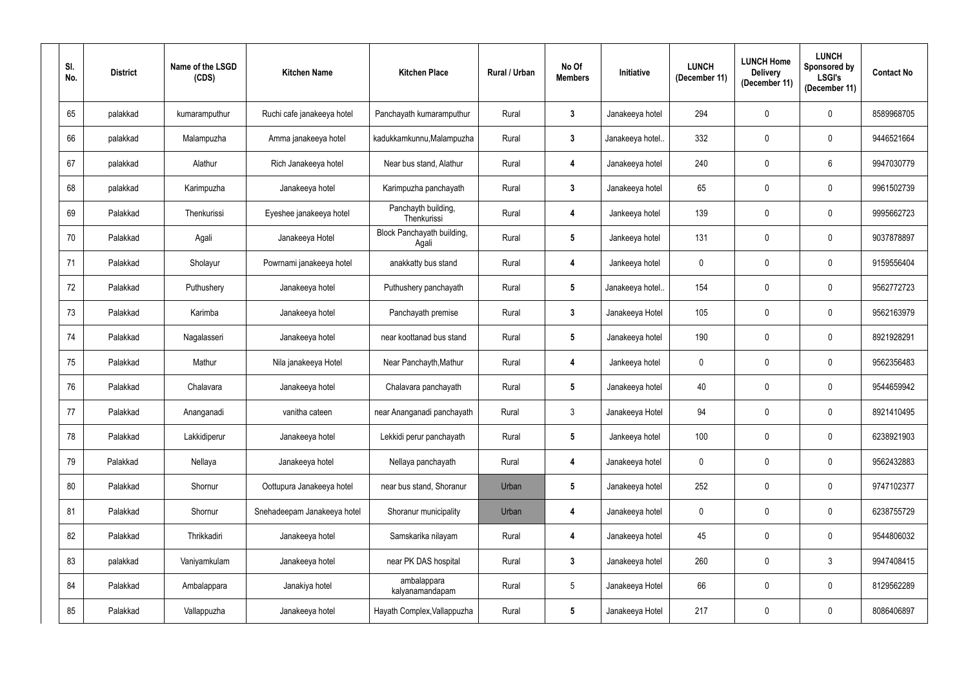| SI.<br>No. | <b>District</b> | Name of the LSGD<br>(CDS) | <b>Kitchen Name</b>         | <b>Kitchen Place</b>                | Rural / Urban | No Of<br><b>Members</b> | Initiative      | <b>LUNCH</b><br>(December 11) | <b>LUNCH Home</b><br><b>Delivery</b><br>(December 11) | <b>LUNCH</b><br>Sponsored by<br><b>LSGI's</b><br>(December 11) | <b>Contact No</b> |
|------------|-----------------|---------------------------|-----------------------------|-------------------------------------|---------------|-------------------------|-----------------|-------------------------------|-------------------------------------------------------|----------------------------------------------------------------|-------------------|
| 65         | palakkad        | kumaramputhur             | Ruchi cafe janakeeya hotel  | Panchayath kumaramputhur            | Rural         | $\mathbf{3}$            | Janakeeya hotel | 294                           | 0                                                     | $\mathbf 0$                                                    | 8589968705        |
| 66         | palakkad        | Malampuzha                | Amma janakeeya hotel        | kadukkamkunnu, Malampuzha           | Rural         | $\mathbf{3}$            | Janakeeya hotel | 332                           | 0                                                     | $\pmb{0}$                                                      | 9446521664        |
| 67         | palakkad        | Alathur                   | Rich Janakeeya hotel        | Near bus stand, Alathur             | Rural         | 4                       | Janakeeya hotel | 240                           | 0                                                     | 6                                                              | 9947030779        |
| 68         | palakkad        | Karimpuzha                | Janakeeya hotel             | Karimpuzha panchayath               | Rural         | $\mathbf{3}$            | Janakeeya hotel | 65                            | 0                                                     | $\pmb{0}$                                                      | 9961502739        |
| 69         | Palakkad        | Thenkurissi               | Eyeshee janakeeya hotel     | Panchayth building,<br>Thenkurissi  | Rural         | 4                       | Jankeeya hotel  | 139                           | 0                                                     | $\mathbf 0$                                                    | 9995662723        |
| 70         | Palakkad        | Agali                     | Janakeeya Hotel             | Block Panchayath building,<br>Agali | Rural         | $5\phantom{.0}$         | Jankeeya hotel  | 131                           | 0                                                     | $\pmb{0}$                                                      | 9037878897        |
| 71         | Palakkad        | Sholayur                  | Powrnami janakeeya hotel    | anakkatty bus stand                 | Rural         | 4                       | Jankeeya hotel  | $\mathbf 0$                   | 0                                                     | $\mathbf 0$                                                    | 9159556404        |
| 72         | Palakkad        | Puthushery                | Janakeeya hotel             | Puthushery panchayath               | Rural         | $5\phantom{.0}$         | Janakeeya hotel | 154                           | 0                                                     | $\mathbf 0$                                                    | 9562772723        |
| 73         | Palakkad        | Karimba                   | Janakeeya hotel             | Panchayath premise                  | Rural         | 3                       | Janakeeya Hotel | 105                           | 0                                                     | $\pmb{0}$                                                      | 9562163979        |
| 74         | Palakkad        | Nagalasseri               | Janakeeya hotel             | near koottanad bus stand            | Rural         | $5\overline{)}$         | Janakeeya hotel | 190                           | 0                                                     | $\mathbf 0$                                                    | 8921928291        |
| 75         | Palakkad        | Mathur                    | Nila janakeeya Hotel        | Near Panchayth, Mathur              | Rural         | 4                       | Jankeeya hotel  | $\mathbf 0$                   | 0                                                     | $\mathbf 0$                                                    | 9562356483        |
| 76         | Palakkad        | Chalavara                 | Janakeeya hotel             | Chalavara panchayath                | Rural         | $5\overline{)}$         | Janakeeya hotel | 40                            | 0                                                     | $\mathbf 0$                                                    | 9544659942        |
| 77         | Palakkad        | Ananganadi                | vanitha cateen              | near Ananganadi panchayath          | Rural         | 3                       | Janakeeya Hotel | 94                            | $\mathbf{0}$                                          | $\mathbf 0$                                                    | 8921410495        |
| 78         | Palakkad        | Lakkidiperur              | Janakeeya hotel             | Lekkidi perur panchayath            | Rural         | $5\phantom{.0}$         | Jankeeya hotel  | 100                           | 0                                                     | $\pmb{0}$                                                      | 6238921903        |
| 79         | Palakkad        | Nellaya                   | Janakeeya hotel             | Nellaya panchayath                  | Rural         | 4                       | Janakeeya hotel | $\mathbf 0$                   | 0                                                     | $\pmb{0}$                                                      | 9562432883        |
| 80         | Palakkad        | Shornur                   | Oottupura Janakeeya hotel   | near bus stand, Shoranur            | Urban         | $5\overline{)}$         | Janakeeya hotel | 252                           | 0                                                     | $\pmb{0}$                                                      | 9747102377        |
| 81         | Palakkad        | Shornur                   | Snehadeepam Janakeeya hotel | Shoranur municipality               | Urban         | 4                       | Janakeeya hotel | $\mathbf 0$                   | 0                                                     | $\mathbf 0$                                                    | 6238755729        |
| 82         | Palakkad        | Thrikkadiri               | Janakeeya hotel             | Samskarika nilayam                  | Rural         | 4                       | Janakeeya hotel | 45                            | 0                                                     | $\mathbf 0$                                                    | 9544806032        |
| 83         | palakkad        | Vaniyamkulam              | Janakeeya hotel             | near PK DAS hospital                | Rural         | $\mathbf{3}$            | Janakeeya hotel | 260                           | 0                                                     | $\mathfrak{Z}$                                                 | 9947408415        |
| 84         | Palakkad        | Ambalappara               | Janakiya hotel              | ambalappara<br>kalyanamandapam      | Rural         | $5\phantom{.0}$         | Janakeeya Hotel | 66                            | 0                                                     | $\mathbf 0$                                                    | 8129562289        |
| 85         | Palakkad        | Vallappuzha               | Janakeeya hotel             | Hayath Complex, Vallappuzha         | Rural         | 5 <sub>5</sub>          | Janakeeya Hotel | 217                           | 0                                                     | $\pmb{0}$                                                      | 8086406897        |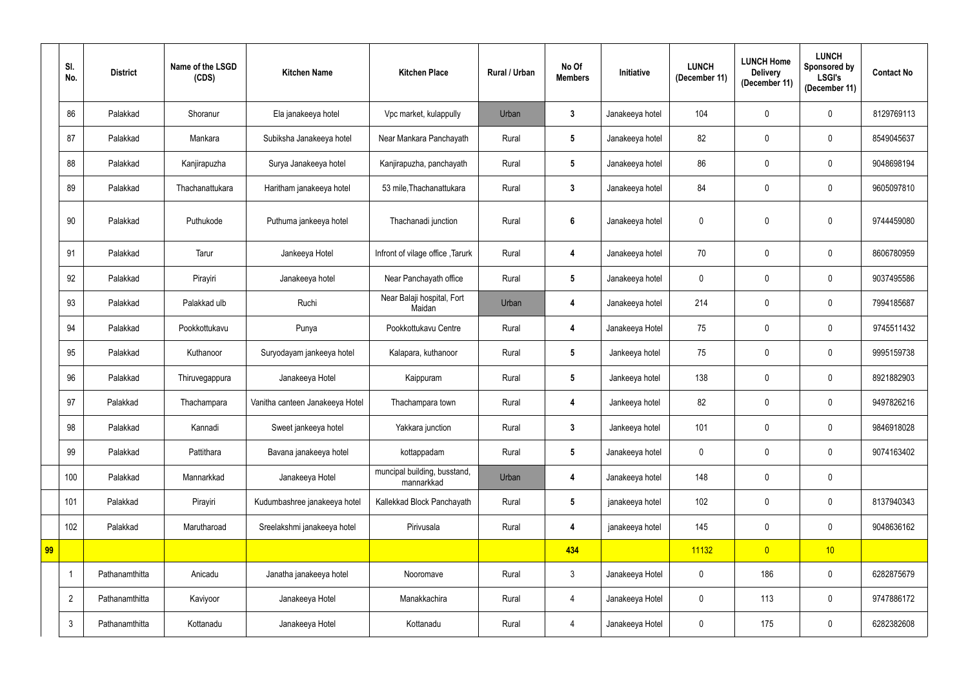|    | SI.<br>No.     | <b>District</b> | Name of the LSGD<br>(CDS) | <b>Kitchen Name</b>             | <b>Kitchen Place</b>                       | <b>Rural / Urban</b> | No Of<br><b>Members</b> | Initiative      | <b>LUNCH</b><br>(December 11) | <b>LUNCH Home</b><br><b>Delivery</b><br>(December 11) | <b>LUNCH</b><br>Sponsored by<br><b>LSGI's</b><br>(December 11) | <b>Contact No</b> |
|----|----------------|-----------------|---------------------------|---------------------------------|--------------------------------------------|----------------------|-------------------------|-----------------|-------------------------------|-------------------------------------------------------|----------------------------------------------------------------|-------------------|
|    | 86             | Palakkad        | Shoranur                  | Ela janakeeya hotel             | Vpc market, kulappully                     | Urban                | $\mathbf{3}$            | Janakeeya hotel | 104                           | $\overline{0}$                                        | $\mathbf 0$                                                    | 8129769113        |
|    | 87             | Palakkad        | Mankara                   | Subiksha Janakeeya hotel        | Near Mankara Panchayath                    | Rural                | $5\phantom{.0}$         | Janakeeya hotel | 82                            | $\overline{0}$                                        | $\mathbf 0$                                                    | 8549045637        |
|    | 88             | Palakkad        | Kanjirapuzha              | Surya Janakeeya hotel           | Kanjirapuzha, panchayath                   | Rural                | $5\phantom{.0}$         | Janakeeya hotel | 86                            | $\mathbf 0$                                           | $\mathbf 0$                                                    | 9048698194        |
|    | 89             | Palakkad        | Thachanattukara           | Haritham janakeeya hotel        | 53 mile, Thachanattukara                   | Rural                | $\mathbf{3}$            | Janakeeya hotel | 84                            | $\mathbf 0$                                           | $\mathbf 0$                                                    | 9605097810        |
|    | 90             | Palakkad        | Puthukode                 | Puthuma jankeeya hotel          | Thachanadi junction                        | Rural                | 6                       | Janakeeya hotel | $\mathbf 0$                   | $\mathbf 0$                                           | $\mathbf{0}$                                                   | 9744459080        |
|    | 91             | Palakkad        | Tarur                     | Jankeeya Hotel                  | Infront of vilage office, Tarurk           | Rural                | 4                       | Janakeeya hotel | 70                            | $\overline{0}$                                        | $\mathbf 0$                                                    | 8606780959        |
|    | 92             | Palakkad        | Pirayiri                  | Janakeeya hotel                 | Near Panchayath office                     | Rural                | $5\phantom{.0}$         | Janakeeya hotel | $\mathbf 0$                   | $\mathbf 0$                                           | $\mathbf 0$                                                    | 9037495586        |
|    | 93             | Palakkad        | Palakkad ulb              | Ruchi                           | Near Balaji hospital, Fort<br>Maidan       | Urban                | 4                       | Janakeeya hotel | 214                           | $\mathbf 0$                                           | $\mathbf 0$                                                    | 7994185687        |
|    | 94             | Palakkad        | Pookkottukavu             | Punya                           | Pookkottukavu Centre                       | Rural                | 4                       | Janakeeya Hotel | 75                            | $\mathbf 0$                                           | $\mathbf 0$                                                    | 9745511432        |
|    | 95             | Palakkad        | Kuthanoor                 | Suryodayam jankeeya hotel       | Kalapara, kuthanoor                        | Rural                | $5\phantom{.0}$         | Jankeeya hotel  | 75                            | $\mathbf 0$                                           | $\mathbf 0$                                                    | 9995159738        |
|    | 96             | Palakkad        | Thiruvegappura            | Janakeeya Hotel                 | Kaippuram                                  | Rural                | $5\phantom{.0}$         | Jankeeya hotel  | 138                           | $\overline{0}$                                        | $\mathbf 0$                                                    | 8921882903        |
|    | 97             | Palakkad        | Thachampara               | Vanitha canteen Janakeeya Hotel | Thachampara town                           | Rural                |                         | Jankeeya hotel  | 82                            | $\mathbf 0$                                           | $\mathbf 0$                                                    | 9497826216        |
|    | 98             | Palakkad        | Kannadi                   | Sweet jankeeya hotel            | Yakkara junction                           | Rural                | $\mathbf{3}$            | Jankeeya hotel  | 101                           | $\mathbf 0$                                           | $\pmb{0}$                                                      | 9846918028        |
|    | 99             | Palakkad        | Pattithara                | Bavana janakeeya hotel          | kottappadam                                | Rural                | $5\phantom{.0}$         | Janakeeya hotel | 0                             | $\mathbf 0$                                           | $\mathbf 0$                                                    | 9074163402        |
|    | 100            | Palakkad        | Mannarkkad                | Janakeeya Hotel                 | muncipal building, busstand,<br>mannarkkad | Urban                | 4                       | Janakeeya hotel | 148                           | $\mathbf 0$                                           | $\pmb{0}$                                                      |                   |
|    | 101            | Palakkad        | Pirayiri                  | Kudumbashree janakeeya hotel    | Kallekkad Block Panchayath                 | Rural                | $5\phantom{.0}$         | janakeeya hotel | 102                           | $\mathbf 0$                                           | $\mathbf 0$                                                    | 8137940343        |
|    | 102            | Palakkad        | Marutharoad               | Sreelakshmi janakeeya hotel     | Pirivusala                                 | Rural                | 4                       | janakeeya hotel | 145                           | $\mathbf 0$                                           | $\mathbf 0$                                                    | 9048636162        |
| 99 |                |                 |                           |                                 |                                            |                      | 434                     |                 | 11132                         | $\overline{0}$                                        | 10                                                             |                   |
|    | 1              | Pathanamthitta  | Anicadu                   | Janatha janakeeya hotel         | Nooromave                                  | Rural                | $3\phantom{.0}$         | Janakeeya Hotel | $\mathbf 0$                   | 186                                                   | $\pmb{0}$                                                      | 6282875679        |
|    | $\overline{2}$ | Pathanamthitta  | Kaviyoor                  | Janakeeya Hotel                 | Manakkachira                               | Rural                | 4                       | Janakeeya Hotel | $\pmb{0}$                     | 113                                                   | $\mathbf 0$                                                    | 9747886172        |
|    | $\mathbf{3}$   | Pathanamthitta  | Kottanadu                 | Janakeeya Hotel                 | Kottanadu                                  | Rural                | 4                       | Janakeeya Hotel | $\boldsymbol{0}$              | 175                                                   | $\pmb{0}$                                                      | 6282382608        |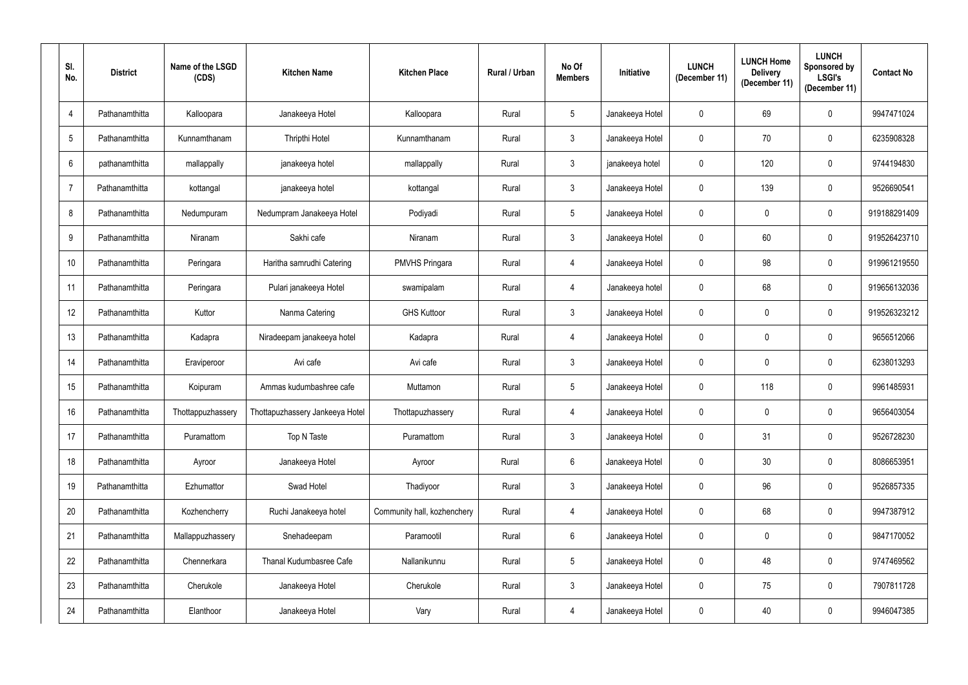| SI.<br>No.      | <b>District</b> | Name of the LSGD<br>(CDS) | <b>Kitchen Name</b>             | <b>Kitchen Place</b>        | Rural / Urban | No Of<br><b>Members</b> | <b>Initiative</b> | <b>LUNCH</b><br>(December 11) | <b>LUNCH Home</b><br><b>Delivery</b><br>(December 11) | <b>LUNCH</b><br>Sponsored by<br><b>LSGI's</b><br>(December 11) | <b>Contact No</b> |
|-----------------|-----------------|---------------------------|---------------------------------|-----------------------------|---------------|-------------------------|-------------------|-------------------------------|-------------------------------------------------------|----------------------------------------------------------------|-------------------|
| $\overline{4}$  | Pathanamthitta  | Kalloopara                | Janakeeya Hotel                 | Kalloopara                  | Rural         | $5\overline{)}$         | Janakeeya Hotel   | $\overline{0}$                | 69                                                    | $\mathbf 0$                                                    | 9947471024        |
| $5\phantom{.0}$ | Pathanamthitta  | Kunnamthanam              | Thripthi Hotel                  | Kunnamthanam                | Rural         | 3 <sup>1</sup>          | Janakeeya Hotel   | $\overline{0}$                | 70                                                    | $\mathbf 0$                                                    | 6235908328        |
| $6\phantom{1}$  | pathanamthitta  | mallappally               | janakeeya hotel                 | mallappally                 | Rural         | 3 <sup>1</sup>          | janakeeya hotel   | $\mathbf 0$                   | 120                                                   | $\mathbf 0$                                                    | 9744194830        |
| $\overline{7}$  | Pathanamthitta  | kottangal                 | janakeeya hotel                 | kottangal                   | Rural         | $\mathfrak{Z}$          | Janakeeya Hotel   | $\mathbf 0$                   | 139                                                   | $\mathbf 0$                                                    | 9526690541        |
| $\bf 8$         | Pathanamthitta  | Nedumpuram                | Nedumpram Janakeeya Hotel       | Podiyadi                    | Rural         | 5 <sup>5</sup>          | Janakeeya Hotel   | $\overline{0}$                | $\mathbf 0$                                           | $\mathbf 0$                                                    | 919188291409      |
| 9               | Pathanamthitta  | Niranam                   | Sakhi cafe                      | Niranam                     | Rural         | $\mathbf{3}$            | Janakeeya Hotel   | $\overline{0}$                | 60                                                    | $\mathbf 0$                                                    | 919526423710      |
| 10              | Pathanamthitta  | Peringara                 | Haritha samrudhi Catering       | <b>PMVHS Pringara</b>       | Rural         | $\overline{4}$          | Janakeeya Hotel   | $\overline{0}$                | 98                                                    | $\mathbf 0$                                                    | 919961219550      |
| 11              | Pathanamthitta  | Peringara                 | Pulari janakeeya Hotel          | swamipalam                  | Rural         | 4                       | Janakeeya hotel   | $\overline{0}$                | 68                                                    | $\mathbf 0$                                                    | 919656132036      |
| 12              | Pathanamthitta  | Kuttor                    | Nanma Catering                  | <b>GHS Kuttoor</b>          | Rural         | $\mathbf{3}$            | Janakeeya Hotel   | $\overline{0}$                | $\mathbf 0$                                           | $\mathbf 0$                                                    | 919526323212      |
| 13              | Pathanamthitta  | Kadapra                   | Niradeepam janakeeya hotel      | Kadapra                     | Rural         | 4                       | Janakeeya Hotel   | $\overline{0}$                | 0                                                     | $\mathbf 0$                                                    | 9656512066        |
| 14              | Pathanamthitta  | Eraviperoor               | Avi cafe                        | Avi cafe                    | Rural         | $\mathbf{3}$            | Janakeeya Hotel   | $\mathbf 0$                   | $\mathbf 0$                                           | $\mathbf 0$                                                    | 6238013293        |
| 15              | Pathanamthitta  | Koipuram                  | Ammas kudumbashree cafe         | Muttamon                    | Rural         | 5 <sup>5</sup>          | Janakeeya Hotel   | $\mathbf 0$                   | 118                                                   | $\mathbf 0$                                                    | 9961485931        |
| 16              | Pathanamthitta  | Thottappuzhassery         | Thottapuzhassery Jankeeya Hotel | Thottapuzhassery            | Rural         | 4                       | Janakeeya Hotel   | $\overline{0}$                | $\mathbf 0$                                           | $\mathbf 0$                                                    | 9656403054        |
| 17              | Pathanamthitta  | Puramattom                | Top N Taste                     | Puramattom                  | Rural         | 3 <sup>1</sup>          | Janakeeya Hotel   | $\mathbf 0$                   | 31                                                    | $\pmb{0}$                                                      | 9526728230        |
| 18              | Pathanamthitta  | Ayroor                    | Janakeeya Hotel                 | Ayroor                      | Rural         | $6\overline{6}$         | Janakeeya Hotel   | $\mathbf 0$                   | 30 <sub>o</sub>                                       | $\pmb{0}$                                                      | 8086653951        |
| 19              | Pathanamthitta  | Ezhumattor                | Swad Hotel                      | Thadiyoor                   | Rural         | $\mathbf{3}$            | Janakeeya Hotel   | $\mathbf 0$                   | 96                                                    | $\pmb{0}$                                                      | 9526857335        |
| 20              | Pathanamthitta  | Kozhencherry              | Ruchi Janakeeya hotel           | Community hall, kozhenchery | Rural         | $\overline{4}$          | Janakeeya Hotel   | $\mathbf 0$                   | 68                                                    | $\pmb{0}$                                                      | 9947387912        |
| 21              | Pathanamthitta  | Mallappuzhassery          | Snehadeepam                     | Paramootil                  | Rural         | $6\overline{6}$         | Janakeeya Hotel   | $\pmb{0}$                     | $\overline{0}$                                        | $\pmb{0}$                                                      | 9847170052        |
| 22              | Pathanamthitta  | Chennerkara               | Thanal Kudumbasree Cafe         | Nallanikunnu                | Rural         | $5\phantom{.0}$         | Janakeeya Hotel   | $\mathbf 0$                   | 48                                                    | $\pmb{0}$                                                      | 9747469562        |
| 23              | Pathanamthitta  | Cherukole                 | Janakeeya Hotel                 | Cherukole                   | Rural         | 3 <sup>1</sup>          | Janakeeya Hotel   | $\mathbf 0$                   | 75                                                    | $\pmb{0}$                                                      | 7907811728        |
| 24              | Pathanamthitta  | Elanthoor                 | Janakeeya Hotel                 | Vary                        | Rural         | $\overline{4}$          | Janakeeya Hotel   | $\boldsymbol{0}$              | 40                                                    | $\pmb{0}$                                                      | 9946047385        |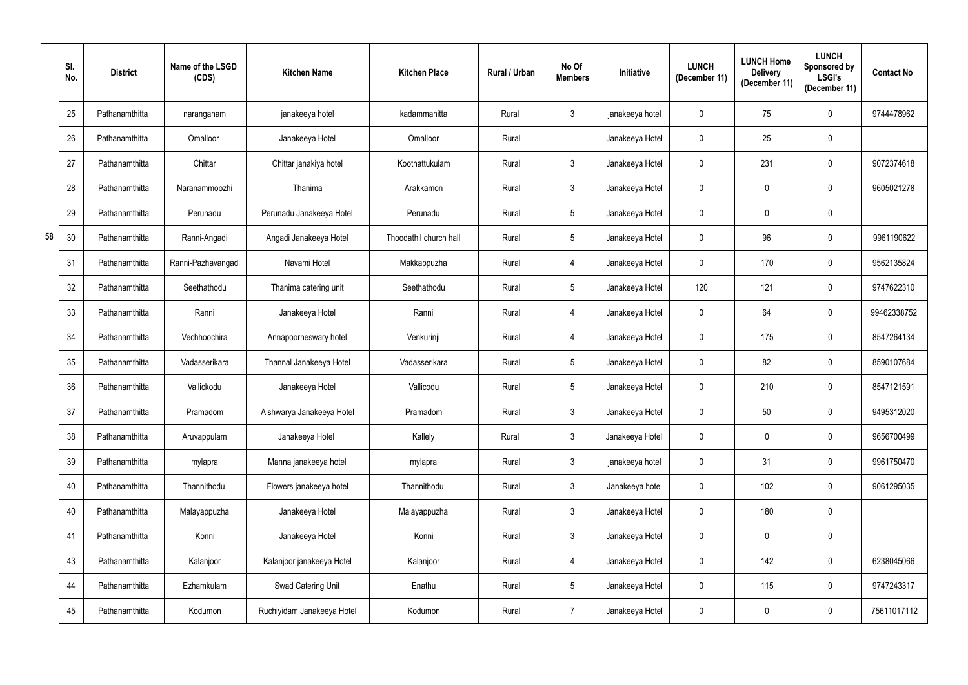|    | SI.<br>No. | <b>District</b> | Name of the LSGD<br>(CDS) | <b>Kitchen Name</b>        | <b>Kitchen Place</b>   | Rural / Urban | No Of<br><b>Members</b> | Initiative      | <b>LUNCH</b><br>(December 11) | <b>LUNCH Home</b><br><b>Delivery</b><br>(December 11) | <b>LUNCH</b><br>Sponsored by<br><b>LSGI's</b><br>(December 11) | <b>Contact No</b> |
|----|------------|-----------------|---------------------------|----------------------------|------------------------|---------------|-------------------------|-----------------|-------------------------------|-------------------------------------------------------|----------------------------------------------------------------|-------------------|
|    | 25         | Pathanamthitta  | naranganam                | janakeeya hotel            | kadammanitta           | Rural         | $\mathfrak{Z}$          | janakeeya hotel | $\mathbf 0$                   | 75                                                    | $\mathbf 0$                                                    | 9744478962        |
|    | 26         | Pathanamthitta  | Omalloor                  | Janakeeya Hotel            | Omalloor               | Rural         |                         | Janakeeya Hotel | $\mathbf 0$                   | 25                                                    | $\boldsymbol{0}$                                               |                   |
|    | 27         | Pathanamthitta  | Chittar                   | Chittar janakiya hotel     | Koothattukulam         | Rural         | $\mathbf{3}$            | Janakeeya Hotel | $\mathbf 0$                   | 231                                                   | $\mathbf 0$                                                    | 9072374618        |
|    | 28         | Pathanamthitta  | Naranammoozhi             | Thanima                    | Arakkamon              | Rural         | $\mathbf{3}$            | Janakeeya Hotel | $\mathbf 0$                   | $\mathbf 0$                                           | $\mathbf 0$                                                    | 9605021278        |
|    | 29         | Pathanamthitta  | Perunadu                  | Perunadu Janakeeya Hotel   | Perunadu               | Rural         | 5                       | Janakeeya Hotel | $\mathbf 0$                   | $\mathbf 0$                                           | $\mathbf 0$                                                    |                   |
| 58 | 30         | Pathanamthitta  | Ranni-Angadi              | Angadi Janakeeya Hotel     | Thoodathil church hall | Rural         | $5\overline{)}$         | Janakeeya Hotel | $\mathbf 0$                   | 96                                                    | $\mathbf 0$                                                    | 9961190622        |
|    | 31         | Pathanamthitta  | Ranni-Pazhavangadi        | Navami Hotel               | Makkappuzha            | Rural         | 4                       | Janakeeya Hotel | $\mathbf 0$                   | 170                                                   | $\mathbf 0$                                                    | 9562135824        |
|    | 32         | Pathanamthitta  | Seethathodu               | Thanima catering unit      | Seethathodu            | Rural         | 5                       | Janakeeya Hotel | 120                           | 121                                                   | $\mathbf 0$                                                    | 9747622310        |
|    | 33         | Pathanamthitta  | Ranni                     | Janakeeya Hotel            | Ranni                  | Rural         | 4                       | Janakeeya Hotel | $\mathbf 0$                   | 64                                                    | $\mathbf 0$                                                    | 99462338752       |
|    | 34         | Pathanamthitta  | Vechhoochira              | Annapoorneswary hotel      | Venkurinji             | Rural         | 4                       | Janakeeya Hotel | $\mathbf 0$                   | 175                                                   | $\mathbf 0$                                                    | 8547264134        |
|    | 35         | Pathanamthitta  | Vadasserikara             | Thannal Janakeeya Hotel    | Vadasserikara          | Rural         | $5\overline{)}$         | Janakeeya Hotel | $\overline{0}$                | 82                                                    | $\mathbf 0$                                                    | 8590107684        |
|    | 36         | Pathanamthitta  | Vallickodu                | Janakeeya Hotel            | Vallicodu              | Rural         | 5                       | Janakeeya Hotel | $\mathbf 0$                   | 210                                                   | $\mathbf 0$                                                    | 8547121591        |
|    | 37         | Pathanamthitta  | Pramadom                  | Aishwarya Janakeeya Hotel  | Pramadom               | Rural         | $\mathbf{3}$            | Janakeeya Hotel | $\overline{0}$                | $50\,$                                                | $\mathbf 0$                                                    | 9495312020        |
|    | 38         | Pathanamthitta  | Aruvappulam               | Janakeeya Hotel            | Kallely                | Rural         | 3 <sup>1</sup>          | Janakeeya Hotel | $\overline{0}$                | $\mathbf 0$                                           | $\boldsymbol{0}$                                               | 9656700499        |
|    | 39         | Pathanamthitta  | mylapra                   | Manna janakeeya hotel      | mylapra                | Rural         | $\mathfrak{Z}$          | janakeeya hotel | $\mathbf 0$                   | 31                                                    | $\pmb{0}$                                                      | 9961750470        |
|    | 40         | Pathanamthitta  | Thannithodu               | Flowers janakeeya hotel    | Thannithodu            | Rural         | $\mathfrak{Z}$          | Janakeeya hotel | $\mathbf 0$                   | 102                                                   | $\pmb{0}$                                                      | 9061295035        |
|    | 40         | Pathanamthitta  | Malayappuzha              | Janakeeya Hotel            | Malayappuzha           | Rural         | 3 <sup>1</sup>          | Janakeeya Hotel | $\overline{0}$                | 180                                                   | $\boldsymbol{0}$                                               |                   |
|    | 41         | Pathanamthitta  | Konni                     | Janakeeya Hotel            | Konni                  | Rural         | 3 <sup>1</sup>          | Janakeeya Hotel | $\overline{0}$                | $\mathbf 0$                                           | $\pmb{0}$                                                      |                   |
|    | 43         | Pathanamthitta  | Kalanjoor                 | Kalanjoor janakeeya Hotel  | Kalanjoor              | Rural         | $\overline{4}$          | Janakeeya Hotel | $\mathbf 0$                   | 142                                                   | $\boldsymbol{0}$                                               | 6238045066        |
|    | 44         | Pathanamthitta  | Ezhamkulam                | Swad Catering Unit         | Enathu                 | Rural         | $5\overline{)}$         | Janakeeya Hotel | $\mathbf 0$                   | 115                                                   | $\boldsymbol{0}$                                               | 9747243317        |
|    | 45         | Pathanamthitta  | Kodumon                   | Ruchiyidam Janakeeya Hotel | Kodumon                | Rural         | $\overline{7}$          | Janakeeya Hotel | $\bf{0}$                      | 0                                                     | $\pmb{0}$                                                      | 75611017112       |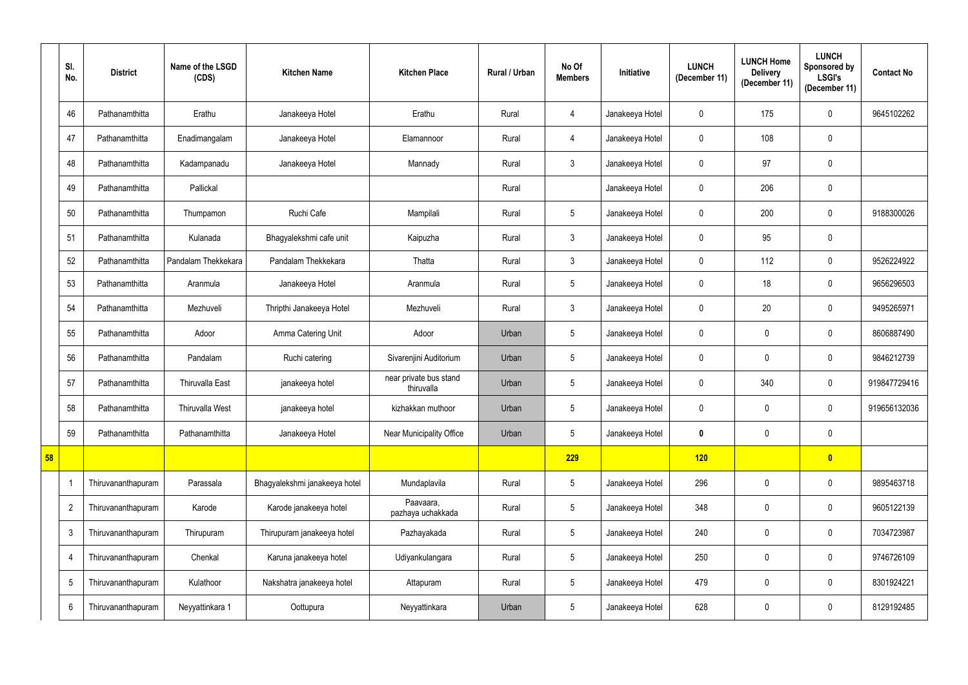|    | SI.<br>No.      | <b>District</b>    | Name of the LSGD<br>(CDS) | <b>Kitchen Name</b>           | <b>Kitchen Place</b>                 | Rural / Urban | No Of<br><b>Members</b> | Initiative      | <b>LUNCH</b><br>(December 11) | <b>LUNCH Home</b><br><b>Delivery</b><br>(December 11) | <b>LUNCH</b><br>Sponsored by<br><b>LSGI's</b><br>(December 11) | <b>Contact No</b> |
|----|-----------------|--------------------|---------------------------|-------------------------------|--------------------------------------|---------------|-------------------------|-----------------|-------------------------------|-------------------------------------------------------|----------------------------------------------------------------|-------------------|
|    | 46              | Pathanamthitta     | Erathu                    | Janakeeya Hotel               | Erathu                               | Rural         | 4                       | Janakeeya Hotel | $\mathbf 0$                   | 175                                                   | $\mathbf 0$                                                    | 9645102262        |
|    | 47              | Pathanamthitta     | Enadimangalam             | Janakeeya Hotel               | Elamannoor                           | Rural         | 4                       | Janakeeya Hotel | $\mathbf 0$                   | 108                                                   | $\mathbf 0$                                                    |                   |
|    | 48              | Pathanamthitta     | Kadampanadu               | Janakeeya Hotel               | Mannady                              | Rural         | 3 <sup>1</sup>          | Janakeeya Hotel | $\mathbf{0}$                  | 97                                                    | $\mathbf 0$                                                    |                   |
|    | 49              | Pathanamthitta     | Pallickal                 |                               |                                      | Rural         |                         | Janakeeya Hotel | $\mathbf 0$                   | 206                                                   | $\mathbf 0$                                                    |                   |
|    | 50              | Pathanamthitta     | Thumpamon                 | Ruchi Cafe                    | Mampilali                            | Rural         | 5 <sup>5</sup>          | Janakeeya Hotel | $\mathbf{0}$                  | 200                                                   | $\mathbf 0$                                                    | 9188300026        |
|    | 51              | Pathanamthitta     | Kulanada                  | Bhagyalekshmi cafe unit       | Kaipuzha                             | Rural         | $\mathfrak{Z}$          | Janakeeya Hotel | $\mathbf 0$                   | 95                                                    | $\mathbf 0$                                                    |                   |
|    | 52              | Pathanamthitta     | Pandalam Thekkekara       | Pandalam Thekkekara           | Thatta                               | Rural         | 3 <sup>1</sup>          | Janakeeya Hotel | $\mathbf 0$                   | 112                                                   | $\mathbf 0$                                                    | 9526224922        |
|    | 53              | Pathanamthitta     | Aranmula                  | Janakeeya Hotel               | Aranmula                             | Rural         | $5\phantom{.0}$         | Janakeeya Hotel | $\mathbf 0$                   | 18                                                    | $\mathbf 0$                                                    | 9656296503        |
|    | 54              | Pathanamthitta     | Mezhuveli                 | Thripthi Janakeeya Hotel      | Mezhuveli                            | Rural         | 3                       | Janakeeya Hotel | $\mathbf 0$                   | 20                                                    | $\mathbf 0$                                                    | 9495265971        |
|    | 55              | Pathanamthitta     | Adoor                     | Amma Catering Unit            | Adoor                                | Urban         | 5 <sub>5</sub>          | Janakeeya Hotel | $\mathbf 0$                   | 0                                                     | $\mathbf 0$                                                    | 8606887490        |
|    | 56              | Pathanamthitta     | Pandalam                  | Ruchi catering                | Sivarenjini Auditorium               | Urban         | 5 <sub>5</sub>          | Janakeeya Hotel | $\mathbf 0$                   | $\mathbf 0$                                           | $\mathbf 0$                                                    | 9846212739        |
|    | 57              | Pathanamthitta     | Thiruvalla East           | janakeeya hotel               | near private bus stand<br>thiruvalla | Urban         | 5 <sub>5</sub>          | Janakeeya Hotel | $\mathbf 0$                   | 340                                                   | $\mathbf 0$                                                    | 919847729416      |
|    | 58              | Pathanamthitta     | Thiruvalla West           | janakeeya hotel               | kizhakkan muthoor                    | Urban         | $5\phantom{.0}$         | Janakeeya Hotel | $\mathbf 0$                   | $\mathbf 0$                                           | $\mathbf 0$                                                    | 919656132036      |
|    | 59              | Pathanamthitta     | Pathanamthitta            | Janakeeya Hotel               | Near Municipality Office             | Urban         | 5 <sub>5</sub>          | Janakeeya Hotel | $\boldsymbol{0}$              | $\pmb{0}$                                             | $\pmb{0}$                                                      |                   |
| 58 |                 |                    |                           |                               |                                      |               | 229                     |                 | 120                           |                                                       | $\overline{\mathbf{0}}$                                        |                   |
|    |                 | Thiruvananthapuram | Parassala                 | Bhagyalekshmi janakeeya hotel | Mundaplavila                         | Rural         | $5\phantom{.0}$         | Janakeeya Hotel | 296                           | 0                                                     | $\pmb{0}$                                                      | 9895463718        |
|    | $\overline{2}$  | Thiruvananthapuram | Karode                    | Karode janakeeya hotel        | Paavaara,<br>pazhaya uchakkada       | Rural         | 5 <sub>5</sub>          | Janakeeya Hotel | 348                           | 0                                                     | $\pmb{0}$                                                      | 9605122139        |
|    | $\mathbf{3}$    | Thiruvananthapuram | Thirupuram                | Thirupuram janakeeya hotel    | Pazhayakada                          | Rural         | $5\phantom{.0}$         | Janakeeya Hotel | 240                           | 0                                                     | $\pmb{0}$                                                      | 7034723987        |
|    | $\overline{4}$  | Thiruvananthapuram | Chenkal                   | Karuna janakeeya hotel        | Udiyankulangara                      | Rural         | $5\phantom{.0}$         | Janakeeya Hotel | 250                           | 0                                                     | $\mathbf 0$                                                    | 9746726109        |
|    | $\overline{5}$  | Thiruvananthapuram | Kulathoor                 | Nakshatra janakeeya hotel     | Attapuram                            | Rural         | 5 <sub>5</sub>          | Janakeeya Hotel | 479                           | 0                                                     | $\pmb{0}$                                                      | 8301924221        |
|    | $6\phantom{.0}$ | Thiruvananthapuram | Neyyattinkara 1           | Oottupura                     | Neyyattinkara                        | Urban         | $5\phantom{.0}$         | Janakeeya Hotel | 628                           | 0                                                     | $\pmb{0}$                                                      | 8129192485        |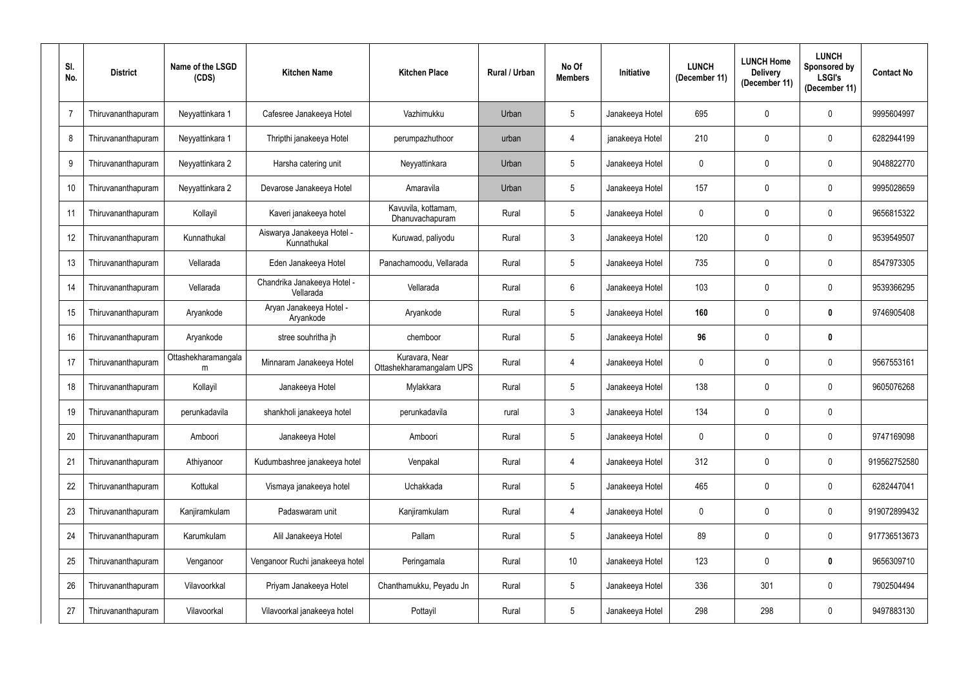| SI.<br>No. | <b>District</b>    | Name of the LSGD<br>(CDS) | <b>Kitchen Name</b>                       | <b>Kitchen Place</b>                       | Rural / Urban | No Of<br><b>Members</b> | Initiative      | <b>LUNCH</b><br>(December 11) | <b>LUNCH Home</b><br><b>Delivery</b><br>(December 11) | <b>LUNCH</b><br>Sponsored by<br><b>LSGI's</b><br>(December 11) | <b>Contact No</b> |
|------------|--------------------|---------------------------|-------------------------------------------|--------------------------------------------|---------------|-------------------------|-----------------|-------------------------------|-------------------------------------------------------|----------------------------------------------------------------|-------------------|
| 7          | Thiruvananthapuram | Neyyattinkara 1           | Cafesree Janakeeya Hotel                  | Vazhimukku                                 | Urban         | $5\phantom{.0}$         | Janakeeya Hotel | 695                           | 0                                                     | $\mathbf{0}$                                                   | 9995604997        |
| 8          | Thiruvananthapuram | Neyyattinkara 1           | Thripthi janakeeya Hotel                  | perumpazhuthoor                            | urban         | 4                       | janakeeya Hotel | 210                           | 0                                                     | $\mathbf 0$                                                    | 6282944199        |
| 9          | Thiruvananthapuram | Neyyattinkara 2           | Harsha catering unit                      | Neyyattinkara                              | Urban         | $5\overline{)}$         | Janakeeya Hotel | $\mathbf 0$                   | 0                                                     | $\mathbf 0$                                                    | 9048822770        |
| 10         | Thiruvananthapuram | Neyyattinkara 2           | Devarose Janakeeya Hotel                  | Amaravila                                  | Urban         | $5\phantom{.0}$         | Janakeeya Hotel | 157                           | 0                                                     | $\mathbf 0$                                                    | 9995028659        |
| 11         | Thiruvananthapuram | Kollayil                  | Kaveri janakeeya hotel                    | Kavuvila, kottamam,<br>Dhanuvachapuram     | Rural         | $5\phantom{.0}$         | Janakeeya Hotel | $\mathbf 0$                   | 0                                                     | $\mathbf{0}$                                                   | 9656815322        |
| 12         | Thiruvananthapuram | Kunnathukal               | Aiswarya Janakeeya Hotel -<br>Kunnathukal | Kuruwad, paliyodu                          | Rural         | $\mathbf{3}$            | Janakeeya Hotel | 120                           | 0                                                     | $\mathbf 0$                                                    | 9539549507        |
| 13         | Thiruvananthapuram | Vellarada                 | Eden Janakeeya Hotel                      | Panachamoodu, Vellarada                    | Rural         | $5\overline{)}$         | Janakeeya Hotel | 735                           | 0                                                     | $\mathbf 0$                                                    | 8547973305        |
| 14         | Thiruvananthapuram | Vellarada                 | Chandrika Janakeeya Hotel -<br>Vellarada  | Vellarada                                  | Rural         | $6\phantom{.}$          | Janakeeya Hotel | 103                           | $\mathbf 0$                                           | $\mathbf 0$                                                    | 9539366295        |
| 15         | Thiruvananthapuram | Aryankode                 | Aryan Janakeeya Hotel -<br>Aryankode      | Aryankode                                  | Rural         | $5\phantom{.0}$         | Janakeeya Hotel | 160                           | 0                                                     | $\mathbf 0$                                                    | 9746905408        |
| 16         | Thiruvananthapuram | Aryankode                 | stree souhritha jh                        | chemboor                                   | Rural         | $5\phantom{.0}$         | Janakeeya Hotel | 96                            | 0                                                     | $\boldsymbol{0}$                                               |                   |
| 17         | Thiruvananthapuram | Ottashekharamangala<br>m  | Minnaram Janakeeya Hotel                  | Kuravara, Near<br>Ottashekharamangalam UPS | Rural         | 4                       | Janakeeya Hotel | $\mathbf 0$                   | 0                                                     | $\mathbf{0}$                                                   | 9567553161        |
| 18         | Thiruvananthapuram | Kollayil                  | Janakeeya Hotel                           | Mylakkara                                  | Rural         | $5\phantom{.0}$         | Janakeeya Hotel | 138                           | 0                                                     | $\mathbf 0$                                                    | 9605076268        |
| 19         | Thiruvananthapuram | perunkadavila             | shankholi janakeeya hotel                 | perunkadavila                              | rural         | 3                       | Janakeeya Hotel | 134                           | $\mathbf{0}$                                          | $\mathbf 0$                                                    |                   |
| 20         | Thiruvananthapuram | Amboori                   | Janakeeya Hotel                           | Amboori                                    | Rural         | $5\phantom{.0}$         | Janakeeya Hotel | $\pmb{0}$                     | 0                                                     | $\pmb{0}$                                                      | 9747169098        |
| 21         | Thiruvananthapuram | Athiyanoor                | Kudumbashree janakeeya hotel              | Venpakal                                   | Rural         | $\overline{4}$          | Janakeeya Hotel | 312                           | 0                                                     | $\pmb{0}$                                                      | 919562752580      |
| 22         | Thiruvananthapuram | Kottukal                  | Vismaya janakeeya hotel                   | Uchakkada                                  | Rural         | $5\phantom{.0}$         | Janakeeya Hotel | 465                           | 0                                                     | $\pmb{0}$                                                      | 6282447041        |
| 23         | Thiruvananthapuram | Kanjiramkulam             | Padaswaram unit                           | Kanjiramkulam                              | Rural         | $\overline{4}$          | Janakeeya Hotel | $\pmb{0}$                     | 0                                                     | $\boldsymbol{0}$                                               | 919072899432      |
| 24         | Thiruvananthapuram | Karumkulam                | Alil Janakeeya Hotel                      | Pallam                                     | Rural         | $5\phantom{.0}$         | Janakeeya Hotel | 89                            | 0                                                     | $\boldsymbol{0}$                                               | 917736513673      |
| 25         | Thiruvananthapuram | Venganoor                 | Venganoor Ruchi janakeeya hotel           | Peringamala                                | Rural         | 10                      | Janakeeya Hotel | 123                           | 0                                                     | $\mathbf 0$                                                    | 9656309710        |
| 26         | Thiruvananthapuram | Vilavoorkkal              | Priyam Janakeeya Hotel                    | Chanthamukku, Peyadu Jn                    | Rural         | $5\phantom{.0}$         | Janakeeya Hotel | 336                           | 301                                                   | $\overline{0}$                                                 | 7902504494        |
| 27         | Thiruvananthapuram | Vilavoorkal               | Vilavoorkal janakeeya hotel               | Pottayil                                   | Rural         | $5\phantom{.0}$         | Janakeeya Hotel | 298                           | 298                                                   | $\pmb{0}$                                                      | 9497883130        |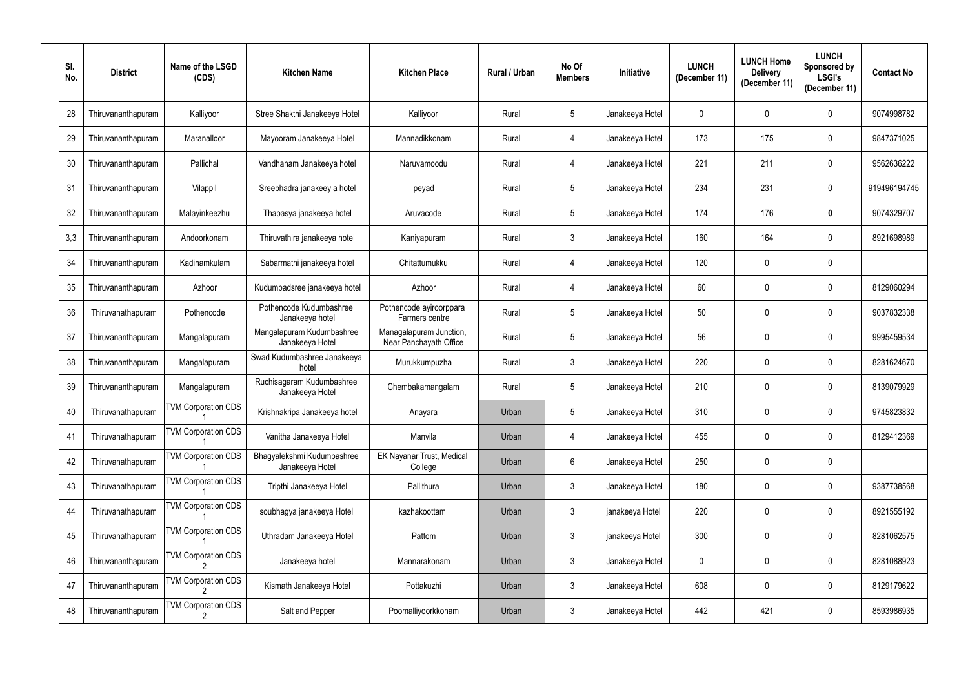| SI.<br>No. | <b>District</b>    | Name of the LSGD<br>(CDS)  | <b>Kitchen Name</b>                           | <b>Kitchen Place</b>                              | Rural / Urban | No Of<br><b>Members</b> | <b>Initiative</b> | <b>LUNCH</b><br>(December 11) | <b>LUNCH Home</b><br><b>Delivery</b><br>(December 11) | <b>LUNCH</b><br>Sponsored by<br><b>LSGI's</b><br>(December 11) | <b>Contact No</b> |
|------------|--------------------|----------------------------|-----------------------------------------------|---------------------------------------------------|---------------|-------------------------|-------------------|-------------------------------|-------------------------------------------------------|----------------------------------------------------------------|-------------------|
| 28         | Thiruvananthapuram | Kalliyoor                  | Stree Shakthi Janakeeya Hotel                 | Kalliyoor                                         | Rural         | $5\phantom{.0}$         | Janakeeya Hotel   | $\overline{0}$                | $\mathbf{0}$                                          | $\mathbf 0$                                                    | 9074998782        |
| 29         | Thiruvananthapuram | Maranalloor                | Mayooram Janakeeya Hotel                      | Mannadikkonam                                     | Rural         | 4                       | Janakeeya Hotel   | 173                           | 175                                                   | $\mathbf 0$                                                    | 9847371025        |
| 30         | Thiruvananthapuram | Pallichal                  | Vandhanam Janakeeya hotel                     | Naruvamoodu                                       | Rural         | 4                       | Janakeeya Hotel   | 221                           | 211                                                   | $\mathbf 0$                                                    | 9562636222        |
| 31         | Thiruvananthapuram | Vilappil                   | Sreebhadra janakeey a hotel                   | peyad                                             | Rural         | $5\phantom{.0}$         | Janakeeya Hotel   | 234                           | 231                                                   | $\mathbf 0$                                                    | 919496194745      |
| 32         | Thiruvananthapuram | Malayinkeezhu              | Thapasya janakeeya hotel                      | Aruvacode                                         | Rural         | $5\phantom{.0}$         | Janakeeya Hotel   | 174                           | 176                                                   | $\boldsymbol{0}$                                               | 9074329707        |
| 3,3        | Thiruvananthapuram | Andoorkonam                | Thiruvathira janakeeya hotel                  | Kaniyapuram                                       | Rural         | $\mathbf{3}$            | Janakeeya Hotel   | 160                           | 164                                                   | $\mathbf 0$                                                    | 8921698989        |
| 34         | Thiruvananthapuram | Kadinamkulam               | Sabarmathi janakeeya hotel                    | Chitattumukku                                     | Rural         | 4                       | Janakeeya Hotel   | 120                           | $\mathbf 0$                                           | $\mathbf 0$                                                    |                   |
| 35         | Thiruvananthapuram | Azhoor                     | Kudumbadsree janakeeya hotel                  | Azhoor                                            | Rural         | 4                       | Janakeeya Hotel   | 60                            | $\mathbf 0$                                           | $\mathbf 0$                                                    | 8129060294        |
| 36         | Thiruvanathapuram  | Pothencode                 | Pothencode Kudumbashree<br>Janakeeya hotel    | Pothencode ayiroorppara<br>Farmers centre         | Rural         | $5\phantom{.0}$         | Janakeeya Hotel   | 50                            | $\mathbf 0$                                           | $\mathbf 0$                                                    | 9037832338        |
| 37         | Thiruvananthapuram | Mangalapuram               | Mangalapuram Kudumbashree<br>Janakeeya Hotel  | Managalapuram Junction,<br>Near Panchayath Office | Rural         | 5 <sup>5</sup>          | Janakeeya Hotel   | 56                            | 0                                                     | $\mathbf 0$                                                    | 9995459534        |
| 38         | Thiruvananthapuram | Mangalapuram               | Swad Kudumbashree Janakeeya<br>hotel          | Murukkumpuzha                                     | Rural         | $\mathfrak{Z}$          | Janakeeya Hotel   | 220                           | $\mathbf 0$                                           | $\mathbf 0$                                                    | 8281624670        |
| 39         | Thiruvananthapuram | Mangalapuram               | Ruchisagaram Kudumbashree<br>Janakeeya Hotel  | Chembakamangalam                                  | Rural         | 5 <sup>5</sup>          | Janakeeya Hotel   | 210                           | 0                                                     | $\mathbf 0$                                                    | 8139079929        |
| 40         | Thiruvanathapuram  | <b>TVM Corporation CDS</b> | Krishnakripa Janakeeya hotel                  | Anayara                                           | Urban         | 5                       | Janakeeya Hotel   | 310                           | 0                                                     | 0                                                              | 9745823832        |
| 41         | Thiruvanathapuram  | <b>TVM Corporation CDS</b> | Vanitha Janakeeya Hotel                       | Manvila                                           | Urban         | $\overline{4}$          | Janakeeya Hotel   | 455                           | 0                                                     | $\pmb{0}$                                                      | 8129412369        |
| 42         | Thiruvanathapuram  | <b>TVM Corporation CDS</b> | Bhagyalekshmi Kudumbashree<br>Janakeeya Hotel | EK Nayanar Trust, Medical<br>College              | Urban         | $6\overline{6}$         | Janakeeya Hotel   | 250                           | 0                                                     | $\mathbf 0$                                                    |                   |
| 43         | Thiruvanathapuram  | <b>TVM Corporation CDS</b> | Tripthi Janakeeya Hotel                       | Pallithura                                        | Urban         | $\mathbf{3}$            | Janakeeya Hotel   | 180                           | 0                                                     | $\pmb{0}$                                                      | 9387738568        |
| 44         | Thiruvanathapuram  | <b>TVM Corporation CDS</b> | soubhagya janakeeya Hotel                     | kazhakoottam                                      | Urban         | $\mathbf{3}$            | janakeeya Hotel   | 220                           | 0                                                     | $\mathbf 0$                                                    | 8921555192        |
| 45         | Thiruvanathapuram  | <b>TVM Corporation CDS</b> | Uthradam Janakeeya Hotel                      | Pattom                                            | Urban         | $\mathfrak{Z}$          | janakeeya Hotel   | 300                           | 0                                                     | $\pmb{0}$                                                      | 8281062575        |
| 46         | Thiruvananthapuram | <b>TVM Corporation CDS</b> | Janakeeya hotel                               | Mannarakonam                                      | Urban         | 3 <sup>1</sup>          | Janakeeya Hotel   | $\mathbf 0$                   | 0                                                     | $\mathbf 0$                                                    | 8281088923        |
| 47         | Thiruvananthapuram | <b>TVM Corporation CDS</b> | Kismath Janakeeya Hotel                       | Pottakuzhi                                        | Urban         | 3 <sup>1</sup>          | Janakeeya Hotel   | 608                           | 0                                                     | $\pmb{0}$                                                      | 8129179622        |
| 48         | Thiruvananthapuram | <b>TVM Corporation CDS</b> | Salt and Pepper                               | Poomalliyoorkkonam                                | Urban         | $\mathbf{3}$            | Janakeeya Hotel   | 442                           | 421                                                   | $\boldsymbol{0}$                                               | 8593986935        |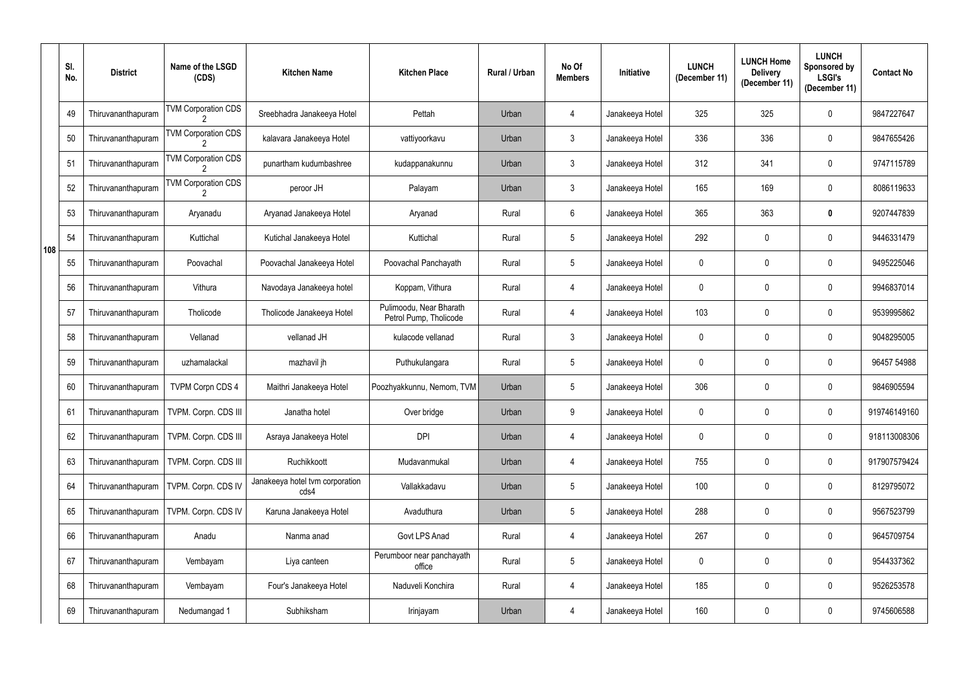|     | SI.<br>No. | <b>District</b>    | Name of the LSGD<br>(CDS)  | <b>Kitchen Name</b>                     | <b>Kitchen Place</b>                              | <b>Rural / Urban</b> | No Of<br><b>Members</b> | Initiative      | <b>LUNCH</b><br>(December 11) | <b>LUNCH Home</b><br><b>Delivery</b><br>(December 11) | <b>LUNCH</b><br>Sponsored by<br><b>LSGI's</b><br>(December 11) | <b>Contact No</b> |
|-----|------------|--------------------|----------------------------|-----------------------------------------|---------------------------------------------------|----------------------|-------------------------|-----------------|-------------------------------|-------------------------------------------------------|----------------------------------------------------------------|-------------------|
|     | 49         | Thiruvananthapuram | <b>TVM Corporation CDS</b> | Sreebhadra Janakeeya Hotel              | Pettah                                            | Urban                | 4                       | Janakeeya Hotel | 325                           | 325                                                   | $\Omega$                                                       | 9847227647        |
|     | 50         | Thiruvananthapuram | <b>TVM Corporation CDS</b> | kalavara Janakeeya Hotel                | vattiyoorkavu                                     | Urban                | 3                       | Janakeeya Hotel | 336                           | 336                                                   | $\mathbf 0$                                                    | 9847655426        |
|     | 51         | Thiruvananthapuram | <b>TVM Corporation CDS</b> | punartham kudumbashree                  | kudappanakunnu                                    | Urban                | 3                       | Janakeeya Hotel | 312                           | 341                                                   | $\mathbf 0$                                                    | 9747115789        |
|     | 52         | Thiruvananthapuram | <b>TVM Corporation CDS</b> | peroor JH                               | Palayam                                           | Urban                | 3                       | Janakeeya Hotel | 165                           | 169                                                   | $\mathbf 0$                                                    | 8086119633        |
|     | 53         | Thiruvananthapuram | Aryanadu                   | Aryanad Janakeeya Hotel                 | Aryanad                                           | Rural                | 6                       | Janakeeya Hotel | 365                           | 363                                                   | 0                                                              | 9207447839        |
| 108 | 54         | Thiruvananthapuram | Kuttichal                  | Kutichal Janakeeya Hotel                | Kuttichal                                         | Rural                | 5                       | Janakeeya Hotel | 292                           | $\mathbf 0$                                           | $\mathbf 0$                                                    | 9446331479        |
|     | 55         | Thiruvananthapuram | Poovachal                  | Poovachal Janakeeya Hotel               | Poovachal Panchayath                              | Rural                | 5                       | Janakeeya Hotel | 0                             | $\mathbf 0$                                           | $\mathbf 0$                                                    | 9495225046        |
|     | 56         | Thiruvananthapuram | Vithura                    | Navodaya Janakeeya hotel                | Koppam, Vithura                                   | Rural                | 4                       | Janakeeya Hotel | $\mathbf 0$                   | $\mathbf 0$                                           | $\mathbf 0$                                                    | 9946837014        |
|     | 57         | Thiruvananthapuram | Tholicode                  | Tholicode Janakeeya Hotel               | Pulimoodu, Near Bharath<br>Petrol Pump, Tholicode | Rural                | 4                       | Janakeeya Hotel | 103                           | $\mathbf 0$                                           | $\mathbf 0$                                                    | 9539995862        |
|     | 58         | Thiruvananthapuram | Vellanad                   | vellanad JH                             | kulacode vellanad                                 | Rural                | 3                       | Janakeeya Hotel | 0                             | 0                                                     | $\mathbf 0$                                                    | 9048295005        |
|     | 59         | Thiruvananthapuram | uzhamalackal               | mazhavil jh                             | Puthukulangara                                    | Rural                | 5                       | Janakeeya Hotel | $\mathbf 0$                   | $\mathbf 0$                                           | $\mathbf 0$                                                    | 96457 54988       |
|     | 60         | Thiruvananthapuram | TVPM Corpn CDS 4           | Maithri Janakeeya Hotel                 | Poozhyakkunnu, Nemom, TVM                         | Urban                | 5                       | Janakeeya Hotel | 306                           | $\overline{0}$                                        | $\Omega$                                                       | 9846905594        |
|     | 61         | Thiruvananthapuram | TVPM. Corpn. CDS III       | Janatha hotel                           | Over bridge                                       | Urban                | 9                       | Janakeeya Hotel | $\mathbf 0$                   | $\mathbf 0$                                           | $\mathbf 0$                                                    | 919746149160      |
|     | 62         | Thiruvananthapuram | TVPM. Corpn. CDS III       | Asraya Janakeeya Hotel                  | <b>DPI</b>                                        | Urban                | 4                       | Janakeeya Hotel | $\pmb{0}$                     | $\pmb{0}$                                             | $\pmb{0}$                                                      | 918113008306      |
|     | 63         | Thiruvananthapuram | TVPM. Corpn. CDS III       | Ruchikkoott                             | Mudavanmukal                                      | Urban                | 4                       | Janakeeya Hotel | 755                           | $\mathbf 0$                                           | $\pmb{0}$                                                      | 917907579424      |
|     | 64         | Thiruvananthapuram | TVPM. Corpn. CDS IV        | Janakeeya hotel tvm corporation<br>cds4 | Vallakkadavu                                      | Urban                | 5                       | Janakeeya Hotel | 100                           | $\overline{0}$                                        | $\pmb{0}$                                                      | 8129795072        |
|     | 65         | Thiruvananthapuram | TVPM. Corpn. CDS IV        | Karuna Janakeeya Hotel                  | Avaduthura                                        | Urban                | 5                       | Janakeeya Hotel | 288                           | $\boldsymbol{0}$                                      | $\mathbf 0$                                                    | 9567523799        |
|     | 66         | Thiruvananthapuram | Anadu                      | Nanma anad                              | Govt LPS Anad                                     | Rural                | 4                       | Janakeeya Hotel | 267                           | $\overline{0}$                                        | $\pmb{0}$                                                      | 9645709754        |
|     | 67         | Thiruvananthapuram | Vembayam                   | Liya canteen                            | Perumboor near panchayath<br>office               | Rural                | $5\phantom{.0}$         | Janakeeya Hotel | $\pmb{0}$                     | $\pmb{0}$                                             | $\pmb{0}$                                                      | 9544337362        |
|     | 68         | Thiruvananthapuram | Vembayam                   | Four's Janakeeya Hotel                  | Naduveli Konchira                                 | Rural                | 4                       | Janakeeya Hotel | 185                           | $\boldsymbol{0}$                                      | $\pmb{0}$                                                      | 9526253578        |
|     | 69         | Thiruvananthapuram | Nedumangad 1               | Subhiksham                              | Irinjayam                                         | Urban                | $\overline{4}$          | Janakeeya Hotel | 160                           | $\pmb{0}$                                             | $\pmb{0}$                                                      | 9745606588        |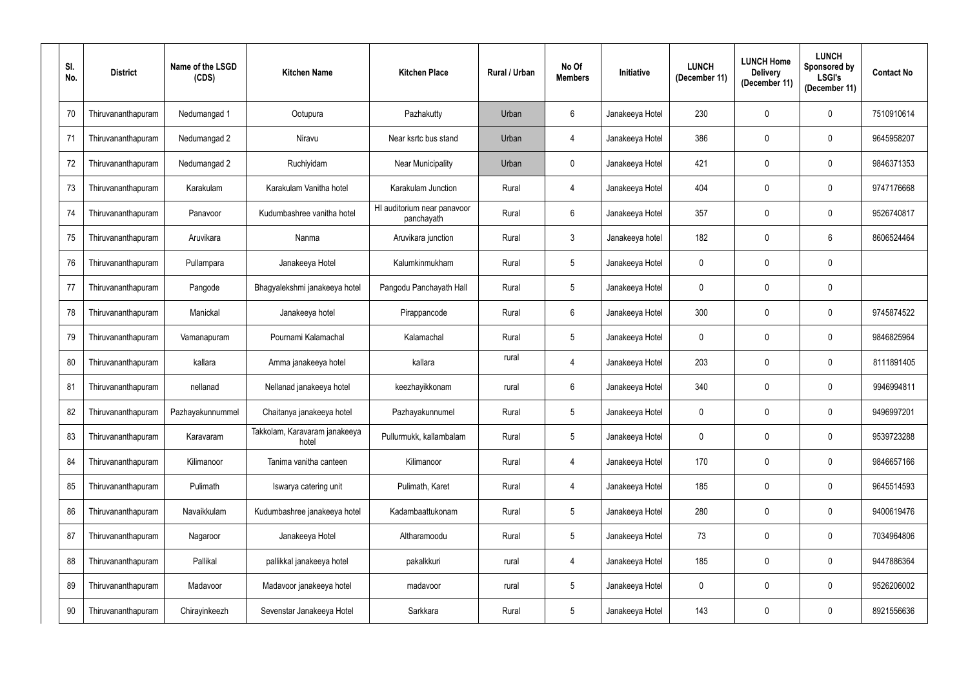| SI.<br>No. | <b>District</b>    | Name of the LSGD<br>(CDS) | <b>Kitchen Name</b>                    | <b>Kitchen Place</b>                      | <b>Rural / Urban</b> | No Of<br><b>Members</b> | Initiative      | <b>LUNCH</b><br>(December 11) | <b>LUNCH Home</b><br><b>Delivery</b><br>(December 11) | <b>LUNCH</b><br>Sponsored by<br><b>LSGI's</b><br>(December 11) | <b>Contact No</b> |
|------------|--------------------|---------------------------|----------------------------------------|-------------------------------------------|----------------------|-------------------------|-----------------|-------------------------------|-------------------------------------------------------|----------------------------------------------------------------|-------------------|
| 70         | Thiruvananthapuram | Nedumangad 1              | Ootupura                               | Pazhakutty                                | Urban                | $6\overline{6}$         | Janakeeya Hotel | 230                           | 0                                                     | $\mathbf 0$                                                    | 7510910614        |
| 71         | Thiruvananthapuram | Nedumangad 2              | Niravu                                 | Near ksrtc bus stand                      | Urban                | $\overline{4}$          | Janakeeya Hotel | 386                           | 0                                                     | $\mathbf 0$                                                    | 9645958207        |
| 72         | Thiruvananthapuram | Nedumangad 2              | Ruchiyidam                             | <b>Near Municipality</b>                  | Urban                | $\mathbf{0}$            | Janakeeya Hotel | 421                           | 0                                                     | $\mathbf 0$                                                    | 9846371353        |
| 73         | Thiruvananthapuram | Karakulam                 | Karakulam Vanitha hotel                | Karakulam Junction                        | Rural                | $\overline{4}$          | Janakeeya Hotel | 404                           | 0                                                     | $\mathbf 0$                                                    | 9747176668        |
| 74         | Thiruvananthapuram | Panavoor                  | Kudumbashree vanitha hotel             | HI auditorium near panavoor<br>panchayath | Rural                | $6^{\circ}$             | Janakeeya Hotel | 357                           | 0                                                     | $\mathbf 0$                                                    | 9526740817        |
| 75         | Thiruvananthapuram | Aruvikara                 | Nanma                                  | Aruvikara junction                        | Rural                | $\mathbf{3}$            | Janakeeya hotel | 182                           | 0                                                     | 6                                                              | 8606524464        |
| 76         | Thiruvananthapuram | Pullampara                | Janakeeya Hotel                        | Kalumkinmukham                            | Rural                | $5\phantom{.0}$         | Janakeeya Hotel | $\mathbf 0$                   | 0                                                     | $\mathbf 0$                                                    |                   |
| 77         | Thiruvananthapuram | Pangode                   | Bhagyalekshmi janakeeya hotel          | Pangodu Panchayath Hall                   | Rural                | 5                       | Janakeeya Hotel | $\mathbf 0$                   | 0                                                     | $\mathbf 0$                                                    |                   |
| 78         | Thiruvananthapuram | Manickal                  | Janakeeya hotel                        | Pirappancode                              | Rural                | $6^{\circ}$             | Janakeeya Hotel | 300                           | 0                                                     | $\mathbf 0$                                                    | 9745874522        |
| 79         | Thiruvananthapuram | Vamanapuram               | Pournami Kalamachal                    | Kalamachal                                | Rural                | $5\phantom{.0}$         | Janakeeya Hotel | 0                             | 0                                                     | $\mathbf 0$                                                    | 9846825964        |
| 80         | Thiruvananthapuram | kallara                   | Amma janakeeya hotel                   | kallara                                   | rural                | $\overline{4}$          | Janakeeya Hotel | 203                           | 0                                                     | $\mathbf 0$                                                    | 8111891405        |
| 81         | Thiruvananthapuram | nellanad                  | Nellanad janakeeya hotel               | keezhayikkonam                            | rural                | $6^{\circ}$             | Janakeeya Hotel | 340                           | 0                                                     | $\mathbf 0$                                                    | 9946994811        |
| 82         | Thiruvananthapuram | Pazhayakunnummel          | Chaitanya janakeeya hotel              | Pazhayakunnumel                           | Rural                | 5                       | Janakeeya Hotel | $\mathbf 0$                   | $\mathbf 0$                                           | $\mathbf 0$                                                    | 9496997201        |
| 83         | Thiruvananthapuram | Karavaram                 | Takkolam, Karavaram janakeeya<br>hotel | Pullurmukk, kallambalam                   | Rural                | $5\overline{)}$         | Janakeeya Hotel | $\pmb{0}$                     | $\mathbf 0$                                           | $\mathbf 0$                                                    | 9539723288        |
| 84         | Thiruvananthapuram | Kilimanoor                | Tanima vanitha canteen                 | Kilimanoor                                | Rural                | $\overline{4}$          | Janakeeya Hotel | 170                           | 0                                                     | $\pmb{0}$                                                      | 9846657166        |
| 85         | Thiruvananthapuram | Pulimath                  | Iswarya catering unit                  | Pulimath, Karet                           | Rural                | $\overline{4}$          | Janakeeya Hotel | 185                           | 0                                                     | $\overline{0}$                                                 | 9645514593        |
| 86         | Thiruvananthapuram | Navaikkulam               | Kudumbashree janakeeya hotel           | Kadambaattukonam                          | Rural                | $5\phantom{.0}$         | Janakeeya Hotel | 280                           | 0                                                     | $\boldsymbol{0}$                                               | 9400619476        |
| 87         | Thiruvananthapuram | Nagaroor                  | Janakeeya Hotel                        | Altharamoodu                              | Rural                | $5\phantom{.0}$         | Janakeeya Hotel | 73                            | $\mathbf 0$                                           | $\overline{0}$                                                 | 7034964806        |
| 88         | Thiruvananthapuram | Pallikal                  | pallikkal janakeeya hotel              | pakalkkuri                                | rural                | $\overline{4}$          | Janakeeya Hotel | 185                           | 0                                                     | $\pmb{0}$                                                      | 9447886364        |
| 89         | Thiruvananthapuram | Madavoor                  | Madavoor janakeeya hotel               | madavoor                                  | rural                | $5\phantom{.0}$         | Janakeeya Hotel | $\pmb{0}$                     | $\mathbf 0$                                           | $\overline{0}$                                                 | 9526206002        |
| 90         | Thiruvananthapuram | Chirayinkeezh             | Sevenstar Janakeeya Hotel              | Sarkkara                                  | Rural                | $5\phantom{.0}$         | Janakeeya Hotel | 143                           | 0                                                     | $\pmb{0}$                                                      | 8921556636        |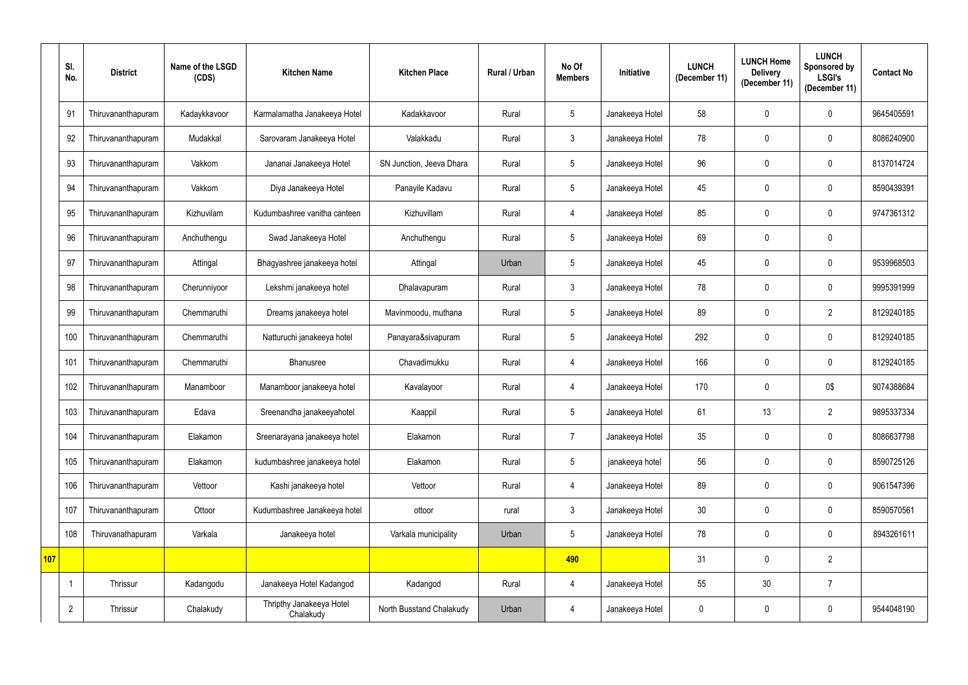|     | SI.<br>No.     | <b>District</b>    | Name of the LSGD<br>(CDS) | <b>Kitchen Name</b>                   | <b>Kitchen Place</b>     | <b>Rural / Urban</b> | No Of<br><b>Members</b> | Initiative      | <b>LUNCH</b><br>(December 11) | <b>LUNCH Home</b><br><b>Delivery</b><br>(December 11) | <b>LUNCH</b><br>Sponsored by<br><b>LSGI's</b><br>(December 11) | <b>Contact No</b> |
|-----|----------------|--------------------|---------------------------|---------------------------------------|--------------------------|----------------------|-------------------------|-----------------|-------------------------------|-------------------------------------------------------|----------------------------------------------------------------|-------------------|
|     | 91             | Thiruvananthapuram | Kadaykkavoor              | Karmalamatha Janakeeya Hotel          | Kadakkavoor              | Rural                | 5                       | Janakeeya Hotel | 58                            | $\mathbf 0$                                           | $\mathbf 0$                                                    | 9645405591        |
|     | 92             | Thiruvananthapuram | Mudakkal                  | Sarovaram Janakeeya Hotel             | Valakkadu                | Rural                | $\mathbf{3}$            | Janakeeya Hotel | 78                            | $\mathbf 0$                                           | $\mathbf 0$                                                    | 8086240900        |
|     | 93             | Thiruvananthapuram | Vakkom                    | Jananai Janakeeya Hotel               | SN Junction, Jeeva Dhara | Rural                | $5\phantom{.0}$         | Janakeeya Hotel | 96                            | $\mathbf 0$                                           | $\mathbf 0$                                                    | 8137014724        |
|     | 94             | Thiruvananthapuram | Vakkom                    | Diya Janakeeya Hotel                  | Panayile Kadavu          | Rural                | $5\phantom{.0}$         | Janakeeya Hotel | 45                            | $\mathbf 0$                                           | $\mathbf 0$                                                    | 8590439391        |
|     | 95             | Thiruvananthapuram | Kizhuvilam                | Kudumbashree vanitha canteen          | Kizhuvillam              | Rural                | 4                       | Janakeeya Hotel | 85                            | $\mathbf 0$                                           | $\mathbf 0$                                                    | 9747361312        |
|     | 96             | Thiruvananthapuram | Anchuthengu               | Swad Janakeeya Hotel                  | Anchuthengu              | Rural                | $5\phantom{.0}$         | Janakeeya Hotel | 69                            | $\mathbf 0$                                           | $\mathbf 0$                                                    |                   |
|     | 97             | Thiruvananthapuram | Attingal                  | Bhagyashree janakeeya hotel           | Attingal                 | Urban                | 5                       | Janakeeya Hotel | 45                            | $\mathbf 0$                                           | $\mathbf 0$                                                    | 9539968503        |
|     | 98             | Thiruvananthapuram | Cherunniyoor              | Lekshmi janakeeya hotel               | Dhalavapuram             | Rural                | 3                       | Janakeeya Hotel | 78                            | $\mathbf 0$                                           | $\mathbf 0$                                                    | 9995391999        |
|     | 99             | Thiruvananthapuram | Chemmaruthi               | Dreams janakeeya hotel                | Mavinmoodu, muthana      | Rural                | $5\phantom{.0}$         | Janakeeya Hotel | 89                            | $\mathbf 0$                                           | $\overline{2}$                                                 | 8129240185        |
|     | 100            | Thiruvananthapuram | Chemmaruthi               | Natturuchi janakeeya hotel            | Panayara&sivapuram       | Rural                | 5                       | Janakeeya Hotel | 292                           | $\mathbf 0$                                           | $\mathbf 0$                                                    | 8129240185        |
|     | 101            | Thiruvananthapuram | Chemmaruthi               | <b>Bhanusree</b>                      | Chavadimukku             | Rural                | 4                       | Janakeeya Hotel | 166                           | $\mathbf 0$                                           | $\mathbf 0$                                                    | 8129240185        |
|     | 102            | Thiruvananthapuram | Manamboor                 | Manamboor janakeeya hotel             | Kavalayoor               | Rural                | 4                       | Janakeeya Hotel | 170                           | $\mathbf 0$                                           | 0\$                                                            | 9074388684        |
|     | 103            | Thiruvananthapuram | Edava                     | Sreenandha janakeeyahotel             | Kaappil                  | Rural                | 5                       | Janakeeya Hotel | 61                            | 13                                                    | $\overline{2}$                                                 | 9895337334        |
|     | 104            | Thiruvananthapuram | Elakamon                  | Sreenarayana janakeeya hotel          | Elakamon                 | Rural                | $\overline{7}$          | Janakeeya Hotel | 35                            | $\mathbf 0$                                           | $\pmb{0}$                                                      | 8086637798        |
|     | 105            | Thiruvananthapuram | Elakamon                  | kudumbashree janakeeya hotel          | Elakamon                 | Rural                | $5\phantom{.0}$         | janakeeya hotel | 56                            | $\pmb{0}$                                             | $\pmb{0}$                                                      | 8590725126        |
|     | 106            | Thiruvananthapuram | Vettoor                   | Kashi janakeeya hotel                 | Vettoor                  | Rural                | $\overline{4}$          | Janakeeya Hotel | 89                            | $\mathbf 0$                                           | $\pmb{0}$                                                      | 9061547396        |
|     | 107            | Thiruvananthapuram | Ottoor                    | Kudumbashree Janakeeya hotel          | ottoor                   | rural                | 3 <sup>1</sup>          | Janakeeya Hotel | $30\,$                        | $\pmb{0}$                                             | $\pmb{0}$                                                      | 8590570561        |
|     | 108            | Thiruvanathapuram  | Varkala                   | Janakeeya hotel                       | Varkala municipality     | Urban                | $5\phantom{.0}$         | Janakeeya Hotel | 78                            | $\mathbf 0$                                           | $\pmb{0}$                                                      | 8943261611        |
| 107 |                |                    |                           |                                       |                          |                      | 490                     |                 | 31                            | $\pmb{0}$                                             | $\overline{2}$                                                 |                   |
|     | $\overline{1}$ | Thrissur           | Kadangodu                 | Janakeeya Hotel Kadangod              | Kadangod                 | Rural                | 4                       | Janakeeya Hotel | 55                            | 30 <sub>2</sub>                                       | $\overline{7}$                                                 |                   |
|     | $\overline{2}$ | Thrissur           | Chalakudy                 | Thripthy Janakeeya Hotel<br>Chalakudy | North Busstand Chalakudy | Urban                | 4                       | Janakeeya Hotel | $\mathbf 0$                   | 0                                                     | $\pmb{0}$                                                      | 9544048190        |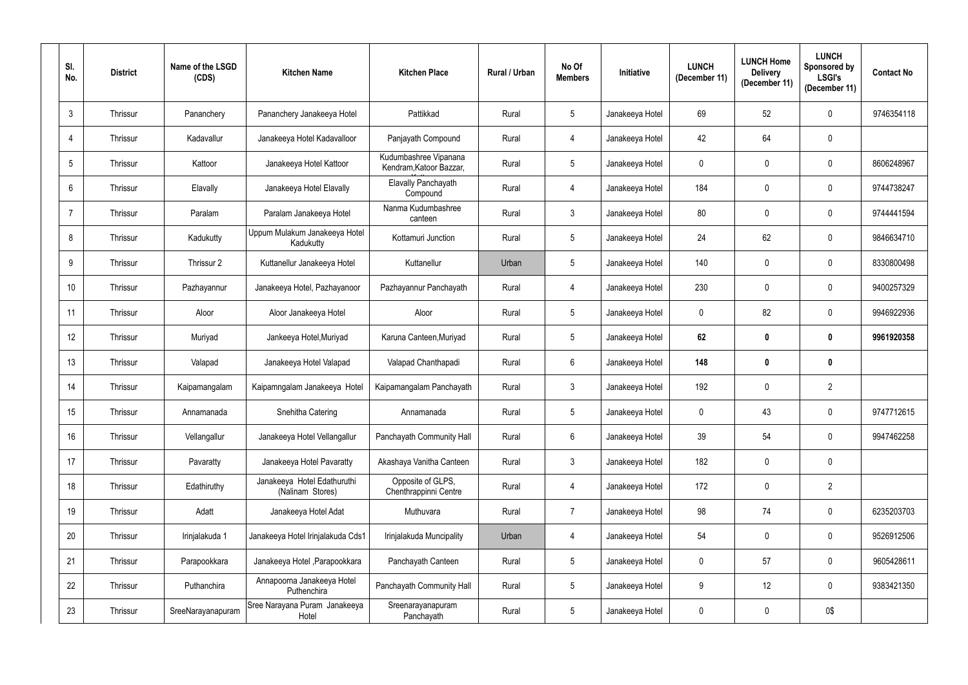| SI.<br>No.      | <b>District</b> | Name of the LSGD<br>(CDS) | <b>Kitchen Name</b>                             | <b>Kitchen Place</b>                             | <b>Rural / Urban</b> | No Of<br><b>Members</b> | Initiative      | <b>LUNCH</b><br>(December 11) | <b>LUNCH Home</b><br><b>Delivery</b><br>(December 11) | <b>LUNCH</b><br>Sponsored by<br><b>LSGI's</b><br>(December 11) | <b>Contact No</b> |
|-----------------|-----------------|---------------------------|-------------------------------------------------|--------------------------------------------------|----------------------|-------------------------|-----------------|-------------------------------|-------------------------------------------------------|----------------------------------------------------------------|-------------------|
| $\mathfrak{3}$  | Thrissur        | Pananchery                | Pananchery Janakeeya Hotel                      | Pattikkad                                        | Rural                | $5\phantom{.0}$         | Janakeeya Hotel | 69                            | 52                                                    | $\mathbf 0$                                                    | 9746354118        |
| $\overline{4}$  | Thrissur        | Kadavallur                | Janakeeya Hotel Kadavalloor                     | Panjayath Compound                               | Rural                | 4                       | Janakeeya Hotel | 42                            | 64                                                    | $\mathbf 0$                                                    |                   |
| $5\phantom{.0}$ | Thrissur        | Kattoor                   | Janakeeya Hotel Kattoor                         | Kudumbashree Vipanana<br>Kendram, Katoor Bazzar, | Rural                | $5\phantom{.0}$         | Janakeeya Hotel | $\mathbf 0$                   | $\mathbf 0$                                           | $\mathbf 0$                                                    | 8606248967        |
| $6\phantom{.}$  | Thrissur        | Elavally                  | Janakeeya Hotel Elavally                        | Elavally Panchayath<br>Compound                  | Rural                | $\overline{4}$          | Janakeeya Hotel | 184                           | $\mathbf 0$                                           | $\mathbf 0$                                                    | 9744738247        |
| $\overline{7}$  | Thrissur        | Paralam                   | Paralam Janakeeya Hotel                         | Nanma Kudumbashree<br>canteen                    | Rural                | $\mathbf{3}$            | Janakeeya Hotel | 80                            | $\mathbf 0$                                           | $\mathbf{0}$                                                   | 9744441594        |
| 8               | Thrissur        | Kadukutty                 | Uppum Mulakum Janakeeya Hotel<br>Kadukutty      | Kottamuri Junction                               | Rural                | $5\phantom{.0}$         | Janakeeya Hotel | 24                            | 62                                                    | $\mathbf 0$                                                    | 9846634710        |
| 9               | Thrissur        | Thrissur 2                | Kuttanellur Janakeeya Hotel                     | Kuttanellur                                      | Urban                | $5\phantom{.0}$         | Janakeeya Hotel | 140                           | $\mathbf 0$                                           | $\mathbf 0$                                                    | 8330800498        |
| 10              | Thrissur        | Pazhayannur               | Janakeeya Hotel, Pazhayanoor                    | Pazhayannur Panchayath                           | Rural                | 4                       | Janakeeya Hotel | 230                           | $\mathbf 0$                                           | $\mathbf 0$                                                    | 9400257329        |
| 11              | Thrissur        | Aloor                     | Aloor Janakeeya Hotel                           | Aloor                                            | Rural                | $5\phantom{.0}$         | Janakeeya Hotel | $\mathbf 0$                   | 82                                                    | $\mathbf 0$                                                    | 9946922936        |
| 12              | Thrissur        | Muriyad                   | Jankeeya Hotel, Muriyad                         | Karuna Canteen, Muriyad                          | Rural                | $5\phantom{.0}$         | Janakeeya Hotel | 62                            | $\boldsymbol{0}$                                      | $\mathbf 0$                                                    | 9961920358        |
| 13              | Thrissur        | Valapad                   | Janakeeya Hotel Valapad                         | Valapad Chanthapadi                              | Rural                | $6^{\circ}$             | Janakeeya Hotel | 148                           | $\mathbf 0$                                           | $\boldsymbol{0}$                                               |                   |
| 14              | Thrissur        | Kaipamangalam             | Kaipamngalam Janakeeya Hotel                    | Kaipamangalam Panchayath                         | Rural                | $\mathbf{3}$            | Janakeeya Hotel | 192                           | $\mathbf 0$                                           | $\overline{2}$                                                 |                   |
| 15              | Thrissur        | Annamanada                | Snehitha Catering                               | Annamanada                                       | Rural                | $5\phantom{.0}$         | Janakeeya Hotel | $\overline{0}$                | 43                                                    | $\mathbf 0$                                                    | 9747712615        |
| 16              | Thrissur        | Vellangallur              | Janakeeya Hotel Vellangallur                    | Panchayath Community Hall                        | Rural                | $6\overline{6}$         | Janakeeya Hotel | 39                            | 54                                                    | $\pmb{0}$                                                      | 9947462258        |
| 17              | Thrissur        | Pavaratty                 | Janakeeya Hotel Pavaratty                       | Akashaya Vanitha Canteen                         | Rural                | $\mathfrak{Z}$          | Janakeeya Hotel | 182                           | $\pmb{0}$                                             | $\mathbf 0$                                                    |                   |
| 18              | Thrissur        | Edathiruthy               | Janakeeya Hotel Edathuruthi<br>(Nalinam Stores) | Opposite of GLPS,<br>Chenthrappinni Centre       | Rural                | $\overline{4}$          | Janakeeya Hotel | 172                           | $\mathbf 0$                                           | $\overline{2}$                                                 |                   |
| 19              | Thrissur        | Adatt                     | Janakeeya Hotel Adat                            | Muthuvara                                        | Rural                | $\overline{7}$          | Janakeeya Hotel | 98                            | 74                                                    | $\pmb{0}$                                                      | 6235203703        |
| $20\,$          | Thrissur        | Irinjalakuda 1            | Janakeeya Hotel Irinjalakuda Cds1               | Irinjalakuda Muncipality                         | Urban                | $\overline{4}$          | Janakeeya Hotel | 54                            | $\overline{0}$                                        | $\pmb{0}$                                                      | 9526912506        |
| 21              | Thrissur        | Parapookkara              | Janakeeya Hotel , Parapookkara                  | Panchayath Canteen                               | Rural                | 5 <sub>5</sub>          | Janakeeya Hotel | $\mathbf 0$                   | 57                                                    | $\pmb{0}$                                                      | 9605428611        |
| 22              | Thrissur        | Puthanchira               | Annapoorna Janakeeya Hotel<br>Puthenchira       | Panchayath Community Hall                        | Rural                | $5\phantom{.0}$         | Janakeeya Hotel | 9                             | 12                                                    | $\mathbf 0$                                                    | 9383421350        |
| 23              | Thrissur        | SreeNarayanapuram         | Sree Narayana Puram Janakeeya<br>Hotel          | Sreenarayanapuram<br>Panchayath                  | Rural                | 5 <sub>5</sub>          | Janakeeya Hotel | $\mathbf 0$                   | 0                                                     | 0\$                                                            |                   |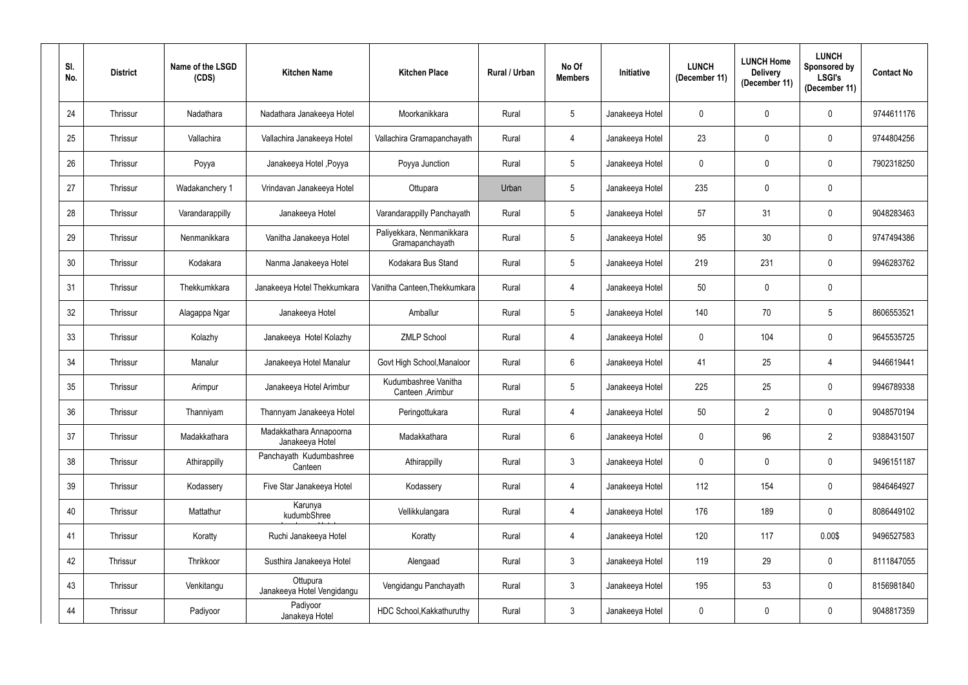| SI.<br>No. | <b>District</b> | Name of the LSGD<br>(CDS) | <b>Kitchen Name</b>                        | <b>Kitchen Place</b>                         | Rural / Urban | No Of<br><b>Members</b> | Initiative      | <b>LUNCH</b><br>(December 11) | <b>LUNCH Home</b><br><b>Delivery</b><br>(December 11) | <b>LUNCH</b><br>Sponsored by<br><b>LSGI's</b><br>(December 11) | <b>Contact No</b> |
|------------|-----------------|---------------------------|--------------------------------------------|----------------------------------------------|---------------|-------------------------|-----------------|-------------------------------|-------------------------------------------------------|----------------------------------------------------------------|-------------------|
| 24         | Thrissur        | Nadathara                 | Nadathara Janakeeya Hotel                  | Moorkanikkara                                | Rural         | $5\phantom{.0}$         | Janakeeya Hotel | $\overline{0}$                | $\mathbf 0$                                           | $\mathbf 0$                                                    | 9744611176        |
| 25         | Thrissur        | Vallachira                | Vallachira Janakeeya Hotel                 | Vallachira Gramapanchayath                   | Rural         | 4                       | Janakeeya Hotel | 23                            | $\mathbf 0$                                           | $\mathbf 0$                                                    | 9744804256        |
| 26         | Thrissur        | Poyya                     | Janakeeya Hotel, Poyya                     | Poyya Junction                               | Rural         | $5\overline{)}$         | Janakeeya Hotel | $\mathbf 0$                   | $\mathbf 0$                                           | $\mathbf 0$                                                    | 7902318250        |
| 27         | Thrissur        | Wadakanchery 1            | Vrindavan Janakeeya Hotel                  | Ottupara                                     | Urban         | 5                       | Janakeeya Hotel | 235                           | $\mathbf 0$                                           | $\mathbf 0$                                                    |                   |
| 28         | Thrissur        | Varandarappilly           | Janakeeya Hotel                            | Varandarappilly Panchayath                   | Rural         | 5                       | Janakeeya Hotel | 57                            | 31                                                    | $\mathbf 0$                                                    | 9048283463        |
| 29         | Thrissur        | Nenmanikkara              | Vanitha Janakeeya Hotel                    | Paliyekkara, Nenmanikkara<br>Gramapanchayath | Rural         | 5                       | Janakeeya Hotel | 95                            | 30                                                    | $\mathbf 0$                                                    | 9747494386        |
| 30         | Thrissur        | Kodakara                  | Nanma Janakeeya Hotel                      | Kodakara Bus Stand                           | Rural         | $5\phantom{.0}$         | Janakeeya Hotel | 219                           | 231                                                   | $\mathbf 0$                                                    | 9946283762        |
| 31         | Thrissur        | Thekkumkkara              | Janakeeya Hotel Thekkumkara                | Vanitha Canteen, Thekkumkara                 | Rural         | 4                       | Janakeeya Hotel | 50                            | $\mathbf 0$                                           | $\mathbf 0$                                                    |                   |
| 32         | Thrissur        | Alagappa Ngar             | Janakeeya Hotel                            | Amballur                                     | Rural         | 5                       | Janakeeya Hotel | 140                           | 70                                                    | 5                                                              | 8606553521        |
| 33         | Thrissur        | Kolazhy                   | Janakeeya Hotel Kolazhy                    | <b>ZMLP School</b>                           | Rural         | 4                       | Janakeeya Hotel | $\overline{0}$                | 104                                                   | $\mathbf 0$                                                    | 9645535725        |
| 34         | Thrissur        | Manalur                   | Janakeeya Hotel Manalur                    | Govt High School, Manaloor                   | Rural         | $6^{\circ}$             | Janakeeya Hotel | 41                            | 25                                                    | $\overline{4}$                                                 | 9446619441        |
| 35         | Thrissur        | Arimpur                   | Janakeeya Hotel Arimbur                    | Kudumbashree Vanitha<br>Canteen , Arimbur    | Rural         | 5                       | Janakeeya Hotel | 225                           | 25                                                    | $\Omega$                                                       | 9946789338        |
| 36         | Thrissur        | Thanniyam                 | Thannyam Janakeeya Hotel                   | Peringottukara                               | Rural         | 4                       | Janakeeya Hotel | 50                            | $\overline{2}$                                        | $\mathbf 0$                                                    | 9048570194        |
| 37         | Thrissur        | Madakkathara              | Madakkathara Annapoorna<br>Janakeeya Hotel | Madakkathara                                 | Rural         | $6\phantom{.0}$         | Janakeeya Hotel | $\mathbf 0$                   | 96                                                    | $\overline{2}$                                                 | 9388431507        |
| 38         | Thrissur        | Athirappilly              | Panchayath Kudumbashree<br>Canteen         | Athirappilly                                 | Rural         | $\mathfrak{Z}$          | Janakeeya Hotel | $\mathbf 0$                   | $\pmb{0}$                                             | $\pmb{0}$                                                      | 9496151187        |
| 39         | Thrissur        | Kodassery                 | Five Star Janakeeya Hotel                  | Kodassery                                    | Rural         | $\overline{4}$          | Janakeeya Hotel | 112                           | 154                                                   | $\pmb{0}$                                                      | 9846464927        |
| 40         | Thrissur        | Mattathur                 | Karunya<br>kudumbShree                     | Vellikkulangara                              | Rural         | 4                       | Janakeeya Hotel | 176                           | 189                                                   | $\mathbf 0$                                                    | 8086449102        |
| 41         | Thrissur        | Koratty                   | Ruchi Janakeeya Hotel                      | Koratty                                      | Rural         | $\overline{4}$          | Janakeeya Hotel | 120                           | 117                                                   | 0.00\$                                                         | 9496527583        |
| 42         | Thrissur        | Thrikkoor                 | Susthira Janakeeya Hotel                   | Alengaad                                     | Rural         | 3 <sup>1</sup>          | Janakeeya Hotel | 119                           | 29                                                    | $\mathbf 0$                                                    | 8111847055        |
| 43         | Thrissur        | Venkitangu                | Ottupura<br>Janakeeya Hotel Vengidangu     | Vengidangu Panchayath                        | Rural         | $3\phantom{.0}$         | Janakeeya Hotel | 195                           | 53                                                    | $\boldsymbol{0}$                                               | 8156981840        |
| 44         | Thrissur        | Padiyoor                  | Padiyoor<br>Janakeya Hotel                 | HDC School, Kakkathuruthy                    | Rural         | $\mathfrak{Z}$          | Janakeeya Hotel | $\mathbf 0$                   | $\pmb{0}$                                             | $\boldsymbol{0}$                                               | 9048817359        |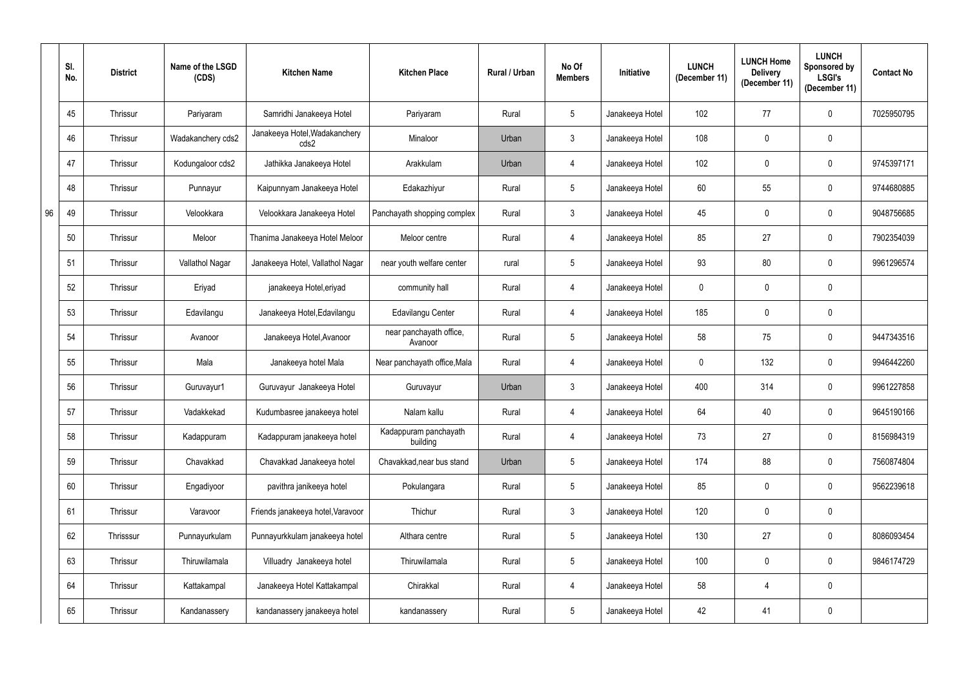|    | SI.<br>No. | <b>District</b> | Name of the LSGD<br>(CDS) | <b>Kitchen Name</b>                   | <b>Kitchen Place</b>               | Rural / Urban | No Of<br><b>Members</b> | Initiative      | <b>LUNCH</b><br>(December 11) | <b>LUNCH Home</b><br><b>Delivery</b><br>(December 11) | <b>LUNCH</b><br>Sponsored by<br><b>LSGI's</b><br>(December 11) | <b>Contact No</b> |
|----|------------|-----------------|---------------------------|---------------------------------------|------------------------------------|---------------|-------------------------|-----------------|-------------------------------|-------------------------------------------------------|----------------------------------------------------------------|-------------------|
|    | 45         | Thrissur        | Pariyaram                 | Samridhi Janakeeya Hotel              | Pariyaram                          | Rural         | 5                       | Janakeeya Hotel | 102                           | 77                                                    | $\mathbf{0}$                                                   | 7025950795        |
|    | 46         | Thrissur        | Wadakanchery cds2         | Janakeeya Hotel, Wadakanchery<br>cds2 | Minaloor                           | Urban         | $\mathbf{3}$            | Janakeeya Hotel | 108                           | 0                                                     | $\mathbf 0$                                                    |                   |
|    | 47         | Thrissur        | Kodungaloor cds2          | Jathikka Janakeeya Hotel              | Arakkulam                          | Urban         | 4                       | Janakeeya Hotel | 102                           | $\mathbf 0$                                           | $\mathbf 0$                                                    | 9745397171        |
|    | 48         | Thrissur        | Punnayur                  | Kaipunnyam Janakeeya Hotel            | Edakazhiyur                        | Rural         | 5                       | Janakeeya Hotel | 60                            | 55                                                    | $\mathbf 0$                                                    | 9744680885        |
| 96 | 49         | Thrissur        | Velookkara                | Velookkara Janakeeya Hotel            | Panchayath shopping complex        | Rural         | $\mathfrak{Z}$          | Janakeeya Hotel | 45                            | $\mathbf 0$                                           | $\mathbf 0$                                                    | 9048756685        |
|    | 50         | Thrissur        | Meloor                    | Thanima Janakeeya Hotel Meloor        | Meloor centre                      | Rural         | 4                       | Janakeeya Hotel | 85                            | 27                                                    | $\mathbf 0$                                                    | 7902354039        |
|    | 51         | Thrissur        | Vallathol Nagar           | Janakeeya Hotel, Vallathol Nagar      | near youth welfare center          | rural         | 5                       | Janakeeya Hotel | 93                            | 80                                                    | $\mathbf 0$                                                    | 9961296574        |
|    | 52         | Thrissur        | Eriyad                    | janakeeya Hotel, eriyad               | community hall                     | Rural         | 4                       | Janakeeya Hotel | $\mathbf 0$                   | $\mathbf 0$                                           | $\mathbf 0$                                                    |                   |
|    | 53         | Thrissur        | Edavilangu                | Janakeeya Hotel, Edavilangu           | Edavilangu Center                  | Rural         | 4                       | Janakeeya Hotel | 185                           | 0                                                     | $\mathbf 0$                                                    |                   |
|    | 54         | Thrissur        | Avanoor                   | Janakeeya Hotel, Avanoor              | near panchayath office,<br>Avanoor | Rural         | 5                       | Janakeeya Hotel | 58                            | 75                                                    | $\mathbf 0$                                                    | 9447343516        |
|    | 55         | Thrissur        | Mala                      | Janakeeya hotel Mala                  | Near panchayath office, Mala       | Rural         | 4                       | Janakeeya Hotel | $\mathbf 0$                   | 132                                                   | $\mathbf 0$                                                    | 9946442260        |
|    | 56         | Thrissur        | Guruvayur1                | Guruvayur Janakeeya Hotel             | Guruvayur                          | Urban         | $\mathbf{3}$            | Janakeeya Hotel | 400                           | 314                                                   | $\mathbf 0$                                                    | 9961227858        |
|    | 57         | Thrissur        | Vadakkekad                | Kudumbasree janakeeya hotel           | Nalam kallu                        | Rural         | $\overline{4}$          | Janakeeya Hotel | 64                            | 40                                                    | $\mathbf 0$                                                    | 9645190166        |
|    | 58         | Thrissur        | Kadappuram                | Kadappuram janakeeya hotel            | Kadappuram panchayath<br>building  | Rural         | $\overline{4}$          | Janakeeya Hotel | 73                            | 27                                                    | $\pmb{0}$                                                      | 8156984319        |
|    | 59         | Thrissur        | Chavakkad                 | Chavakkad Janakeeya hotel             | Chavakkad, near bus stand          | Urban         | 5                       | Janakeeya Hotel | 174                           | 88                                                    | $\pmb{0}$                                                      | 7560874804        |
|    | 60         | Thrissur        | Engadiyoor                | pavithra janikeeya hotel              | Pokulangara                        | Rural         | $5\phantom{.0}$         | Janakeeya Hotel | 85                            | $\mathbf 0$                                           | $\pmb{0}$                                                      | 9562239618        |
|    | 61         | Thrissur        | Varavoor                  | Friends janakeeya hotel, Varavoor     | Thichur                            | Rural         | 3 <sup>1</sup>          | Janakeeya Hotel | 120                           | $\mathbf 0$                                           | $\pmb{0}$                                                      |                   |
|    | 62         | Thrisssur       | Punnayurkulam             | Punnayurkkulam janakeeya hotel        | Althara centre                     | Rural         | $5\phantom{.0}$         | Janakeeya Hotel | 130                           | 27                                                    | $\pmb{0}$                                                      | 8086093454        |
|    | 63         | Thrissur        | Thiruwilamala             | Villuadry Janakeeya hotel             | Thiruwilamala                      | Rural         | $5\overline{)}$         | Janakeeya Hotel | 100                           | $\mathbf 0$                                           | $\pmb{0}$                                                      | 9846174729        |
|    | 64         | Thrissur        | Kattakampal               | Janakeeya Hotel Kattakampal           | Chirakkal                          | Rural         | $\overline{4}$          | Janakeeya Hotel | 58                            | $\overline{4}$                                        | $\pmb{0}$                                                      |                   |
|    | 65         | Thrissur        | Kandanassery              | kandanassery janakeeya hotel          | kandanassery                       | Rural         | $5\phantom{.0}$         | Janakeeya Hotel | 42                            | 41                                                    | $\pmb{0}$                                                      |                   |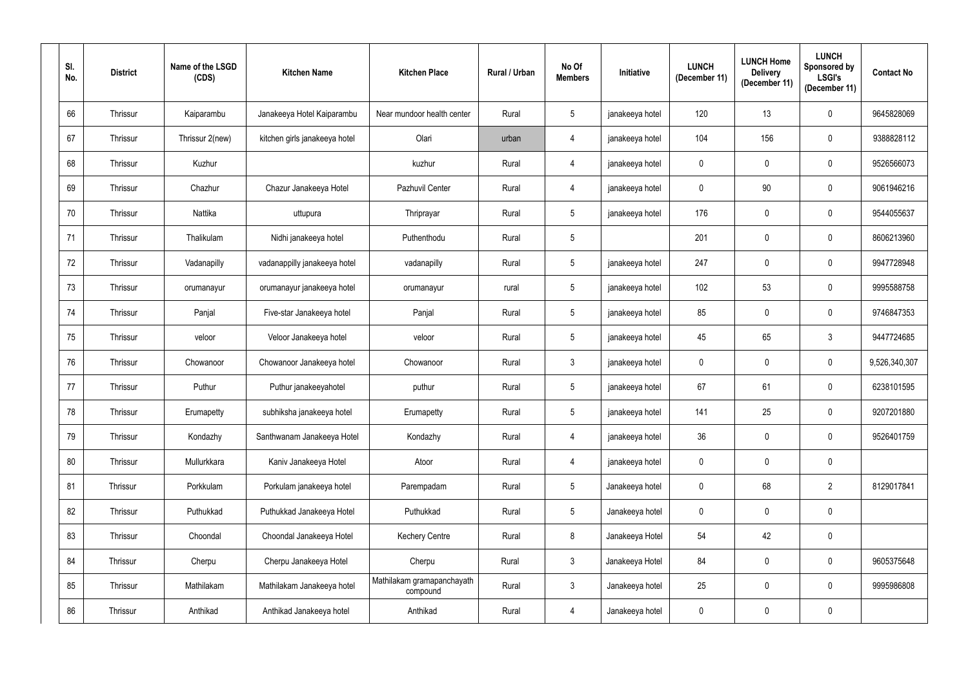| SI.<br>No. | <b>District</b> | Name of the LSGD<br>(CDS) | <b>Kitchen Name</b>           | <b>Kitchen Place</b>                   | Rural / Urban | No Of<br><b>Members</b> | Initiative      | <b>LUNCH</b><br>(December 11) | <b>LUNCH Home</b><br><b>Delivery</b><br>(December 11) | <b>LUNCH</b><br>Sponsored by<br><b>LSGI's</b><br>(December 11) | <b>Contact No</b> |
|------------|-----------------|---------------------------|-------------------------------|----------------------------------------|---------------|-------------------------|-----------------|-------------------------------|-------------------------------------------------------|----------------------------------------------------------------|-------------------|
| 66         | Thrissur        | Kaiparambu                | Janakeeya Hotel Kaiparambu    | Near mundoor health center             | Rural         | $5\phantom{.0}$         | janakeeya hotel | 120                           | 13                                                    | $\mathbf 0$                                                    | 9645828069        |
| 67         | Thrissur        | Thrissur 2(new)           | kitchen girls janakeeya hotel | Olari                                  | urban         | 4                       | janakeeya hotel | 104                           | 156                                                   | $\boldsymbol{0}$                                               | 9388828112        |
| 68         | Thrissur        | Kuzhur                    |                               | kuzhur                                 | Rural         | 4                       | janakeeya hotel | $\overline{0}$                | $\mathbf 0$                                           | $\mathbf 0$                                                    | 9526566073        |
| 69         | Thrissur        | Chazhur                   | Chazur Janakeeya Hotel        | Pazhuvil Center                        | Rural         | 4                       | janakeeya hotel | $\mathbf 0$                   | $90\,$                                                | $\boldsymbol{0}$                                               | 9061946216        |
| 70         | Thrissur        | Nattika                   | uttupura                      | Thriprayar                             | Rural         | 5                       | janakeeya hotel | 176                           | $\mathbf 0$                                           | $\mathbf 0$                                                    | 9544055637        |
| 71         | Thrissur        | Thalikulam                | Nidhi janakeeya hotel         | Puthenthodu                            | Rural         | 5                       |                 | 201                           | $\mathbf 0$                                           | $\mathbf 0$                                                    | 8606213960        |
| 72         | Thrissur        | Vadanapilly               | vadanappilly janakeeya hotel  | vadanapilly                            | Rural         | $5\phantom{.0}$         | janakeeya hotel | 247                           | $\mathbf 0$                                           | $\mathbf 0$                                                    | 9947728948        |
| 73         | Thrissur        | orumanayur                | orumanayur janakeeya hotel    | orumanayur                             | rural         | 5                       | janakeeya hotel | 102                           | 53                                                    | $\mathbf 0$                                                    | 9995588758        |
| 74         | Thrissur        | Panjal                    | Five-star Janakeeya hotel     | Panjal                                 | Rural         | 5                       | janakeeya hotel | 85                            | 0                                                     | $\mathbf 0$                                                    | 9746847353        |
| 75         | Thrissur        | veloor                    | Veloor Janakeeya hotel        | veloor                                 | Rural         | 5                       | janakeeya hotel | 45                            | 65                                                    | $\mathfrak{Z}$                                                 | 9447724685        |
| 76         | Thrissur        | Chowanoor                 | Chowanoor Janakeeya hotel     | Chowanoor                              | Rural         | $\mathbf{3}$            | janakeeya hotel | $\mathbf 0$                   | $\mathbf 0$                                           | $\boldsymbol{0}$                                               | 9,526,340,307     |
| 77         | Thrissur        | Puthur                    | Puthur janakeeyahotel         | puthur                                 | Rural         | $5\phantom{.0}$         | janakeeya hotel | 67                            | 61                                                    | $\mathbf 0$                                                    | 6238101595        |
| 78         | Thrissur        | Erumapetty                | subhiksha janakeeya hotel     | Erumapetty                             | Rural         | $5\phantom{.0}$         | janakeeya hotel | 141                           | 25                                                    | $\mathbf 0$                                                    | 9207201880        |
| 79         | Thrissur        | Kondazhy                  | Santhwanam Janakeeya Hotel    | Kondazhy                               | Rural         | $\overline{4}$          | janakeeya hotel | 36                            | $\mathbf 0$                                           | $\boldsymbol{0}$                                               | 9526401759        |
| 80         | Thrissur        | Mullurkkara               | Kaniv Janakeeya Hotel         | Atoor                                  | Rural         | 4                       | janakeeya hotel | $\mathbf 0$                   | $\mathbf 0$                                           | $\pmb{0}$                                                      |                   |
| 81         | Thrissur        | Porkkulam                 | Porkulam janakeeya hotel      | Parempadam                             | Rural         | $5\phantom{.0}$         | Janakeeya hotel | $\mathbf 0$                   | 68                                                    | $\overline{2}$                                                 | 8129017841        |
| 82         | Thrissur        | Puthukkad                 | Puthukkad Janakeeya Hotel     | Puthukkad                              | Rural         | $5\phantom{.0}$         | Janakeeya hotel | $\mathbf 0$                   | $\mathbf 0$                                           | $\pmb{0}$                                                      |                   |
| 83         | Thrissur        | Choondal                  | Choondal Janakeeya Hotel      | <b>Kechery Centre</b>                  | Rural         | 8                       | Janakeeya Hotel | 54                            | 42                                                    | $\pmb{0}$                                                      |                   |
| 84         | Thrissur        | Cherpu                    | Cherpu Janakeeya Hotel        | Cherpu                                 | Rural         | 3 <sup>7</sup>          | Janakeeya Hotel | 84                            | $\pmb{0}$                                             | $\pmb{0}$                                                      | 9605375648        |
| 85         | Thrissur        | Mathilakam                | Mathilakam Janakeeya hotel    | Mathilakam gramapanchayath<br>compound | Rural         | 3 <sup>1</sup>          | Janakeeya hotel | 25                            | $\pmb{0}$                                             | $\pmb{0}$                                                      | 9995986808        |
| 86         | Thrissur        | Anthikad                  | Anthikad Janakeeya hotel      | Anthikad                               | Rural         | $\overline{4}$          | Janakeeya hotel | $\mathbf 0$                   | 0                                                     | $\pmb{0}$                                                      |                   |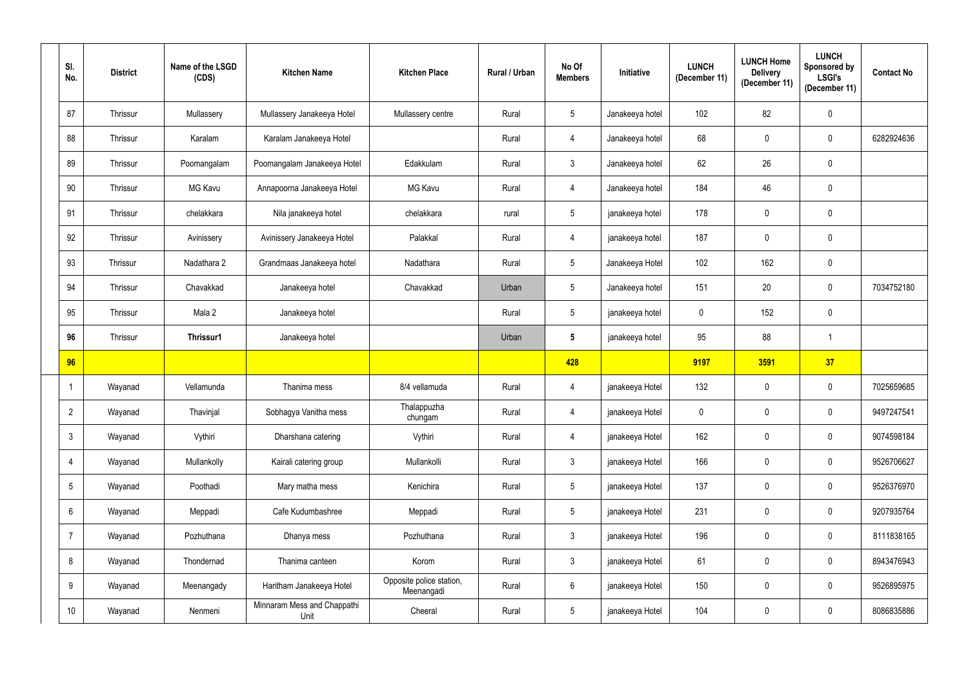| SI.<br>No.       | <b>District</b> | Name of the LSGD<br>(CDS) | <b>Kitchen Name</b>                 | <b>Kitchen Place</b>                   | Rural / Urban | No Of<br><b>Members</b> | Initiative      | <b>LUNCH</b><br>(December 11) | <b>LUNCH Home</b><br><b>Delivery</b><br>(December 11) | <b>LUNCH</b><br>Sponsored by<br><b>LSGI's</b><br>(December 11) | <b>Contact No</b> |
|------------------|-----------------|---------------------------|-------------------------------------|----------------------------------------|---------------|-------------------------|-----------------|-------------------------------|-------------------------------------------------------|----------------------------------------------------------------|-------------------|
| 87               | Thrissur        | Mullassery                | Mullassery Janakeeya Hotel          | Mullassery centre                      | Rural         | $5\phantom{.0}$         | Janakeeya hotel | 102                           | 82                                                    | $\mathbf 0$                                                    |                   |
| 88               | Thrissur        | Karalam                   | Karalam Janakeeya Hotel             |                                        | Rural         | 4                       | Janakeeya hotel | 68                            | $\mathbf 0$                                           | $\mathbf 0$                                                    | 6282924636        |
| 89               | Thrissur        | Poomangalam               | Poomangalam Janakeeya Hotel         | Edakkulam                              | Rural         | $\mathbf{3}$            | Janakeeya hotel | 62                            | 26                                                    | $\pmb{0}$                                                      |                   |
| 90               | Thrissur        | MG Kavu                   | Annapoorna Janakeeya Hotel          | MG Kavu                                | Rural         | 4                       | Janakeeya hotel | 184                           | 46                                                    | $\pmb{0}$                                                      |                   |
| 91               | Thrissur        | chelakkara                | Nila janakeeya hotel                | chelakkara                             | rural         | 5                       | janakeeya hotel | 178                           | 0                                                     | $\mathbf 0$                                                    |                   |
| 92               | Thrissur        | Avinissery                | Avinissery Janakeeya Hotel          | Palakkal                               | Rural         | $\overline{4}$          | janakeeya hotel | 187                           | 0                                                     | $\pmb{0}$                                                      |                   |
| 93               | Thrissur        | Nadathara 2               | Grandmaas Janakeeya hotel           | Nadathara                              | Rural         | $5\phantom{.0}$         | Janakeeya Hotel | 102                           | 162                                                   | $\pmb{0}$                                                      |                   |
| 94               | Thrissur        | Chavakkad                 | Janakeeya hotel                     | Chavakkad                              | Urban         | 5                       | Janakeeya hotel | 151                           | 20                                                    | $\mathbf 0$                                                    | 7034752180        |
| 95               | Thrissur        | Mala 2                    | Janakeeya hotel                     |                                        | Rural         | $5\phantom{.0}$         | janakeeya hotel | $\mathbf 0$                   | 152                                                   | $\pmb{0}$                                                      |                   |
| 96               | Thrissur        | Thrissur1                 | Janakeeya hotel                     |                                        | Urban         | $5\phantom{.0}$         | janakeeya hotel | 95                            | 88                                                    | -1                                                             |                   |
| 96               |                 |                           |                                     |                                        |               | 428                     |                 | 9197                          | 3591                                                  | 37                                                             |                   |
| $\overline{1}$   | Wayanad         | Vellamunda                | Thanima mess                        | 8/4 vellamuda                          | Rural         | 4                       | janakeeya Hotel | 132                           | $\mathbf 0$                                           | $\mathbf 0$                                                    | 7025659685        |
| $\overline{2}$   | Wayanad         | Thavinjal                 | Sobhagya Vanitha mess               | Thalappuzha<br>chungam                 | Rural         | $\overline{4}$          | janakeeya Hotel | $\mathbf 0$                   | $\overline{0}$                                        | $\mathbf 0$                                                    | 9497247541        |
| $\mathbf{3}$     | Wayanad         | Vythiri                   | Dharshana catering                  | Vythiri                                | Rural         | 4                       | janakeeya Hotel | 162                           | $\mathbf 0$                                           | $\pmb{0}$                                                      | 9074598184        |
| $\overline{4}$   | Wayanad         | Mullankolly               | Kairali catering group              | Mullankolli                            | Rural         | $\mathbf{3}$            | janakeeya Hotel | 166                           | $\pmb{0}$                                             | $\pmb{0}$                                                      | 9526706627        |
| $5\,$            | Wayanad         | Poothadi                  | Mary matha mess                     | Kenichira                              | Rural         | $5\phantom{.0}$         | janakeeya Hotel | 137                           | $\mathbf 0$                                           | $\pmb{0}$                                                      | 9526376970        |
| $6\,$            | Wayanad         | Meppadi                   | Cafe Kudumbashree                   | Meppadi                                | Rural         | $5\phantom{.0}$         | janakeeya Hotel | 231                           | $\overline{0}$                                        | $\mathbf 0$                                                    | 9207935764        |
| $\overline{7}$   | Wayanad         | Pozhuthana                | Dhanya mess                         | Pozhuthana                             | Rural         | $\mathfrak{Z}$          | janakeeya Hotel | 196                           | $\mathbf 0$                                           | $\pmb{0}$                                                      | 8111838165        |
| $\bf 8$          | Wayanad         | Thondernad                | Thanima canteen                     | Korom                                  | Rural         | 3 <sup>1</sup>          | janakeeya Hotel | 61                            | $\pmb{0}$                                             | $\pmb{0}$                                                      | 8943476943        |
| $\boldsymbol{9}$ | Wayanad         | Meenangady                | Haritham Janakeeya Hotel            | Opposite police station,<br>Meenangadi | Rural         | 6                       | janakeeya Hotel | 150                           | $\pmb{0}$                                             | $\mathbf 0$                                                    | 9526895975        |
| $10$             | Wayanad         | Nenmeni                   | Minnaram Mess and Chappathi<br>Unit | Cheeral                                | Rural         | $5\overline{)}$         | janakeeya Hotel | 104                           | $\mathbf 0$                                           | $\pmb{0}$                                                      | 8086835886        |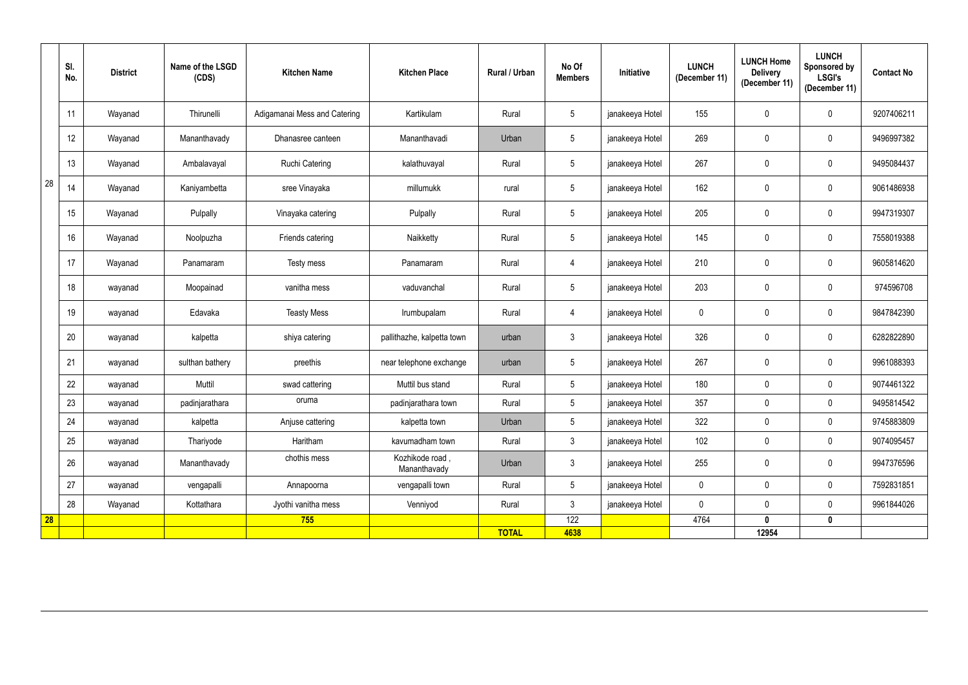|           | SI.<br>No. | <b>District</b> | Name of the LSGD<br>(CDS) | <b>Kitchen Name</b>          | <b>Kitchen Place</b>            | Rural / Urban | No Of<br><b>Members</b> | Initiative      | <b>LUNCH</b><br>(December 11) | <b>LUNCH Home</b><br><b>Delivery</b><br>(December 11) | <b>LUNCH</b><br><b>Sponsored by</b><br><b>LSGI's</b><br>(December 11) | <b>Contact No</b> |
|-----------|------------|-----------------|---------------------------|------------------------------|---------------------------------|---------------|-------------------------|-----------------|-------------------------------|-------------------------------------------------------|-----------------------------------------------------------------------|-------------------|
|           | 11         | Wayanad         | Thirunelli                | Adigamanai Mess and Catering | Kartikulam                      | Rural         | 5 <sub>5</sub>          | janakeeya Hotel | 155                           | 0                                                     | $\mathbf 0$                                                           | 9207406211        |
|           | 12         | Wayanad         | Mananthavady              | Dhanasree canteen            | Mananthavadi                    | Urban         | 5 <sup>5</sup>          | janakeeya Hotel | 269                           | $\pmb{0}$                                             | $\pmb{0}$                                                             | 9496997382        |
|           | 13         | Wayanad         | Ambalavayal               | <b>Ruchi Catering</b>        | kalathuvayal                    | Rural         | $5\overline{)}$         | janakeeya Hotel | 267                           | $\pmb{0}$                                             | $\overline{0}$                                                        | 9495084437        |
| 28        | 14         | Wayanad         | Kaniyambetta              | sree Vinayaka                | millumukk                       | rural         | 5 <sub>5</sub>          | janakeeya Hotel | 162                           | $\pmb{0}$                                             | $\pmb{0}$                                                             | 9061486938        |
|           | 15         | Wayanad         | Pulpally                  | Vinayaka catering            | Pulpally                        | Rural         | 5 <sub>5</sub>          | janakeeya Hotel | 205                           | $\pmb{0}$                                             | $\mathbf 0$                                                           | 9947319307        |
|           | 16         | Wayanad         | Noolpuzha                 | Friends catering             | Naikketty                       | Rural         | 5 <sub>5</sub>          | janakeeya Hotel | 145                           | $\pmb{0}$                                             | $\mathbf 0$                                                           | 7558019388        |
|           | 17         | Wayanad         | Panamaram                 | Testy mess                   | Panamaram                       | Rural         | 4                       | janakeeya Hotel | 210                           | 0                                                     | $\mathbf 0$                                                           | 9605814620        |
|           | 18         | wayanad         | Moopainad                 | vanitha mess                 | vaduvanchal                     | Rural         | $5\overline{)}$         | janakeeya Hotel | 203                           | $\pmb{0}$                                             | $\overline{0}$                                                        | 974596708         |
|           | 19         | wayanad         | Edavaka                   | <b>Teasty Mess</b>           | Irumbupalam                     | Rural         | 4                       | janakeeya Hotel | $\overline{0}$                | $\pmb{0}$                                             | $\mathbf 0$                                                           | 9847842390        |
|           | 20         | wayanad         | kalpetta                  | shiya catering               | pallithazhe, kalpetta town      | urban         | $\mathbf{3}$            | janakeeya Hotel | 326                           | $\pmb{0}$                                             | $\mathbf 0$                                                           | 6282822890        |
|           | 21         | wayanad         | sulthan bathery           | preethis                     | near telephone exchange         | urban         | 5 <sub>5</sub>          | janakeeya Hotel | 267                           | $\pmb{0}$                                             | $\mathbf 0$                                                           | 9961088393        |
|           | 22         | wayanad         | Muttil                    | swad cattering               | Muttil bus stand                | Rural         | $5\overline{)}$         | janakeeya Hotel | 180                           | $\pmb{0}$                                             | $\pmb{0}$                                                             | 9074461322        |
|           | 23         | wayanad         | padinjarathara            | oruma                        | padinjarathara town             | Rural         | 5                       | janakeeya Hotel | 357                           | 0                                                     | $\mathbf 0$                                                           | 9495814542        |
|           | 24         | wayanad         | kalpetta                  | Anjuse cattering             | kalpetta town                   | Urban         | $5\overline{)}$         | janakeeya Hotel | 322                           | $\mathbf 0$                                           | $\mathbf 0$                                                           | 9745883809        |
|           | 25         | wayanad         | Thariyode                 | Haritham                     | kavumadham town                 | Rural         | 3 <sup>7</sup>          | janakeeya Hotel | 102                           | $\pmb{0}$                                             | $\mathbf 0$                                                           | 9074095457        |
|           | 26         | wayanad         | Mananthavady              | chothis mess                 | Kozhikode road,<br>Mananthavady | Urban         | 3 <sup>7</sup>          | janakeeya Hotel | 255                           | $\pmb{0}$                                             | $\mathbf 0$                                                           | 9947376596        |
|           | 27         | wayanad         | vengapalli                | Annapoorna                   | vengapalli town                 | Rural         | 5 <sup>5</sup>          | janakeeya Hotel | $\mathbf 0$                   | $\mathbf 0$                                           | $\mathbf 0$                                                           | 7592831851        |
|           | 28         | Wayanad         | Kottathara                | Jyothi vanitha mess          | Venniyod                        | Rural         | 3 <sup>1</sup>          | janakeeya Hotel | $\mathbf 0$                   | $\pmb{0}$                                             | $\mathbf 0$                                                           | 9961844026        |
| <b>28</b> |            |                 |                           | 755                          |                                 |               | 122                     |                 | 4764                          | $\mathbf 0$                                           | $\mathbf 0$                                                           |                   |
|           |            |                 |                           |                              |                                 | <b>TOTAL</b>  | 4638                    |                 |                               | 12954                                                 |                                                                       |                   |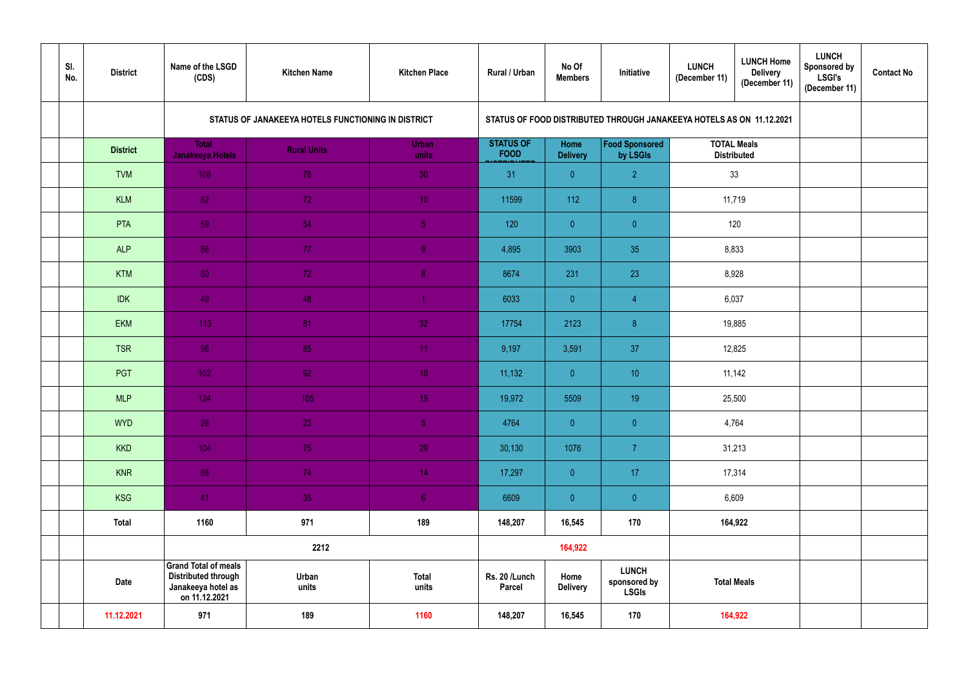| SI.<br>No. | <b>District</b> | Name of the LSGD<br>(CDS)                                                                        | <b>Kitchen Name</b>                                | <b>Kitchen Place</b>  | Rural / Urban                   | No Of<br><b>Members</b> | Initiative                                                           | <b>LUNCH</b><br>(December 11)            | <b>LUNCH Home</b><br><b>Delivery</b><br>(December 11) | <b>LUNCH</b><br><b>Sponsored by</b><br><b>LSGI's</b><br>(December 11) | <b>Contact No</b> |
|------------|-----------------|--------------------------------------------------------------------------------------------------|----------------------------------------------------|-----------------------|---------------------------------|-------------------------|----------------------------------------------------------------------|------------------------------------------|-------------------------------------------------------|-----------------------------------------------------------------------|-------------------|
|            |                 |                                                                                                  | STATUS OF JANAKEEYA HOTELS FUNCTIONING IN DISTRICT |                       |                                 |                         | STATUS OF FOOD DISTRIBUTED THROUGH JANAKEEYA HOTELS AS ON 11.12.2021 |                                          |                                                       |                                                                       |                   |
|            | <b>District</b> | <b>Total</b><br>Janakeeya Hotels                                                                 | <b>Rural Units</b>                                 | <b>Urban</b><br>units | <b>STATUS OF</b><br><b>FOOD</b> | Home<br><b>Delivery</b> | <b>Food Sponsored</b><br>by LSGIs                                    | <b>TOTAL Meals</b><br><b>Distributed</b> |                                                       |                                                                       |                   |
|            | <b>TVM</b>      | 108                                                                                              | 78                                                 | $30\,$                | 31                              | $\overline{0}$          | $\overline{2}$                                                       | 33                                       |                                                       |                                                                       |                   |
|            | <b>KLM</b>      | 82                                                                                               | 72                                                 | 10 <sub>1</sub>       | 11599                           | 112                     | 8                                                                    |                                          | 11,719                                                |                                                                       |                   |
|            | <b>PTA</b>      | 59                                                                                               | 54                                                 | 5 <sub>1</sub>        | 120                             | $\overline{0}$          | $\overline{0}$                                                       | 120                                      |                                                       |                                                                       |                   |
|            | <b>ALP</b>      | 86                                                                                               | 77                                                 | 9                     | 4,895                           | 3903                    | 35                                                                   | 8,833                                    |                                                       |                                                                       |                   |
|            | <b>KTM</b>      | 80                                                                                               | 72                                                 | 8 <sub>1</sub>        | 8674                            | 231                     | 23                                                                   | 8,928                                    |                                                       |                                                                       |                   |
|            | <b>IDK</b>      | 49                                                                                               | 48                                                 |                       | 6033                            | $\overline{0}$          | $\overline{4}$                                                       | 6,037                                    |                                                       |                                                                       |                   |
|            | <b>EKM</b>      | 113                                                                                              | 81                                                 | 32                    | 17754                           | 2123                    | 8                                                                    |                                          | 19,885                                                |                                                                       |                   |
|            | <b>TSR</b>      | 96                                                                                               | 85                                                 | 11 <sub>1</sub>       | 9,197                           | 3,591                   | 37                                                                   |                                          | 12,825                                                |                                                                       |                   |
|            | PGT             | 102                                                                                              | 92                                                 | 10 <sub>1</sub>       | 11,132                          | $\overline{0}$          | 10 <sup>°</sup>                                                      |                                          | 11,142                                                |                                                                       |                   |
|            | <b>MLP</b>      | 124                                                                                              | 105                                                | 19 <sup>°</sup>       | 19,972                          | 5509                    | 19                                                                   |                                          | 25,500                                                |                                                                       |                   |
|            | <b>WYD</b>      | 28                                                                                               | 23                                                 | 5 <sub>1</sub>        | 4764                            | $\overline{0}$          | $\overline{0}$                                                       | 4,764                                    |                                                       |                                                                       |                   |
|            | <b>KKD</b>      | 104                                                                                              | 75                                                 | 29                    | 30,130                          | 1076                    | 7 <sup>1</sup>                                                       | 31,213                                   |                                                       |                                                                       |                   |
|            | <b>KNR</b>      | 88                                                                                               | 74                                                 | 14 <sub>1</sub>       | 17,297                          | $\overline{0}$          | 17 <sub>1</sub>                                                      |                                          | 17,314                                                |                                                                       |                   |
|            | <b>KSG</b>      | 41                                                                                               | 35                                                 | 6 <sub>1</sub>        | 6609                            | $\overline{\mathbf{0}}$ | $\overline{0}$                                                       | 6,609                                    |                                                       |                                                                       |                   |
|            | <b>Total</b>    | 1160                                                                                             | 971                                                | 189                   | 148,207                         | 16,545                  | 170                                                                  |                                          | 164,922                                               |                                                                       |                   |
|            |                 |                                                                                                  | 2212                                               |                       |                                 | 164,922                 |                                                                      |                                          |                                                       |                                                                       |                   |
|            | <b>Date</b>     | <b>Grand Total of meals</b><br><b>Distributed through</b><br>Janakeeya hotel as<br>on 11.12.2021 | Urban<br>units                                     | <b>Total</b><br>units | Rs. 20 /Lunch<br><b>Parcel</b>  | Home<br><b>Delivery</b> | <b>LUNCH</b><br>sponsored by<br><b>LSGIs</b>                         | <b>Total Meals</b>                       |                                                       |                                                                       |                   |
|            | 11.12.2021      | 971                                                                                              | 189                                                | 1160                  | 148,207                         | 16,545                  | 170                                                                  |                                          | 164,922                                               |                                                                       |                   |